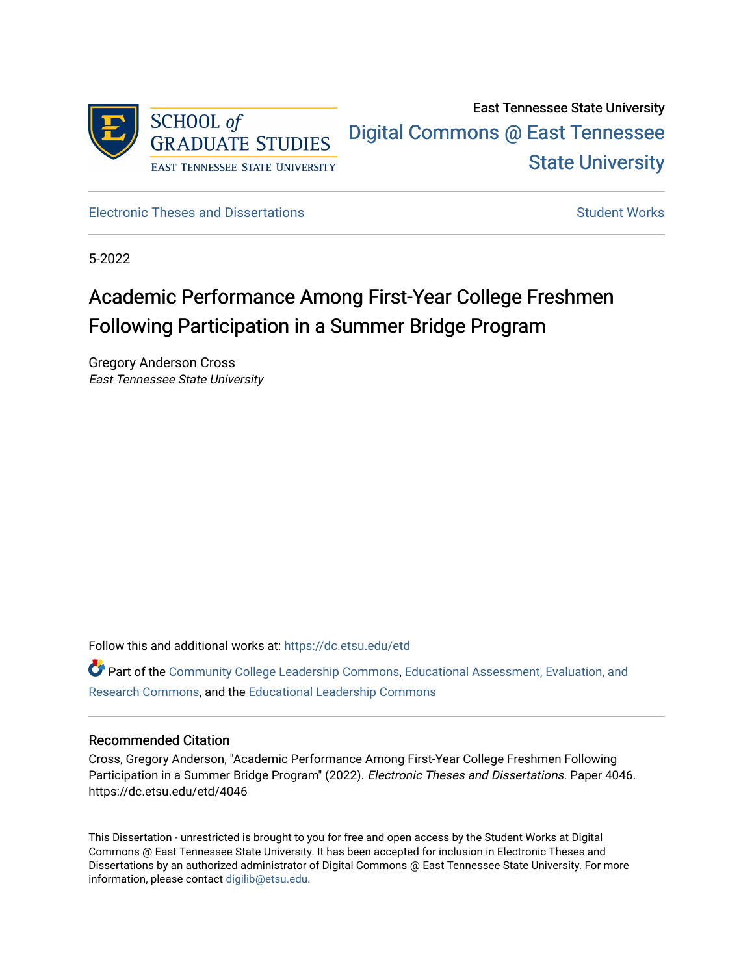

# East Tennessee State University [Digital Commons @ East Tennessee](https://dc.etsu.edu/)  [State University](https://dc.etsu.edu/)

[Electronic Theses and Dissertations](https://dc.etsu.edu/etd) [Student Works](https://dc.etsu.edu/student-works) Student Works

5-2022

# Academic Performance Among First-Year College Freshmen Following Participation in a Summer Bridge Program

Gregory Anderson Cross East Tennessee State University

Follow this and additional works at: [https://dc.etsu.edu/etd](https://dc.etsu.edu/etd?utm_source=dc.etsu.edu%2Fetd%2F4046&utm_medium=PDF&utm_campaign=PDFCoverPages)

Part of the [Community College Leadership Commons](http://network.bepress.com/hgg/discipline/1039?utm_source=dc.etsu.edu%2Fetd%2F4046&utm_medium=PDF&utm_campaign=PDFCoverPages), [Educational Assessment, Evaluation, and](http://network.bepress.com/hgg/discipline/796?utm_source=dc.etsu.edu%2Fetd%2F4046&utm_medium=PDF&utm_campaign=PDFCoverPages) [Research Commons,](http://network.bepress.com/hgg/discipline/796?utm_source=dc.etsu.edu%2Fetd%2F4046&utm_medium=PDF&utm_campaign=PDFCoverPages) and the [Educational Leadership Commons](http://network.bepress.com/hgg/discipline/1230?utm_source=dc.etsu.edu%2Fetd%2F4046&utm_medium=PDF&utm_campaign=PDFCoverPages)

## Recommended Citation

Cross, Gregory Anderson, "Academic Performance Among First-Year College Freshmen Following Participation in a Summer Bridge Program" (2022). Electronic Theses and Dissertations. Paper 4046. https://dc.etsu.edu/etd/4046

This Dissertation - unrestricted is brought to you for free and open access by the Student Works at Digital Commons @ East Tennessee State University. It has been accepted for inclusion in Electronic Theses and Dissertations by an authorized administrator of Digital Commons @ East Tennessee State University. For more information, please contact [digilib@etsu.edu.](mailto:digilib@etsu.edu)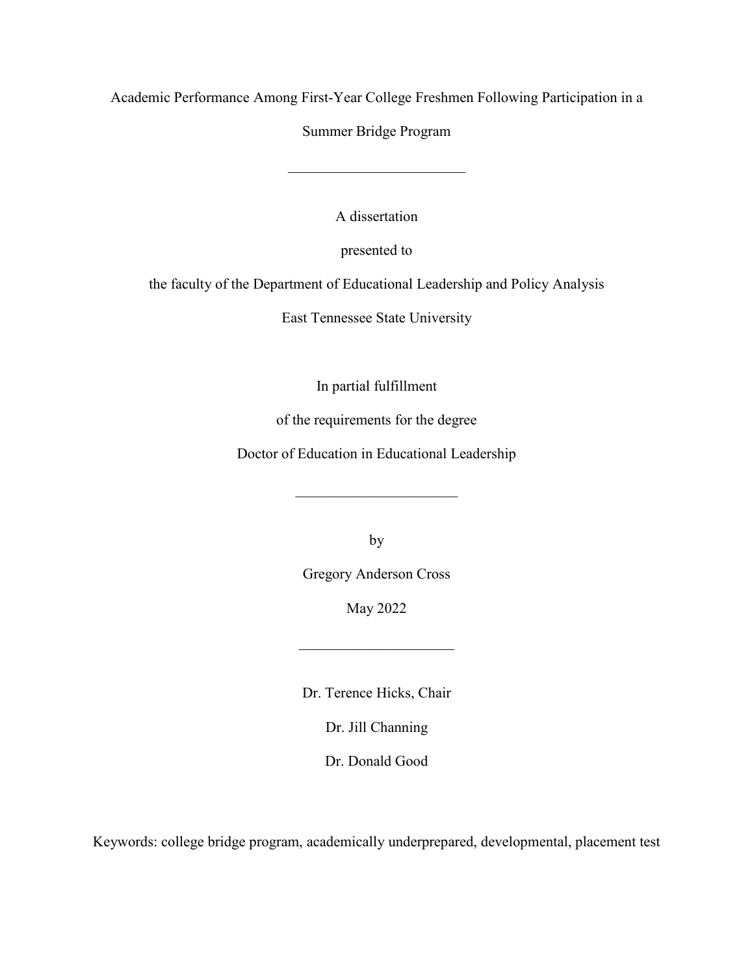Academic Performance Among First-Year College Freshmen Following Participation in a

Summer Bridge Program

 $\overline{\phantom{a}}$  , and the set of the set of the set of the set of the set of the set of the set of the set of the set of the set of the set of the set of the set of the set of the set of the set of the set of the set of the s

A dissertation

presented to

the faculty of the Department of Educational Leadership and Policy Analysis

East Tennessee State University

In partial fulfillment

of the requirements for the degree

Doctor of Education in Educational Leadership

 $\overline{\phantom{a}}$ 

by

Gregory Anderson Cross

May 2022

Dr. Terence Hicks, Chair

Dr. Jill Channing

Dr. Donald Good

Keywords: college bridge program, academically underprepared, developmental, placement test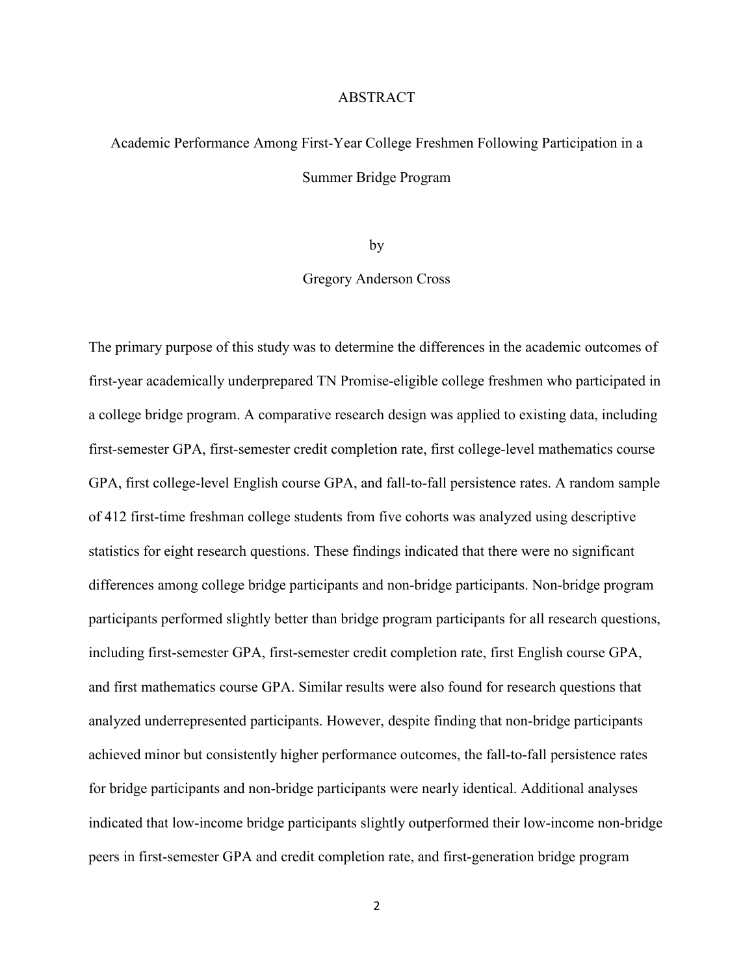#### ABSTRACT

# <span id="page-2-0"></span>Academic Performance Among First-Year College Freshmen Following Participation in a Summer Bridge Program

by

Gregory Anderson Cross

The primary purpose of this study was to determine the differences in the academic outcomes of first-year academically underprepared TN Promise-eligible college freshmen who participated in a college bridge program. A comparative research design was applied to existing data, including first-semester GPA, first-semester credit completion rate, first college-level mathematics course GPA, first college-level English course GPA, and fall-to-fall persistence rates. A random sample of 412 first-time freshman college students from five cohorts was analyzed using descriptive statistics for eight research questions. These findings indicated that there were no significant differences among college bridge participants and non-bridge participants. Non-bridge program participants performed slightly better than bridge program participants for all research questions, including first-semester GPA, first-semester credit completion rate, first English course GPA, and first mathematics course GPA. Similar results were also found for research questions that analyzed underrepresented participants. However, despite finding that non-bridge participants achieved minor but consistently higher performance outcomes, the fall-to-fall persistence rates for bridge participants and non-bridge participants were nearly identical. Additional analyses indicated that low-income bridge participants slightly outperformed their low-income non-bridge peers in first-semester GPA and credit completion rate, and first-generation bridge program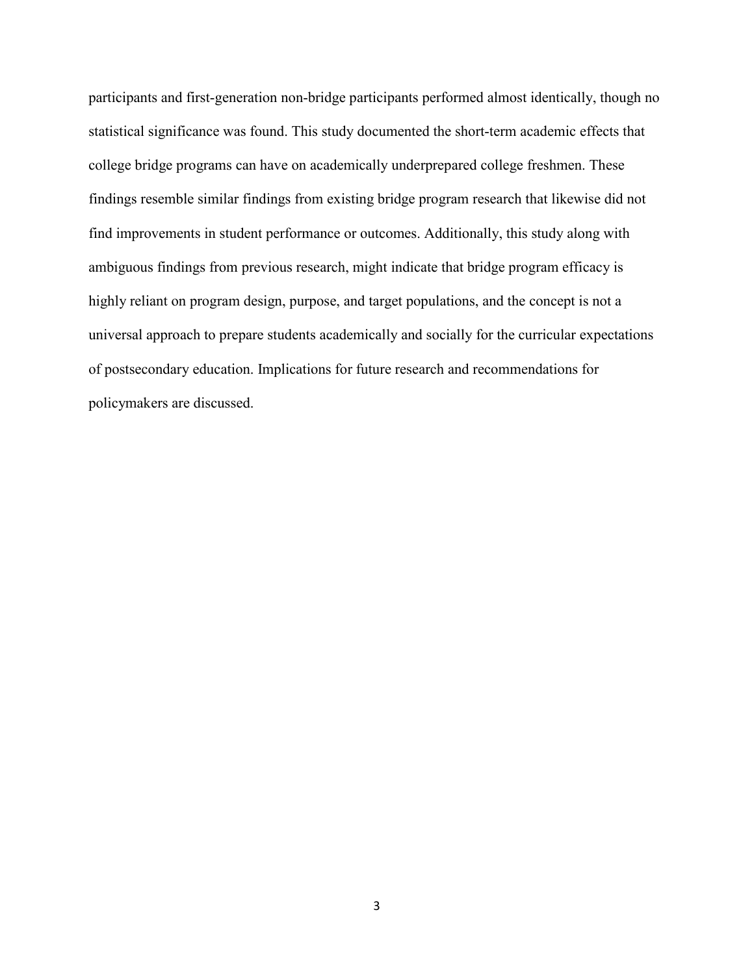participants and first-generation non-bridge participants performed almost identically, though no statistical significance was found. This study documented the short-term academic effects that college bridge programs can have on academically underprepared college freshmen. These findings resemble similar findings from existing bridge program research that likewise did not find improvements in student performance or outcomes. Additionally, this study along with ambiguous findings from previous research, might indicate that bridge program efficacy is highly reliant on program design, purpose, and target populations, and the concept is not a universal approach to prepare students academically and socially for the curricular expectations of postsecondary education. Implications for future research and recommendations for policymakers are discussed.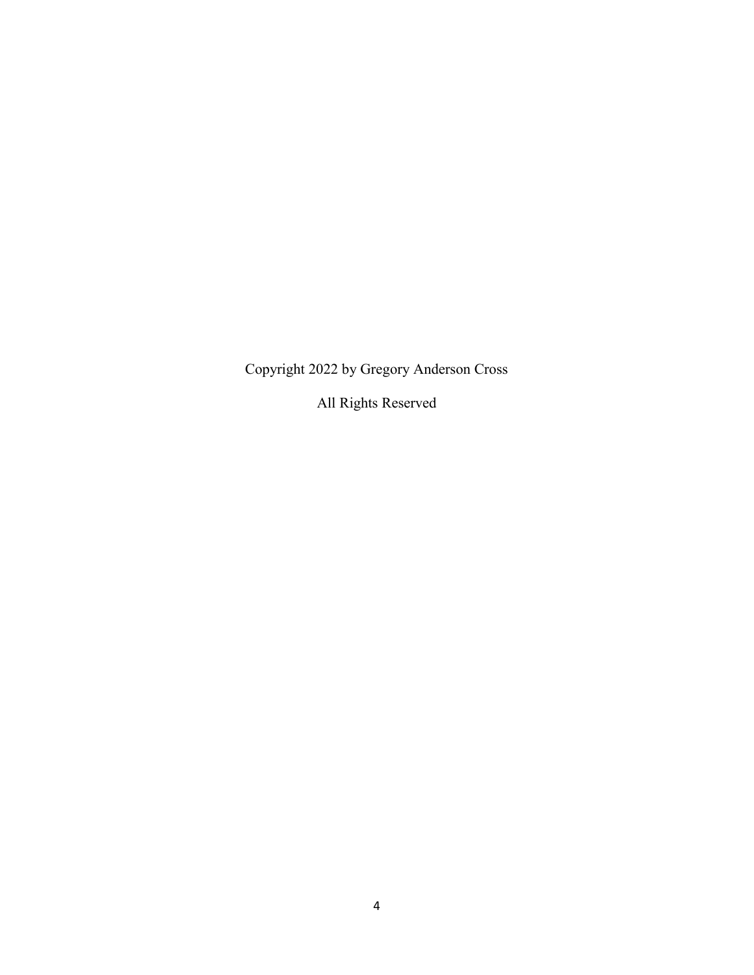Copyright 2022 by Gregory Anderson Cross

All Rights Reserved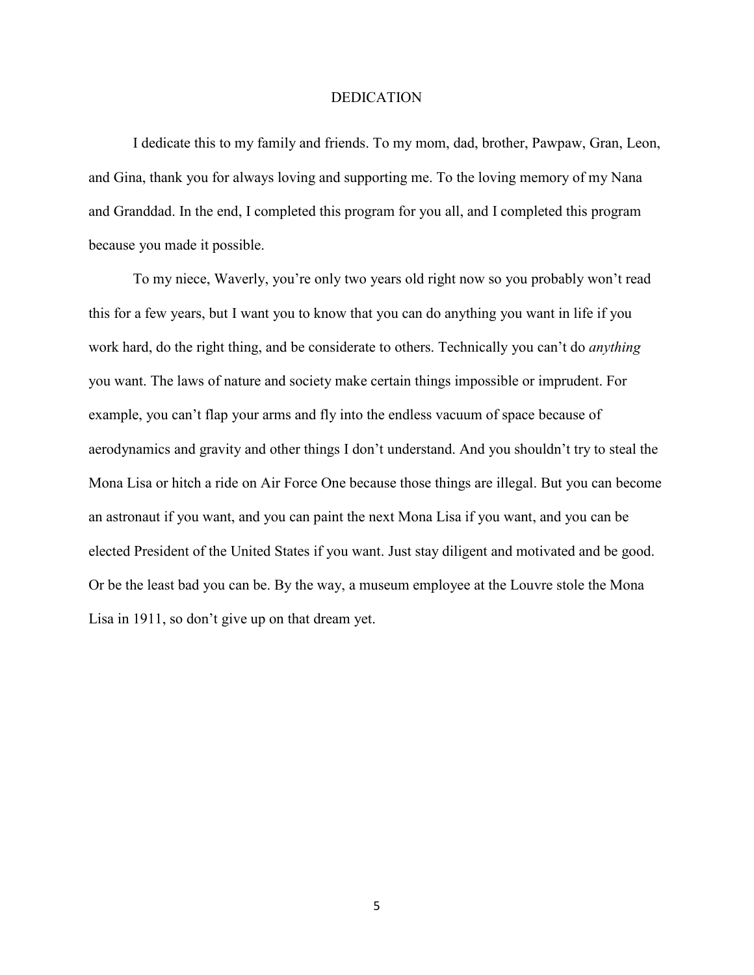### DEDICATION

<span id="page-5-0"></span>I dedicate this to my family and friends. To my mom, dad, brother, Pawpaw, Gran, Leon, and Gina, thank you for always loving and supporting me. To the loving memory of my Nana and Granddad. In the end, I completed this program for you all, and I completed this program because you made it possible.

To my niece, Waverly, you're only two years old right now so you probably won't read this for a few years, but I want you to know that you can do anything you want in life if you work hard, do the right thing, and be considerate to others. Technically you can't do *anything* you want. The laws of nature and society make certain things impossible or imprudent. For example, you can't flap your arms and fly into the endless vacuum of space because of aerodynamics and gravity and other things I don't understand. And you shouldn't try to steal the Mona Lisa or hitch a ride on Air Force One because those things are illegal. But you can become an astronaut if you want, and you can paint the next Mona Lisa if you want, and you can be elected President of the United States if you want. Just stay diligent and motivated and be good. Or be the least bad you can be. By the way, a museum employee at the Louvre stole the Mona Lisa in 1911, so don't give up on that dream yet.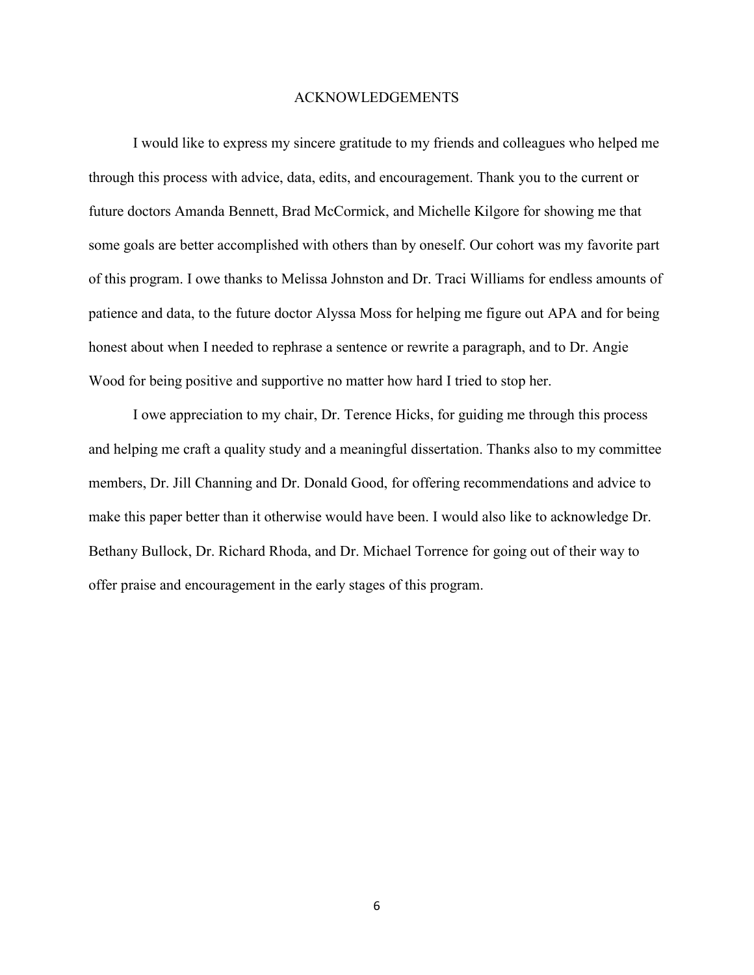### ACKNOWLEDGEMENTS

<span id="page-6-0"></span>I would like to express my sincere gratitude to my friends and colleagues who helped me through this process with advice, data, edits, and encouragement. Thank you to the current or future doctors Amanda Bennett, Brad McCormick, and Michelle Kilgore for showing me that some goals are better accomplished with others than by oneself. Our cohort was my favorite part of this program. I owe thanks to Melissa Johnston and Dr. Traci Williams for endless amounts of patience and data, to the future doctor Alyssa Moss for helping me figure out APA and for being honest about when I needed to rephrase a sentence or rewrite a paragraph, and to Dr. Angie Wood for being positive and supportive no matter how hard I tried to stop her.

I owe appreciation to my chair, Dr. Terence Hicks, for guiding me through this process and helping me craft a quality study and a meaningful dissertation. Thanks also to my committee members, Dr. Jill Channing and Dr. Donald Good, for offering recommendations and advice to make this paper better than it otherwise would have been. I would also like to acknowledge Dr. Bethany Bullock, Dr. Richard Rhoda, and Dr. Michael Torrence for going out of their way to offer praise and encouragement in the early stages of this program.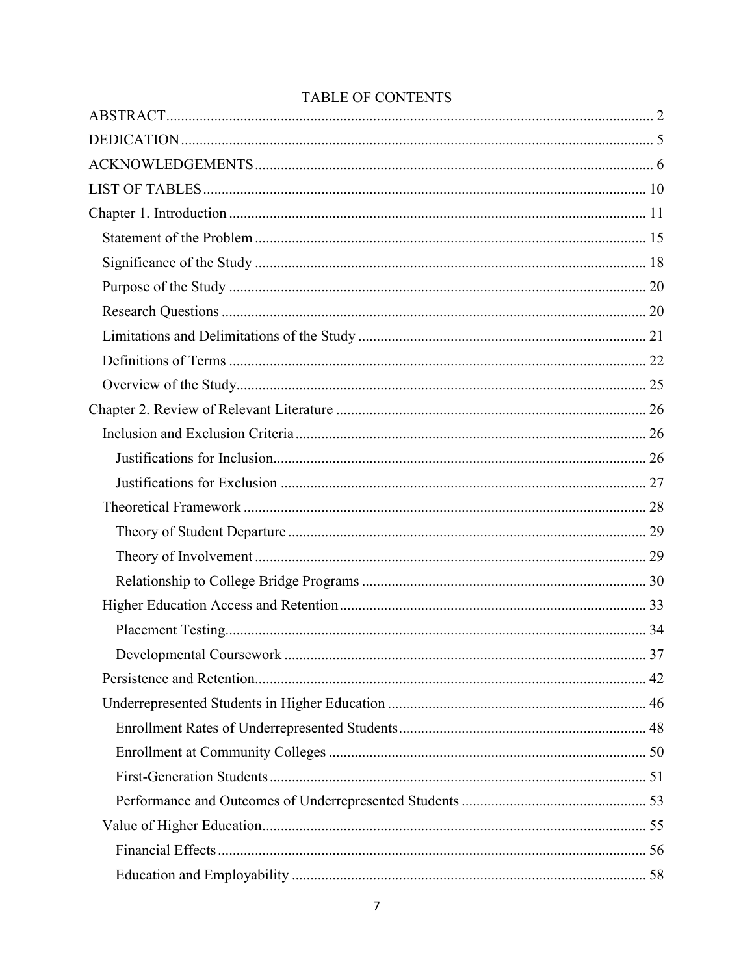## **TABLE OF CONTENTS**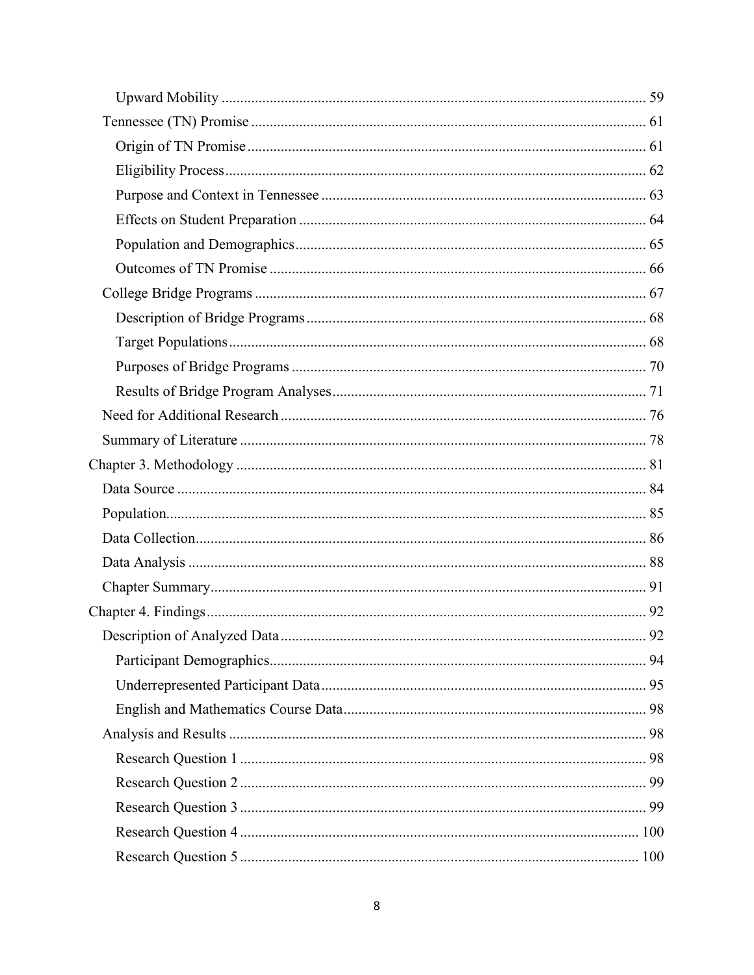| 92 |
|----|
|    |
|    |
|    |
|    |
|    |
|    |
|    |
|    |
|    |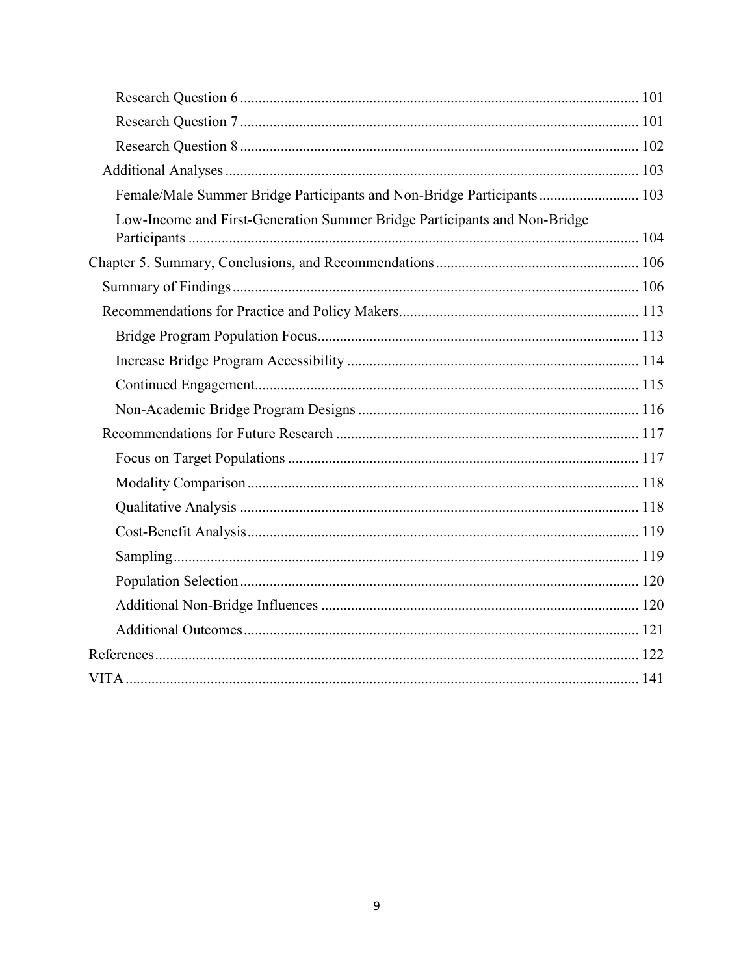| Female/Male Summer Bridge Participants and Non-Bridge Participants 103    |  |
|---------------------------------------------------------------------------|--|
| Low-Income and First-Generation Summer Bridge Participants and Non-Bridge |  |
|                                                                           |  |
|                                                                           |  |
|                                                                           |  |
|                                                                           |  |
|                                                                           |  |
|                                                                           |  |
|                                                                           |  |
|                                                                           |  |
|                                                                           |  |
|                                                                           |  |
|                                                                           |  |
|                                                                           |  |
|                                                                           |  |
|                                                                           |  |
|                                                                           |  |
|                                                                           |  |
|                                                                           |  |
|                                                                           |  |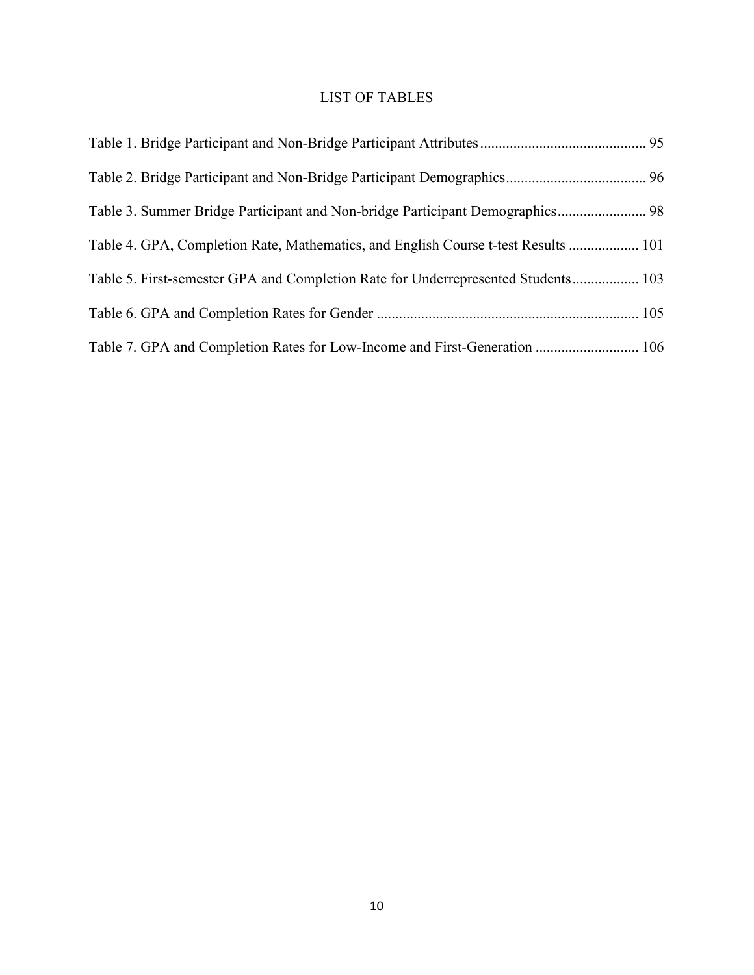## <span id="page-10-0"></span>LIST OF TABLES

| Table 3. Summer Bridge Participant and Non-bridge Participant Demographics 98      |  |
|------------------------------------------------------------------------------------|--|
| Table 4. GPA, Completion Rate, Mathematics, and English Course t-test Results  101 |  |
| Table 5. First-semester GPA and Completion Rate for Underrepresented Students 103  |  |
|                                                                                    |  |
| Table 7. GPA and Completion Rates for Low-Income and First-Generation  106         |  |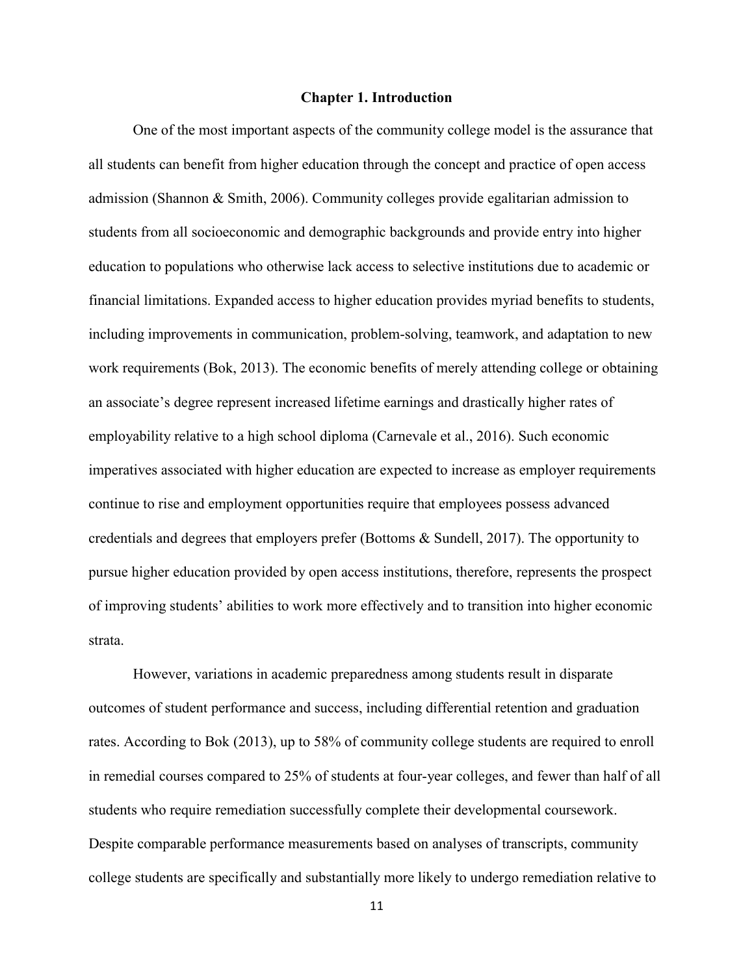### **Chapter 1. Introduction**

<span id="page-11-0"></span>One of the most important aspects of the community college model is the assurance that all students can benefit from higher education through the concept and practice of open access admission (Shannon & Smith, 2006). Community colleges provide egalitarian admission to students from all socioeconomic and demographic backgrounds and provide entry into higher education to populations who otherwise lack access to selective institutions due to academic or financial limitations. Expanded access to higher education provides myriad benefits to students, including improvements in communication, problem-solving, teamwork, and adaptation to new work requirements (Bok, 2013). The economic benefits of merely attending college or obtaining an associate's degree represent increased lifetime earnings and drastically higher rates of employability relative to a high school diploma (Carnevale et al., 2016). Such economic imperatives associated with higher education are expected to increase as employer requirements continue to rise and employment opportunities require that employees possess advanced credentials and degrees that employers prefer (Bottoms & Sundell, 2017). The opportunity to pursue higher education provided by open access institutions, therefore, represents the prospect of improving students' abilities to work more effectively and to transition into higher economic strata.

However, variations in academic preparedness among students result in disparate outcomes of student performance and success, including differential retention and graduation rates. According to Bok (2013), up to 58% of community college students are required to enroll in remedial courses compared to 25% of students at four-year colleges, and fewer than half of all students who require remediation successfully complete their developmental coursework. Despite comparable performance measurements based on analyses of transcripts, community college students are specifically and substantially more likely to undergo remediation relative to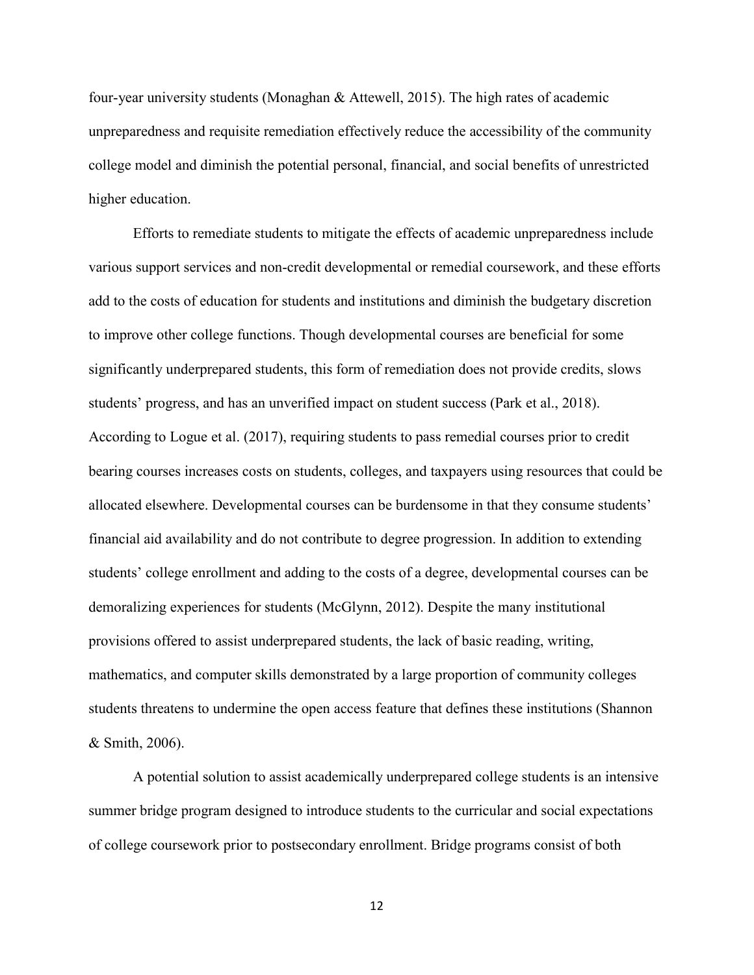four-year university students (Monaghan & Attewell, 2015). The high rates of academic unpreparedness and requisite remediation effectively reduce the accessibility of the community college model and diminish the potential personal, financial, and social benefits of unrestricted higher education.

Efforts to remediate students to mitigate the effects of academic unpreparedness include various support services and non-credit developmental or remedial coursework, and these efforts add to the costs of education for students and institutions and diminish the budgetary discretion to improve other college functions. Though developmental courses are beneficial for some significantly underprepared students, this form of remediation does not provide credits, slows students' progress, and has an unverified impact on student success (Park et al., 2018). According to Logue et al. (2017), requiring students to pass remedial courses prior to credit bearing courses increases costs on students, colleges, and taxpayers using resources that could be allocated elsewhere. Developmental courses can be burdensome in that they consume students' financial aid availability and do not contribute to degree progression. In addition to extending students' college enrollment and adding to the costs of a degree, developmental courses can be demoralizing experiences for students (McGlynn, 2012). Despite the many institutional provisions offered to assist underprepared students, the lack of basic reading, writing, mathematics, and computer skills demonstrated by a large proportion of community colleges students threatens to undermine the open access feature that defines these institutions (Shannon & Smith, 2006).

A potential solution to assist academically underprepared college students is an intensive summer bridge program designed to introduce students to the curricular and social expectations of college coursework prior to postsecondary enrollment. Bridge programs consist of both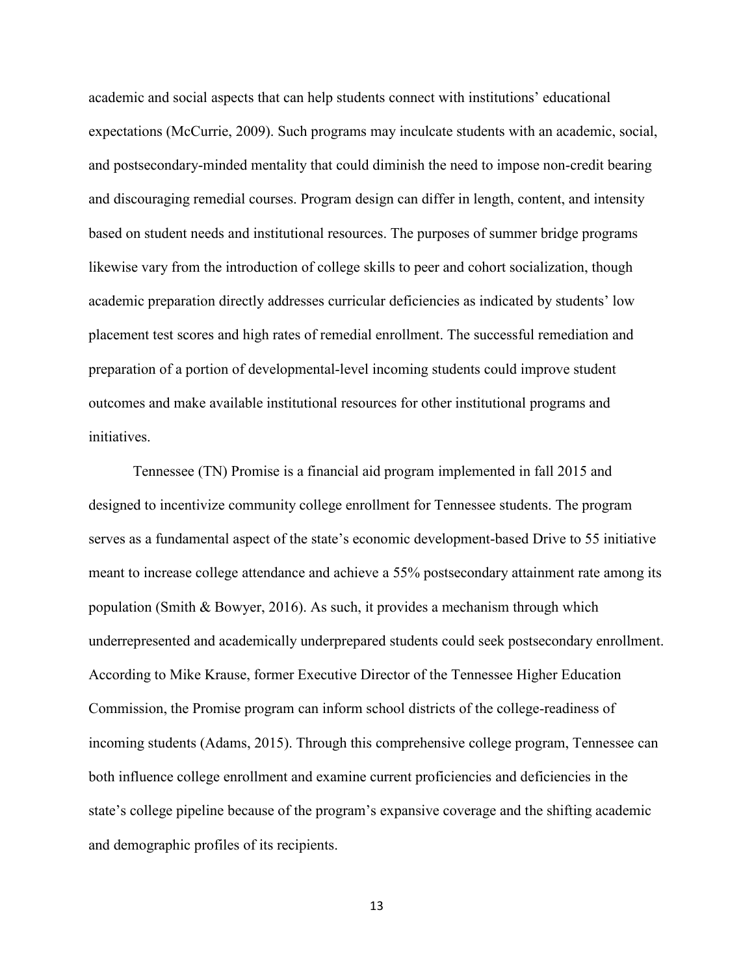academic and social aspects that can help students connect with institutions' educational expectations (McCurrie, 2009). Such programs may inculcate students with an academic, social, and postsecondary-minded mentality that could diminish the need to impose non-credit bearing and discouraging remedial courses. Program design can differ in length, content, and intensity based on student needs and institutional resources. The purposes of summer bridge programs likewise vary from the introduction of college skills to peer and cohort socialization, though academic preparation directly addresses curricular deficiencies as indicated by students' low placement test scores and high rates of remedial enrollment. The successful remediation and preparation of a portion of developmental-level incoming students could improve student outcomes and make available institutional resources for other institutional programs and initiatives.

Tennessee (TN) Promise is a financial aid program implemented in fall 2015 and designed to incentivize community college enrollment for Tennessee students. The program serves as a fundamental aspect of the state's economic development-based Drive to 55 initiative meant to increase college attendance and achieve a 55% postsecondary attainment rate among its population (Smith & Bowyer, 2016). As such, it provides a mechanism through which underrepresented and academically underprepared students could seek postsecondary enrollment. According to Mike Krause, former Executive Director of the Tennessee Higher Education Commission, the Promise program can inform school districts of the college-readiness of incoming students (Adams, 2015). Through this comprehensive college program, Tennessee can both influence college enrollment and examine current proficiencies and deficiencies in the state's college pipeline because of the program's expansive coverage and the shifting academic and demographic profiles of its recipients.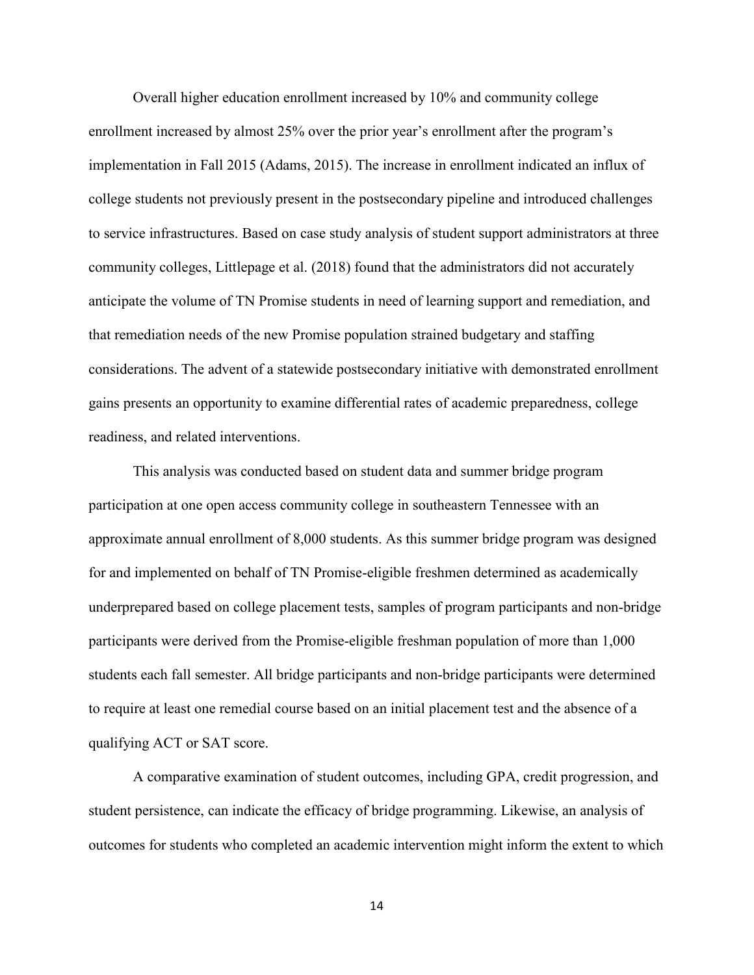Overall higher education enrollment increased by 10% and community college enrollment increased by almost 25% over the prior year's enrollment after the program's implementation in Fall 2015 (Adams, 2015). The increase in enrollment indicated an influx of college students not previously present in the postsecondary pipeline and introduced challenges to service infrastructures. Based on case study analysis of student support administrators at three community colleges, Littlepage et al. (2018) found that the administrators did not accurately anticipate the volume of TN Promise students in need of learning support and remediation, and that remediation needs of the new Promise population strained budgetary and staffing considerations. The advent of a statewide postsecondary initiative with demonstrated enrollment gains presents an opportunity to examine differential rates of academic preparedness, college readiness, and related interventions.

This analysis was conducted based on student data and summer bridge program participation at one open access community college in southeastern Tennessee with an approximate annual enrollment of 8,000 students. As this summer bridge program was designed for and implemented on behalf of TN Promise-eligible freshmen determined as academically underprepared based on college placement tests, samples of program participants and non-bridge participants were derived from the Promise-eligible freshman population of more than 1,000 students each fall semester. All bridge participants and non-bridge participants were determined to require at least one remedial course based on an initial placement test and the absence of a qualifying ACT or SAT score.

A comparative examination of student outcomes, including GPA, credit progression, and student persistence, can indicate the efficacy of bridge programming. Likewise, an analysis of outcomes for students who completed an academic intervention might inform the extent to which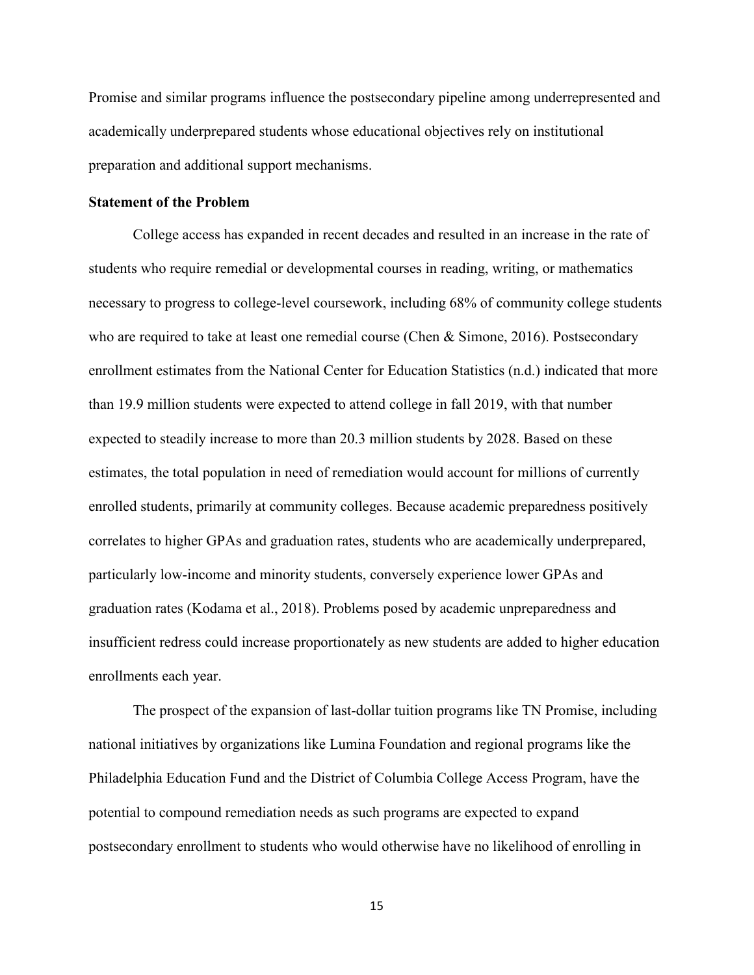Promise and similar programs influence the postsecondary pipeline among underrepresented and academically underprepared students whose educational objectives rely on institutional preparation and additional support mechanisms.

### <span id="page-15-0"></span>**Statement of the Problem**

College access has expanded in recent decades and resulted in an increase in the rate of students who require remedial or developmental courses in reading, writing, or mathematics necessary to progress to college-level coursework, including 68% of community college students who are required to take at least one remedial course (Chen & Simone, 2016). Postsecondary enrollment estimates from the National Center for Education Statistics (n.d.) indicated that more than 19.9 million students were expected to attend college in fall 2019, with that number expected to steadily increase to more than 20.3 million students by 2028. Based on these estimates, the total population in need of remediation would account for millions of currently enrolled students, primarily at community colleges. Because academic preparedness positively correlates to higher GPAs and graduation rates, students who are academically underprepared, particularly low-income and minority students, conversely experience lower GPAs and graduation rates (Kodama et al., 2018). Problems posed by academic unpreparedness and insufficient redress could increase proportionately as new students are added to higher education enrollments each year.

The prospect of the expansion of last-dollar tuition programs like TN Promise, including national initiatives by organizations like Lumina Foundation and regional programs like the Philadelphia Education Fund and the District of Columbia College Access Program, have the potential to compound remediation needs as such programs are expected to expand postsecondary enrollment to students who would otherwise have no likelihood of enrolling in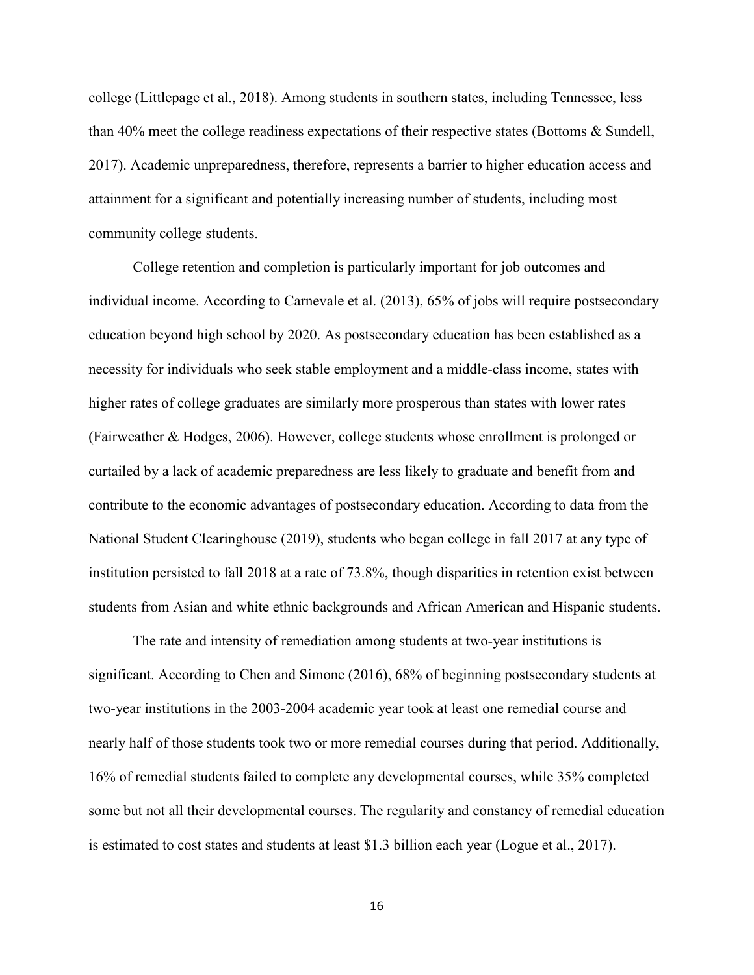college (Littlepage et al., 2018). Among students in southern states, including Tennessee, less than 40% meet the college readiness expectations of their respective states (Bottoms & Sundell, 2017). Academic unpreparedness, therefore, represents a barrier to higher education access and attainment for a significant and potentially increasing number of students, including most community college students.

College retention and completion is particularly important for job outcomes and individual income. According to Carnevale et al. (2013), 65% of jobs will require postsecondary education beyond high school by 2020. As postsecondary education has been established as a necessity for individuals who seek stable employment and a middle-class income, states with higher rates of college graduates are similarly more prosperous than states with lower rates (Fairweather & Hodges, 2006). However, college students whose enrollment is prolonged or curtailed by a lack of academic preparedness are less likely to graduate and benefit from and contribute to the economic advantages of postsecondary education. According to data from the National Student Clearinghouse (2019), students who began college in fall 2017 at any type of institution persisted to fall 2018 at a rate of 73.8%, though disparities in retention exist between students from Asian and white ethnic backgrounds and African American and Hispanic students.

The rate and intensity of remediation among students at two-year institutions is significant. According to Chen and Simone (2016), 68% of beginning postsecondary students at two-year institutions in the 2003-2004 academic year took at least one remedial course and nearly half of those students took two or more remedial courses during that period. Additionally, 16% of remedial students failed to complete any developmental courses, while 35% completed some but not all their developmental courses. The regularity and constancy of remedial education is estimated to cost states and students at least \$1.3 billion each year (Logue et al., 2017).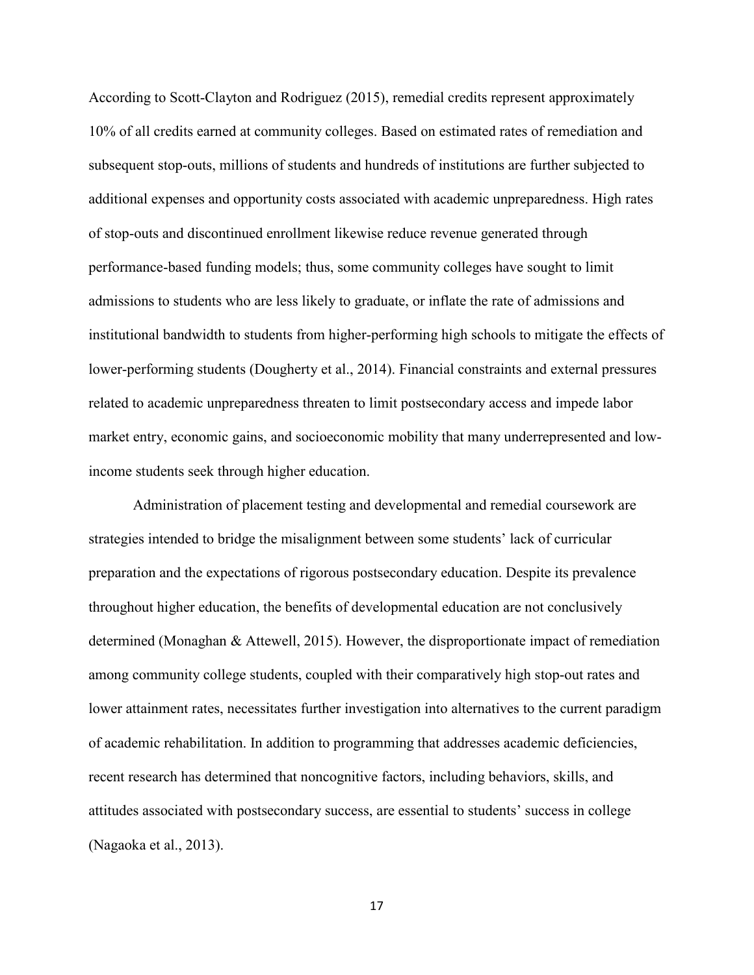According to Scott-Clayton and Rodriguez (2015), remedial credits represent approximately 10% of all credits earned at community colleges. Based on estimated rates of remediation and subsequent stop-outs, millions of students and hundreds of institutions are further subjected to additional expenses and opportunity costs associated with academic unpreparedness. High rates of stop-outs and discontinued enrollment likewise reduce revenue generated through performance-based funding models; thus, some community colleges have sought to limit admissions to students who are less likely to graduate, or inflate the rate of admissions and institutional bandwidth to students from higher-performing high schools to mitigate the effects of lower-performing students (Dougherty et al., 2014). Financial constraints and external pressures related to academic unpreparedness threaten to limit postsecondary access and impede labor market entry, economic gains, and socioeconomic mobility that many underrepresented and lowincome students seek through higher education.

Administration of placement testing and developmental and remedial coursework are strategies intended to bridge the misalignment between some students' lack of curricular preparation and the expectations of rigorous postsecondary education. Despite its prevalence throughout higher education, the benefits of developmental education are not conclusively determined (Monaghan & Attewell, 2015). However, the disproportionate impact of remediation among community college students, coupled with their comparatively high stop-out rates and lower attainment rates, necessitates further investigation into alternatives to the current paradigm of academic rehabilitation. In addition to programming that addresses academic deficiencies, recent research has determined that noncognitive factors, including behaviors, skills, and attitudes associated with postsecondary success, are essential to students' success in college (Nagaoka et al., 2013).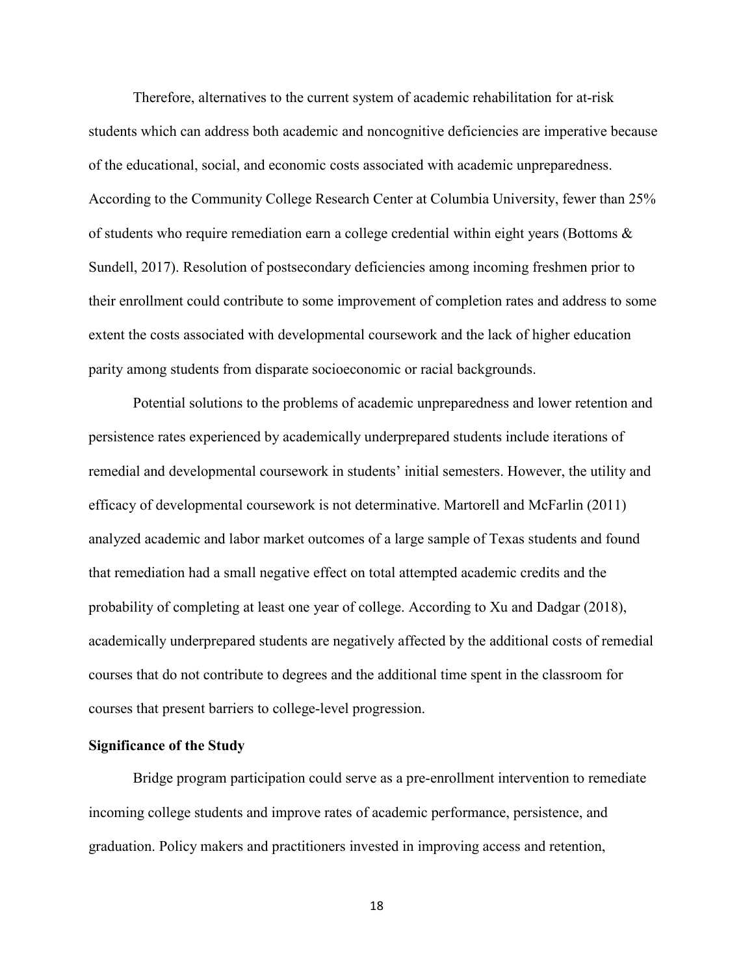Therefore, alternatives to the current system of academic rehabilitation for at-risk students which can address both academic and noncognitive deficiencies are imperative because of the educational, social, and economic costs associated with academic unpreparedness. According to the Community College Research Center at Columbia University, fewer than 25% of students who require remediation earn a college credential within eight years (Bottoms & Sundell, 2017). Resolution of postsecondary deficiencies among incoming freshmen prior to their enrollment could contribute to some improvement of completion rates and address to some extent the costs associated with developmental coursework and the lack of higher education parity among students from disparate socioeconomic or racial backgrounds.

Potential solutions to the problems of academic unpreparedness and lower retention and persistence rates experienced by academically underprepared students include iterations of remedial and developmental coursework in students' initial semesters. However, the utility and efficacy of developmental coursework is not determinative. Martorell and McFarlin (2011) analyzed academic and labor market outcomes of a large sample of Texas students and found that remediation had a small negative effect on total attempted academic credits and the probability of completing at least one year of college. According to Xu and Dadgar (2018), academically underprepared students are negatively affected by the additional costs of remedial courses that do not contribute to degrees and the additional time spent in the classroom for courses that present barriers to college-level progression.

## <span id="page-18-0"></span>**Significance of the Study**

Bridge program participation could serve as a pre-enrollment intervention to remediate incoming college students and improve rates of academic performance, persistence, and graduation. Policy makers and practitioners invested in improving access and retention,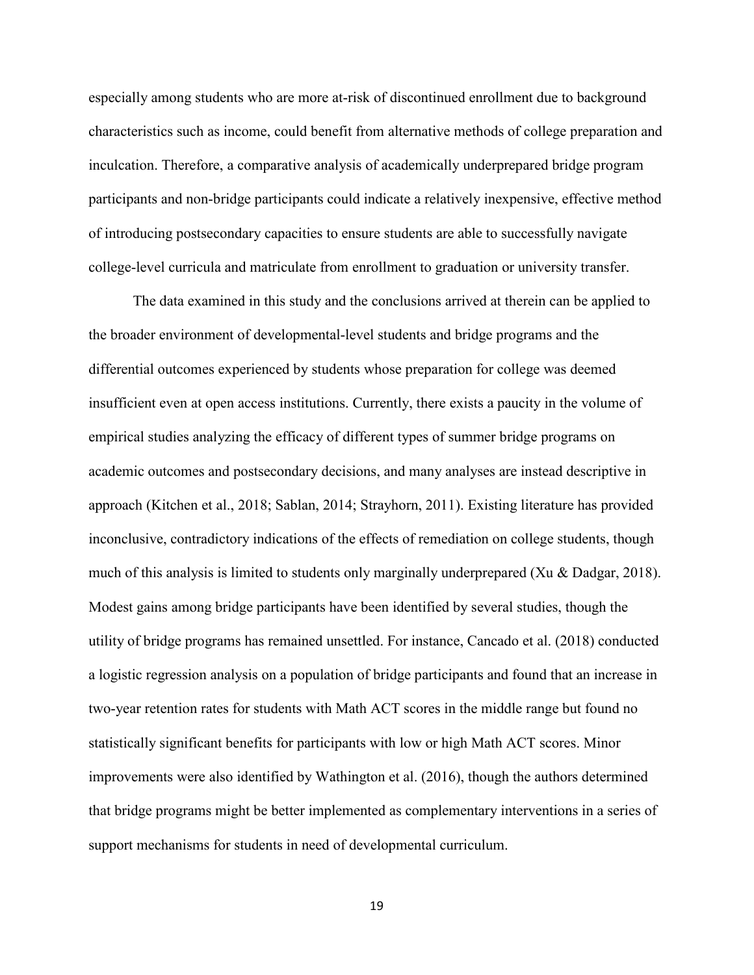especially among students who are more at-risk of discontinued enrollment due to background characteristics such as income, could benefit from alternative methods of college preparation and inculcation. Therefore, a comparative analysis of academically underprepared bridge program participants and non-bridge participants could indicate a relatively inexpensive, effective method of introducing postsecondary capacities to ensure students are able to successfully navigate college-level curricula and matriculate from enrollment to graduation or university transfer.

The data examined in this study and the conclusions arrived at therein can be applied to the broader environment of developmental-level students and bridge programs and the differential outcomes experienced by students whose preparation for college was deemed insufficient even at open access institutions. Currently, there exists a paucity in the volume of empirical studies analyzing the efficacy of different types of summer bridge programs on academic outcomes and postsecondary decisions, and many analyses are instead descriptive in approach (Kitchen et al., 2018; Sablan, 2014; Strayhorn, 2011). Existing literature has provided inconclusive, contradictory indications of the effects of remediation on college students, though much of this analysis is limited to students only marginally underprepared (Xu & Dadgar, 2018). Modest gains among bridge participants have been identified by several studies, though the utility of bridge programs has remained unsettled. For instance, Cancado et al. (2018) conducted a logistic regression analysis on a population of bridge participants and found that an increase in two-year retention rates for students with Math ACT scores in the middle range but found no statistically significant benefits for participants with low or high Math ACT scores. Minor improvements were also identified by Wathington et al. (2016), though the authors determined that bridge programs might be better implemented as complementary interventions in a series of support mechanisms for students in need of developmental curriculum.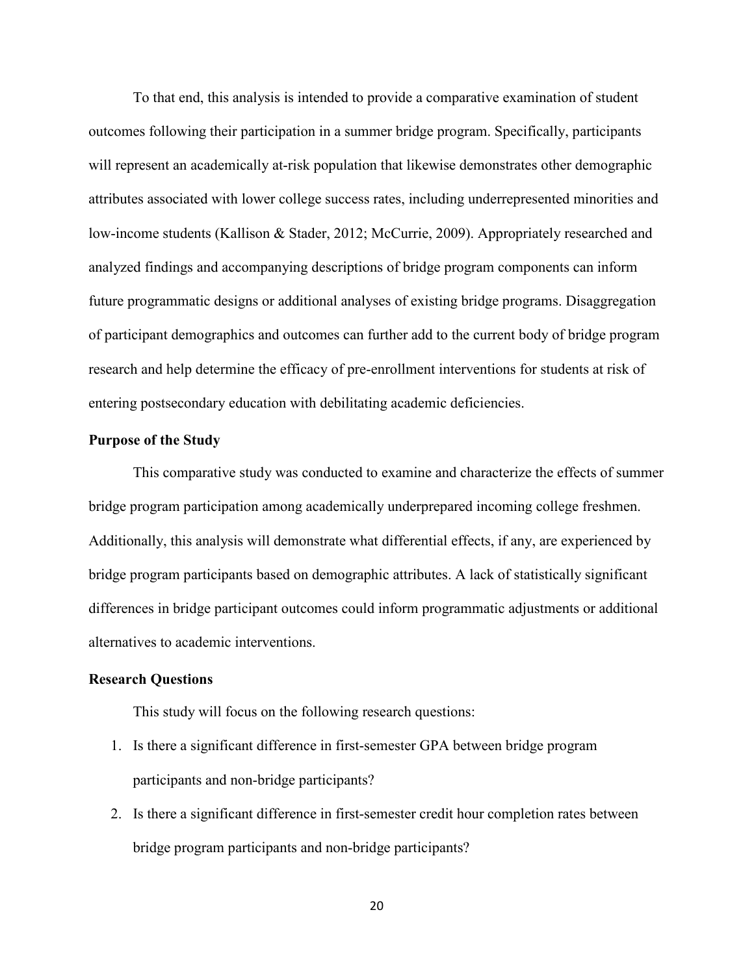To that end, this analysis is intended to provide a comparative examination of student outcomes following their participation in a summer bridge program. Specifically, participants will represent an academically at-risk population that likewise demonstrates other demographic attributes associated with lower college success rates, including underrepresented minorities and low-income students (Kallison & Stader, 2012; McCurrie, 2009). Appropriately researched and analyzed findings and accompanying descriptions of bridge program components can inform future programmatic designs or additional analyses of existing bridge programs. Disaggregation of participant demographics and outcomes can further add to the current body of bridge program research and help determine the efficacy of pre-enrollment interventions for students at risk of entering postsecondary education with debilitating academic deficiencies.

## <span id="page-20-0"></span>**Purpose of the Study**

This comparative study was conducted to examine and characterize the effects of summer bridge program participation among academically underprepared incoming college freshmen. Additionally, this analysis will demonstrate what differential effects, if any, are experienced by bridge program participants based on demographic attributes. A lack of statistically significant differences in bridge participant outcomes could inform programmatic adjustments or additional alternatives to academic interventions.

## <span id="page-20-1"></span>**Research Questions**

This study will focus on the following research questions:

- 1. Is there a significant difference in first-semester GPA between bridge program participants and non-bridge participants?
- 2. Is there a significant difference in first-semester credit hour completion rates between bridge program participants and non-bridge participants?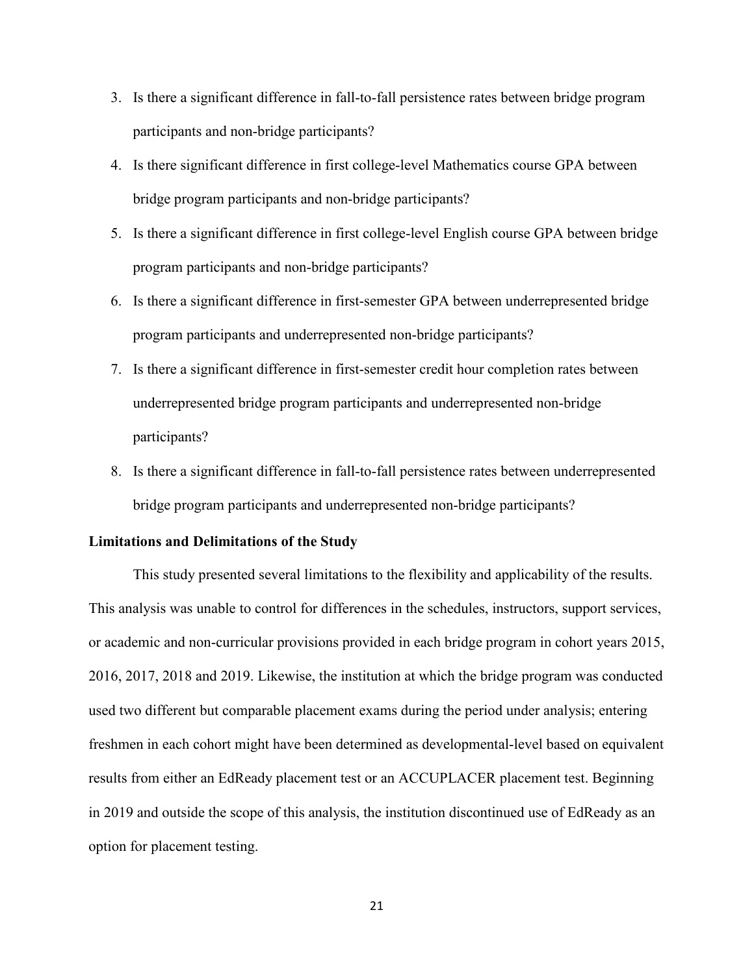- 3. Is there a significant difference in fall-to-fall persistence rates between bridge program participants and non-bridge participants?
- 4. Is there significant difference in first college-level Mathematics course GPA between bridge program participants and non-bridge participants?
- 5. Is there a significant difference in first college-level English course GPA between bridge program participants and non-bridge participants?
- 6. Is there a significant difference in first-semester GPA between underrepresented bridge program participants and underrepresented non-bridge participants?
- 7. Is there a significant difference in first-semester credit hour completion rates between underrepresented bridge program participants and underrepresented non-bridge participants?
- 8. Is there a significant difference in fall-to-fall persistence rates between underrepresented bridge program participants and underrepresented non-bridge participants?

## <span id="page-21-0"></span>**Limitations and Delimitations of the Study**

This study presented several limitations to the flexibility and applicability of the results. This analysis was unable to control for differences in the schedules, instructors, support services, or academic and non-curricular provisions provided in each bridge program in cohort years 2015, 2016, 2017, 2018 and 2019. Likewise, the institution at which the bridge program was conducted used two different but comparable placement exams during the period under analysis; entering freshmen in each cohort might have been determined as developmental-level based on equivalent results from either an EdReady placement test or an ACCUPLACER placement test. Beginning in 2019 and outside the scope of this analysis, the institution discontinued use of EdReady as an option for placement testing.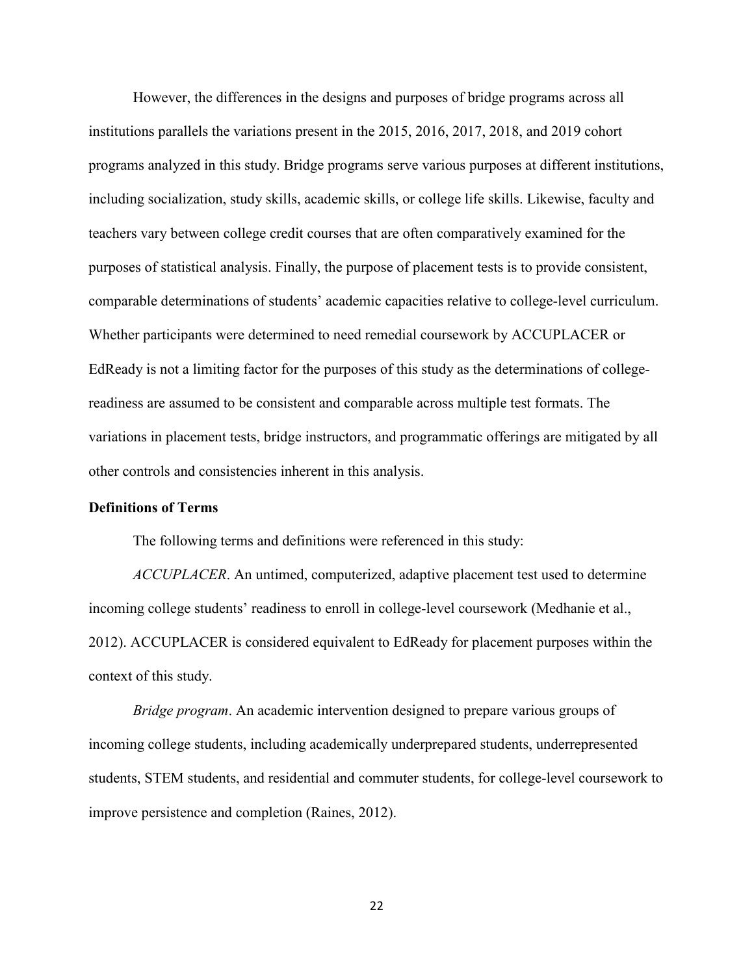However, the differences in the designs and purposes of bridge programs across all institutions parallels the variations present in the 2015, 2016, 2017, 2018, and 2019 cohort programs analyzed in this study. Bridge programs serve various purposes at different institutions, including socialization, study skills, academic skills, or college life skills. Likewise, faculty and teachers vary between college credit courses that are often comparatively examined for the purposes of statistical analysis. Finally, the purpose of placement tests is to provide consistent, comparable determinations of students' academic capacities relative to college-level curriculum. Whether participants were determined to need remedial coursework by ACCUPLACER or EdReady is not a limiting factor for the purposes of this study as the determinations of collegereadiness are assumed to be consistent and comparable across multiple test formats. The variations in placement tests, bridge instructors, and programmatic offerings are mitigated by all other controls and consistencies inherent in this analysis.

## <span id="page-22-0"></span>**Definitions of Terms**

The following terms and definitions were referenced in this study:

*ACCUPLACER*. An untimed, computerized, adaptive placement test used to determine incoming college students' readiness to enroll in college-level coursework (Medhanie et al., 2012). ACCUPLACER is considered equivalent to EdReady for placement purposes within the context of this study.

*Bridge program*. An academic intervention designed to prepare various groups of incoming college students, including academically underprepared students, underrepresented students, STEM students, and residential and commuter students, for college-level coursework to improve persistence and completion (Raines, 2012).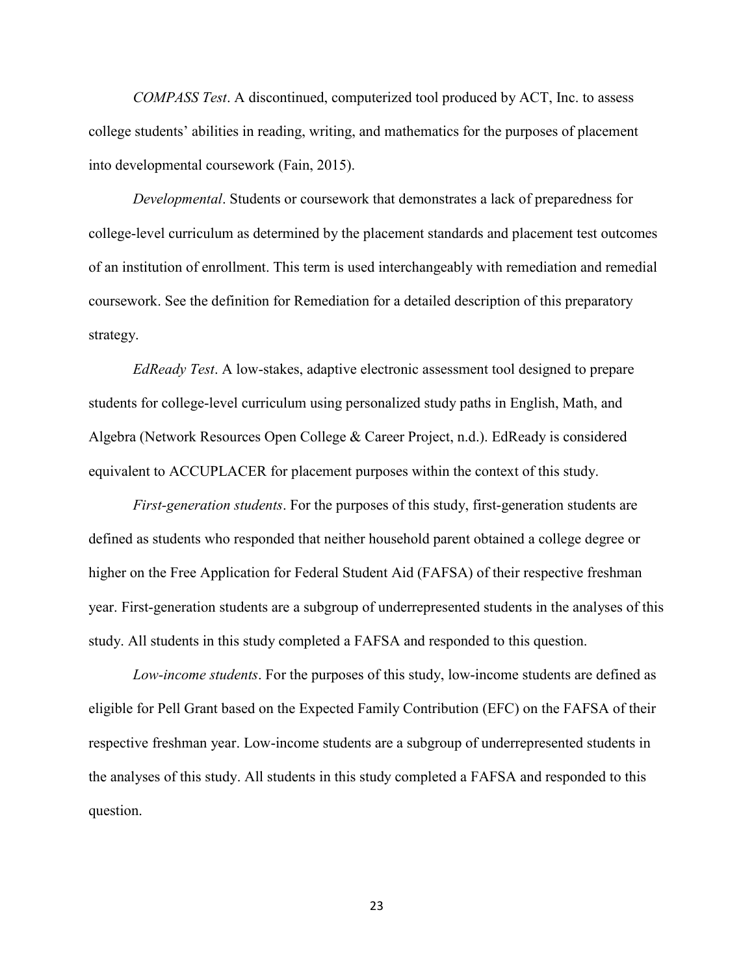*COMPASS Test*. A discontinued, computerized tool produced by ACT, Inc. to assess college students' abilities in reading, writing, and mathematics for the purposes of placement into developmental coursework (Fain, 2015).

*Developmental*. Students or coursework that demonstrates a lack of preparedness for college-level curriculum as determined by the placement standards and placement test outcomes of an institution of enrollment. This term is used interchangeably with remediation and remedial coursework. See the definition for Remediation for a detailed description of this preparatory strategy.

*EdReady Test*. A low-stakes, adaptive electronic assessment tool designed to prepare students for college-level curriculum using personalized study paths in English, Math, and Algebra (Network Resources Open College & Career Project, n.d.). EdReady is considered equivalent to ACCUPLACER for placement purposes within the context of this study.

*First-generation students*. For the purposes of this study, first-generation students are defined as students who responded that neither household parent obtained a college degree or higher on the Free Application for Federal Student Aid (FAFSA) of their respective freshman year. First-generation students are a subgroup of underrepresented students in the analyses of this study. All students in this study completed a FAFSA and responded to this question.

*Low-income students*. For the purposes of this study, low-income students are defined as eligible for Pell Grant based on the Expected Family Contribution (EFC) on the FAFSA of their respective freshman year. Low-income students are a subgroup of underrepresented students in the analyses of this study. All students in this study completed a FAFSA and responded to this question.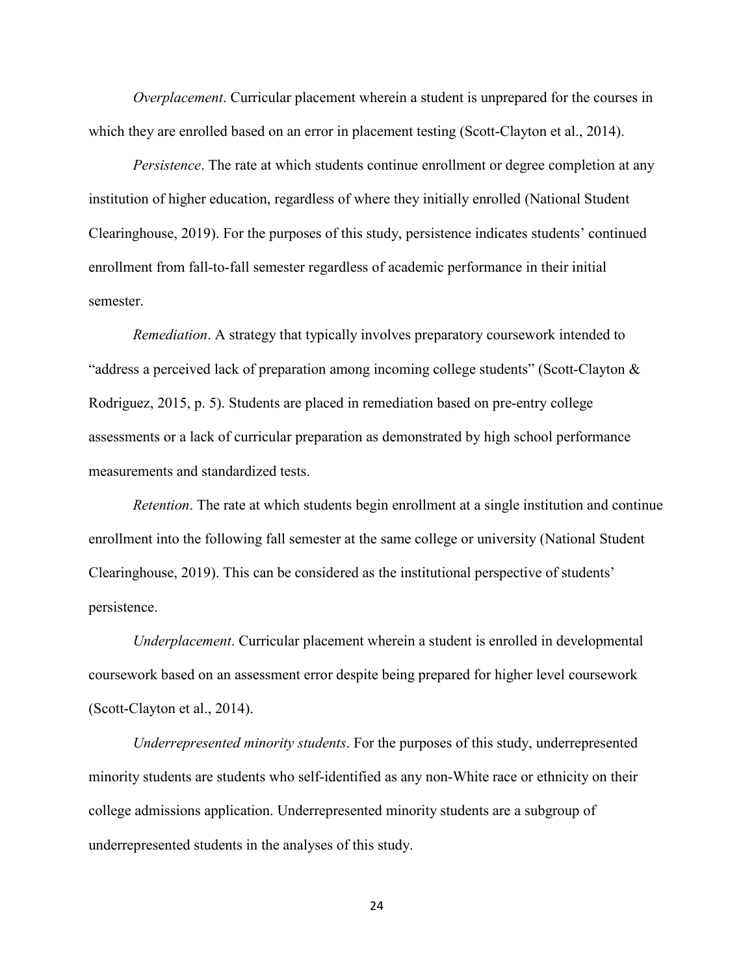*Overplacement*. Curricular placement wherein a student is unprepared for the courses in which they are enrolled based on an error in placement testing (Scott-Clayton et al., 2014).

*Persistence*. The rate at which students continue enrollment or degree completion at any institution of higher education, regardless of where they initially enrolled (National Student Clearinghouse, 2019). For the purposes of this study, persistence indicates students' continued enrollment from fall-to-fall semester regardless of academic performance in their initial semester.

*Remediation*. A strategy that typically involves preparatory coursework intended to "address a perceived lack of preparation among incoming college students" (Scott-Clayton & Rodriguez, 2015, p. 5). Students are placed in remediation based on pre-entry college assessments or a lack of curricular preparation as demonstrated by high school performance measurements and standardized tests.

*Retention*. The rate at which students begin enrollment at a single institution and continue enrollment into the following fall semester at the same college or university (National Student Clearinghouse, 2019). This can be considered as the institutional perspective of students' persistence.

*Underplacement*. Curricular placement wherein a student is enrolled in developmental coursework based on an assessment error despite being prepared for higher level coursework (Scott-Clayton et al., 2014).

*Underrepresented minority students*. For the purposes of this study, underrepresented minority students are students who self-identified as any non-White race or ethnicity on their college admissions application. Underrepresented minority students are a subgroup of underrepresented students in the analyses of this study.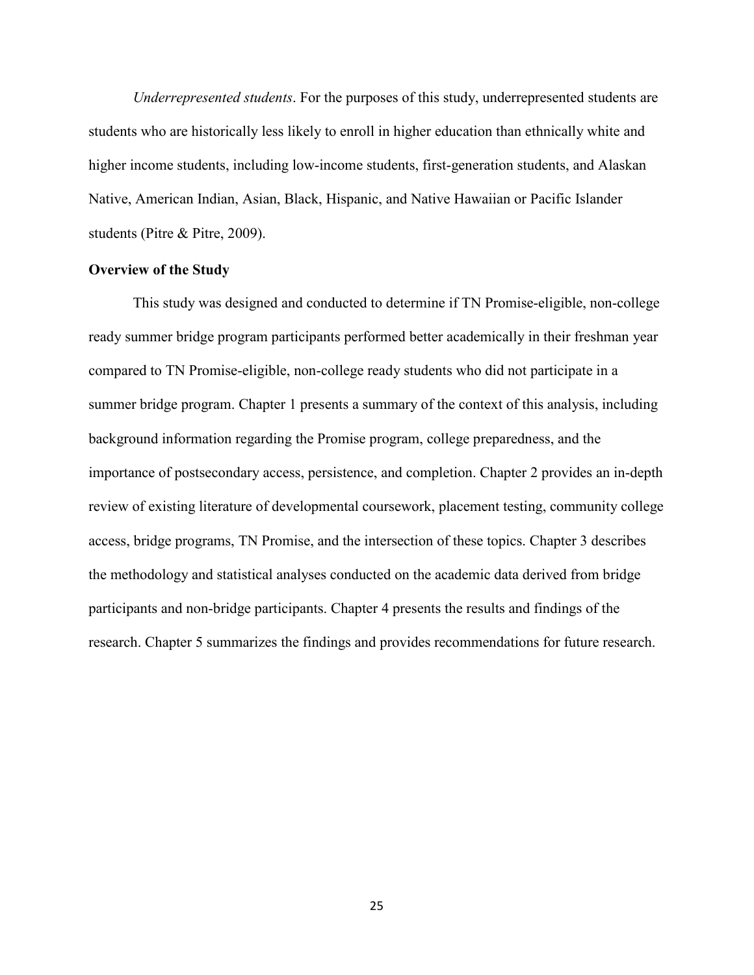*Underrepresented students*. For the purposes of this study, underrepresented students are students who are historically less likely to enroll in higher education than ethnically white and higher income students, including low-income students, first-generation students, and Alaskan Native, American Indian, Asian, Black, Hispanic, and Native Hawaiian or Pacific Islander students (Pitre & Pitre, 2009).

## <span id="page-25-0"></span>**Overview of the Study**

This study was designed and conducted to determine if TN Promise-eligible, non-college ready summer bridge program participants performed better academically in their freshman year compared to TN Promise-eligible, non-college ready students who did not participate in a summer bridge program. Chapter 1 presents a summary of the context of this analysis, including background information regarding the Promise program, college preparedness, and the importance of postsecondary access, persistence, and completion. Chapter 2 provides an in-depth review of existing literature of developmental coursework, placement testing, community college access, bridge programs, TN Promise, and the intersection of these topics. Chapter 3 describes the methodology and statistical analyses conducted on the academic data derived from bridge participants and non-bridge participants. Chapter 4 presents the results and findings of the research. Chapter 5 summarizes the findings and provides recommendations for future research.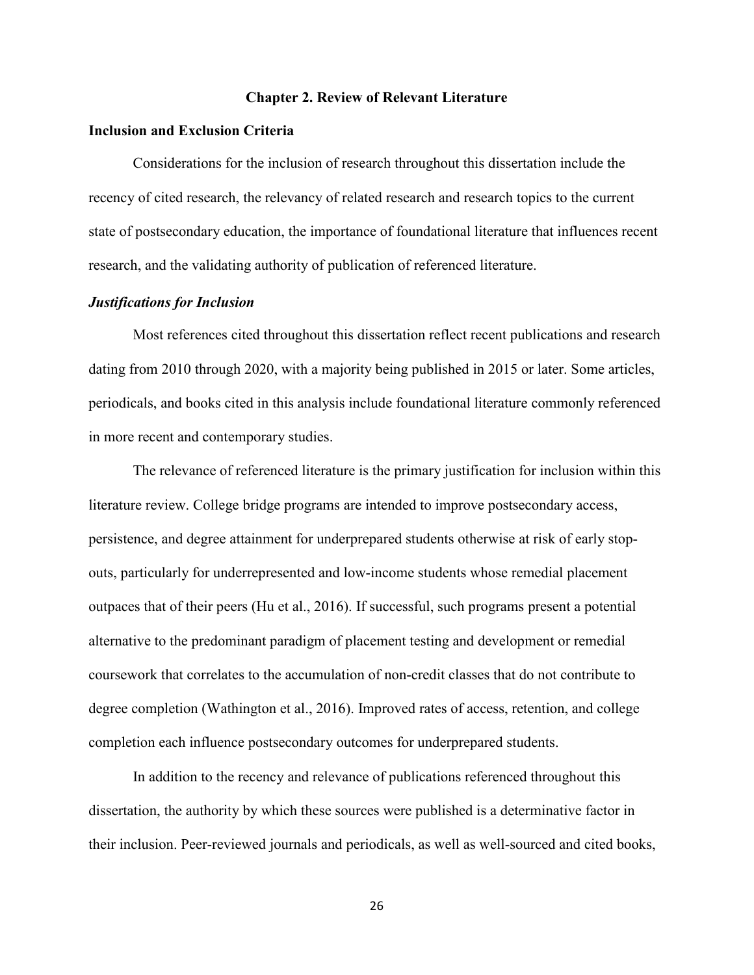#### **Chapter 2. Review of Relevant Literature**

### <span id="page-26-1"></span><span id="page-26-0"></span>**Inclusion and Exclusion Criteria**

Considerations for the inclusion of research throughout this dissertation include the recency of cited research, the relevancy of related research and research topics to the current state of postsecondary education, the importance of foundational literature that influences recent research, and the validating authority of publication of referenced literature.

## <span id="page-26-2"></span>*Justifications for Inclusion*

Most references cited throughout this dissertation reflect recent publications and research dating from 2010 through 2020, with a majority being published in 2015 or later. Some articles, periodicals, and books cited in this analysis include foundational literature commonly referenced in more recent and contemporary studies.

The relevance of referenced literature is the primary justification for inclusion within this literature review. College bridge programs are intended to improve postsecondary access, persistence, and degree attainment for underprepared students otherwise at risk of early stopouts, particularly for underrepresented and low-income students whose remedial placement outpaces that of their peers (Hu et al., 2016). If successful, such programs present a potential alternative to the predominant paradigm of placement testing and development or remedial coursework that correlates to the accumulation of non-credit classes that do not contribute to degree completion (Wathington et al., 2016). Improved rates of access, retention, and college completion each influence postsecondary outcomes for underprepared students.

In addition to the recency and relevance of publications referenced throughout this dissertation, the authority by which these sources were published is a determinative factor in their inclusion. Peer-reviewed journals and periodicals, as well as well-sourced and cited books,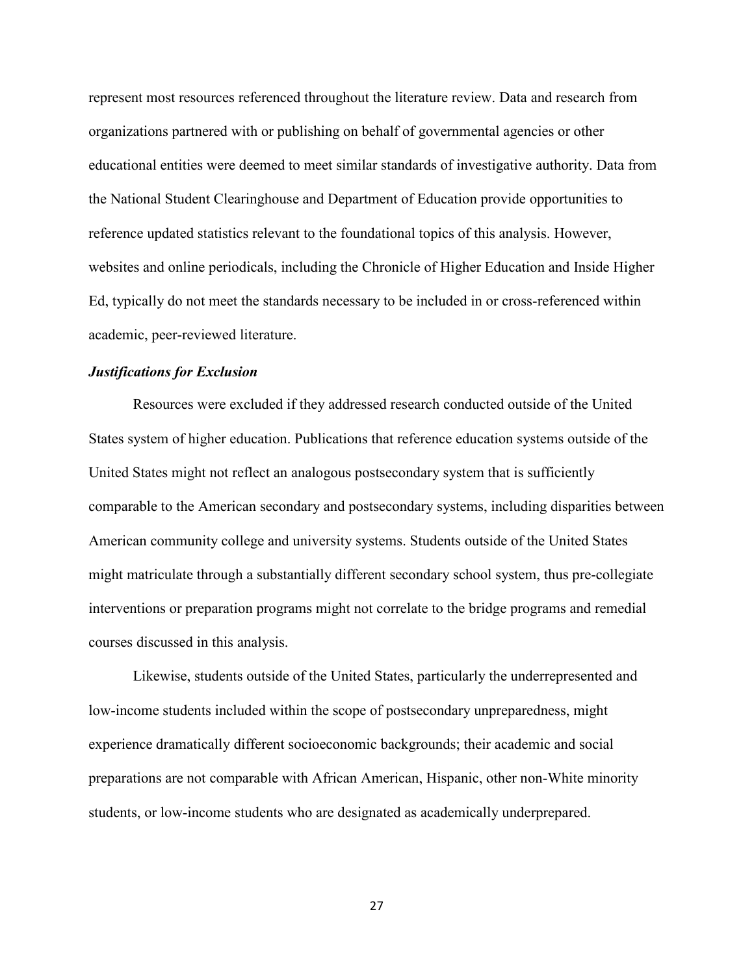represent most resources referenced throughout the literature review. Data and research from organizations partnered with or publishing on behalf of governmental agencies or other educational entities were deemed to meet similar standards of investigative authority. Data from the National Student Clearinghouse and Department of Education provide opportunities to reference updated statistics relevant to the foundational topics of this analysis. However, websites and online periodicals, including the Chronicle of Higher Education and Inside Higher Ed, typically do not meet the standards necessary to be included in or cross-referenced within academic, peer-reviewed literature.

## <span id="page-27-0"></span>*Justifications for Exclusion*

Resources were excluded if they addressed research conducted outside of the United States system of higher education. Publications that reference education systems outside of the United States might not reflect an analogous postsecondary system that is sufficiently comparable to the American secondary and postsecondary systems, including disparities between American community college and university systems. Students outside of the United States might matriculate through a substantially different secondary school system, thus pre-collegiate interventions or preparation programs might not correlate to the bridge programs and remedial courses discussed in this analysis.

Likewise, students outside of the United States, particularly the underrepresented and low-income students included within the scope of postsecondary unpreparedness, might experience dramatically different socioeconomic backgrounds; their academic and social preparations are not comparable with African American, Hispanic, other non-White minority students, or low-income students who are designated as academically underprepared.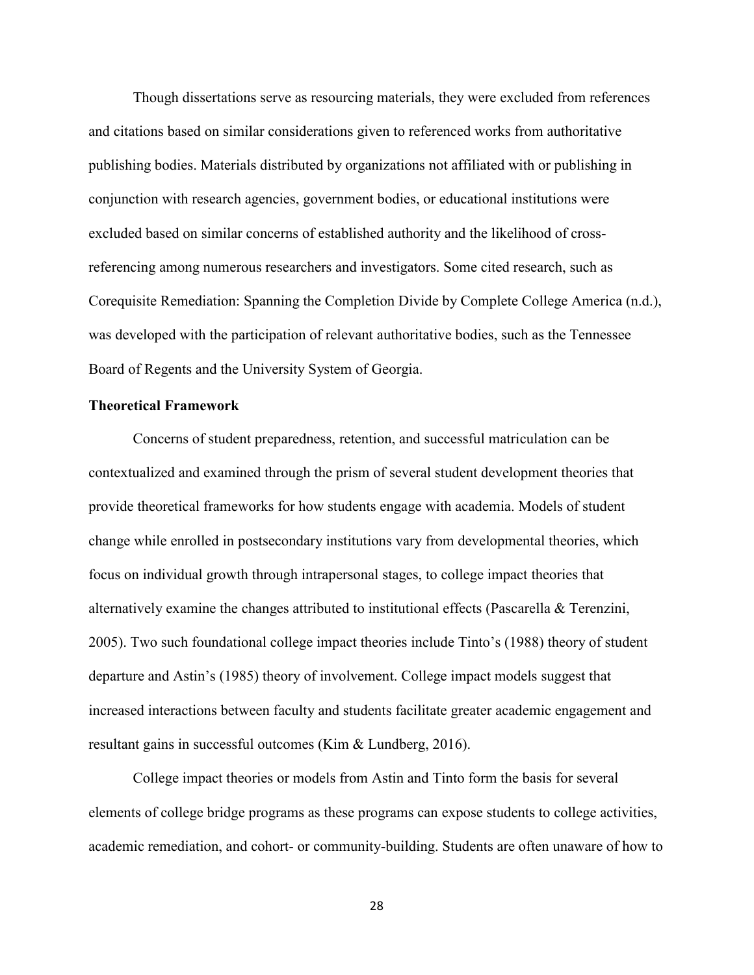Though dissertations serve as resourcing materials, they were excluded from references and citations based on similar considerations given to referenced works from authoritative publishing bodies. Materials distributed by organizations not affiliated with or publishing in conjunction with research agencies, government bodies, or educational institutions were excluded based on similar concerns of established authority and the likelihood of crossreferencing among numerous researchers and investigators. Some cited research, such as Corequisite Remediation: Spanning the Completion Divide by Complete College America (n.d.), was developed with the participation of relevant authoritative bodies, such as the Tennessee Board of Regents and the University System of Georgia.

## <span id="page-28-0"></span>**Theoretical Framework**

Concerns of student preparedness, retention, and successful matriculation can be contextualized and examined through the prism of several student development theories that provide theoretical frameworks for how students engage with academia. Models of student change while enrolled in postsecondary institutions vary from developmental theories, which focus on individual growth through intrapersonal stages, to college impact theories that alternatively examine the changes attributed to institutional effects (Pascarella & Terenzini, 2005). Two such foundational college impact theories include Tinto's (1988) theory of student departure and Astin's (1985) theory of involvement. College impact models suggest that increased interactions between faculty and students facilitate greater academic engagement and resultant gains in successful outcomes (Kim & Lundberg, 2016).

College impact theories or models from Astin and Tinto form the basis for several elements of college bridge programs as these programs can expose students to college activities, academic remediation, and cohort- or community-building. Students are often unaware of how to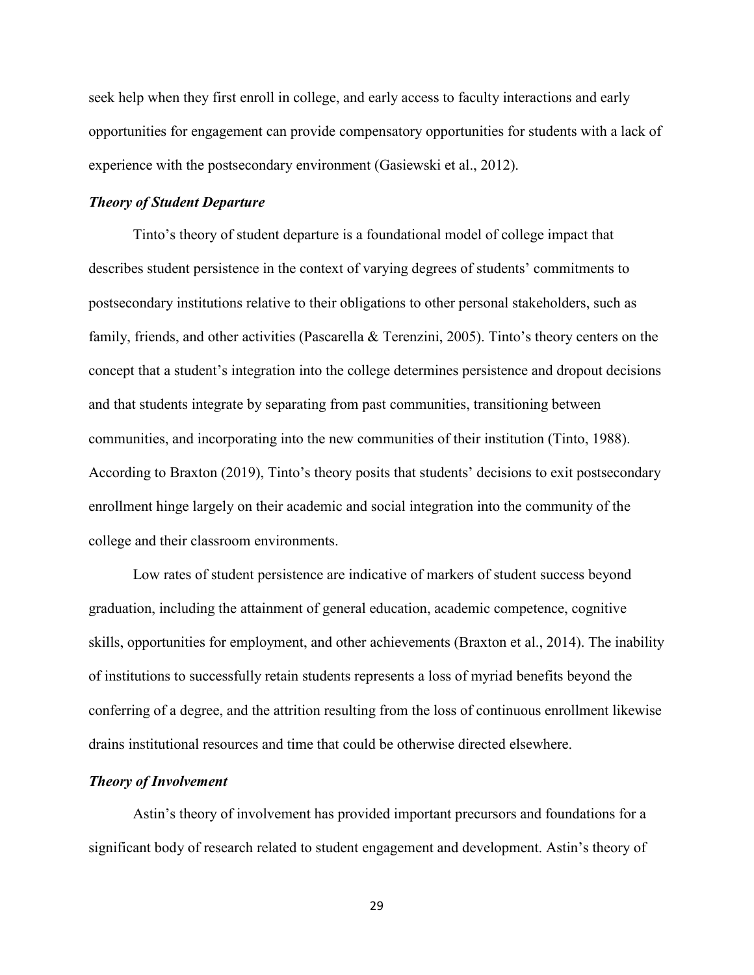seek help when they first enroll in college, and early access to faculty interactions and early opportunities for engagement can provide compensatory opportunities for students with a lack of experience with the postsecondary environment (Gasiewski et al., 2012).

### <span id="page-29-0"></span>*Theory of Student Departure*

Tinto's theory of student departure is a foundational model of college impact that describes student persistence in the context of varying degrees of students' commitments to postsecondary institutions relative to their obligations to other personal stakeholders, such as family, friends, and other activities (Pascarella & Terenzini, 2005). Tinto's theory centers on the concept that a student's integration into the college determines persistence and dropout decisions and that students integrate by separating from past communities, transitioning between communities, and incorporating into the new communities of their institution (Tinto, 1988). According to Braxton (2019), Tinto's theory posits that students' decisions to exit postsecondary enrollment hinge largely on their academic and social integration into the community of the college and their classroom environments.

Low rates of student persistence are indicative of markers of student success beyond graduation, including the attainment of general education, academic competence, cognitive skills, opportunities for employment, and other achievements (Braxton et al., 2014). The inability of institutions to successfully retain students represents a loss of myriad benefits beyond the conferring of a degree, and the attrition resulting from the loss of continuous enrollment likewise drains institutional resources and time that could be otherwise directed elsewhere.

## <span id="page-29-1"></span>*Theory of Involvement*

Astin's theory of involvement has provided important precursors and foundations for a significant body of research related to student engagement and development. Astin's theory of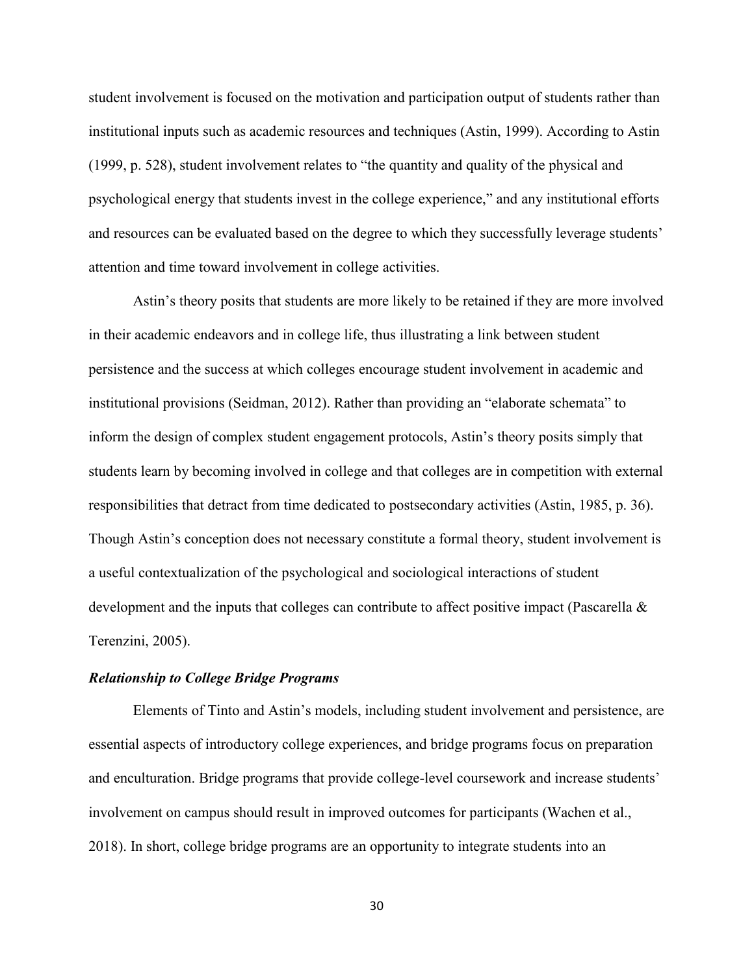student involvement is focused on the motivation and participation output of students rather than institutional inputs such as academic resources and techniques (Astin, 1999). According to Astin (1999, p. 528), student involvement relates to "the quantity and quality of the physical and psychological energy that students invest in the college experience," and any institutional efforts and resources can be evaluated based on the degree to which they successfully leverage students' attention and time toward involvement in college activities.

Astin's theory posits that students are more likely to be retained if they are more involved in their academic endeavors and in college life, thus illustrating a link between student persistence and the success at which colleges encourage student involvement in academic and institutional provisions (Seidman, 2012). Rather than providing an "elaborate schemata" to inform the design of complex student engagement protocols, Astin's theory posits simply that students learn by becoming involved in college and that colleges are in competition with external responsibilities that detract from time dedicated to postsecondary activities (Astin, 1985, p. 36). Though Astin's conception does not necessary constitute a formal theory, student involvement is a useful contextualization of the psychological and sociological interactions of student development and the inputs that colleges can contribute to affect positive impact (Pascarella & Terenzini, 2005).

### <span id="page-30-0"></span>*Relationship to College Bridge Programs*

Elements of Tinto and Astin's models, including student involvement and persistence, are essential aspects of introductory college experiences, and bridge programs focus on preparation and enculturation. Bridge programs that provide college-level coursework and increase students' involvement on campus should result in improved outcomes for participants (Wachen et al., 2018). In short, college bridge programs are an opportunity to integrate students into an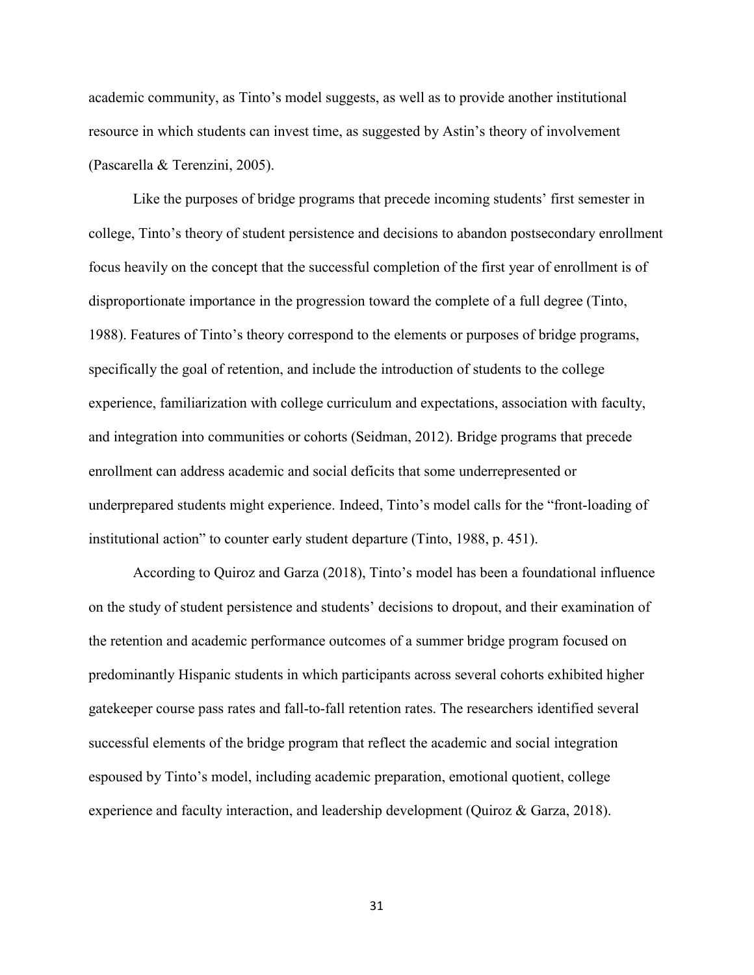academic community, as Tinto's model suggests, as well as to provide another institutional resource in which students can invest time, as suggested by Astin's theory of involvement (Pascarella & Terenzini, 2005).

Like the purposes of bridge programs that precede incoming students' first semester in college, Tinto's theory of student persistence and decisions to abandon postsecondary enrollment focus heavily on the concept that the successful completion of the first year of enrollment is of disproportionate importance in the progression toward the complete of a full degree (Tinto, 1988). Features of Tinto's theory correspond to the elements or purposes of bridge programs, specifically the goal of retention, and include the introduction of students to the college experience, familiarization with college curriculum and expectations, association with faculty, and integration into communities or cohorts (Seidman, 2012). Bridge programs that precede enrollment can address academic and social deficits that some underrepresented or underprepared students might experience. Indeed, Tinto's model calls for the "front-loading of institutional action" to counter early student departure (Tinto, 1988, p. 451).

According to Quiroz and Garza (2018), Tinto's model has been a foundational influence on the study of student persistence and students' decisions to dropout, and their examination of the retention and academic performance outcomes of a summer bridge program focused on predominantly Hispanic students in which participants across several cohorts exhibited higher gatekeeper course pass rates and fall-to-fall retention rates. The researchers identified several successful elements of the bridge program that reflect the academic and social integration espoused by Tinto's model, including academic preparation, emotional quotient, college experience and faculty interaction, and leadership development (Quiroz & Garza, 2018).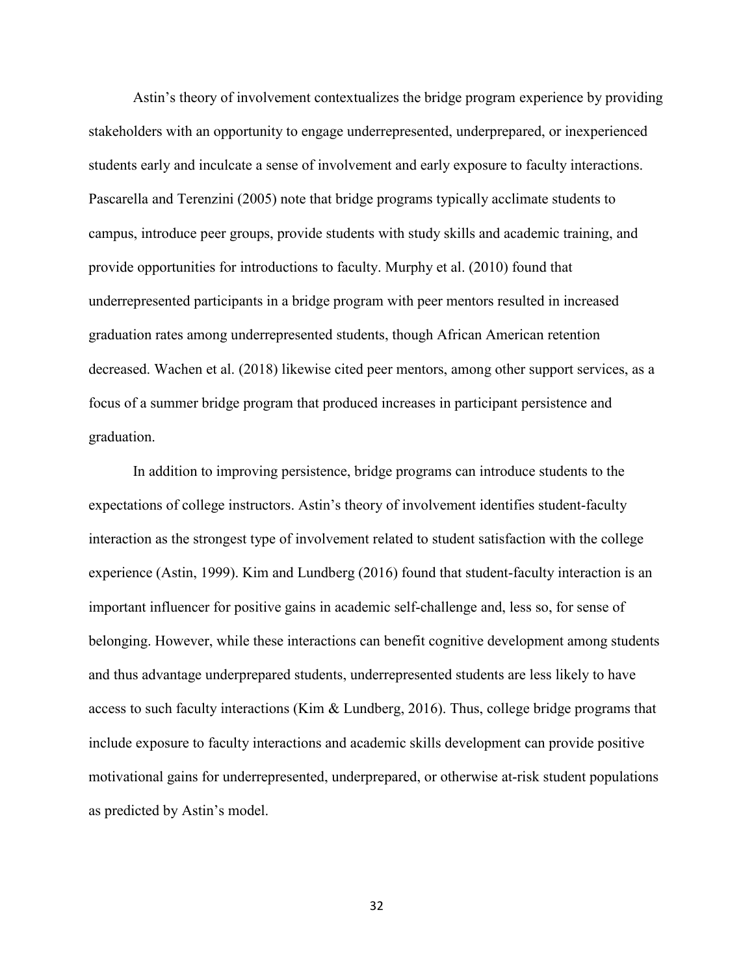Astin's theory of involvement contextualizes the bridge program experience by providing stakeholders with an opportunity to engage underrepresented, underprepared, or inexperienced students early and inculcate a sense of involvement and early exposure to faculty interactions. Pascarella and Terenzini (2005) note that bridge programs typically acclimate students to campus, introduce peer groups, provide students with study skills and academic training, and provide opportunities for introductions to faculty. Murphy et al. (2010) found that underrepresented participants in a bridge program with peer mentors resulted in increased graduation rates among underrepresented students, though African American retention decreased. Wachen et al. (2018) likewise cited peer mentors, among other support services, as a focus of a summer bridge program that produced increases in participant persistence and graduation.

In addition to improving persistence, bridge programs can introduce students to the expectations of college instructors. Astin's theory of involvement identifies student-faculty interaction as the strongest type of involvement related to student satisfaction with the college experience (Astin, 1999). Kim and Lundberg (2016) found that student-faculty interaction is an important influencer for positive gains in academic self-challenge and, less so, for sense of belonging. However, while these interactions can benefit cognitive development among students and thus advantage underprepared students, underrepresented students are less likely to have access to such faculty interactions (Kim & Lundberg, 2016). Thus, college bridge programs that include exposure to faculty interactions and academic skills development can provide positive motivational gains for underrepresented, underprepared, or otherwise at-risk student populations as predicted by Astin's model.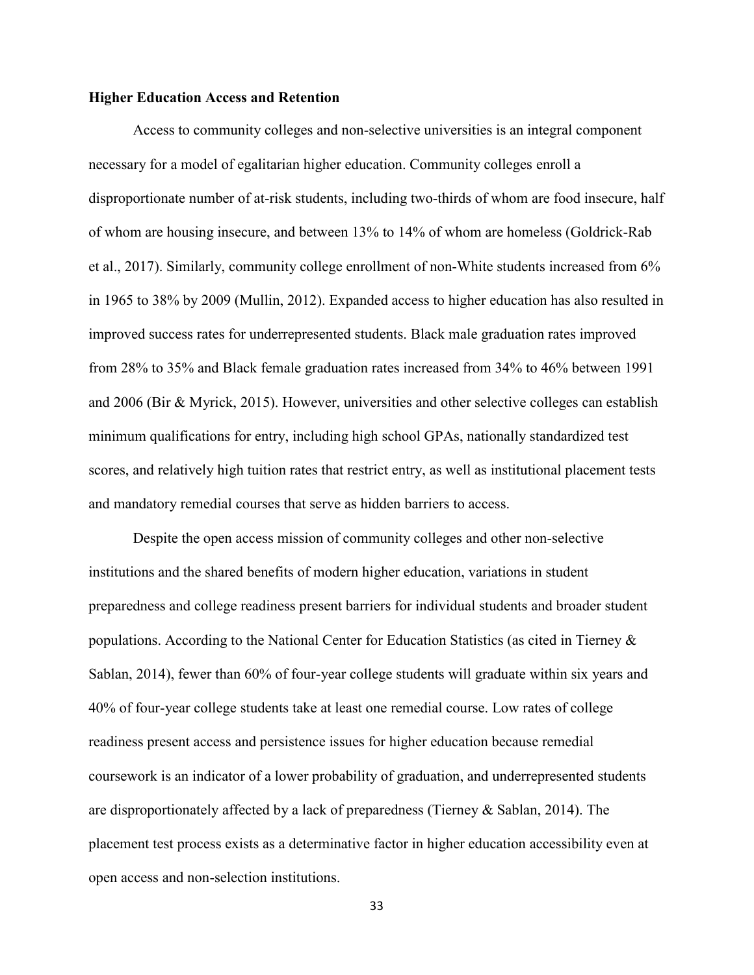## <span id="page-33-0"></span>**Higher Education Access and Retention**

Access to community colleges and non-selective universities is an integral component necessary for a model of egalitarian higher education. Community colleges enroll a disproportionate number of at-risk students, including two-thirds of whom are food insecure, half of whom are housing insecure, and between 13% to 14% of whom are homeless (Goldrick-Rab et al., 2017). Similarly, community college enrollment of non-White students increased from 6% in 1965 to 38% by 2009 (Mullin, 2012). Expanded access to higher education has also resulted in improved success rates for underrepresented students. Black male graduation rates improved from 28% to 35% and Black female graduation rates increased from 34% to 46% between 1991 and 2006 (Bir & Myrick, 2015). However, universities and other selective colleges can establish minimum qualifications for entry, including high school GPAs, nationally standardized test scores, and relatively high tuition rates that restrict entry, as well as institutional placement tests and mandatory remedial courses that serve as hidden barriers to access.

Despite the open access mission of community colleges and other non-selective institutions and the shared benefits of modern higher education, variations in student preparedness and college readiness present barriers for individual students and broader student populations. According to the National Center for Education Statistics (as cited in Tierney & Sablan, 2014), fewer than 60% of four-year college students will graduate within six years and 40% of four-year college students take at least one remedial course. Low rates of college readiness present access and persistence issues for higher education because remedial coursework is an indicator of a lower probability of graduation, and underrepresented students are disproportionately affected by a lack of preparedness (Tierney & Sablan, 2014). The placement test process exists as a determinative factor in higher education accessibility even at open access and non-selection institutions.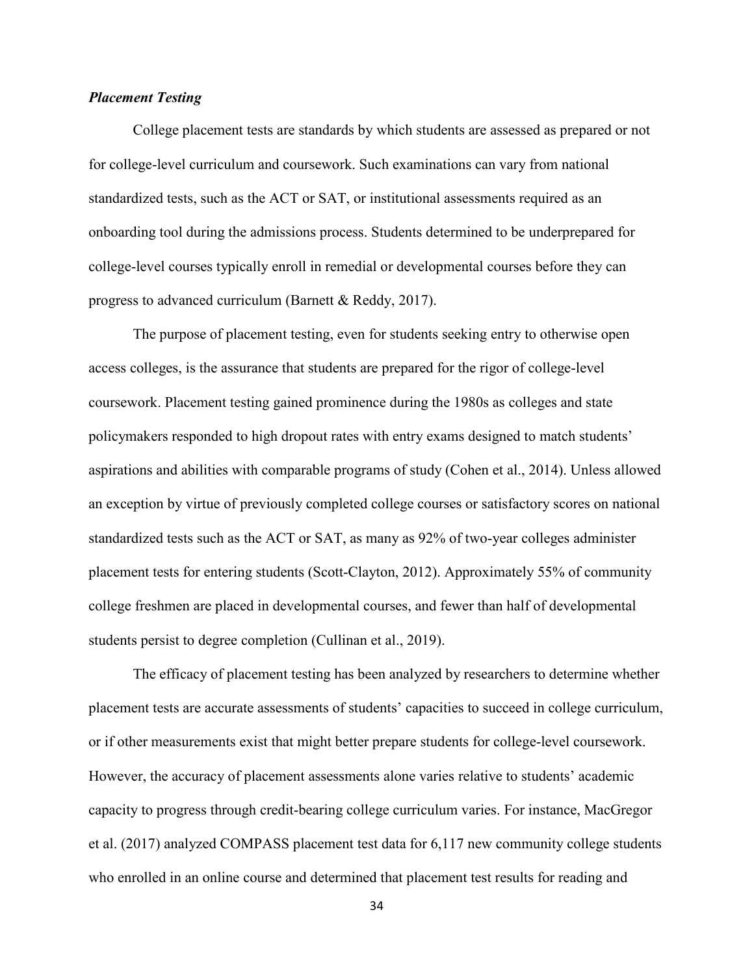## <span id="page-34-0"></span>*Placement Testing*

College placement tests are standards by which students are assessed as prepared or not for college-level curriculum and coursework. Such examinations can vary from national standardized tests, such as the ACT or SAT, or institutional assessments required as an onboarding tool during the admissions process. Students determined to be underprepared for college-level courses typically enroll in remedial or developmental courses before they can progress to advanced curriculum (Barnett & Reddy, 2017).

The purpose of placement testing, even for students seeking entry to otherwise open access colleges, is the assurance that students are prepared for the rigor of college-level coursework. Placement testing gained prominence during the 1980s as colleges and state policymakers responded to high dropout rates with entry exams designed to match students' aspirations and abilities with comparable programs of study (Cohen et al., 2014). Unless allowed an exception by virtue of previously completed college courses or satisfactory scores on national standardized tests such as the ACT or SAT, as many as 92% of two-year colleges administer placement tests for entering students (Scott-Clayton, 2012). Approximately 55% of community college freshmen are placed in developmental courses, and fewer than half of developmental students persist to degree completion (Cullinan et al., 2019).

The efficacy of placement testing has been analyzed by researchers to determine whether placement tests are accurate assessments of students' capacities to succeed in college curriculum, or if other measurements exist that might better prepare students for college-level coursework. However, the accuracy of placement assessments alone varies relative to students' academic capacity to progress through credit-bearing college curriculum varies. For instance, MacGregor et al. (2017) analyzed COMPASS placement test data for 6,117 new community college students who enrolled in an online course and determined that placement test results for reading and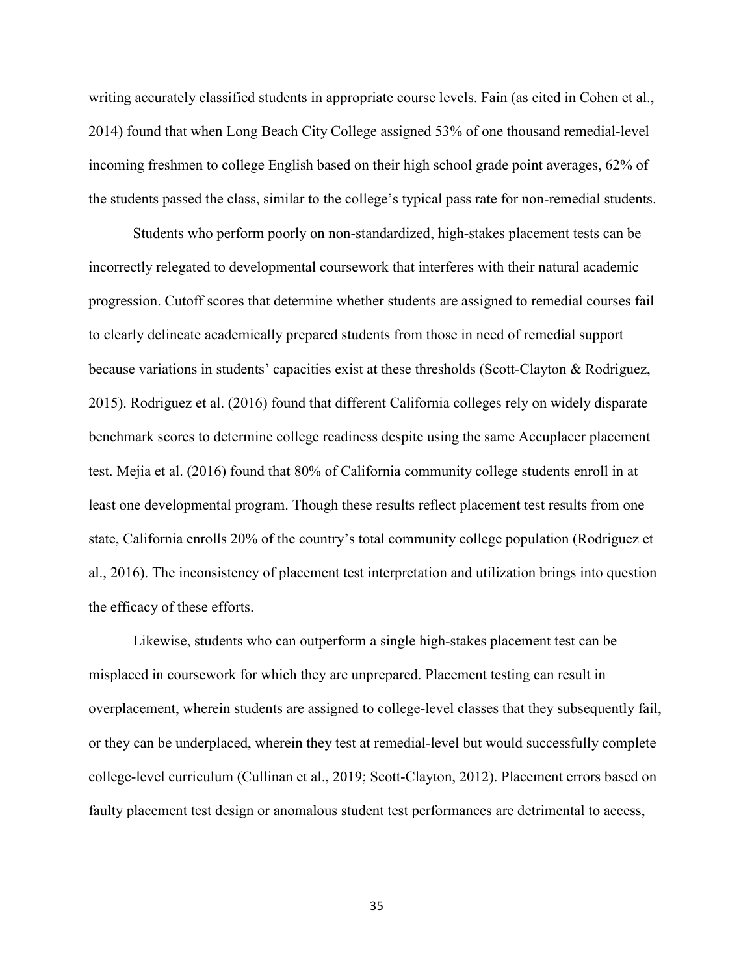writing accurately classified students in appropriate course levels. Fain (as cited in Cohen et al., 2014) found that when Long Beach City College assigned 53% of one thousand remedial-level incoming freshmen to college English based on their high school grade point averages, 62% of the students passed the class, similar to the college's typical pass rate for non-remedial students.

Students who perform poorly on non-standardized, high-stakes placement tests can be incorrectly relegated to developmental coursework that interferes with their natural academic progression. Cutoff scores that determine whether students are assigned to remedial courses fail to clearly delineate academically prepared students from those in need of remedial support because variations in students' capacities exist at these thresholds (Scott-Clayton & Rodriguez, 2015). Rodriguez et al. (2016) found that different California colleges rely on widely disparate benchmark scores to determine college readiness despite using the same Accuplacer placement test. Mejia et al. (2016) found that 80% of California community college students enroll in at least one developmental program. Though these results reflect placement test results from one state, California enrolls 20% of the country's total community college population (Rodriguez et al., 2016). The inconsistency of placement test interpretation and utilization brings into question the efficacy of these efforts.

Likewise, students who can outperform a single high-stakes placement test can be misplaced in coursework for which they are unprepared. Placement testing can result in overplacement, wherein students are assigned to college-level classes that they subsequently fail, or they can be underplaced, wherein they test at remedial-level but would successfully complete college-level curriculum (Cullinan et al., 2019; Scott-Clayton, 2012). Placement errors based on faulty placement test design or anomalous student test performances are detrimental to access,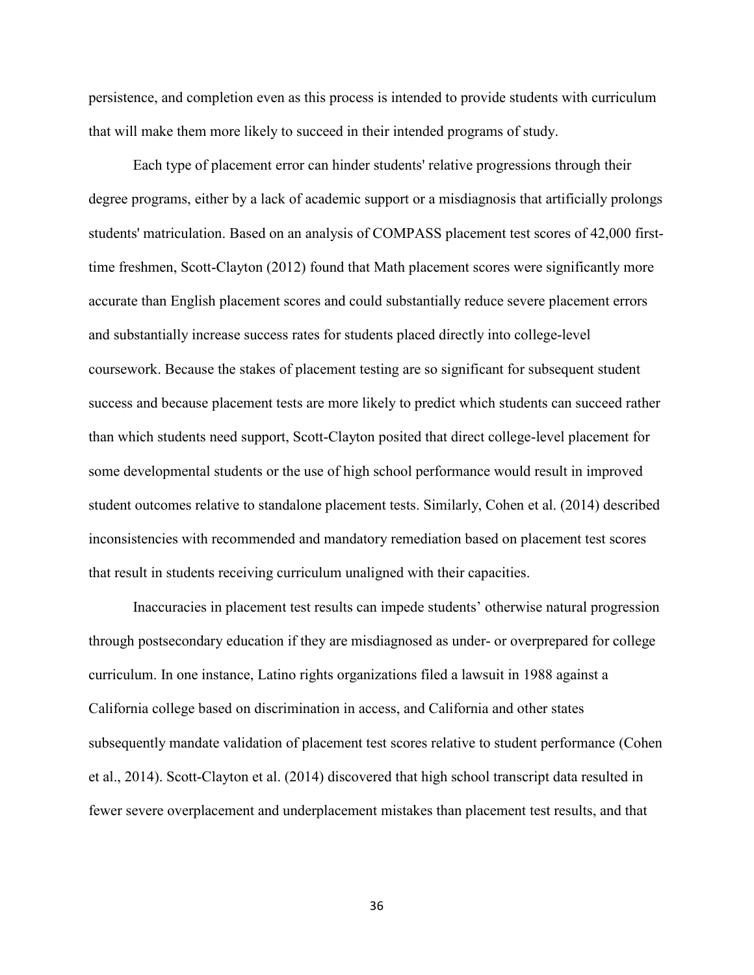persistence, and completion even as this process is intended to provide students with curriculum that will make them more likely to succeed in their intended programs of study.

Each type of placement error can hinder students' relative progressions through their degree programs, either by a lack of academic support or a misdiagnosis that artificially prolongs students' matriculation. Based on an analysis of COMPASS placement test scores of 42,000 firsttime freshmen, Scott-Clayton (2012) found that Math placement scores were significantly more accurate than English placement scores and could substantially reduce severe placement errors and substantially increase success rates for students placed directly into college-level coursework. Because the stakes of placement testing are so significant for subsequent student success and because placement tests are more likely to predict which students can succeed rather than which students need support, Scott-Clayton posited that direct college-level placement for some developmental students or the use of high school performance would result in improved student outcomes relative to standalone placement tests. Similarly, Cohen et al. (2014) described inconsistencies with recommended and mandatory remediation based on placement test scores that result in students receiving curriculum unaligned with their capacities.

Inaccuracies in placement test results can impede students' otherwise natural progression through postsecondary education if they are misdiagnosed as under- or overprepared for college curriculum. In one instance, Latino rights organizations filed a lawsuit in 1988 against a California college based on discrimination in access, and California and other states subsequently mandate validation of placement test scores relative to student performance (Cohen et al., 2014). Scott-Clayton et al. (2014) discovered that high school transcript data resulted in fewer severe overplacement and underplacement mistakes than placement test results, and that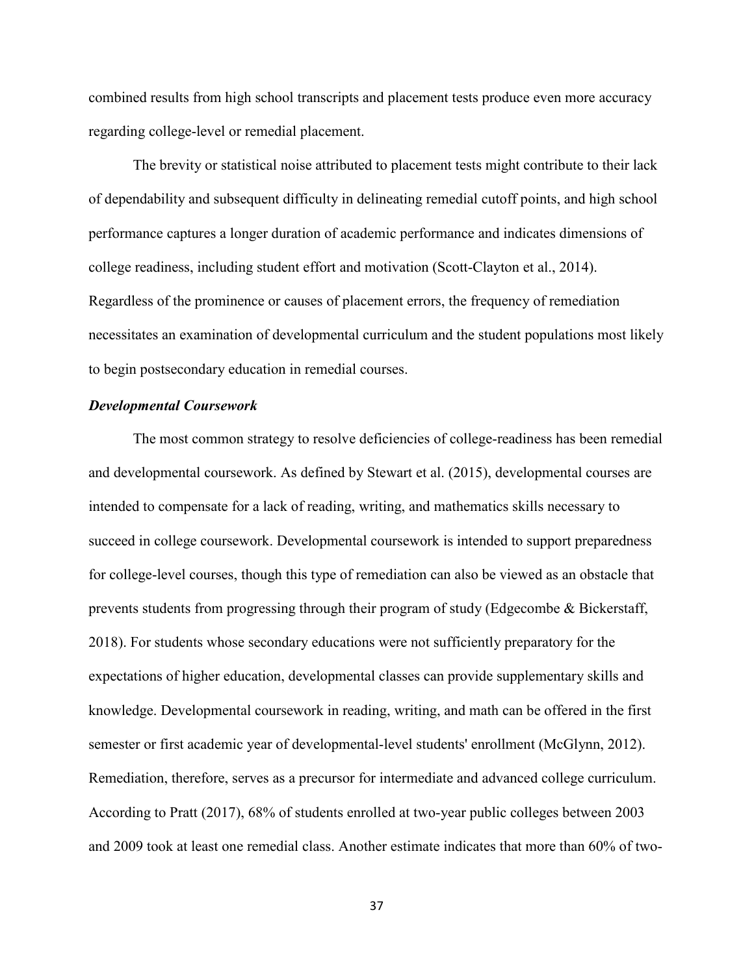combined results from high school transcripts and placement tests produce even more accuracy regarding college-level or remedial placement.

The brevity or statistical noise attributed to placement tests might contribute to their lack of dependability and subsequent difficulty in delineating remedial cutoff points, and high school performance captures a longer duration of academic performance and indicates dimensions of college readiness, including student effort and motivation (Scott-Clayton et al., 2014). Regardless of the prominence or causes of placement errors, the frequency of remediation necessitates an examination of developmental curriculum and the student populations most likely to begin postsecondary education in remedial courses.

### *Developmental Coursework*

The most common strategy to resolve deficiencies of college-readiness has been remedial and developmental coursework. As defined by Stewart et al. (2015), developmental courses are intended to compensate for a lack of reading, writing, and mathematics skills necessary to succeed in college coursework. Developmental coursework is intended to support preparedness for college-level courses, though this type of remediation can also be viewed as an obstacle that prevents students from progressing through their program of study (Edgecombe & Bickerstaff, 2018). For students whose secondary educations were not sufficiently preparatory for the expectations of higher education, developmental classes can provide supplementary skills and knowledge. Developmental coursework in reading, writing, and math can be offered in the first semester or first academic year of developmental-level students' enrollment (McGlynn, 2012). Remediation, therefore, serves as a precursor for intermediate and advanced college curriculum. According to Pratt (2017), 68% of students enrolled at two-year public colleges between 2003 and 2009 took at least one remedial class. Another estimate indicates that more than 60% of two-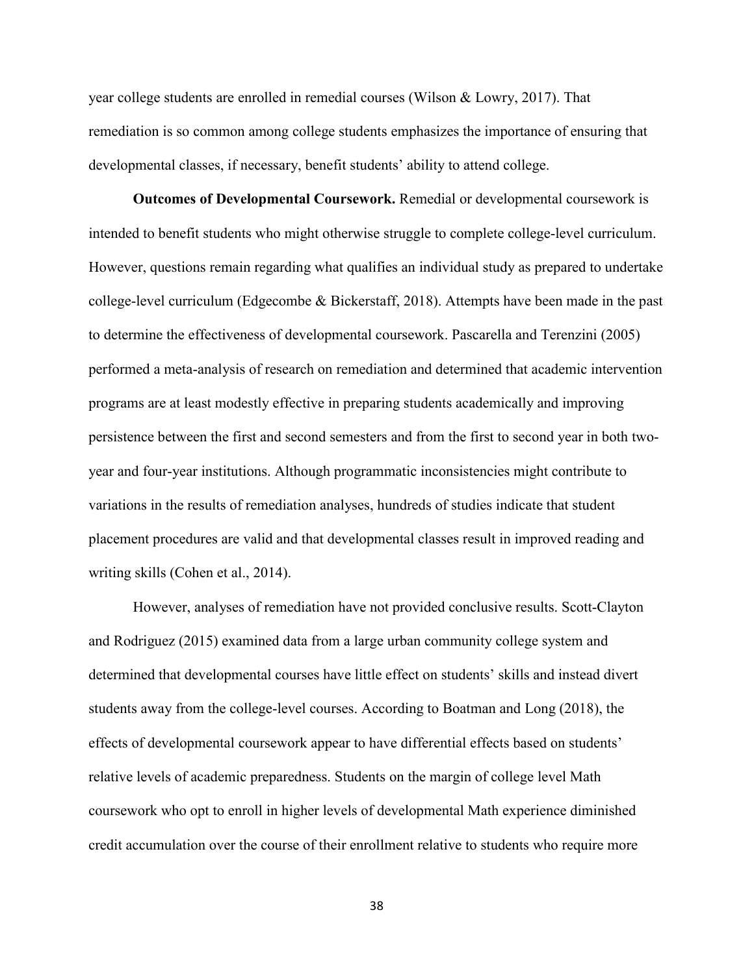year college students are enrolled in remedial courses (Wilson & Lowry, 2017). That remediation is so common among college students emphasizes the importance of ensuring that developmental classes, if necessary, benefit students' ability to attend college.

**Outcomes of Developmental Coursework.** Remedial or developmental coursework is intended to benefit students who might otherwise struggle to complete college-level curriculum. However, questions remain regarding what qualifies an individual study as prepared to undertake college-level curriculum (Edgecombe & Bickerstaff, 2018). Attempts have been made in the past to determine the effectiveness of developmental coursework. Pascarella and Terenzini (2005) performed a meta-analysis of research on remediation and determined that academic intervention programs are at least modestly effective in preparing students academically and improving persistence between the first and second semesters and from the first to second year in both twoyear and four-year institutions. Although programmatic inconsistencies might contribute to variations in the results of remediation analyses, hundreds of studies indicate that student placement procedures are valid and that developmental classes result in improved reading and writing skills (Cohen et al., 2014).

However, analyses of remediation have not provided conclusive results. Scott-Clayton and Rodriguez (2015) examined data from a large urban community college system and determined that developmental courses have little effect on students' skills and instead divert students away from the college-level courses. According to Boatman and Long (2018), the effects of developmental coursework appear to have differential effects based on students' relative levels of academic preparedness. Students on the margin of college level Math coursework who opt to enroll in higher levels of developmental Math experience diminished credit accumulation over the course of their enrollment relative to students who require more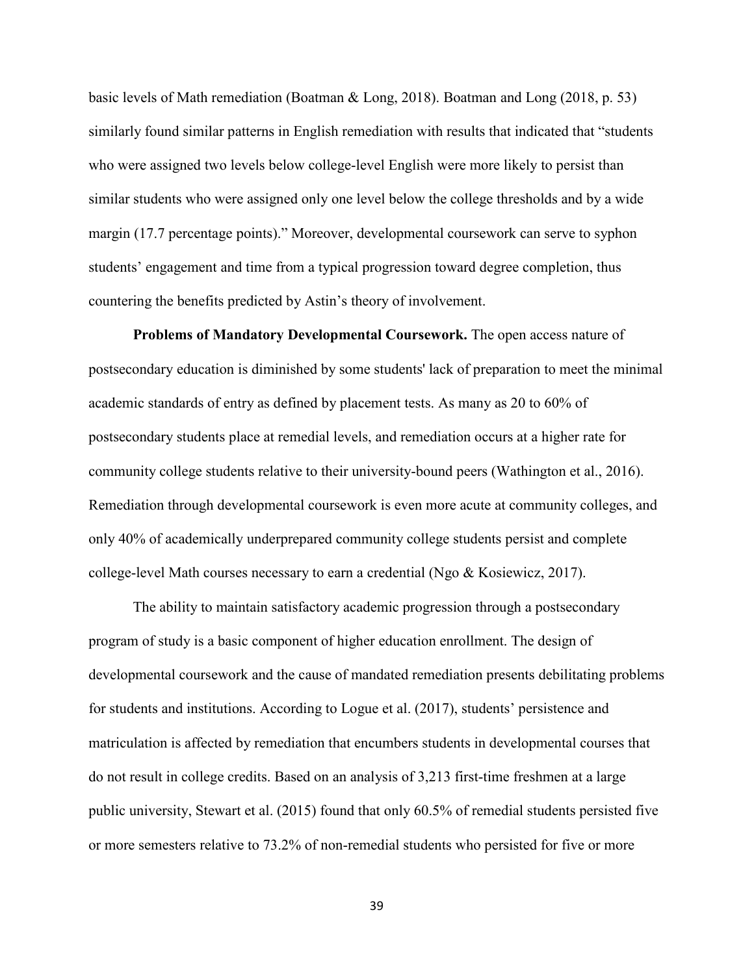basic levels of Math remediation (Boatman & Long, 2018). Boatman and Long (2018, p. 53) similarly found similar patterns in English remediation with results that indicated that "students who were assigned two levels below college-level English were more likely to persist than similar students who were assigned only one level below the college thresholds and by a wide margin (17.7 percentage points)." Moreover, developmental coursework can serve to syphon students' engagement and time from a typical progression toward degree completion, thus countering the benefits predicted by Astin's theory of involvement.

**Problems of Mandatory Developmental Coursework.** The open access nature of postsecondary education is diminished by some students' lack of preparation to meet the minimal academic standards of entry as defined by placement tests. As many as 20 to 60% of postsecondary students place at remedial levels, and remediation occurs at a higher rate for community college students relative to their university-bound peers (Wathington et al., 2016). Remediation through developmental coursework is even more acute at community colleges, and only 40% of academically underprepared community college students persist and complete college-level Math courses necessary to earn a credential (Ngo & Kosiewicz, 2017).

The ability to maintain satisfactory academic progression through a postsecondary program of study is a basic component of higher education enrollment. The design of developmental coursework and the cause of mandated remediation presents debilitating problems for students and institutions. According to Logue et al. (2017), students' persistence and matriculation is affected by remediation that encumbers students in developmental courses that do not result in college credits. Based on an analysis of 3,213 first-time freshmen at a large public university, Stewart et al. (2015) found that only 60.5% of remedial students persisted five or more semesters relative to 73.2% of non-remedial students who persisted for five or more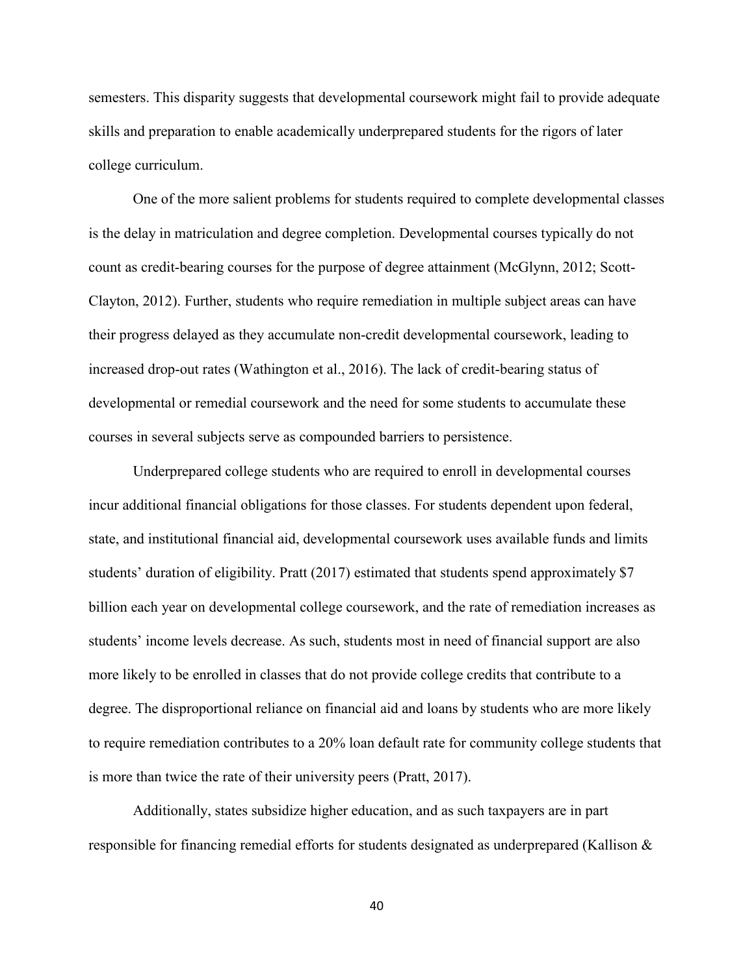semesters. This disparity suggests that developmental coursework might fail to provide adequate skills and preparation to enable academically underprepared students for the rigors of later college curriculum.

One of the more salient problems for students required to complete developmental classes is the delay in matriculation and degree completion. Developmental courses typically do not count as credit-bearing courses for the purpose of degree attainment (McGlynn, 2012; Scott-Clayton, 2012). Further, students who require remediation in multiple subject areas can have their progress delayed as they accumulate non-credit developmental coursework, leading to increased drop-out rates (Wathington et al., 2016). The lack of credit-bearing status of developmental or remedial coursework and the need for some students to accumulate these courses in several subjects serve as compounded barriers to persistence.

Underprepared college students who are required to enroll in developmental courses incur additional financial obligations for those classes. For students dependent upon federal, state, and institutional financial aid, developmental coursework uses available funds and limits students' duration of eligibility. Pratt (2017) estimated that students spend approximately \$7 billion each year on developmental college coursework, and the rate of remediation increases as students' income levels decrease. As such, students most in need of financial support are also more likely to be enrolled in classes that do not provide college credits that contribute to a degree. The disproportional reliance on financial aid and loans by students who are more likely to require remediation contributes to a 20% loan default rate for community college students that is more than twice the rate of their university peers (Pratt, 2017).

Additionally, states subsidize higher education, and as such taxpayers are in part responsible for financing remedial efforts for students designated as underprepared (Kallison &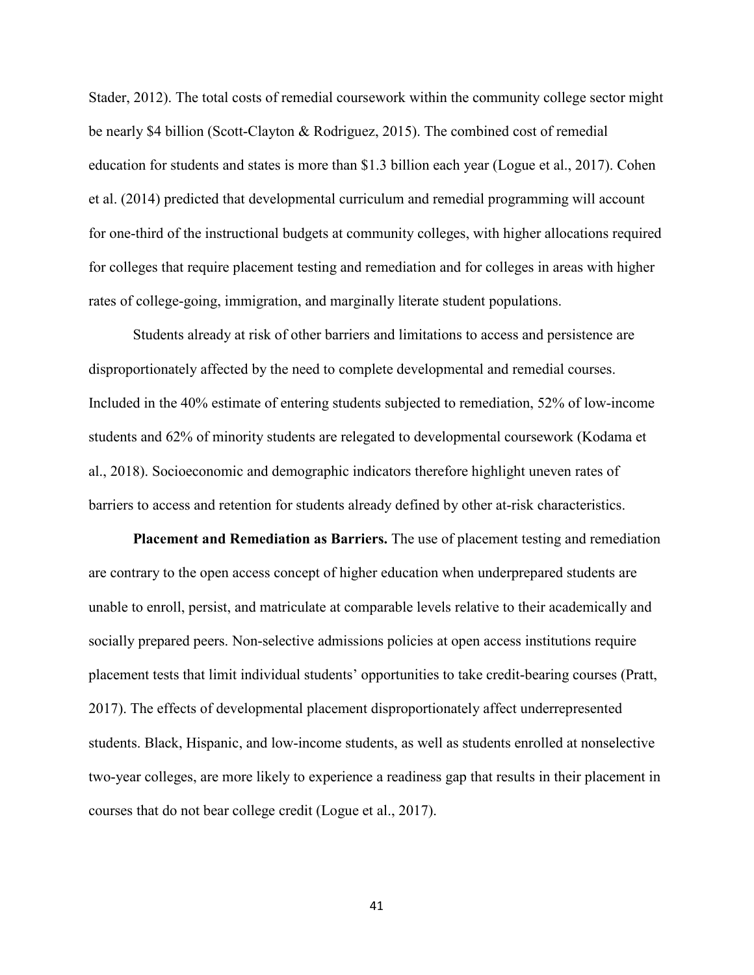Stader, 2012). The total costs of remedial coursework within the community college sector might be nearly \$4 billion (Scott-Clayton & Rodriguez, 2015). The combined cost of remedial education for students and states is more than \$1.3 billion each year (Logue et al., 2017). Cohen et al. (2014) predicted that developmental curriculum and remedial programming will account for one-third of the instructional budgets at community colleges, with higher allocations required for colleges that require placement testing and remediation and for colleges in areas with higher rates of college-going, immigration, and marginally literate student populations.

Students already at risk of other barriers and limitations to access and persistence are disproportionately affected by the need to complete developmental and remedial courses. Included in the 40% estimate of entering students subjected to remediation, 52% of low-income students and 62% of minority students are relegated to developmental coursework (Kodama et al., 2018). Socioeconomic and demographic indicators therefore highlight uneven rates of barriers to access and retention for students already defined by other at-risk characteristics.

**Placement and Remediation as Barriers.** The use of placement testing and remediation are contrary to the open access concept of higher education when underprepared students are unable to enroll, persist, and matriculate at comparable levels relative to their academically and socially prepared peers. Non-selective admissions policies at open access institutions require placement tests that limit individual students' opportunities to take credit-bearing courses (Pratt, 2017). The effects of developmental placement disproportionately affect underrepresented students. Black, Hispanic, and low-income students, as well as students enrolled at nonselective two-year colleges, are more likely to experience a readiness gap that results in their placement in courses that do not bear college credit (Logue et al., 2017).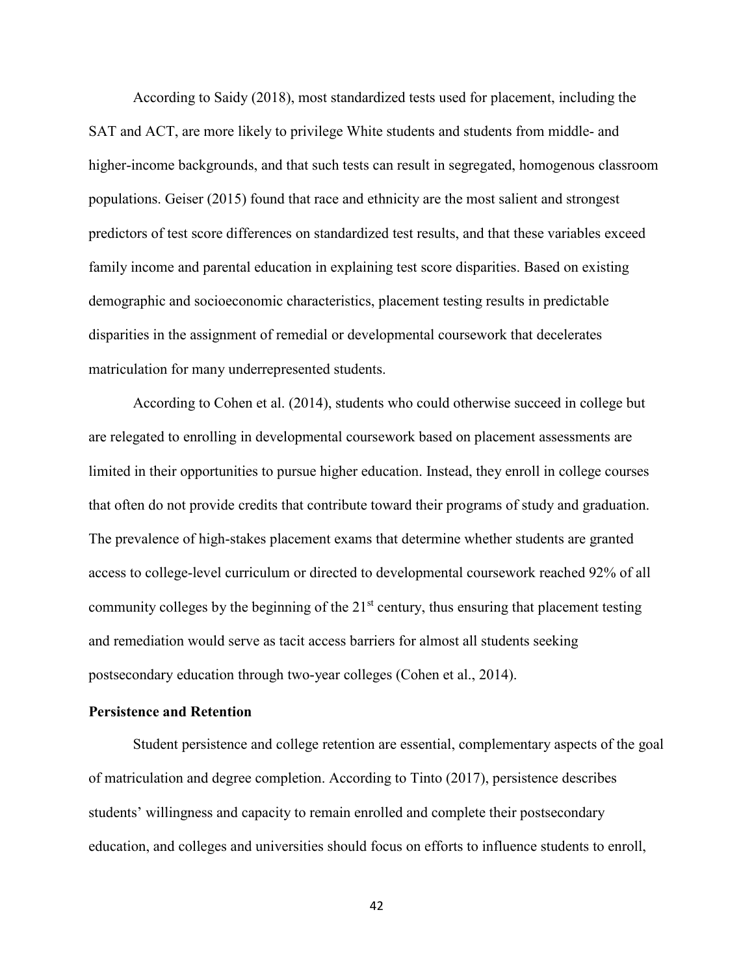According to Saidy (2018), most standardized tests used for placement, including the SAT and ACT, are more likely to privilege White students and students from middle- and higher-income backgrounds, and that such tests can result in segregated, homogenous classroom populations. Geiser (2015) found that race and ethnicity are the most salient and strongest predictors of test score differences on standardized test results, and that these variables exceed family income and parental education in explaining test score disparities. Based on existing demographic and socioeconomic characteristics, placement testing results in predictable disparities in the assignment of remedial or developmental coursework that decelerates matriculation for many underrepresented students.

According to Cohen et al. (2014), students who could otherwise succeed in college but are relegated to enrolling in developmental coursework based on placement assessments are limited in their opportunities to pursue higher education. Instead, they enroll in college courses that often do not provide credits that contribute toward their programs of study and graduation. The prevalence of high-stakes placement exams that determine whether students are granted access to college-level curriculum or directed to developmental coursework reached 92% of all community colleges by the beginning of the  $21<sup>st</sup>$  century, thus ensuring that placement testing and remediation would serve as tacit access barriers for almost all students seeking postsecondary education through two-year colleges (Cohen et al., 2014).

# **Persistence and Retention**

Student persistence and college retention are essential, complementary aspects of the goal of matriculation and degree completion. According to Tinto (2017), persistence describes students' willingness and capacity to remain enrolled and complete their postsecondary education, and colleges and universities should focus on efforts to influence students to enroll,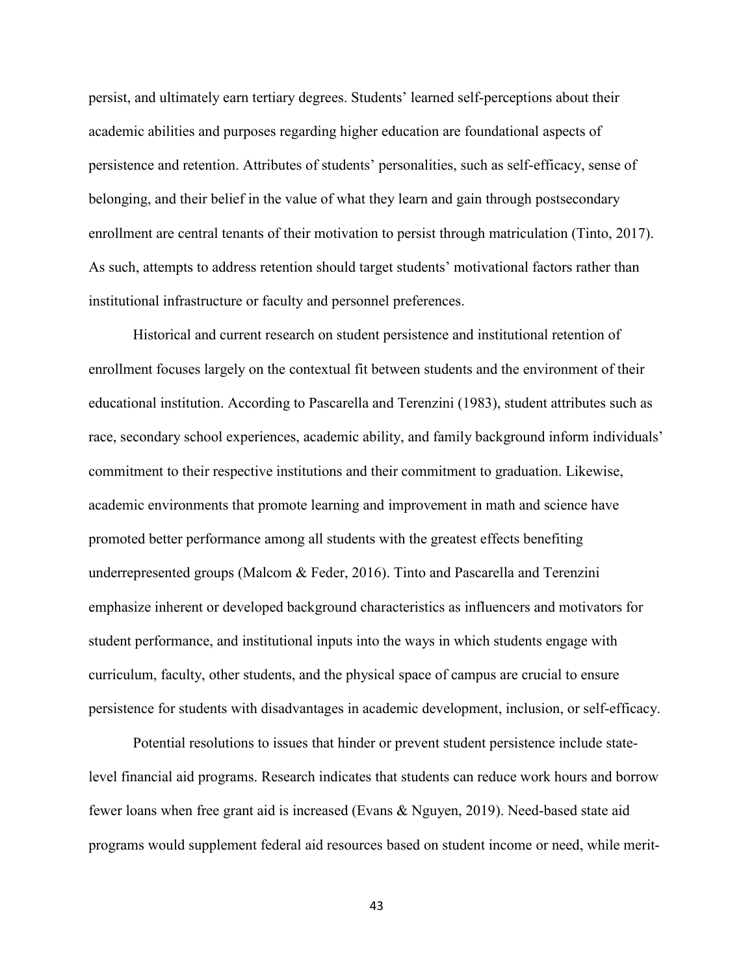persist, and ultimately earn tertiary degrees. Students' learned self-perceptions about their academic abilities and purposes regarding higher education are foundational aspects of persistence and retention. Attributes of students' personalities, such as self-efficacy, sense of belonging, and their belief in the value of what they learn and gain through postsecondary enrollment are central tenants of their motivation to persist through matriculation (Tinto, 2017). As such, attempts to address retention should target students' motivational factors rather than institutional infrastructure or faculty and personnel preferences.

Historical and current research on student persistence and institutional retention of enrollment focuses largely on the contextual fit between students and the environment of their educational institution. According to Pascarella and Terenzini (1983), student attributes such as race, secondary school experiences, academic ability, and family background inform individuals' commitment to their respective institutions and their commitment to graduation. Likewise, academic environments that promote learning and improvement in math and science have promoted better performance among all students with the greatest effects benefiting underrepresented groups (Malcom & Feder, 2016). Tinto and Pascarella and Terenzini emphasize inherent or developed background characteristics as influencers and motivators for student performance, and institutional inputs into the ways in which students engage with curriculum, faculty, other students, and the physical space of campus are crucial to ensure persistence for students with disadvantages in academic development, inclusion, or self-efficacy.

Potential resolutions to issues that hinder or prevent student persistence include statelevel financial aid programs. Research indicates that students can reduce work hours and borrow fewer loans when free grant aid is increased (Evans & Nguyen, 2019). Need-based state aid programs would supplement federal aid resources based on student income or need, while merit-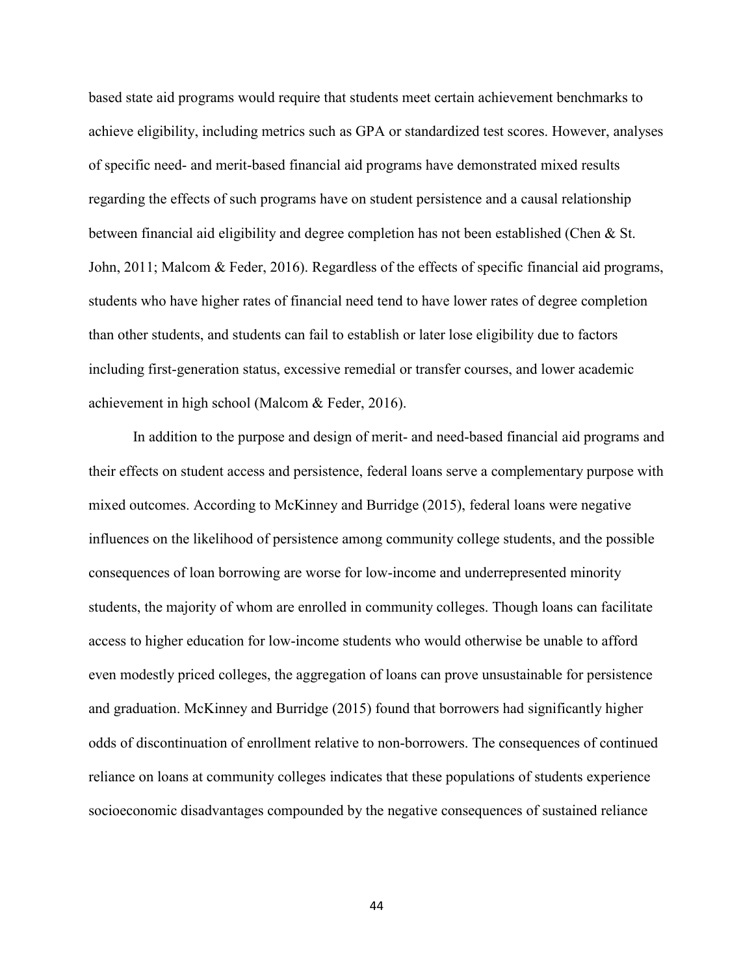based state aid programs would require that students meet certain achievement benchmarks to achieve eligibility, including metrics such as GPA or standardized test scores. However, analyses of specific need- and merit-based financial aid programs have demonstrated mixed results regarding the effects of such programs have on student persistence and a causal relationship between financial aid eligibility and degree completion has not been established (Chen & St. John, 2011; Malcom & Feder, 2016). Regardless of the effects of specific financial aid programs, students who have higher rates of financial need tend to have lower rates of degree completion than other students, and students can fail to establish or later lose eligibility due to factors including first-generation status, excessive remedial or transfer courses, and lower academic achievement in high school (Malcom & Feder, 2016).

In addition to the purpose and design of merit- and need-based financial aid programs and their effects on student access and persistence, federal loans serve a complementary purpose with mixed outcomes. According to McKinney and Burridge (2015), federal loans were negative influences on the likelihood of persistence among community college students, and the possible consequences of loan borrowing are worse for low-income and underrepresented minority students, the majority of whom are enrolled in community colleges. Though loans can facilitate access to higher education for low-income students who would otherwise be unable to afford even modestly priced colleges, the aggregation of loans can prove unsustainable for persistence and graduation. McKinney and Burridge (2015) found that borrowers had significantly higher odds of discontinuation of enrollment relative to non-borrowers. The consequences of continued reliance on loans at community colleges indicates that these populations of students experience socioeconomic disadvantages compounded by the negative consequences of sustained reliance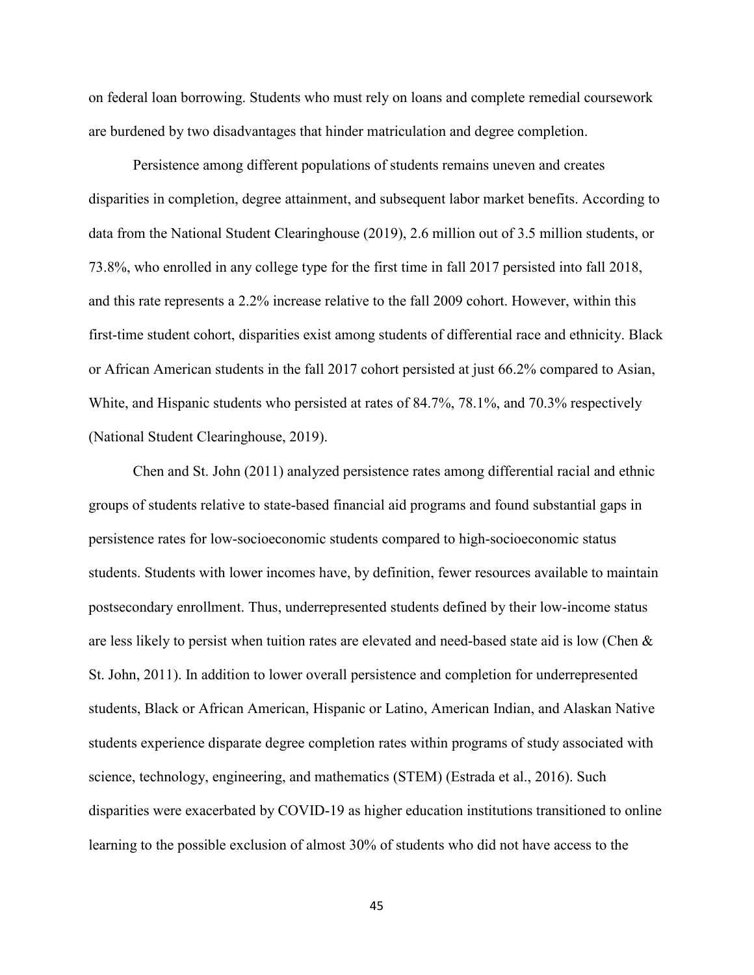on federal loan borrowing. Students who must rely on loans and complete remedial coursework are burdened by two disadvantages that hinder matriculation and degree completion.

Persistence among different populations of students remains uneven and creates disparities in completion, degree attainment, and subsequent labor market benefits. According to data from the National Student Clearinghouse (2019), 2.6 million out of 3.5 million students, or 73.8%, who enrolled in any college type for the first time in fall 2017 persisted into fall 2018, and this rate represents a 2.2% increase relative to the fall 2009 cohort. However, within this first-time student cohort, disparities exist among students of differential race and ethnicity. Black or African American students in the fall 2017 cohort persisted at just 66.2% compared to Asian, White, and Hispanic students who persisted at rates of 84.7%, 78.1%, and 70.3% respectively (National Student Clearinghouse, 2019).

Chen and St. John (2011) analyzed persistence rates among differential racial and ethnic groups of students relative to state-based financial aid programs and found substantial gaps in persistence rates for low-socioeconomic students compared to high-socioeconomic status students. Students with lower incomes have, by definition, fewer resources available to maintain postsecondary enrollment. Thus, underrepresented students defined by their low-income status are less likely to persist when tuition rates are elevated and need-based state aid is low (Chen & St. John, 2011). In addition to lower overall persistence and completion for underrepresented students, Black or African American, Hispanic or Latino, American Indian, and Alaskan Native students experience disparate degree completion rates within programs of study associated with science, technology, engineering, and mathematics (STEM) (Estrada et al., 2016). Such disparities were exacerbated by COVID-19 as higher education institutions transitioned to online learning to the possible exclusion of almost 30% of students who did not have access to the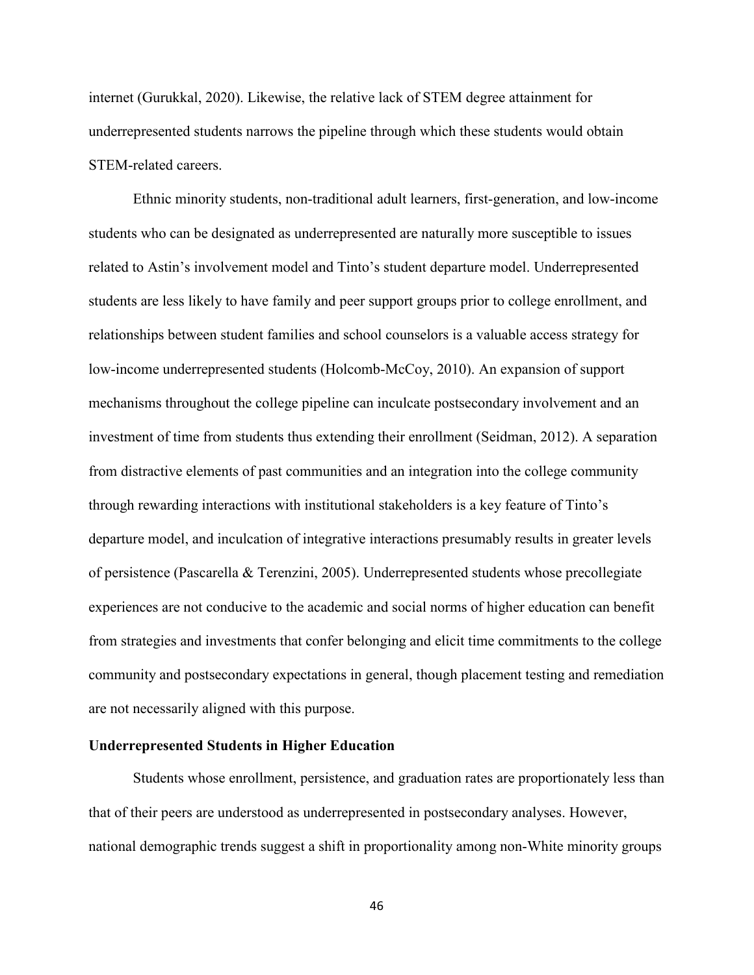internet (Gurukkal, 2020). Likewise, the relative lack of STEM degree attainment for underrepresented students narrows the pipeline through which these students would obtain STEM-related careers.

Ethnic minority students, non-traditional adult learners, first-generation, and low-income students who can be designated as underrepresented are naturally more susceptible to issues related to Astin's involvement model and Tinto's student departure model. Underrepresented students are less likely to have family and peer support groups prior to college enrollment, and relationships between student families and school counselors is a valuable access strategy for low-income underrepresented students (Holcomb-McCoy, 2010). An expansion of support mechanisms throughout the college pipeline can inculcate postsecondary involvement and an investment of time from students thus extending their enrollment (Seidman, 2012). A separation from distractive elements of past communities and an integration into the college community through rewarding interactions with institutional stakeholders is a key feature of Tinto's departure model, and inculcation of integrative interactions presumably results in greater levels of persistence (Pascarella & Terenzini, 2005). Underrepresented students whose precollegiate experiences are not conducive to the academic and social norms of higher education can benefit from strategies and investments that confer belonging and elicit time commitments to the college community and postsecondary expectations in general, though placement testing and remediation are not necessarily aligned with this purpose.

# **Underrepresented Students in Higher Education**

Students whose enrollment, persistence, and graduation rates are proportionately less than that of their peers are understood as underrepresented in postsecondary analyses. However, national demographic trends suggest a shift in proportionality among non-White minority groups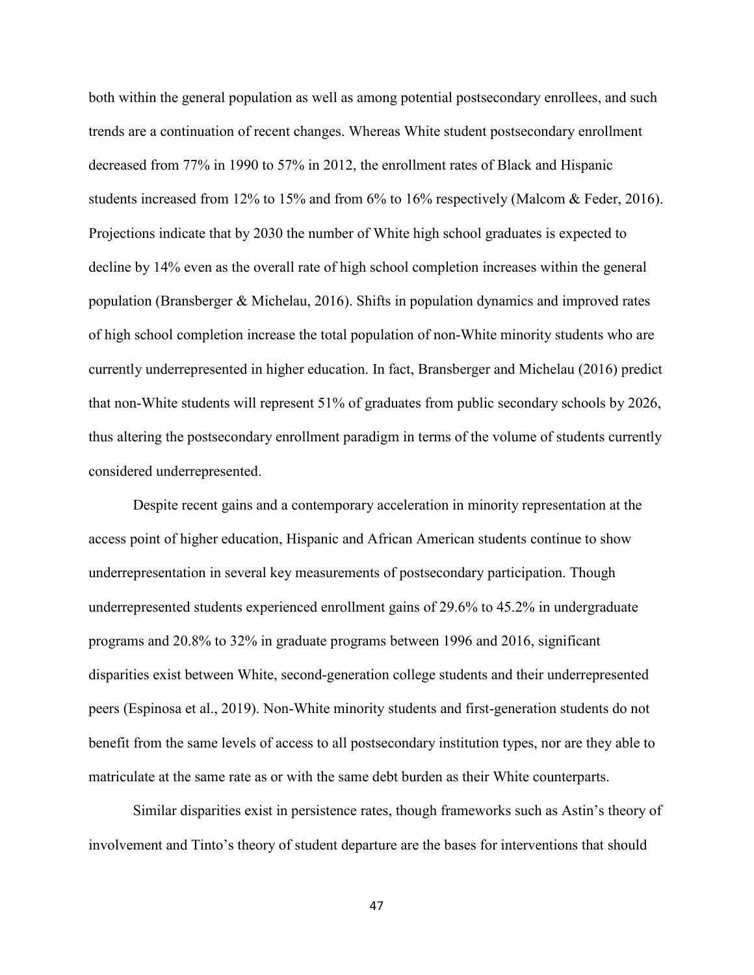both within the general population as well as among potential postsecondary enrollees, and such trends are a continuation of recent changes. Whereas White student postsecondary enrollment decreased from 77% in 1990 to 57% in 2012, the enrollment rates of Black and Hispanic students increased from 12% to 15% and from 6% to 16% respectively (Malcom & Feder, 2016). Projections indicate that by 2030 the number of White high school graduates is expected to decline by 14% even as the overall rate of high school completion increases within the general population (Bransberger & Michelau, 2016). Shifts in population dynamics and improved rates of high school completion increase the total population of non-White minority students who are currently underrepresented in higher education. In fact, Bransberger and Michelau (2016) predict that non-White students will represent 51% of graduates from public secondary schools by 2026, thus altering the postsecondary enrollment paradigm in terms of the volume of students currently considered underrepresented.

Despite recent gains and a contemporary acceleration in minority representation at the access point of higher education, Hispanic and African American students continue to show underrepresentation in several key measurements of postsecondary participation. Though underrepresented students experienced enrollment gains of 29.6% to 45.2% in undergraduate programs and 20.8% to 32% in graduate programs between 1996 and 2016, significant disparities exist between White, second-generation college students and their underrepresented peers (Espinosa et al., 2019). Non-White minority students and first-generation students do not benefit from the same levels of access to all postsecondary institution types, nor are they able to matriculate at the same rate as or with the same debt burden as their White counterparts.

Similar disparities exist in persistence rates, though frameworks such as Astin's theory of involvement and Tinto's theory of student departure are the bases for interventions that should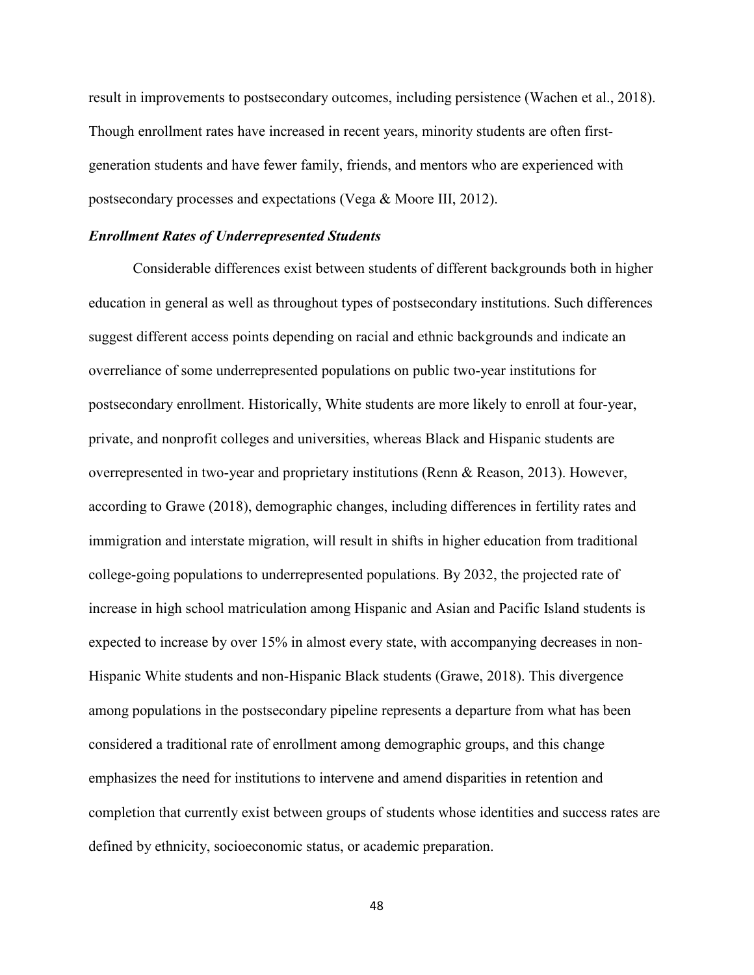result in improvements to postsecondary outcomes, including persistence (Wachen et al., 2018). Though enrollment rates have increased in recent years, minority students are often firstgeneration students and have fewer family, friends, and mentors who are experienced with postsecondary processes and expectations (Vega & Moore III, 2012).

### *Enrollment Rates of Underrepresented Students*

Considerable differences exist between students of different backgrounds both in higher education in general as well as throughout types of postsecondary institutions. Such differences suggest different access points depending on racial and ethnic backgrounds and indicate an overreliance of some underrepresented populations on public two-year institutions for postsecondary enrollment. Historically, White students are more likely to enroll at four-year, private, and nonprofit colleges and universities, whereas Black and Hispanic students are overrepresented in two-year and proprietary institutions (Renn & Reason, 2013). However, according to Grawe (2018), demographic changes, including differences in fertility rates and immigration and interstate migration, will result in shifts in higher education from traditional college-going populations to underrepresented populations. By 2032, the projected rate of increase in high school matriculation among Hispanic and Asian and Pacific Island students is expected to increase by over 15% in almost every state, with accompanying decreases in non-Hispanic White students and non-Hispanic Black students (Grawe, 2018). This divergence among populations in the postsecondary pipeline represents a departure from what has been considered a traditional rate of enrollment among demographic groups, and this change emphasizes the need for institutions to intervene and amend disparities in retention and completion that currently exist between groups of students whose identities and success rates are defined by ethnicity, socioeconomic status, or academic preparation.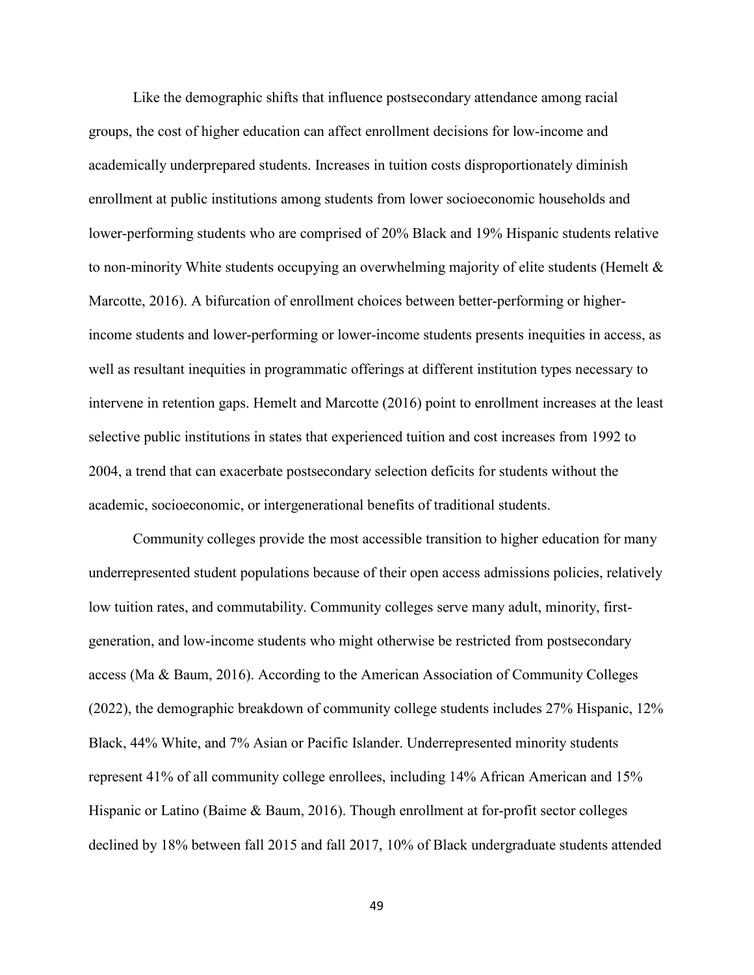Like the demographic shifts that influence postsecondary attendance among racial groups, the cost of higher education can affect enrollment decisions for low-income and academically underprepared students. Increases in tuition costs disproportionately diminish enrollment at public institutions among students from lower socioeconomic households and lower-performing students who are comprised of 20% Black and 19% Hispanic students relative to non-minority White students occupying an overwhelming majority of elite students (Hemelt & Marcotte, 2016). A bifurcation of enrollment choices between better-performing or higherincome students and lower-performing or lower-income students presents inequities in access, as well as resultant inequities in programmatic offerings at different institution types necessary to intervene in retention gaps. Hemelt and Marcotte (2016) point to enrollment increases at the least selective public institutions in states that experienced tuition and cost increases from 1992 to 2004, a trend that can exacerbate postsecondary selection deficits for students without the academic, socioeconomic, or intergenerational benefits of traditional students.

Community colleges provide the most accessible transition to higher education for many underrepresented student populations because of their open access admissions policies, relatively low tuition rates, and commutability. Community colleges serve many adult, minority, firstgeneration, and low-income students who might otherwise be restricted from postsecondary access (Ma & Baum, 2016). According to the American Association of Community Colleges (2022), the demographic breakdown of community college students includes 27% Hispanic, 12% Black, 44% White, and 7% Asian or Pacific Islander. Underrepresented minority students represent 41% of all community college enrollees, including 14% African American and 15% Hispanic or Latino (Baime & Baum, 2016). Though enrollment at for-profit sector colleges declined by 18% between fall 2015 and fall 2017, 10% of Black undergraduate students attended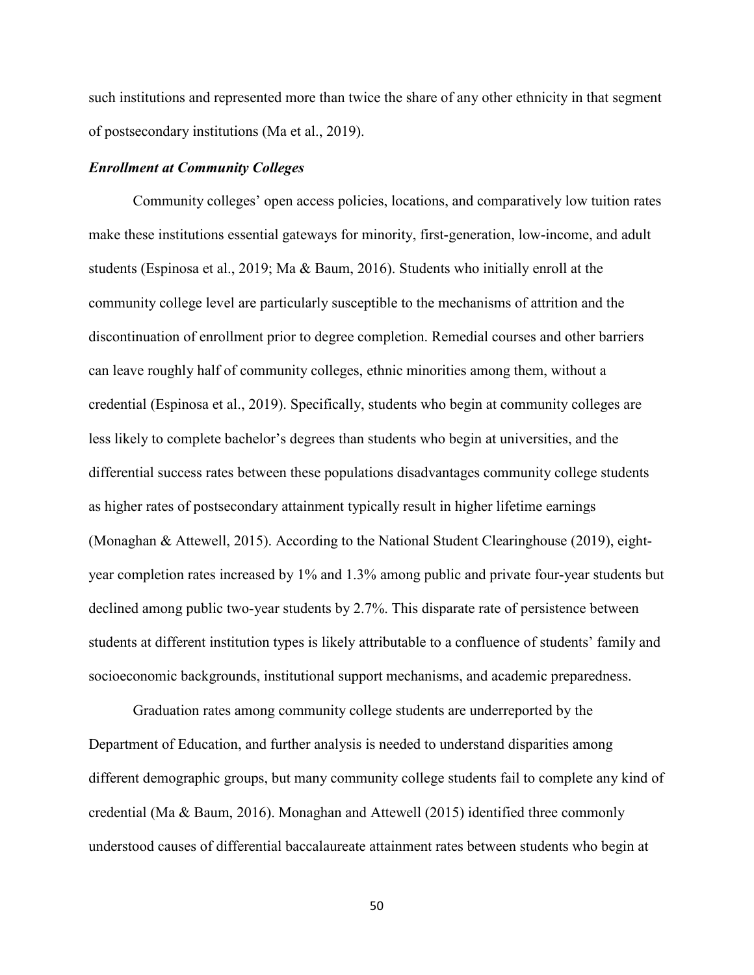such institutions and represented more than twice the share of any other ethnicity in that segment of postsecondary institutions (Ma et al., 2019).

### *Enrollment at Community Colleges*

Community colleges' open access policies, locations, and comparatively low tuition rates make these institutions essential gateways for minority, first-generation, low-income, and adult students (Espinosa et al., 2019; Ma & Baum, 2016). Students who initially enroll at the community college level are particularly susceptible to the mechanisms of attrition and the discontinuation of enrollment prior to degree completion. Remedial courses and other barriers can leave roughly half of community colleges, ethnic minorities among them, without a credential (Espinosa et al., 2019). Specifically, students who begin at community colleges are less likely to complete bachelor's degrees than students who begin at universities, and the differential success rates between these populations disadvantages community college students as higher rates of postsecondary attainment typically result in higher lifetime earnings (Monaghan & Attewell, 2015). According to the National Student Clearinghouse (2019), eightyear completion rates increased by 1% and 1.3% among public and private four-year students but declined among public two-year students by 2.7%. This disparate rate of persistence between students at different institution types is likely attributable to a confluence of students' family and socioeconomic backgrounds, institutional support mechanisms, and academic preparedness.

Graduation rates among community college students are underreported by the Department of Education, and further analysis is needed to understand disparities among different demographic groups, but many community college students fail to complete any kind of credential (Ma & Baum, 2016). Monaghan and Attewell (2015) identified three commonly understood causes of differential baccalaureate attainment rates between students who begin at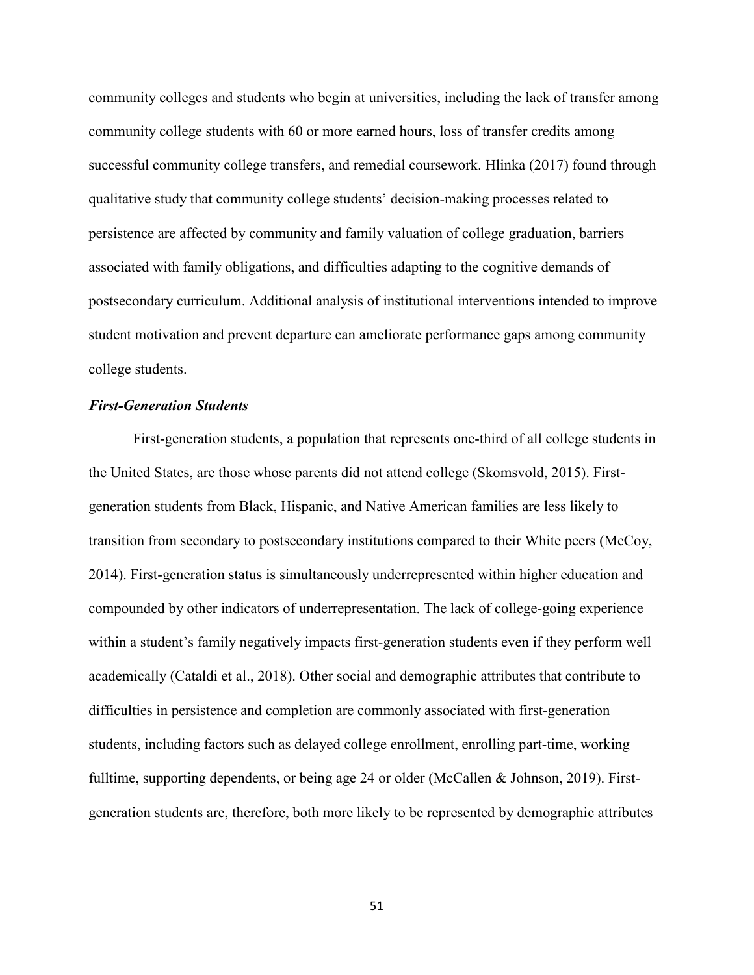community colleges and students who begin at universities, including the lack of transfer among community college students with 60 or more earned hours, loss of transfer credits among successful community college transfers, and remedial coursework. Hlinka (2017) found through qualitative study that community college students' decision-making processes related to persistence are affected by community and family valuation of college graduation, barriers associated with family obligations, and difficulties adapting to the cognitive demands of postsecondary curriculum. Additional analysis of institutional interventions intended to improve student motivation and prevent departure can ameliorate performance gaps among community college students.

# *First-Generation Students*

First-generation students, a population that represents one-third of all college students in the United States, are those whose parents did not attend college (Skomsvold, 2015). Firstgeneration students from Black, Hispanic, and Native American families are less likely to transition from secondary to postsecondary institutions compared to their White peers (McCoy, 2014). First-generation status is simultaneously underrepresented within higher education and compounded by other indicators of underrepresentation. The lack of college-going experience within a student's family negatively impacts first-generation students even if they perform well academically (Cataldi et al., 2018). Other social and demographic attributes that contribute to difficulties in persistence and completion are commonly associated with first-generation students, including factors such as delayed college enrollment, enrolling part-time, working fulltime, supporting dependents, or being age 24 or older (McCallen & Johnson, 2019). Firstgeneration students are, therefore, both more likely to be represented by demographic attributes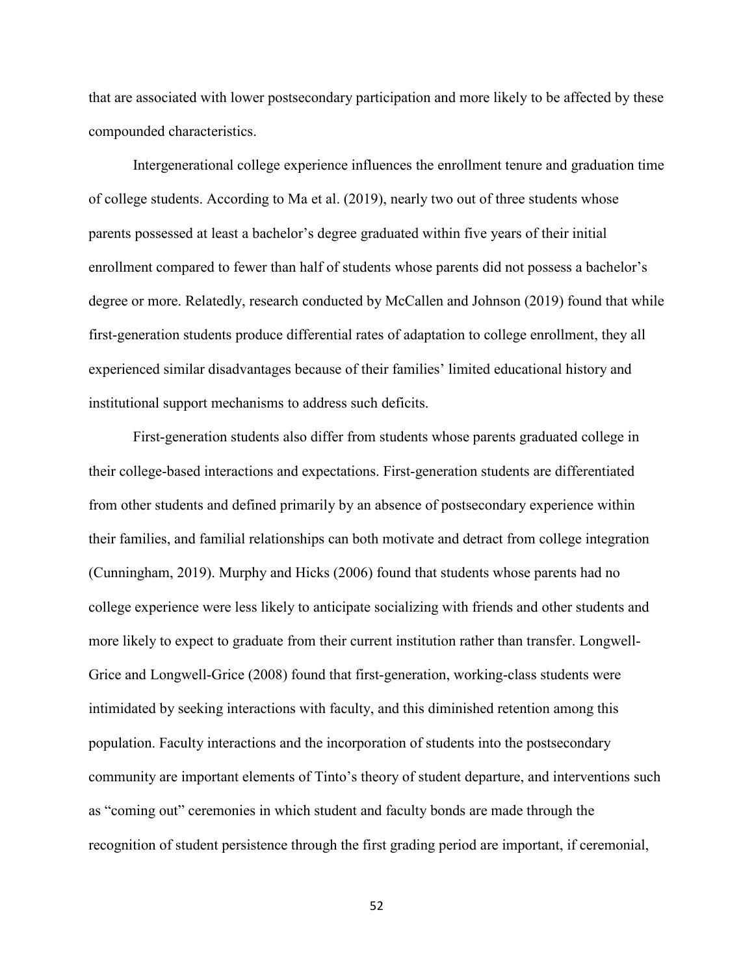that are associated with lower postsecondary participation and more likely to be affected by these compounded characteristics.

Intergenerational college experience influences the enrollment tenure and graduation time of college students. According to Ma et al. (2019), nearly two out of three students whose parents possessed at least a bachelor's degree graduated within five years of their initial enrollment compared to fewer than half of students whose parents did not possess a bachelor's degree or more. Relatedly, research conducted by McCallen and Johnson (2019) found that while first-generation students produce differential rates of adaptation to college enrollment, they all experienced similar disadvantages because of their families' limited educational history and institutional support mechanisms to address such deficits.

First-generation students also differ from students whose parents graduated college in their college-based interactions and expectations. First-generation students are differentiated from other students and defined primarily by an absence of postsecondary experience within their families, and familial relationships can both motivate and detract from college integration (Cunningham, 2019). Murphy and Hicks (2006) found that students whose parents had no college experience were less likely to anticipate socializing with friends and other students and more likely to expect to graduate from their current institution rather than transfer. Longwell-Grice and Longwell-Grice (2008) found that first-generation, working-class students were intimidated by seeking interactions with faculty, and this diminished retention among this population. Faculty interactions and the incorporation of students into the postsecondary community are important elements of Tinto's theory of student departure, and interventions such as "coming out" ceremonies in which student and faculty bonds are made through the recognition of student persistence through the first grading period are important, if ceremonial,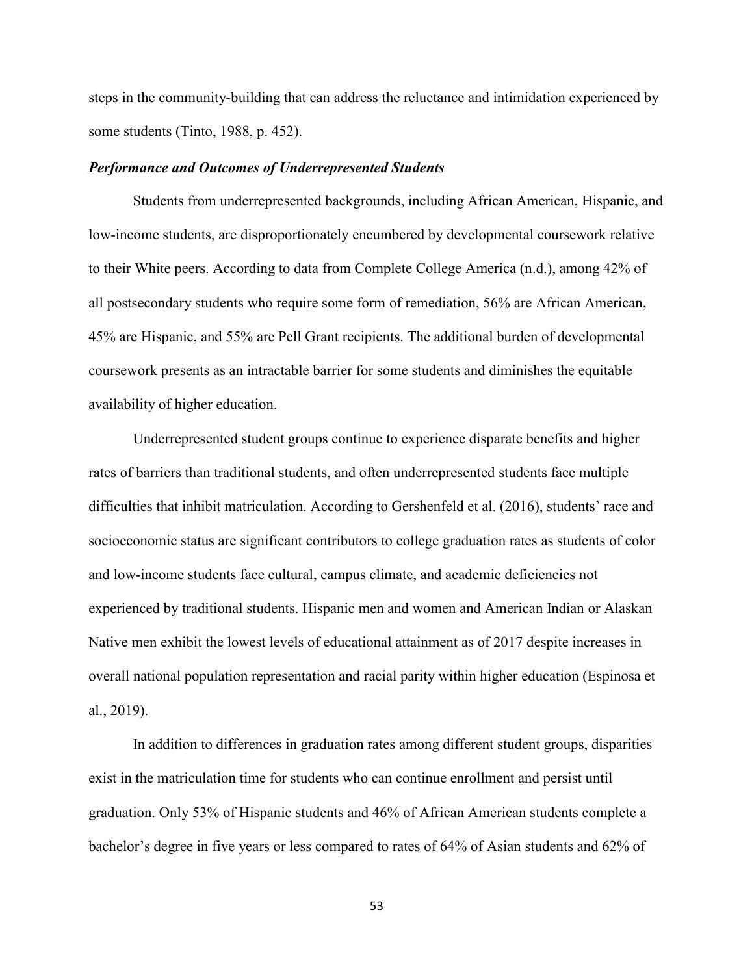steps in the community-building that can address the reluctance and intimidation experienced by some students (Tinto, 1988, p. 452).

#### *Performance and Outcomes of Underrepresented Students*

Students from underrepresented backgrounds, including African American, Hispanic, and low-income students, are disproportionately encumbered by developmental coursework relative to their White peers. According to data from Complete College America (n.d.), among 42% of all postsecondary students who require some form of remediation, 56% are African American, 45% are Hispanic, and 55% are Pell Grant recipients. The additional burden of developmental coursework presents as an intractable barrier for some students and diminishes the equitable availability of higher education.

Underrepresented student groups continue to experience disparate benefits and higher rates of barriers than traditional students, and often underrepresented students face multiple difficulties that inhibit matriculation. According to Gershenfeld et al. (2016), students' race and socioeconomic status are significant contributors to college graduation rates as students of color and low-income students face cultural, campus climate, and academic deficiencies not experienced by traditional students. Hispanic men and women and American Indian or Alaskan Native men exhibit the lowest levels of educational attainment as of 2017 despite increases in overall national population representation and racial parity within higher education (Espinosa et al., 2019).

In addition to differences in graduation rates among different student groups, disparities exist in the matriculation time for students who can continue enrollment and persist until graduation. Only 53% of Hispanic students and 46% of African American students complete a bachelor's degree in five years or less compared to rates of 64% of Asian students and 62% of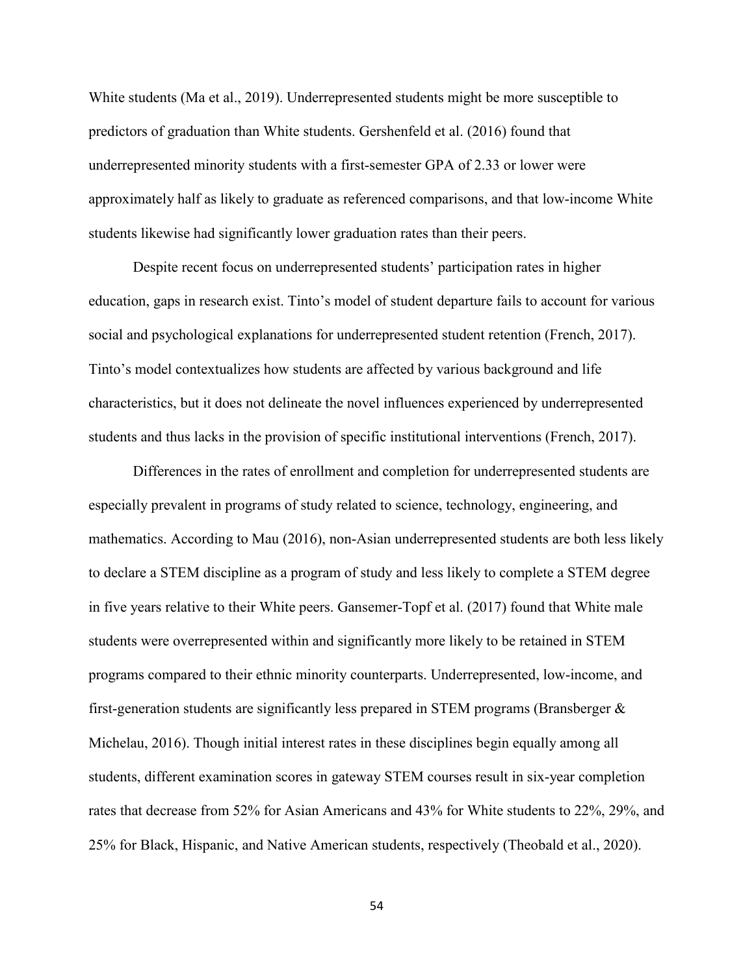White students (Ma et al., 2019). Underrepresented students might be more susceptible to predictors of graduation than White students. Gershenfeld et al. (2016) found that underrepresented minority students with a first-semester GPA of 2.33 or lower were approximately half as likely to graduate as referenced comparisons, and that low-income White students likewise had significantly lower graduation rates than their peers.

Despite recent focus on underrepresented students' participation rates in higher education, gaps in research exist. Tinto's model of student departure fails to account for various social and psychological explanations for underrepresented student retention (French, 2017). Tinto's model contextualizes how students are affected by various background and life characteristics, but it does not delineate the novel influences experienced by underrepresented students and thus lacks in the provision of specific institutional interventions (French, 2017).

Differences in the rates of enrollment and completion for underrepresented students are especially prevalent in programs of study related to science, technology, engineering, and mathematics. According to Mau (2016), non-Asian underrepresented students are both less likely to declare a STEM discipline as a program of study and less likely to complete a STEM degree in five years relative to their White peers. Gansemer-Topf et al. (2017) found that White male students were overrepresented within and significantly more likely to be retained in STEM programs compared to their ethnic minority counterparts. Underrepresented, low-income, and first-generation students are significantly less prepared in STEM programs (Bransberger & Michelau, 2016). Though initial interest rates in these disciplines begin equally among all students, different examination scores in gateway STEM courses result in six-year completion rates that decrease from 52% for Asian Americans and 43% for White students to 22%, 29%, and 25% for Black, Hispanic, and Native American students, respectively (Theobald et al., 2020).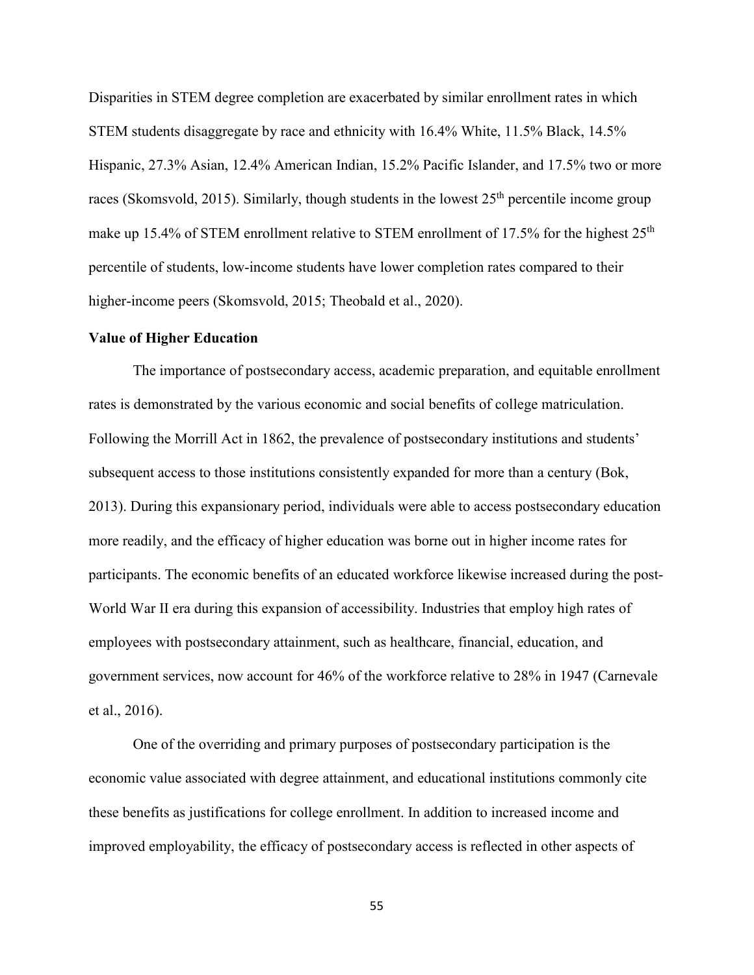Disparities in STEM degree completion are exacerbated by similar enrollment rates in which STEM students disaggregate by race and ethnicity with 16.4% White, 11.5% Black, 14.5% Hispanic, 27.3% Asian, 12.4% American Indian, 15.2% Pacific Islander, and 17.5% two or more races (Skomsvold, 2015). Similarly, though students in the lowest  $25<sup>th</sup>$  percentile income group make up 15.4% of STEM enrollment relative to STEM enrollment of 17.5% for the highest  $25<sup>th</sup>$ percentile of students, low-income students have lower completion rates compared to their higher-income peers (Skomsvold, 2015; Theobald et al., 2020).

#### **Value of Higher Education**

The importance of postsecondary access, academic preparation, and equitable enrollment rates is demonstrated by the various economic and social benefits of college matriculation. Following the Morrill Act in 1862, the prevalence of postsecondary institutions and students' subsequent access to those institutions consistently expanded for more than a century (Bok, 2013). During this expansionary period, individuals were able to access postsecondary education more readily, and the efficacy of higher education was borne out in higher income rates for participants. The economic benefits of an educated workforce likewise increased during the post-World War II era during this expansion of accessibility. Industries that employ high rates of employees with postsecondary attainment, such as healthcare, financial, education, and government services, now account for 46% of the workforce relative to 28% in 1947 (Carnevale et al., 2016).

One of the overriding and primary purposes of postsecondary participation is the economic value associated with degree attainment, and educational institutions commonly cite these benefits as justifications for college enrollment. In addition to increased income and improved employability, the efficacy of postsecondary access is reflected in other aspects of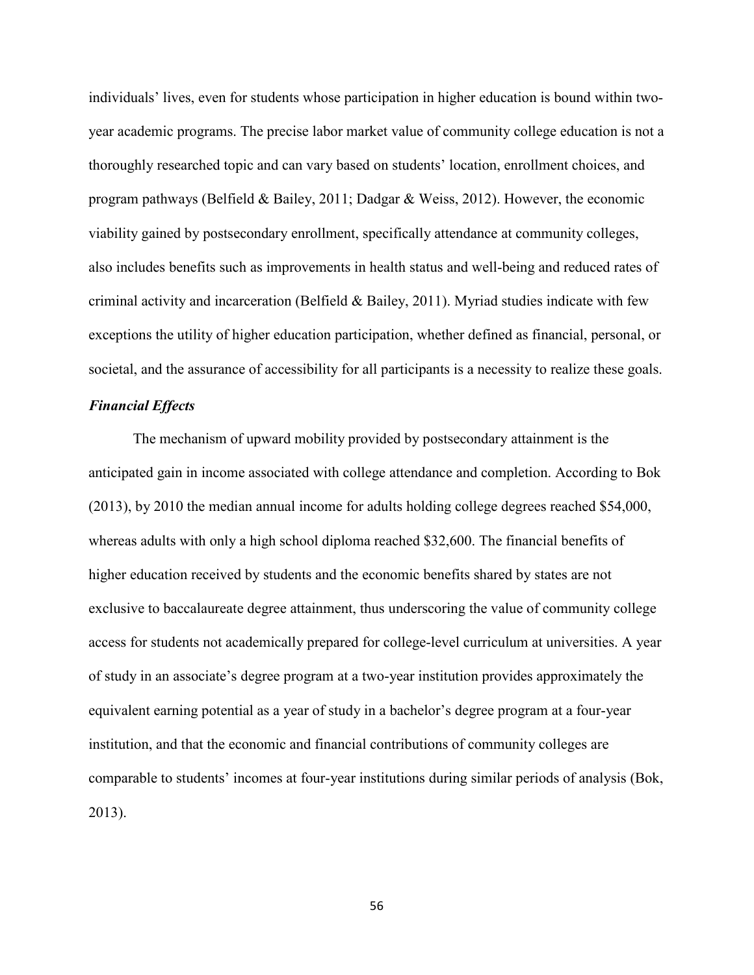individuals' lives, even for students whose participation in higher education is bound within twoyear academic programs. The precise labor market value of community college education is not a thoroughly researched topic and can vary based on students' location, enrollment choices, and program pathways (Belfield & Bailey, 2011; Dadgar & Weiss, 2012). However, the economic viability gained by postsecondary enrollment, specifically attendance at community colleges, also includes benefits such as improvements in health status and well-being and reduced rates of criminal activity and incarceration (Belfield & Bailey, 2011). Myriad studies indicate with few exceptions the utility of higher education participation, whether defined as financial, personal, or societal, and the assurance of accessibility for all participants is a necessity to realize these goals.

# *Financial Effects*

The mechanism of upward mobility provided by postsecondary attainment is the anticipated gain in income associated with college attendance and completion. According to Bok (2013), by 2010 the median annual income for adults holding college degrees reached \$54,000, whereas adults with only a high school diploma reached \$32,600. The financial benefits of higher education received by students and the economic benefits shared by states are not exclusive to baccalaureate degree attainment, thus underscoring the value of community college access for students not academically prepared for college-level curriculum at universities. A year of study in an associate's degree program at a two-year institution provides approximately the equivalent earning potential as a year of study in a bachelor's degree program at a four-year institution, and that the economic and financial contributions of community colleges are comparable to students' incomes at four-year institutions during similar periods of analysis (Bok, 2013).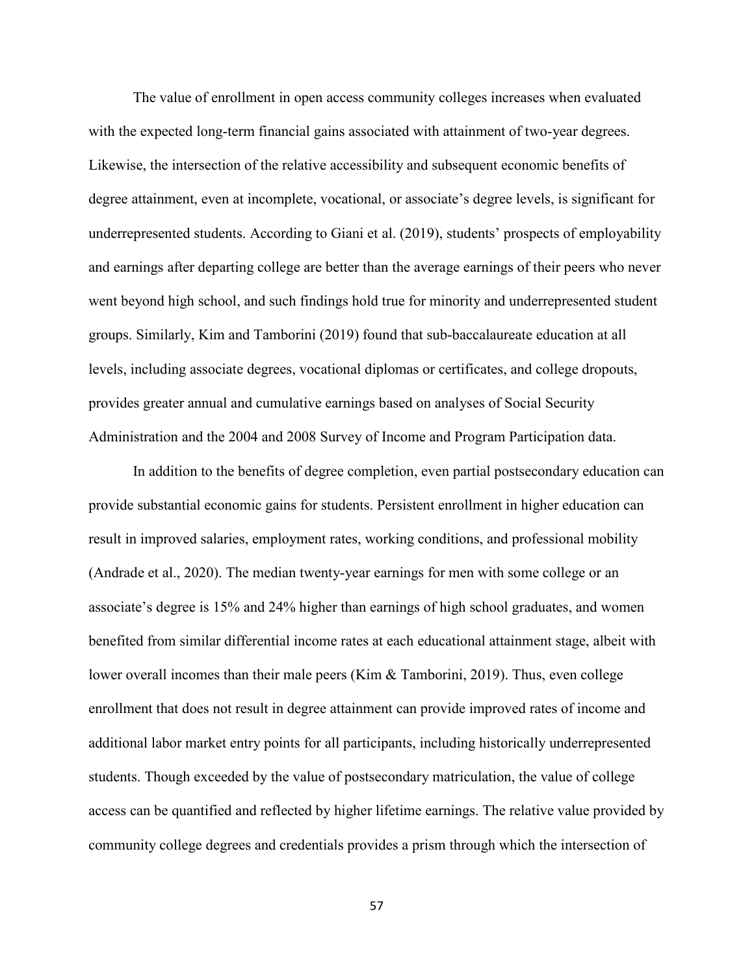The value of enrollment in open access community colleges increases when evaluated with the expected long-term financial gains associated with attainment of two-year degrees. Likewise, the intersection of the relative accessibility and subsequent economic benefits of degree attainment, even at incomplete, vocational, or associate's degree levels, is significant for underrepresented students. According to Giani et al. (2019), students' prospects of employability and earnings after departing college are better than the average earnings of their peers who never went beyond high school, and such findings hold true for minority and underrepresented student groups. Similarly, Kim and Tamborini (2019) found that sub-baccalaureate education at all levels, including associate degrees, vocational diplomas or certificates, and college dropouts, provides greater annual and cumulative earnings based on analyses of Social Security Administration and the 2004 and 2008 Survey of Income and Program Participation data.

In addition to the benefits of degree completion, even partial postsecondary education can provide substantial economic gains for students. Persistent enrollment in higher education can result in improved salaries, employment rates, working conditions, and professional mobility (Andrade et al., 2020). The median twenty-year earnings for men with some college or an associate's degree is 15% and 24% higher than earnings of high school graduates, and women benefited from similar differential income rates at each educational attainment stage, albeit with lower overall incomes than their male peers (Kim & Tamborini, 2019). Thus, even college enrollment that does not result in degree attainment can provide improved rates of income and additional labor market entry points for all participants, including historically underrepresented students. Though exceeded by the value of postsecondary matriculation, the value of college access can be quantified and reflected by higher lifetime earnings. The relative value provided by community college degrees and credentials provides a prism through which the intersection of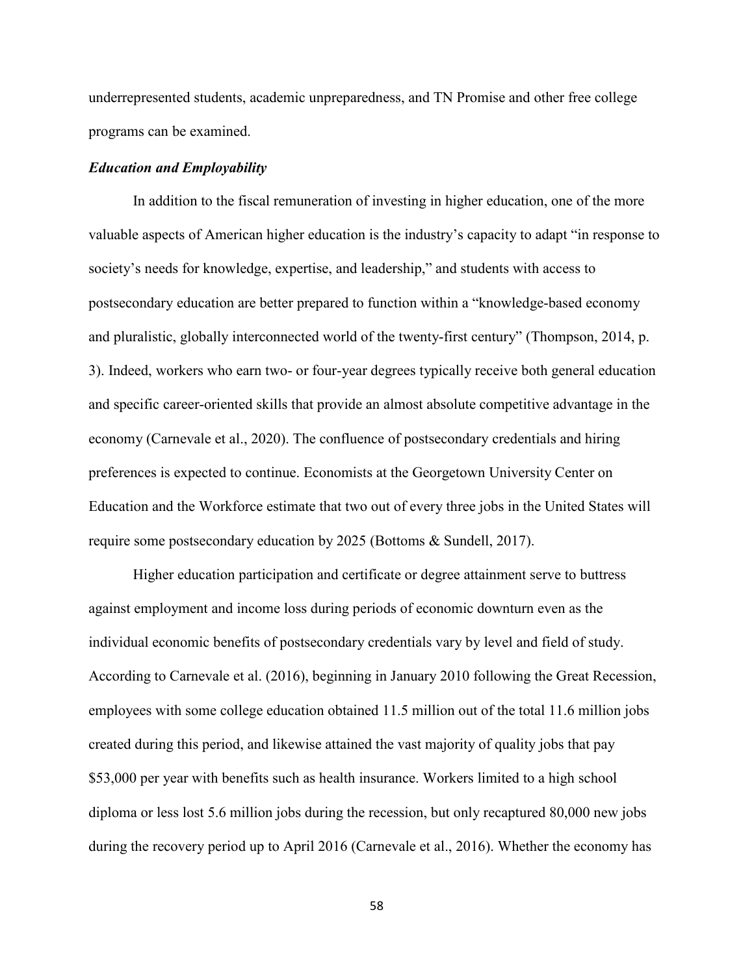underrepresented students, academic unpreparedness, and TN Promise and other free college programs can be examined.

# *Education and Employability*

In addition to the fiscal remuneration of investing in higher education, one of the more valuable aspects of American higher education is the industry's capacity to adapt "in response to society's needs for knowledge, expertise, and leadership," and students with access to postsecondary education are better prepared to function within a "knowledge-based economy and pluralistic, globally interconnected world of the twenty-first century" (Thompson, 2014, p. 3). Indeed, workers who earn two- or four-year degrees typically receive both general education and specific career-oriented skills that provide an almost absolute competitive advantage in the economy (Carnevale et al., 2020). The confluence of postsecondary credentials and hiring preferences is expected to continue. Economists at the Georgetown University Center on Education and the Workforce estimate that two out of every three jobs in the United States will require some postsecondary education by 2025 (Bottoms & Sundell, 2017).

Higher education participation and certificate or degree attainment serve to buttress against employment and income loss during periods of economic downturn even as the individual economic benefits of postsecondary credentials vary by level and field of study. According to Carnevale et al. (2016), beginning in January 2010 following the Great Recession, employees with some college education obtained 11.5 million out of the total 11.6 million jobs created during this period, and likewise attained the vast majority of quality jobs that pay \$53,000 per year with benefits such as health insurance. Workers limited to a high school diploma or less lost 5.6 million jobs during the recession, but only recaptured 80,000 new jobs during the recovery period up to April 2016 (Carnevale et al., 2016). Whether the economy has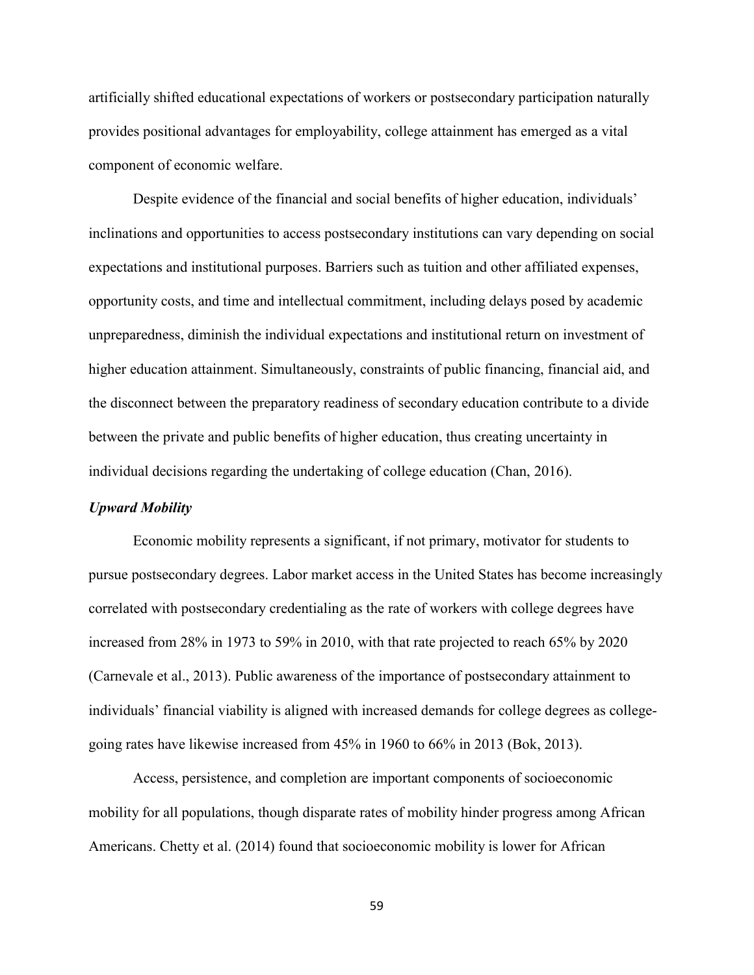artificially shifted educational expectations of workers or postsecondary participation naturally provides positional advantages for employability, college attainment has emerged as a vital component of economic welfare.

Despite evidence of the financial and social benefits of higher education, individuals' inclinations and opportunities to access postsecondary institutions can vary depending on social expectations and institutional purposes. Barriers such as tuition and other affiliated expenses, opportunity costs, and time and intellectual commitment, including delays posed by academic unpreparedness, diminish the individual expectations and institutional return on investment of higher education attainment. Simultaneously, constraints of public financing, financial aid, and the disconnect between the preparatory readiness of secondary education contribute to a divide between the private and public benefits of higher education, thus creating uncertainty in individual decisions regarding the undertaking of college education (Chan, 2016).

#### *Upward Mobility*

Economic mobility represents a significant, if not primary, motivator for students to pursue postsecondary degrees. Labor market access in the United States has become increasingly correlated with postsecondary credentialing as the rate of workers with college degrees have increased from 28% in 1973 to 59% in 2010, with that rate projected to reach 65% by 2020 (Carnevale et al., 2013). Public awareness of the importance of postsecondary attainment to individuals' financial viability is aligned with increased demands for college degrees as collegegoing rates have likewise increased from 45% in 1960 to 66% in 2013 (Bok, 2013).

Access, persistence, and completion are important components of socioeconomic mobility for all populations, though disparate rates of mobility hinder progress among African Americans. Chetty et al. (2014) found that socioeconomic mobility is lower for African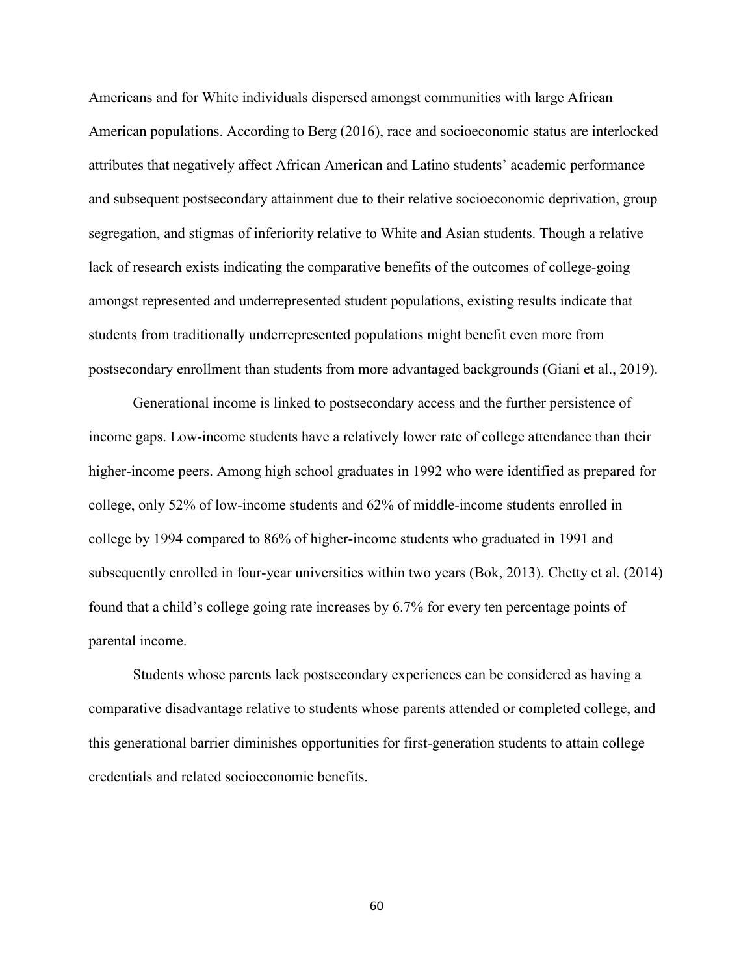Americans and for White individuals dispersed amongst communities with large African American populations. According to Berg (2016), race and socioeconomic status are interlocked attributes that negatively affect African American and Latino students' academic performance and subsequent postsecondary attainment due to their relative socioeconomic deprivation, group segregation, and stigmas of inferiority relative to White and Asian students. Though a relative lack of research exists indicating the comparative benefits of the outcomes of college-going amongst represented and underrepresented student populations, existing results indicate that students from traditionally underrepresented populations might benefit even more from postsecondary enrollment than students from more advantaged backgrounds (Giani et al., 2019).

Generational income is linked to postsecondary access and the further persistence of income gaps. Low-income students have a relatively lower rate of college attendance than their higher-income peers. Among high school graduates in 1992 who were identified as prepared for college, only 52% of low-income students and 62% of middle-income students enrolled in college by 1994 compared to 86% of higher-income students who graduated in 1991 and subsequently enrolled in four-year universities within two years (Bok, 2013). Chetty et al. (2014) found that a child's college going rate increases by 6.7% for every ten percentage points of parental income.

Students whose parents lack postsecondary experiences can be considered as having a comparative disadvantage relative to students whose parents attended or completed college, and this generational barrier diminishes opportunities for first-generation students to attain college credentials and related socioeconomic benefits.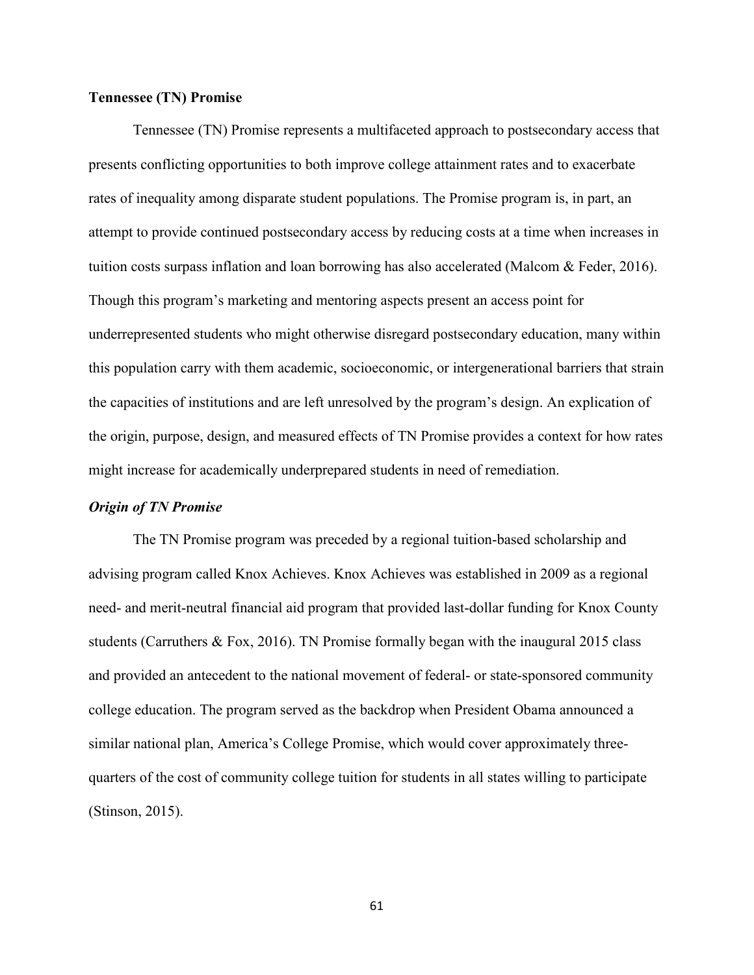# **Tennessee (TN) Promise**

Tennessee (TN) Promise represents a multifaceted approach to postsecondary access that presents conflicting opportunities to both improve college attainment rates and to exacerbate rates of inequality among disparate student populations. The Promise program is, in part, an attempt to provide continued postsecondary access by reducing costs at a time when increases in tuition costs surpass inflation and loan borrowing has also accelerated (Malcom & Feder, 2016). Though this program's marketing and mentoring aspects present an access point for underrepresented students who might otherwise disregard postsecondary education, many within this population carry with them academic, socioeconomic, or intergenerational barriers that strain the capacities of institutions and are left unresolved by the program's design. An explication of the origin, purpose, design, and measured effects of TN Promise provides a context for how rates might increase for academically underprepared students in need of remediation.

#### *Origin of TN Promise*

The TN Promise program was preceded by a regional tuition-based scholarship and advising program called Knox Achieves. Knox Achieves was established in 2009 as a regional need- and merit-neutral financial aid program that provided last-dollar funding for Knox County students (Carruthers & Fox, 2016). TN Promise formally began with the inaugural 2015 class and provided an antecedent to the national movement of federal- or state-sponsored community college education. The program served as the backdrop when President Obama announced a similar national plan, America's College Promise, which would cover approximately threequarters of the cost of community college tuition for students in all states willing to participate (Stinson, 2015).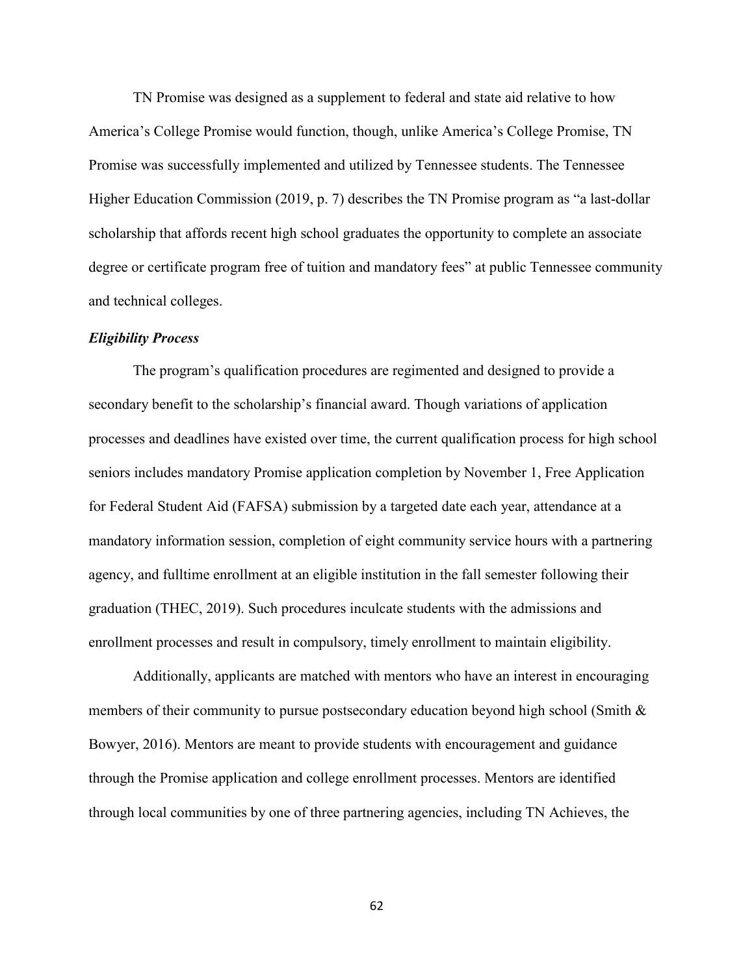TN Promise was designed as a supplement to federal and state aid relative to how America's College Promise would function, though, unlike America's College Promise, TN Promise was successfully implemented and utilized by Tennessee students. The Tennessee Higher Education Commission (2019, p. 7) describes the TN Promise program as "a last-dollar scholarship that affords recent high school graduates the opportunity to complete an associate degree or certificate program free of tuition and mandatory fees" at public Tennessee community and technical colleges.

# *Eligibility Process*

The program's qualification procedures are regimented and designed to provide a secondary benefit to the scholarship's financial award. Though variations of application processes and deadlines have existed over time, the current qualification process for high school seniors includes mandatory Promise application completion by November 1, Free Application for Federal Student Aid (FAFSA) submission by a targeted date each year, attendance at a mandatory information session, completion of eight community service hours with a partnering agency, and fulltime enrollment at an eligible institution in the fall semester following their graduation (THEC, 2019). Such procedures inculcate students with the admissions and enrollment processes and result in compulsory, timely enrollment to maintain eligibility.

Additionally, applicants are matched with mentors who have an interest in encouraging members of their community to pursue postsecondary education beyond high school (Smith & Bowyer, 2016). Mentors are meant to provide students with encouragement and guidance through the Promise application and college enrollment processes. Mentors are identified through local communities by one of three partnering agencies, including TN Achieves, the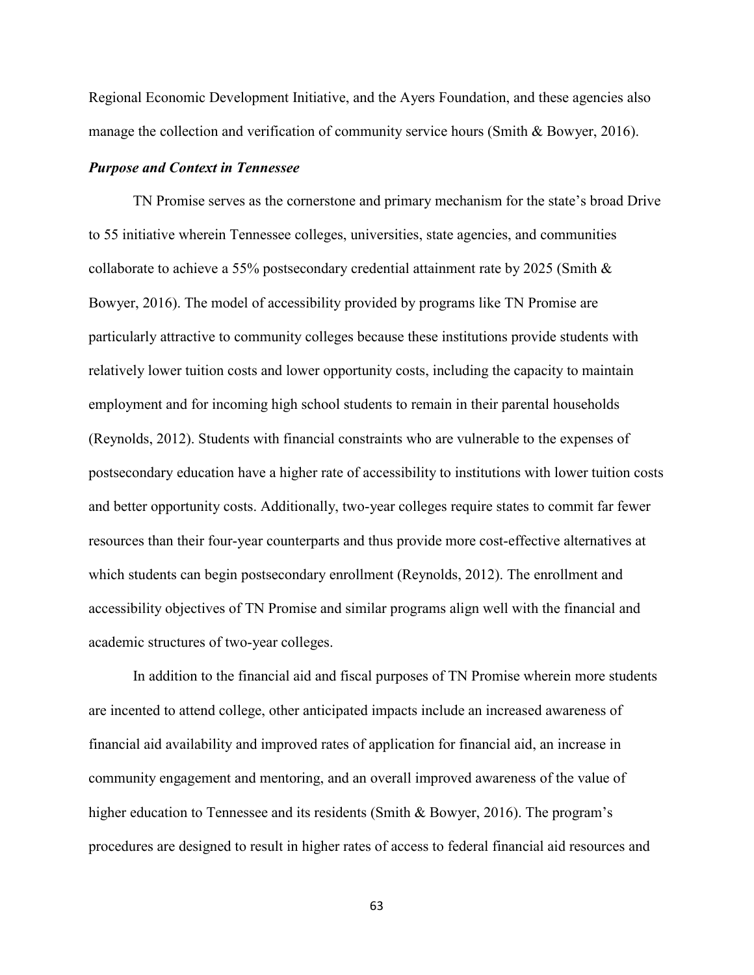Regional Economic Development Initiative, and the Ayers Foundation, and these agencies also manage the collection and verification of community service hours (Smith & Bowyer, 2016).

### *Purpose and Context in Tennessee*

TN Promise serves as the cornerstone and primary mechanism for the state's broad Drive to 55 initiative wherein Tennessee colleges, universities, state agencies, and communities collaborate to achieve a 55% postsecondary credential attainment rate by 2025 (Smith & Bowyer, 2016). The model of accessibility provided by programs like TN Promise are particularly attractive to community colleges because these institutions provide students with relatively lower tuition costs and lower opportunity costs, including the capacity to maintain employment and for incoming high school students to remain in their parental households (Reynolds, 2012). Students with financial constraints who are vulnerable to the expenses of postsecondary education have a higher rate of accessibility to institutions with lower tuition costs and better opportunity costs. Additionally, two-year colleges require states to commit far fewer resources than their four-year counterparts and thus provide more cost-effective alternatives at which students can begin postsecondary enrollment (Reynolds, 2012). The enrollment and accessibility objectives of TN Promise and similar programs align well with the financial and academic structures of two-year colleges.

In addition to the financial aid and fiscal purposes of TN Promise wherein more students are incented to attend college, other anticipated impacts include an increased awareness of financial aid availability and improved rates of application for financial aid, an increase in community engagement and mentoring, and an overall improved awareness of the value of higher education to Tennessee and its residents (Smith & Bowyer, 2016). The program's procedures are designed to result in higher rates of access to federal financial aid resources and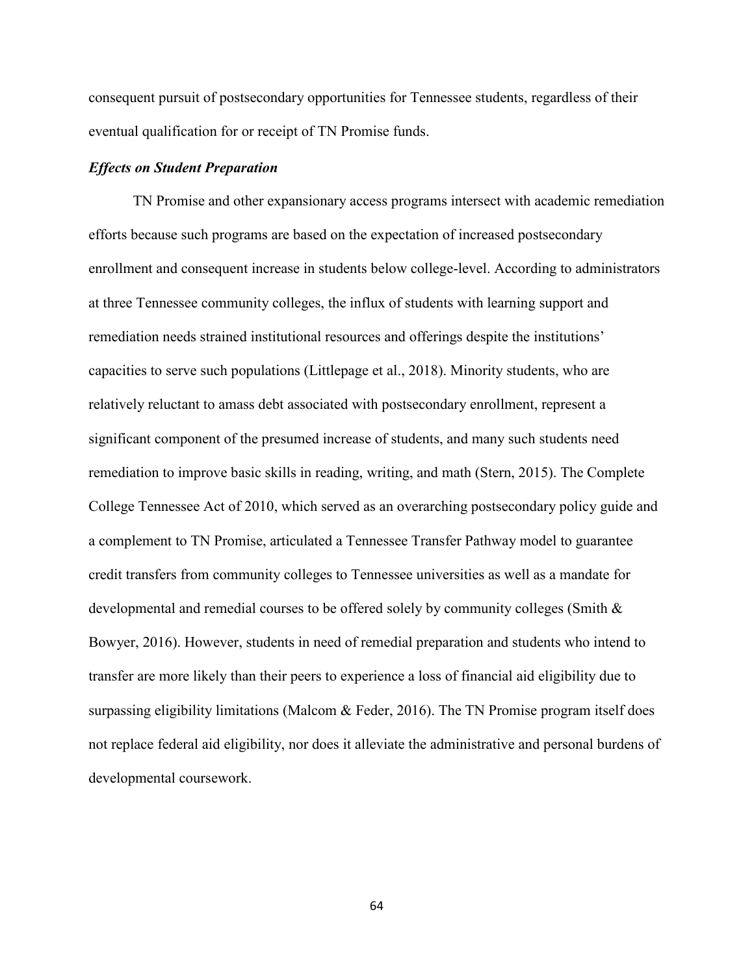consequent pursuit of postsecondary opportunities for Tennessee students, regardless of their eventual qualification for or receipt of TN Promise funds.

## *Effects on Student Preparation*

TN Promise and other expansionary access programs intersect with academic remediation efforts because such programs are based on the expectation of increased postsecondary enrollment and consequent increase in students below college-level. According to administrators at three Tennessee community colleges, the influx of students with learning support and remediation needs strained institutional resources and offerings despite the institutions' capacities to serve such populations (Littlepage et al., 2018). Minority students, who are relatively reluctant to amass debt associated with postsecondary enrollment, represent a significant component of the presumed increase of students, and many such students need remediation to improve basic skills in reading, writing, and math (Stern, 2015). The Complete College Tennessee Act of 2010, which served as an overarching postsecondary policy guide and a complement to TN Promise, articulated a Tennessee Transfer Pathway model to guarantee credit transfers from community colleges to Tennessee universities as well as a mandate for developmental and remedial courses to be offered solely by community colleges (Smith & Bowyer, 2016). However, students in need of remedial preparation and students who intend to transfer are more likely than their peers to experience a loss of financial aid eligibility due to surpassing eligibility limitations (Malcom & Feder, 2016). The TN Promise program itself does not replace federal aid eligibility, nor does it alleviate the administrative and personal burdens of developmental coursework.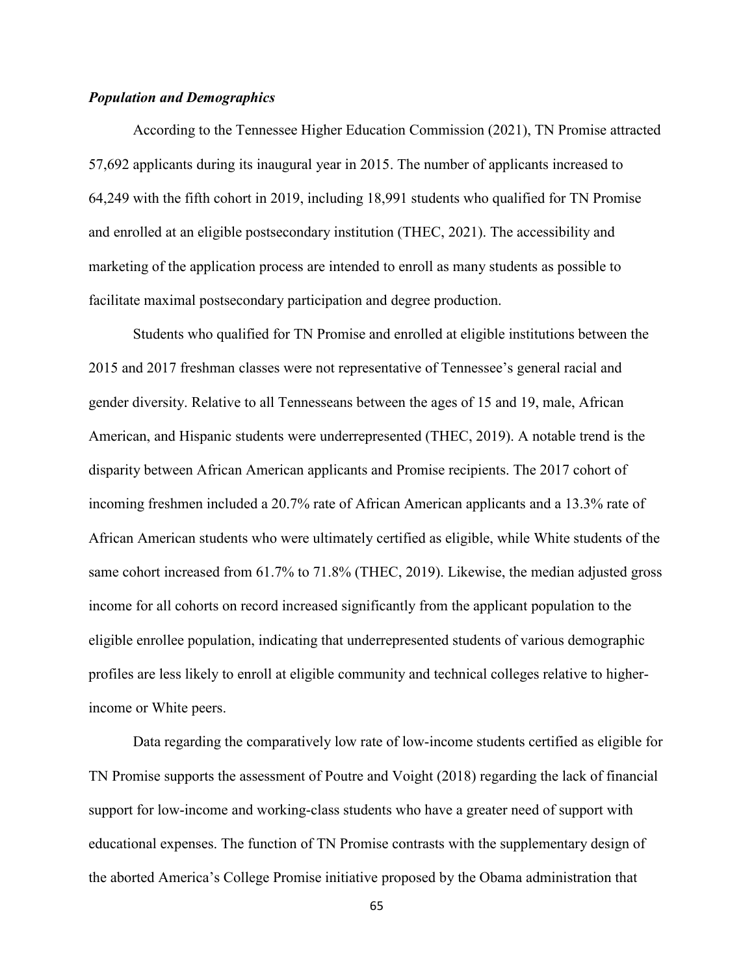# *Population and Demographics*

According to the Tennessee Higher Education Commission (2021), TN Promise attracted 57,692 applicants during its inaugural year in 2015. The number of applicants increased to 64,249 with the fifth cohort in 2019, including 18,991 students who qualified for TN Promise and enrolled at an eligible postsecondary institution (THEC, 2021). The accessibility and marketing of the application process are intended to enroll as many students as possible to facilitate maximal postsecondary participation and degree production.

Students who qualified for TN Promise and enrolled at eligible institutions between the 2015 and 2017 freshman classes were not representative of Tennessee's general racial and gender diversity. Relative to all Tennesseans between the ages of 15 and 19, male, African American, and Hispanic students were underrepresented (THEC, 2019). A notable trend is the disparity between African American applicants and Promise recipients. The 2017 cohort of incoming freshmen included a 20.7% rate of African American applicants and a 13.3% rate of African American students who were ultimately certified as eligible, while White students of the same cohort increased from 61.7% to 71.8% (THEC, 2019). Likewise, the median adjusted gross income for all cohorts on record increased significantly from the applicant population to the eligible enrollee population, indicating that underrepresented students of various demographic profiles are less likely to enroll at eligible community and technical colleges relative to higherincome or White peers.

Data regarding the comparatively low rate of low-income students certified as eligible for TN Promise supports the assessment of Poutre and Voight (2018) regarding the lack of financial support for low-income and working-class students who have a greater need of support with educational expenses. The function of TN Promise contrasts with the supplementary design of the aborted America's College Promise initiative proposed by the Obama administration that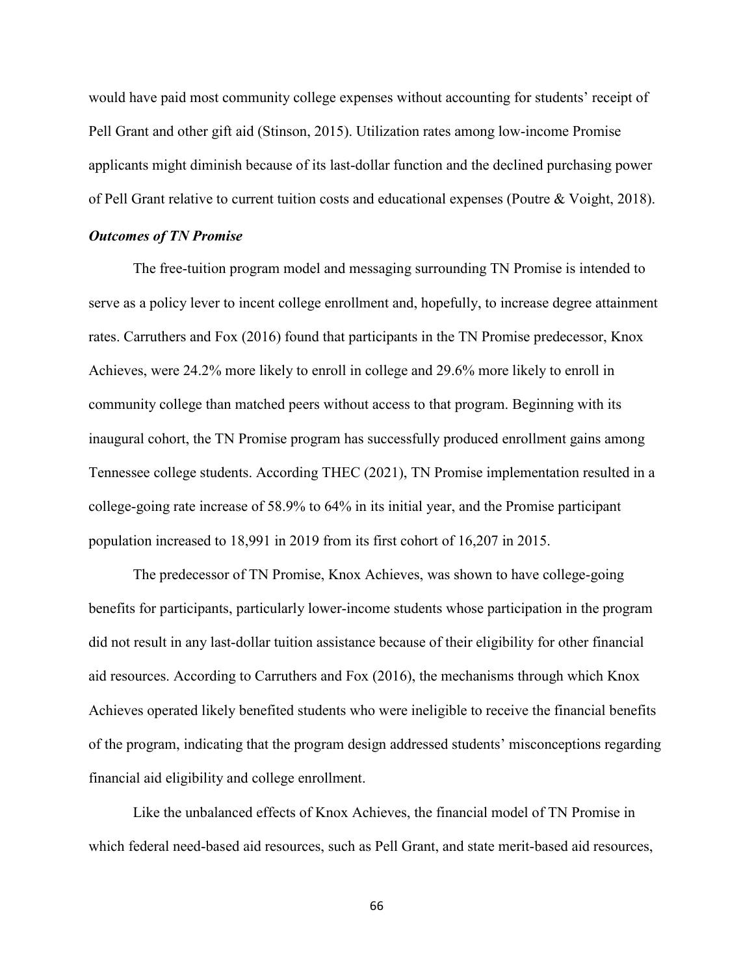would have paid most community college expenses without accounting for students' receipt of Pell Grant and other gift aid (Stinson, 2015). Utilization rates among low-income Promise applicants might diminish because of its last-dollar function and the declined purchasing power of Pell Grant relative to current tuition costs and educational expenses (Poutre & Voight, 2018).

### *Outcomes of TN Promise*

The free-tuition program model and messaging surrounding TN Promise is intended to serve as a policy lever to incent college enrollment and, hopefully, to increase degree attainment rates. Carruthers and Fox (2016) found that participants in the TN Promise predecessor, Knox Achieves, were 24.2% more likely to enroll in college and 29.6% more likely to enroll in community college than matched peers without access to that program. Beginning with its inaugural cohort, the TN Promise program has successfully produced enrollment gains among Tennessee college students. According THEC (2021), TN Promise implementation resulted in a college-going rate increase of 58.9% to 64% in its initial year, and the Promise participant population increased to 18,991 in 2019 from its first cohort of 16,207 in 2015.

The predecessor of TN Promise, Knox Achieves, was shown to have college-going benefits for participants, particularly lower-income students whose participation in the program did not result in any last-dollar tuition assistance because of their eligibility for other financial aid resources. According to Carruthers and Fox (2016), the mechanisms through which Knox Achieves operated likely benefited students who were ineligible to receive the financial benefits of the program, indicating that the program design addressed students' misconceptions regarding financial aid eligibility and college enrollment.

Like the unbalanced effects of Knox Achieves, the financial model of TN Promise in which federal need-based aid resources, such as Pell Grant, and state merit-based aid resources,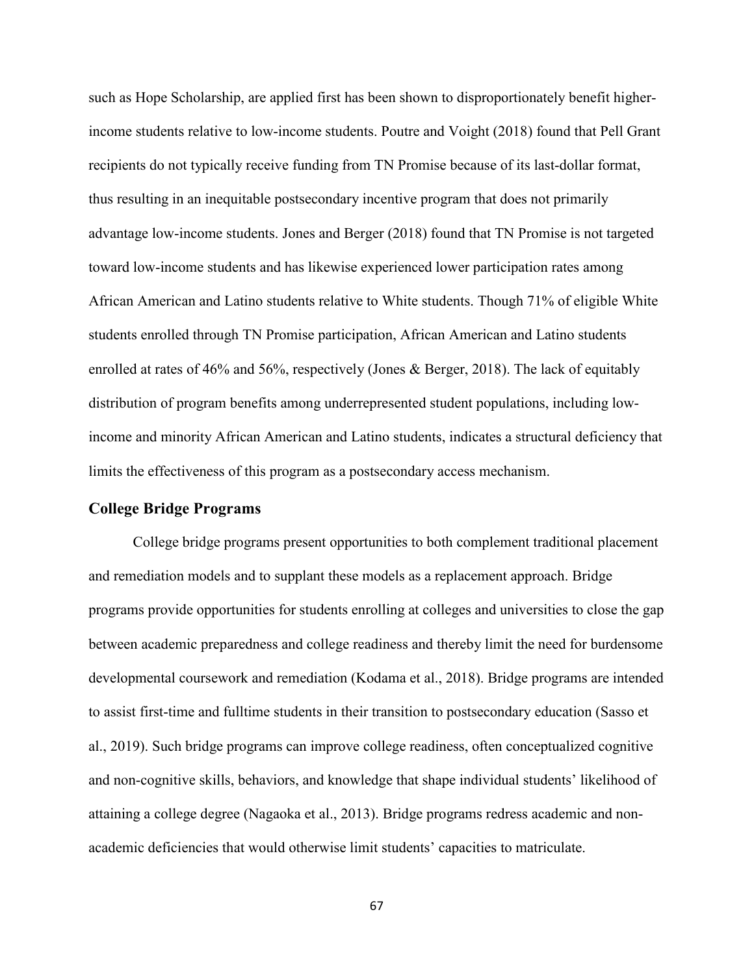such as Hope Scholarship, are applied first has been shown to disproportionately benefit higherincome students relative to low-income students. Poutre and Voight (2018) found that Pell Grant recipients do not typically receive funding from TN Promise because of its last-dollar format, thus resulting in an inequitable postsecondary incentive program that does not primarily advantage low-income students. Jones and Berger (2018) found that TN Promise is not targeted toward low-income students and has likewise experienced lower participation rates among African American and Latino students relative to White students. Though 71% of eligible White students enrolled through TN Promise participation, African American and Latino students enrolled at rates of 46% and 56%, respectively (Jones & Berger, 2018). The lack of equitably distribution of program benefits among underrepresented student populations, including lowincome and minority African American and Latino students, indicates a structural deficiency that limits the effectiveness of this program as a postsecondary access mechanism.

## **College Bridge Programs**

College bridge programs present opportunities to both complement traditional placement and remediation models and to supplant these models as a replacement approach. Bridge programs provide opportunities for students enrolling at colleges and universities to close the gap between academic preparedness and college readiness and thereby limit the need for burdensome developmental coursework and remediation (Kodama et al., 2018). Bridge programs are intended to assist first-time and fulltime students in their transition to postsecondary education (Sasso et al., 2019). Such bridge programs can improve college readiness, often conceptualized cognitive and non-cognitive skills, behaviors, and knowledge that shape individual students' likelihood of attaining a college degree (Nagaoka et al., 2013). Bridge programs redress academic and nonacademic deficiencies that would otherwise limit students' capacities to matriculate.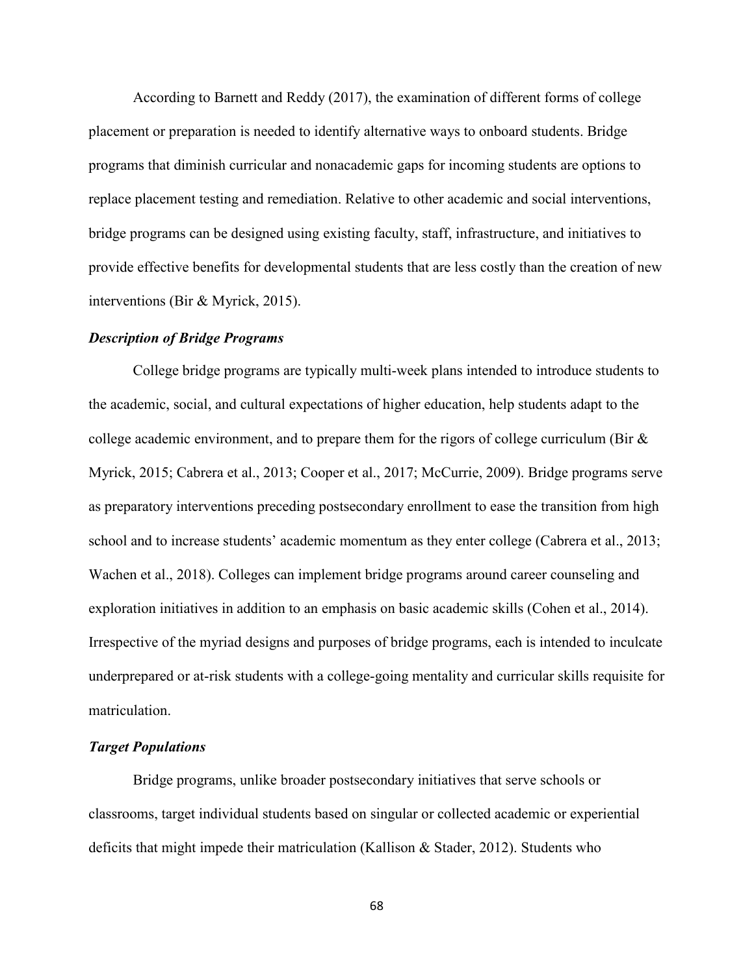According to Barnett and Reddy (2017), the examination of different forms of college placement or preparation is needed to identify alternative ways to onboard students. Bridge programs that diminish curricular and nonacademic gaps for incoming students are options to replace placement testing and remediation. Relative to other academic and social interventions, bridge programs can be designed using existing faculty, staff, infrastructure, and initiatives to provide effective benefits for developmental students that are less costly than the creation of new interventions (Bir & Myrick, 2015).

## *Description of Bridge Programs*

College bridge programs are typically multi-week plans intended to introduce students to the academic, social, and cultural expectations of higher education, help students adapt to the college academic environment, and to prepare them for the rigors of college curriculum (Bir  $\&$ Myrick, 2015; Cabrera et al., 2013; Cooper et al., 2017; McCurrie, 2009). Bridge programs serve as preparatory interventions preceding postsecondary enrollment to ease the transition from high school and to increase students' academic momentum as they enter college (Cabrera et al., 2013; Wachen et al., 2018). Colleges can implement bridge programs around career counseling and exploration initiatives in addition to an emphasis on basic academic skills (Cohen et al., 2014). Irrespective of the myriad designs and purposes of bridge programs, each is intended to inculcate underprepared or at-risk students with a college-going mentality and curricular skills requisite for matriculation.

## *Target Populations*

Bridge programs, unlike broader postsecondary initiatives that serve schools or classrooms, target individual students based on singular or collected academic or experiential deficits that might impede their matriculation (Kallison & Stader, 2012). Students who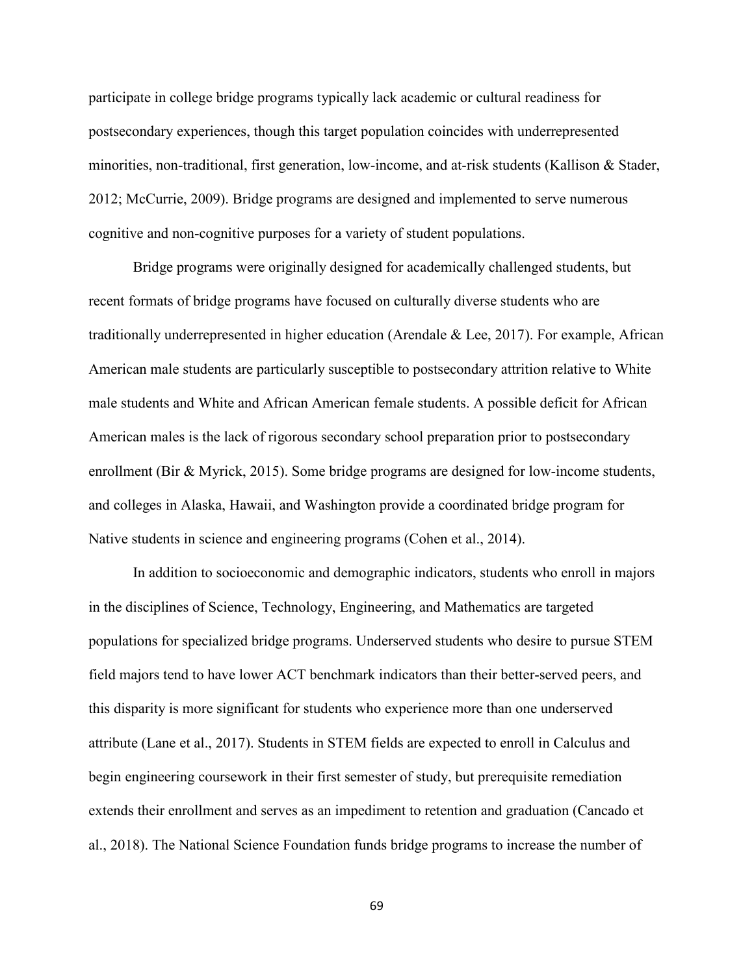participate in college bridge programs typically lack academic or cultural readiness for postsecondary experiences, though this target population coincides with underrepresented minorities, non-traditional, first generation, low-income, and at-risk students (Kallison & Stader, 2012; McCurrie, 2009). Bridge programs are designed and implemented to serve numerous cognitive and non-cognitive purposes for a variety of student populations.

Bridge programs were originally designed for academically challenged students, but recent formats of bridge programs have focused on culturally diverse students who are traditionally underrepresented in higher education (Arendale & Lee, 2017). For example, African American male students are particularly susceptible to postsecondary attrition relative to White male students and White and African American female students. A possible deficit for African American males is the lack of rigorous secondary school preparation prior to postsecondary enrollment (Bir & Myrick, 2015). Some bridge programs are designed for low-income students, and colleges in Alaska, Hawaii, and Washington provide a coordinated bridge program for Native students in science and engineering programs (Cohen et al., 2014).

In addition to socioeconomic and demographic indicators, students who enroll in majors in the disciplines of Science, Technology, Engineering, and Mathematics are targeted populations for specialized bridge programs. Underserved students who desire to pursue STEM field majors tend to have lower ACT benchmark indicators than their better-served peers, and this disparity is more significant for students who experience more than one underserved attribute (Lane et al., 2017). Students in STEM fields are expected to enroll in Calculus and begin engineering coursework in their first semester of study, but prerequisite remediation extends their enrollment and serves as an impediment to retention and graduation (Cancado et al., 2018). The National Science Foundation funds bridge programs to increase the number of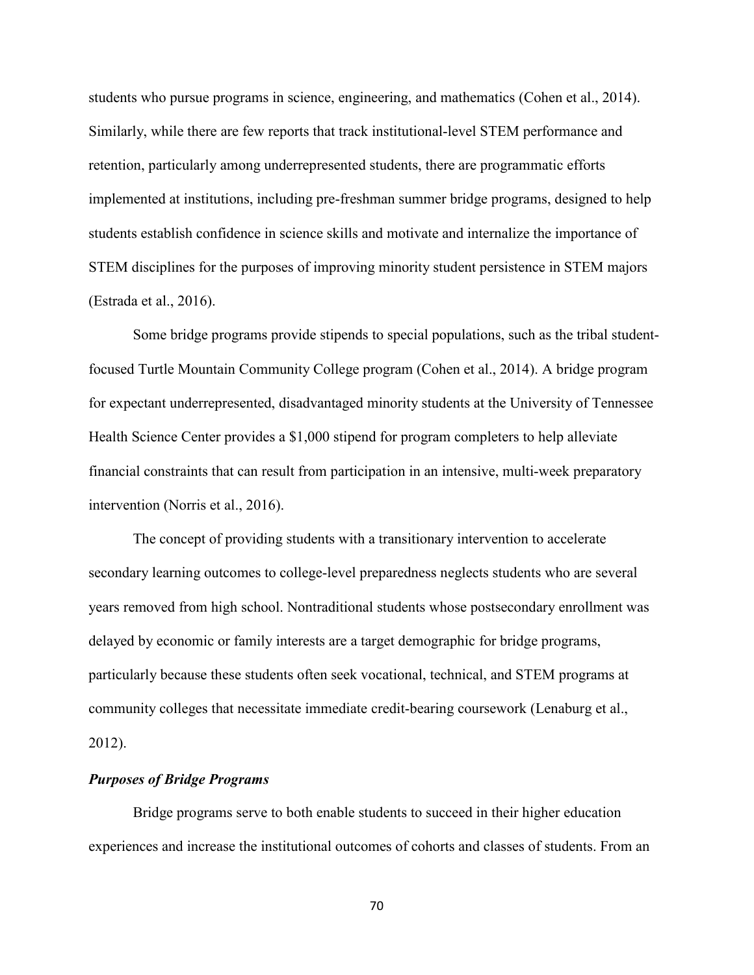students who pursue programs in science, engineering, and mathematics (Cohen et al., 2014). Similarly, while there are few reports that track institutional-level STEM performance and retention, particularly among underrepresented students, there are programmatic efforts implemented at institutions, including pre-freshman summer bridge programs, designed to help students establish confidence in science skills and motivate and internalize the importance of STEM disciplines for the purposes of improving minority student persistence in STEM majors (Estrada et al., 2016).

Some bridge programs provide stipends to special populations, such as the tribal studentfocused Turtle Mountain Community College program (Cohen et al., 2014). A bridge program for expectant underrepresented, disadvantaged minority students at the University of Tennessee Health Science Center provides a \$1,000 stipend for program completers to help alleviate financial constraints that can result from participation in an intensive, multi-week preparatory intervention (Norris et al., 2016).

The concept of providing students with a transitionary intervention to accelerate secondary learning outcomes to college-level preparedness neglects students who are several years removed from high school. Nontraditional students whose postsecondary enrollment was delayed by economic or family interests are a target demographic for bridge programs, particularly because these students often seek vocational, technical, and STEM programs at community colleges that necessitate immediate credit-bearing coursework (Lenaburg et al., 2012).

## *Purposes of Bridge Programs*

Bridge programs serve to both enable students to succeed in their higher education experiences and increase the institutional outcomes of cohorts and classes of students. From an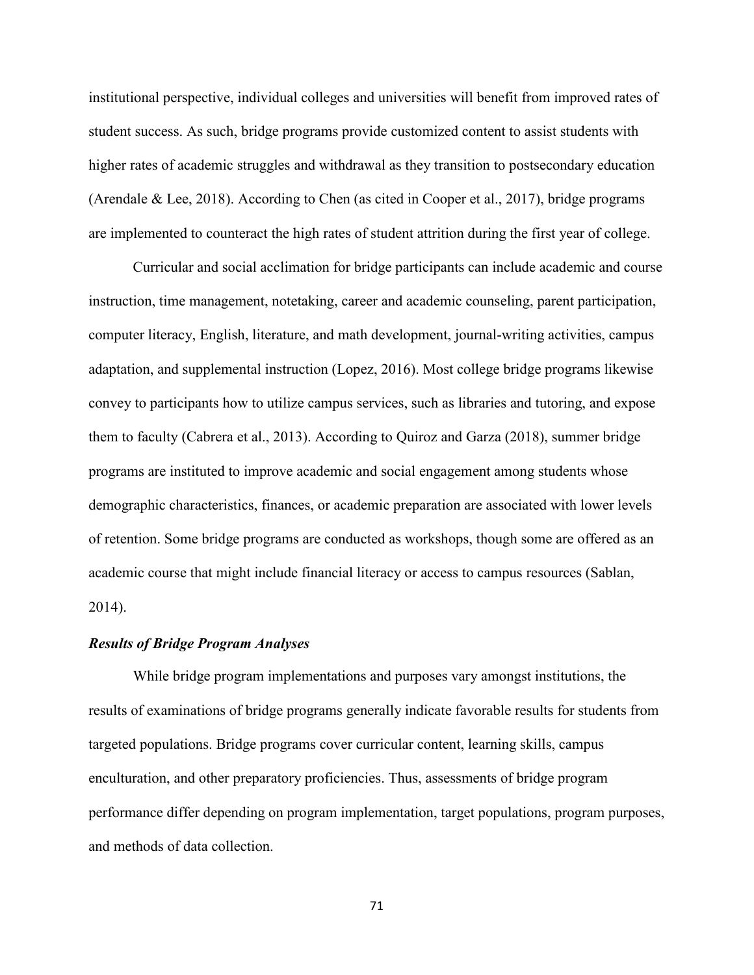institutional perspective, individual colleges and universities will benefit from improved rates of student success. As such, bridge programs provide customized content to assist students with higher rates of academic struggles and withdrawal as they transition to postsecondary education (Arendale & Lee, 2018). According to Chen (as cited in Cooper et al., 2017), bridge programs are implemented to counteract the high rates of student attrition during the first year of college.

Curricular and social acclimation for bridge participants can include academic and course instruction, time management, notetaking, career and academic counseling, parent participation, computer literacy, English, literature, and math development, journal-writing activities, campus adaptation, and supplemental instruction (Lopez, 2016). Most college bridge programs likewise convey to participants how to utilize campus services, such as libraries and tutoring, and expose them to faculty (Cabrera et al., 2013). According to Quiroz and Garza (2018), summer bridge programs are instituted to improve academic and social engagement among students whose demographic characteristics, finances, or academic preparation are associated with lower levels of retention. Some bridge programs are conducted as workshops, though some are offered as an academic course that might include financial literacy or access to campus resources (Sablan, 2014).

## *Results of Bridge Program Analyses*

While bridge program implementations and purposes vary amongst institutions, the results of examinations of bridge programs generally indicate favorable results for students from targeted populations. Bridge programs cover curricular content, learning skills, campus enculturation, and other preparatory proficiencies. Thus, assessments of bridge program performance differ depending on program implementation, target populations, program purposes, and methods of data collection.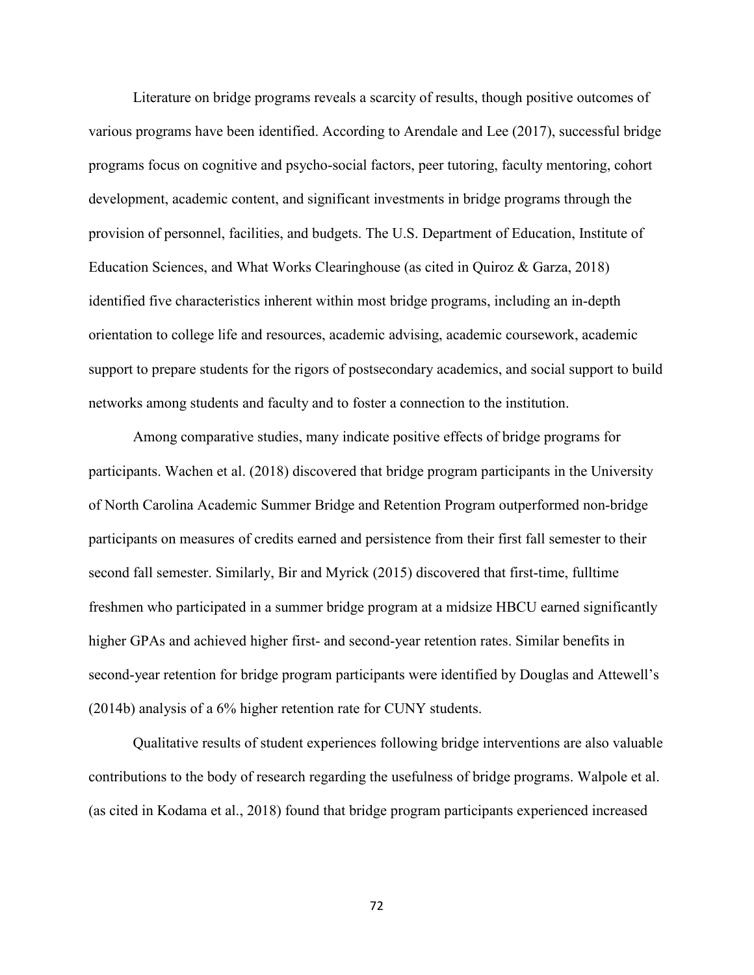Literature on bridge programs reveals a scarcity of results, though positive outcomes of various programs have been identified. According to Arendale and Lee (2017), successful bridge programs focus on cognitive and psycho-social factors, peer tutoring, faculty mentoring, cohort development, academic content, and significant investments in bridge programs through the provision of personnel, facilities, and budgets. The U.S. Department of Education, Institute of Education Sciences, and What Works Clearinghouse (as cited in Quiroz & Garza, 2018) identified five characteristics inherent within most bridge programs, including an in-depth orientation to college life and resources, academic advising, academic coursework, academic support to prepare students for the rigors of postsecondary academics, and social support to build networks among students and faculty and to foster a connection to the institution.

Among comparative studies, many indicate positive effects of bridge programs for participants. Wachen et al. (2018) discovered that bridge program participants in the University of North Carolina Academic Summer Bridge and Retention Program outperformed non-bridge participants on measures of credits earned and persistence from their first fall semester to their second fall semester. Similarly, Bir and Myrick (2015) discovered that first-time, fulltime freshmen who participated in a summer bridge program at a midsize HBCU earned significantly higher GPAs and achieved higher first- and second-year retention rates. Similar benefits in second-year retention for bridge program participants were identified by Douglas and Attewell's (2014b) analysis of a 6% higher retention rate for CUNY students.

Qualitative results of student experiences following bridge interventions are also valuable contributions to the body of research regarding the usefulness of bridge programs. Walpole et al. (as cited in Kodama et al., 2018) found that bridge program participants experienced increased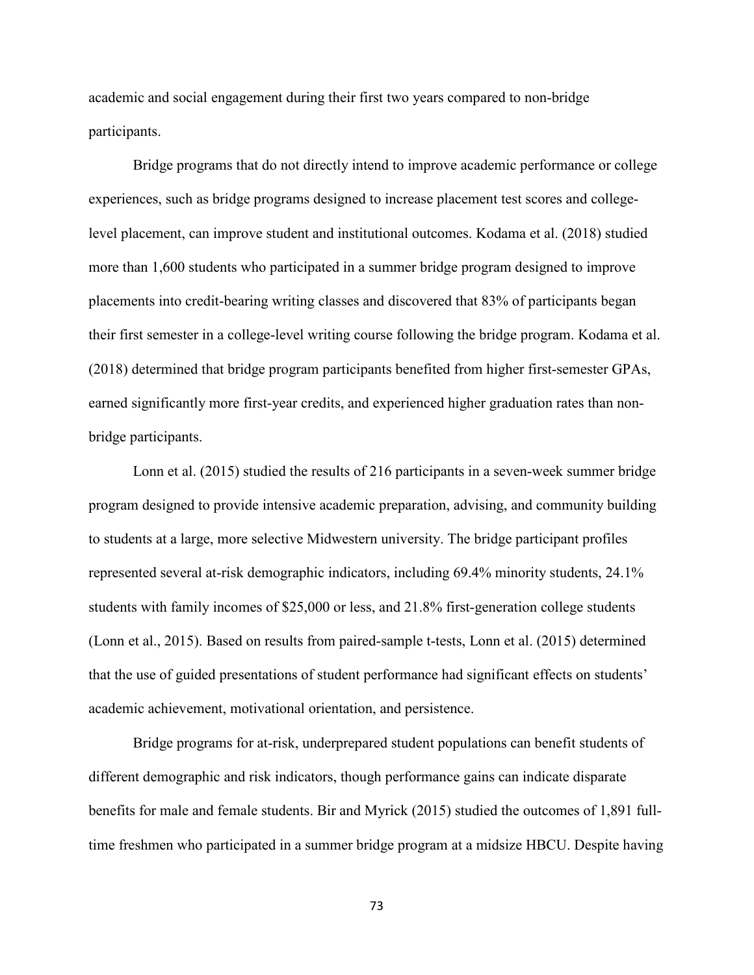academic and social engagement during their first two years compared to non-bridge participants.

Bridge programs that do not directly intend to improve academic performance or college experiences, such as bridge programs designed to increase placement test scores and collegelevel placement, can improve student and institutional outcomes. Kodama et al. (2018) studied more than 1,600 students who participated in a summer bridge program designed to improve placements into credit-bearing writing classes and discovered that 83% of participants began their first semester in a college-level writing course following the bridge program. Kodama et al. (2018) determined that bridge program participants benefited from higher first-semester GPAs, earned significantly more first-year credits, and experienced higher graduation rates than nonbridge participants.

Lonn et al. (2015) studied the results of 216 participants in a seven-week summer bridge program designed to provide intensive academic preparation, advising, and community building to students at a large, more selective Midwestern university. The bridge participant profiles represented several at-risk demographic indicators, including 69.4% minority students, 24.1% students with family incomes of \$25,000 or less, and 21.8% first-generation college students (Lonn et al., 2015). Based on results from paired-sample t-tests, Lonn et al. (2015) determined that the use of guided presentations of student performance had significant effects on students' academic achievement, motivational orientation, and persistence.

Bridge programs for at-risk, underprepared student populations can benefit students of different demographic and risk indicators, though performance gains can indicate disparate benefits for male and female students. Bir and Myrick (2015) studied the outcomes of 1,891 fulltime freshmen who participated in a summer bridge program at a midsize HBCU. Despite having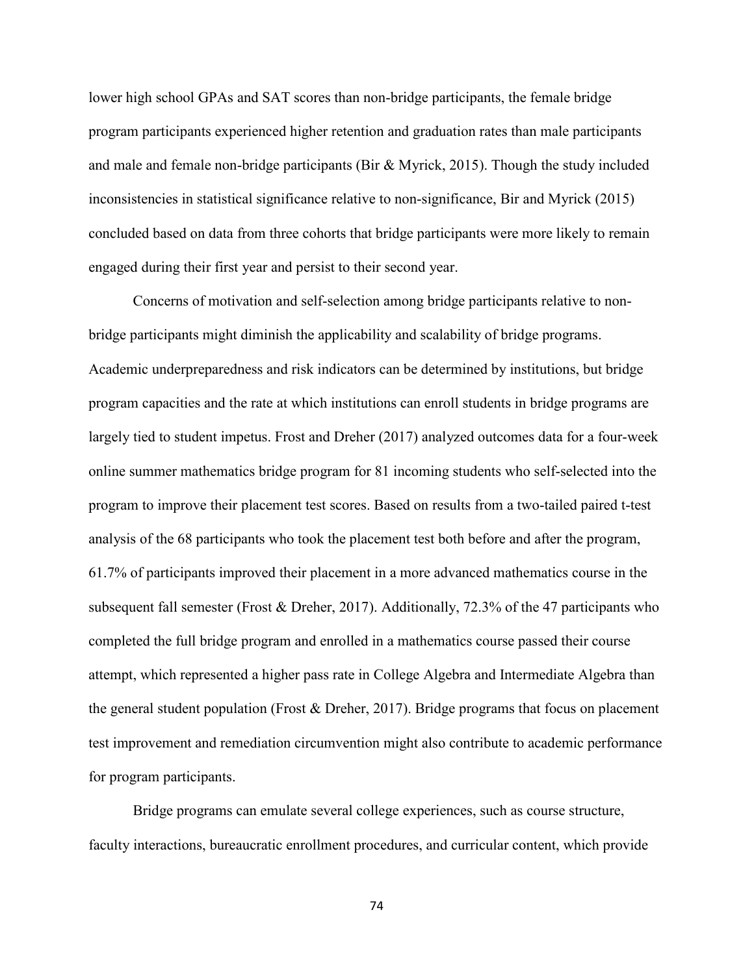lower high school GPAs and SAT scores than non-bridge participants, the female bridge program participants experienced higher retention and graduation rates than male participants and male and female non-bridge participants (Bir & Myrick, 2015). Though the study included inconsistencies in statistical significance relative to non-significance, Bir and Myrick (2015) concluded based on data from three cohorts that bridge participants were more likely to remain engaged during their first year and persist to their second year.

Concerns of motivation and self-selection among bridge participants relative to nonbridge participants might diminish the applicability and scalability of bridge programs. Academic underpreparedness and risk indicators can be determined by institutions, but bridge program capacities and the rate at which institutions can enroll students in bridge programs are largely tied to student impetus. Frost and Dreher (2017) analyzed outcomes data for a four-week online summer mathematics bridge program for 81 incoming students who self-selected into the program to improve their placement test scores. Based on results from a two-tailed paired t-test analysis of the 68 participants who took the placement test both before and after the program, 61.7% of participants improved their placement in a more advanced mathematics course in the subsequent fall semester (Frost & Dreher, 2017). Additionally, 72.3% of the 47 participants who completed the full bridge program and enrolled in a mathematics course passed their course attempt, which represented a higher pass rate in College Algebra and Intermediate Algebra than the general student population (Frost & Dreher, 2017). Bridge programs that focus on placement test improvement and remediation circumvention might also contribute to academic performance for program participants.

Bridge programs can emulate several college experiences, such as course structure, faculty interactions, bureaucratic enrollment procedures, and curricular content, which provide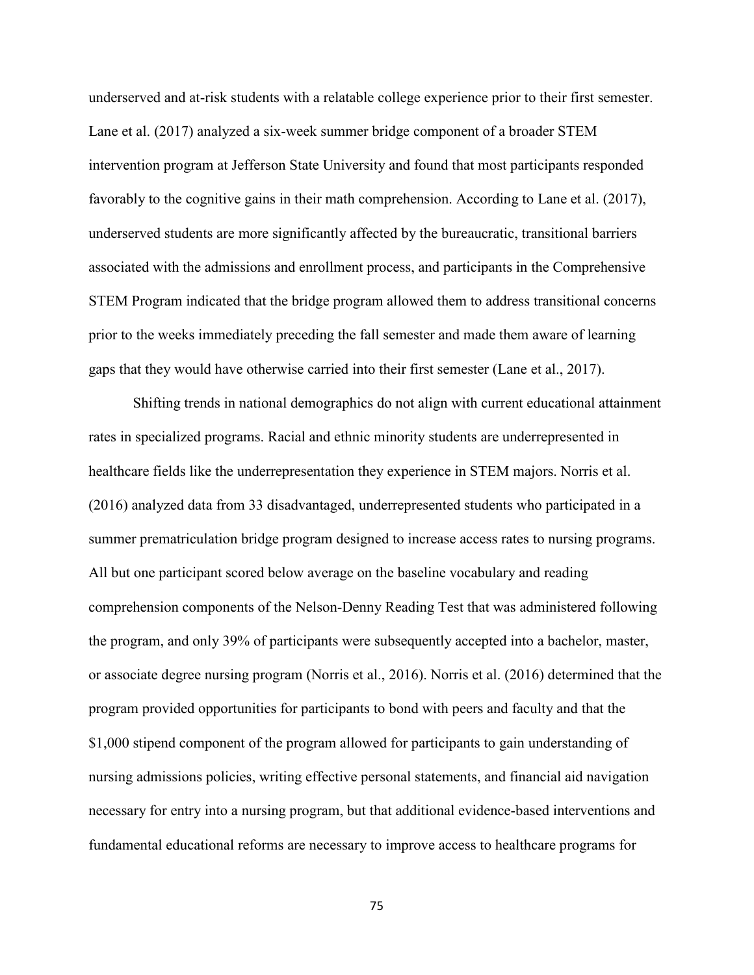underserved and at-risk students with a relatable college experience prior to their first semester. Lane et al. (2017) analyzed a six-week summer bridge component of a broader STEM intervention program at Jefferson State University and found that most participants responded favorably to the cognitive gains in their math comprehension. According to Lane et al. (2017), underserved students are more significantly affected by the bureaucratic, transitional barriers associated with the admissions and enrollment process, and participants in the Comprehensive STEM Program indicated that the bridge program allowed them to address transitional concerns prior to the weeks immediately preceding the fall semester and made them aware of learning gaps that they would have otherwise carried into their first semester (Lane et al., 2017).

Shifting trends in national demographics do not align with current educational attainment rates in specialized programs. Racial and ethnic minority students are underrepresented in healthcare fields like the underrepresentation they experience in STEM majors. Norris et al. (2016) analyzed data from 33 disadvantaged, underrepresented students who participated in a summer prematriculation bridge program designed to increase access rates to nursing programs. All but one participant scored below average on the baseline vocabulary and reading comprehension components of the Nelson-Denny Reading Test that was administered following the program, and only 39% of participants were subsequently accepted into a bachelor, master, or associate degree nursing program (Norris et al., 2016). Norris et al. (2016) determined that the program provided opportunities for participants to bond with peers and faculty and that the \$1,000 stipend component of the program allowed for participants to gain understanding of nursing admissions policies, writing effective personal statements, and financial aid navigation necessary for entry into a nursing program, but that additional evidence-based interventions and fundamental educational reforms are necessary to improve access to healthcare programs for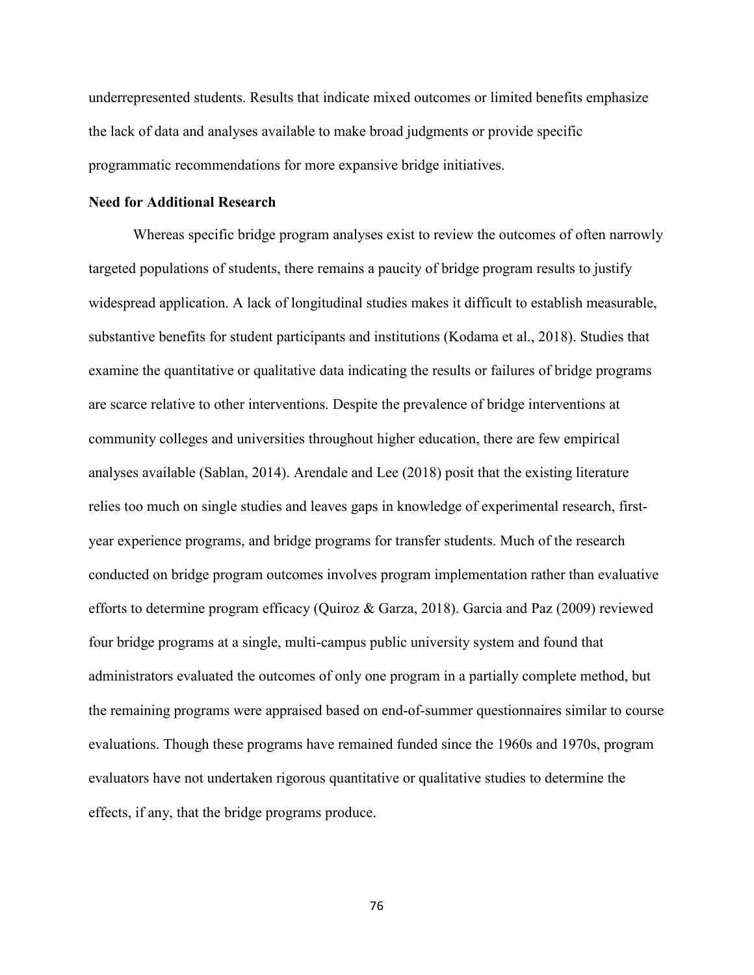underrepresented students. Results that indicate mixed outcomes or limited benefits emphasize the lack of data and analyses available to make broad judgments or provide specific programmatic recommendations for more expansive bridge initiatives.

#### **Need for Additional Research**

Whereas specific bridge program analyses exist to review the outcomes of often narrowly targeted populations of students, there remains a paucity of bridge program results to justify widespread application. A lack of longitudinal studies makes it difficult to establish measurable, substantive benefits for student participants and institutions (Kodama et al., 2018). Studies that examine the quantitative or qualitative data indicating the results or failures of bridge programs are scarce relative to other interventions. Despite the prevalence of bridge interventions at community colleges and universities throughout higher education, there are few empirical analyses available (Sablan, 2014). Arendale and Lee (2018) posit that the existing literature relies too much on single studies and leaves gaps in knowledge of experimental research, firstyear experience programs, and bridge programs for transfer students. Much of the research conducted on bridge program outcomes involves program implementation rather than evaluative efforts to determine program efficacy (Quiroz & Garza, 2018). Garcia and Paz (2009) reviewed four bridge programs at a single, multi-campus public university system and found that administrators evaluated the outcomes of only one program in a partially complete method, but the remaining programs were appraised based on end-of-summer questionnaires similar to course evaluations. Though these programs have remained funded since the 1960s and 1970s, program evaluators have not undertaken rigorous quantitative or qualitative studies to determine the effects, if any, that the bridge programs produce.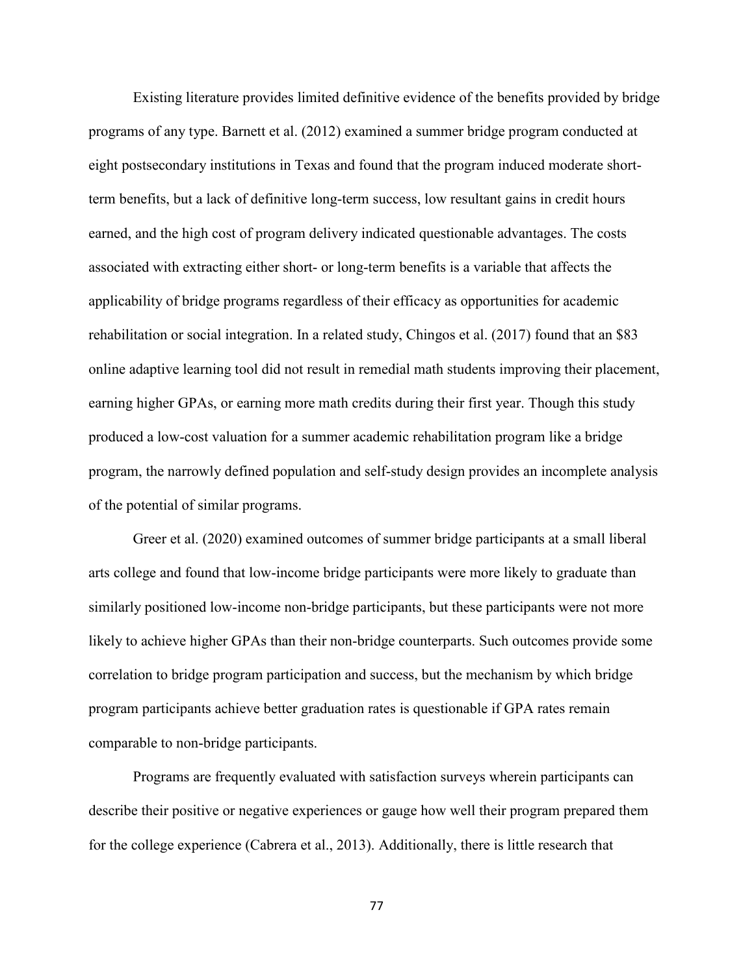Existing literature provides limited definitive evidence of the benefits provided by bridge programs of any type. Barnett et al. (2012) examined a summer bridge program conducted at eight postsecondary institutions in Texas and found that the program induced moderate shortterm benefits, but a lack of definitive long-term success, low resultant gains in credit hours earned, and the high cost of program delivery indicated questionable advantages. The costs associated with extracting either short- or long-term benefits is a variable that affects the applicability of bridge programs regardless of their efficacy as opportunities for academic rehabilitation or social integration. In a related study, Chingos et al. (2017) found that an \$83 online adaptive learning tool did not result in remedial math students improving their placement, earning higher GPAs, or earning more math credits during their first year. Though this study produced a low-cost valuation for a summer academic rehabilitation program like a bridge program, the narrowly defined population and self-study design provides an incomplete analysis of the potential of similar programs.

Greer et al. (2020) examined outcomes of summer bridge participants at a small liberal arts college and found that low-income bridge participants were more likely to graduate than similarly positioned low-income non-bridge participants, but these participants were not more likely to achieve higher GPAs than their non-bridge counterparts. Such outcomes provide some correlation to bridge program participation and success, but the mechanism by which bridge program participants achieve better graduation rates is questionable if GPA rates remain comparable to non-bridge participants.

Programs are frequently evaluated with satisfaction surveys wherein participants can describe their positive or negative experiences or gauge how well their program prepared them for the college experience (Cabrera et al., 2013). Additionally, there is little research that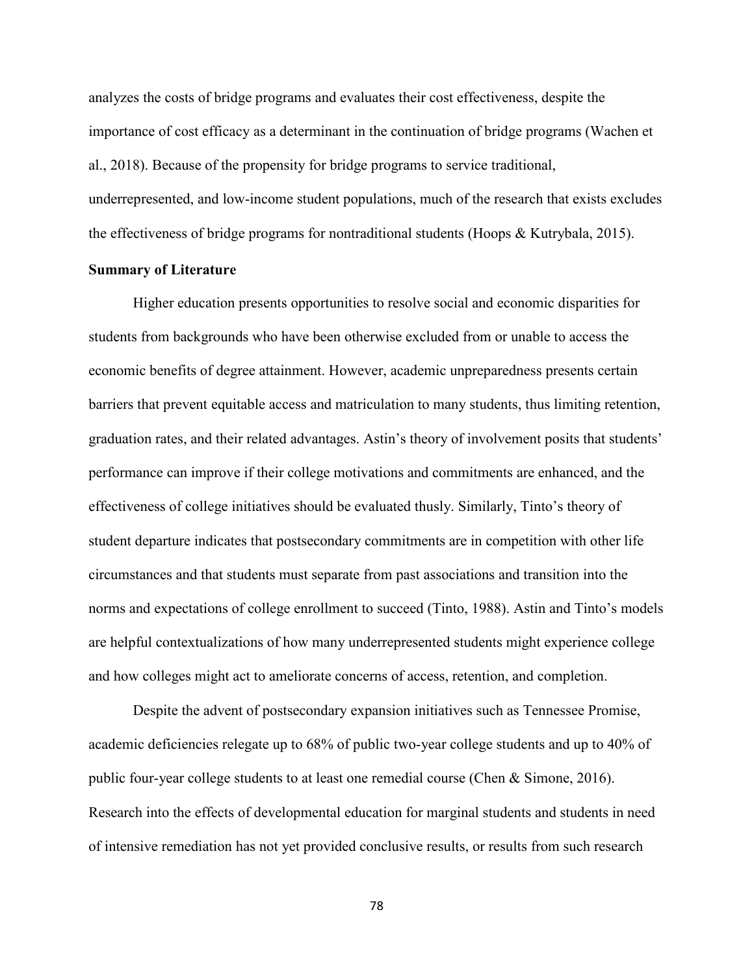analyzes the costs of bridge programs and evaluates their cost effectiveness, despite the importance of cost efficacy as a determinant in the continuation of bridge programs (Wachen et al., 2018). Because of the propensity for bridge programs to service traditional, underrepresented, and low-income student populations, much of the research that exists excludes the effectiveness of bridge programs for nontraditional students (Hoops & Kutrybala, 2015).

## **Summary of Literature**

Higher education presents opportunities to resolve social and economic disparities for students from backgrounds who have been otherwise excluded from or unable to access the economic benefits of degree attainment. However, academic unpreparedness presents certain barriers that prevent equitable access and matriculation to many students, thus limiting retention, graduation rates, and their related advantages. Astin's theory of involvement posits that students' performance can improve if their college motivations and commitments are enhanced, and the effectiveness of college initiatives should be evaluated thusly. Similarly, Tinto's theory of student departure indicates that postsecondary commitments are in competition with other life circumstances and that students must separate from past associations and transition into the norms and expectations of college enrollment to succeed (Tinto, 1988). Astin and Tinto's models are helpful contextualizations of how many underrepresented students might experience college and how colleges might act to ameliorate concerns of access, retention, and completion.

Despite the advent of postsecondary expansion initiatives such as Tennessee Promise, academic deficiencies relegate up to 68% of public two-year college students and up to 40% of public four-year college students to at least one remedial course (Chen & Simone, 2016). Research into the effects of developmental education for marginal students and students in need of intensive remediation has not yet provided conclusive results, or results from such research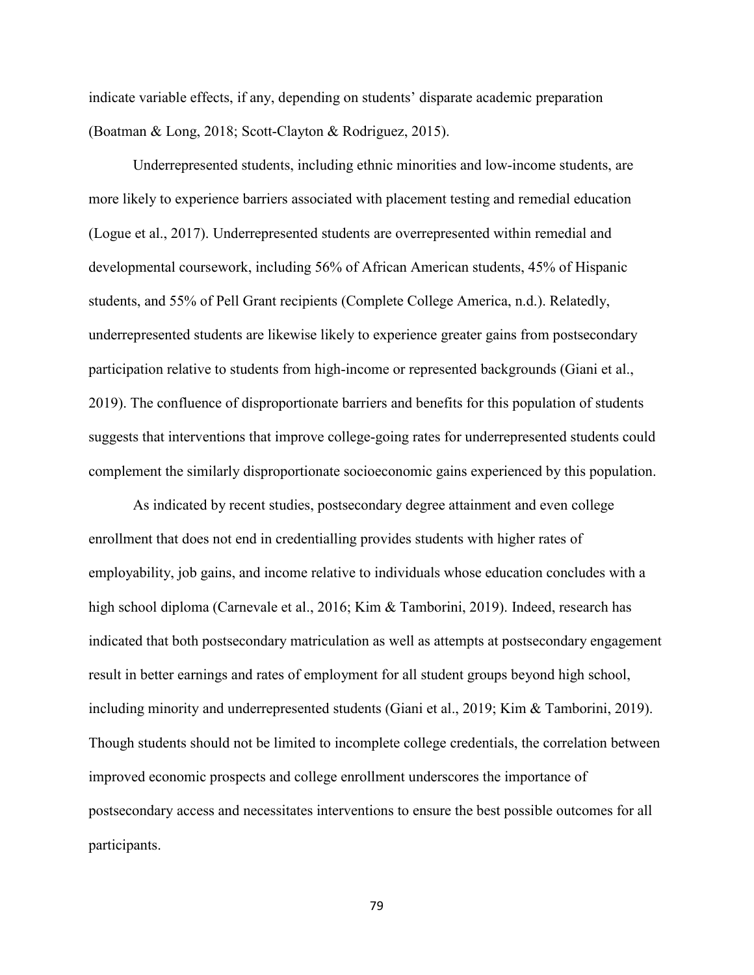indicate variable effects, if any, depending on students' disparate academic preparation (Boatman & Long, 2018; Scott-Clayton & Rodriguez, 2015).

Underrepresented students, including ethnic minorities and low-income students, are more likely to experience barriers associated with placement testing and remedial education (Logue et al., 2017). Underrepresented students are overrepresented within remedial and developmental coursework, including 56% of African American students, 45% of Hispanic students, and 55% of Pell Grant recipients (Complete College America, n.d.). Relatedly, underrepresented students are likewise likely to experience greater gains from postsecondary participation relative to students from high-income or represented backgrounds (Giani et al., 2019). The confluence of disproportionate barriers and benefits for this population of students suggests that interventions that improve college-going rates for underrepresented students could complement the similarly disproportionate socioeconomic gains experienced by this population.

As indicated by recent studies, postsecondary degree attainment and even college enrollment that does not end in credentialling provides students with higher rates of employability, job gains, and income relative to individuals whose education concludes with a high school diploma (Carnevale et al., 2016; Kim & Tamborini, 2019). Indeed, research has indicated that both postsecondary matriculation as well as attempts at postsecondary engagement result in better earnings and rates of employment for all student groups beyond high school, including minority and underrepresented students (Giani et al., 2019; Kim & Tamborini, 2019). Though students should not be limited to incomplete college credentials, the correlation between improved economic prospects and college enrollment underscores the importance of postsecondary access and necessitates interventions to ensure the best possible outcomes for all participants.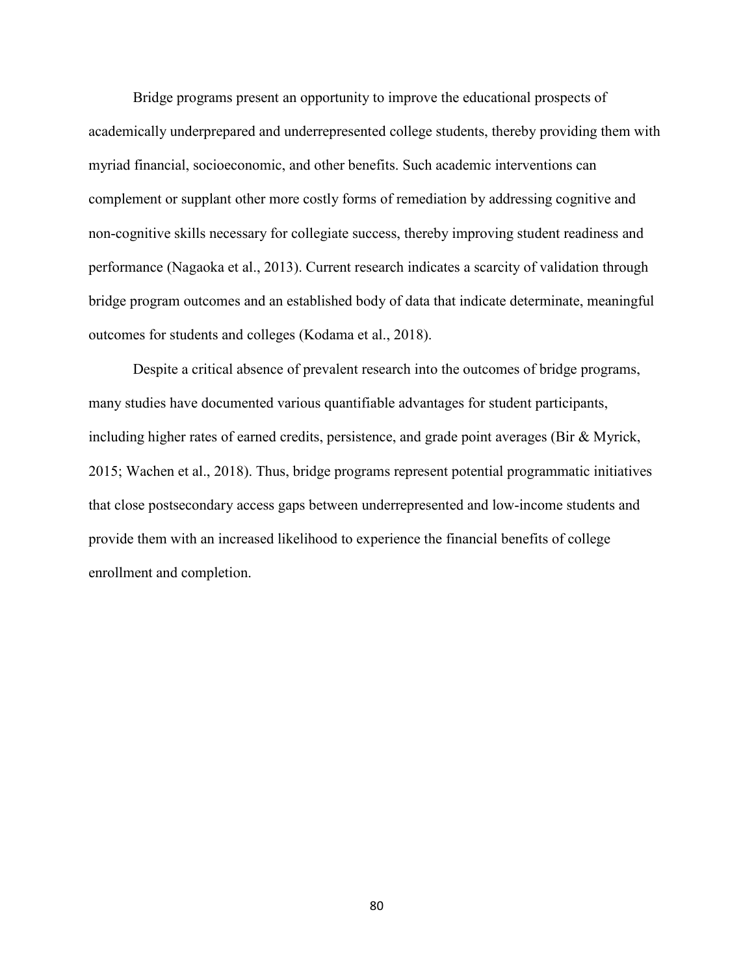Bridge programs present an opportunity to improve the educational prospects of academically underprepared and underrepresented college students, thereby providing them with myriad financial, socioeconomic, and other benefits. Such academic interventions can complement or supplant other more costly forms of remediation by addressing cognitive and non-cognitive skills necessary for collegiate success, thereby improving student readiness and performance (Nagaoka et al., 2013). Current research indicates a scarcity of validation through bridge program outcomes and an established body of data that indicate determinate, meaningful outcomes for students and colleges (Kodama et al., 2018).

Despite a critical absence of prevalent research into the outcomes of bridge programs, many studies have documented various quantifiable advantages for student participants, including higher rates of earned credits, persistence, and grade point averages (Bir & Myrick, 2015; Wachen et al., 2018). Thus, bridge programs represent potential programmatic initiatives that close postsecondary access gaps between underrepresented and low-income students and provide them with an increased likelihood to experience the financial benefits of college enrollment and completion.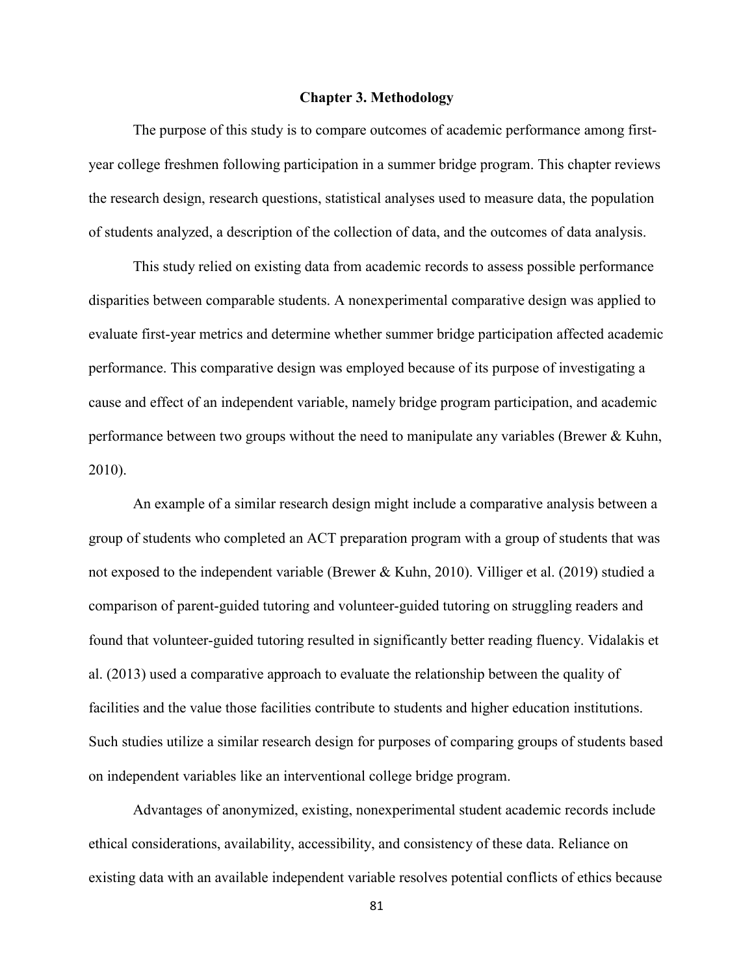### **Chapter 3. Methodology**

The purpose of this study is to compare outcomes of academic performance among firstyear college freshmen following participation in a summer bridge program. This chapter reviews the research design, research questions, statistical analyses used to measure data, the population of students analyzed, a description of the collection of data, and the outcomes of data analysis.

This study relied on existing data from academic records to assess possible performance disparities between comparable students. A nonexperimental comparative design was applied to evaluate first-year metrics and determine whether summer bridge participation affected academic performance. This comparative design was employed because of its purpose of investigating a cause and effect of an independent variable, namely bridge program participation, and academic performance between two groups without the need to manipulate any variables (Brewer & Kuhn, 2010).

An example of a similar research design might include a comparative analysis between a group of students who completed an ACT preparation program with a group of students that was not exposed to the independent variable (Brewer & Kuhn, 2010). Villiger et al. (2019) studied a comparison of parent-guided tutoring and volunteer-guided tutoring on struggling readers and found that volunteer-guided tutoring resulted in significantly better reading fluency. Vidalakis et al. (2013) used a comparative approach to evaluate the relationship between the quality of facilities and the value those facilities contribute to students and higher education institutions. Such studies utilize a similar research design for purposes of comparing groups of students based on independent variables like an interventional college bridge program.

Advantages of anonymized, existing, nonexperimental student academic records include ethical considerations, availability, accessibility, and consistency of these data. Reliance on existing data with an available independent variable resolves potential conflicts of ethics because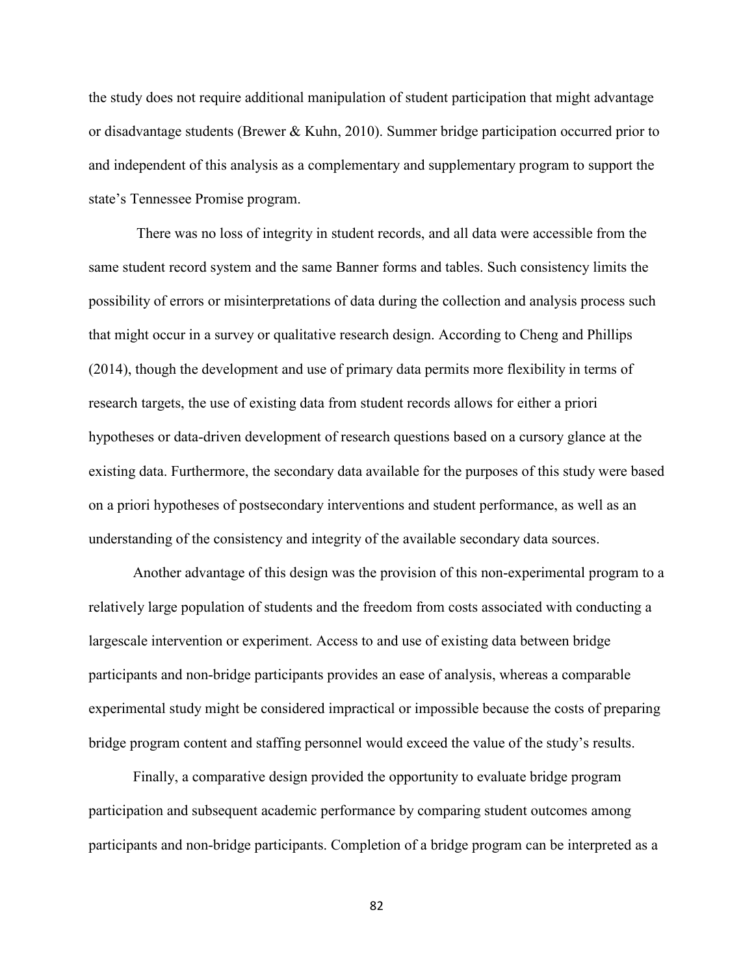the study does not require additional manipulation of student participation that might advantage or disadvantage students (Brewer & Kuhn, 2010). Summer bridge participation occurred prior to and independent of this analysis as a complementary and supplementary program to support the state's Tennessee Promise program.

There was no loss of integrity in student records, and all data were accessible from the same student record system and the same Banner forms and tables. Such consistency limits the possibility of errors or misinterpretations of data during the collection and analysis process such that might occur in a survey or qualitative research design. According to Cheng and Phillips (2014), though the development and use of primary data permits more flexibility in terms of research targets, the use of existing data from student records allows for either a priori hypotheses or data-driven development of research questions based on a cursory glance at the existing data. Furthermore, the secondary data available for the purposes of this study were based on a priori hypotheses of postsecondary interventions and student performance, as well as an understanding of the consistency and integrity of the available secondary data sources.

Another advantage of this design was the provision of this non-experimental program to a relatively large population of students and the freedom from costs associated with conducting a largescale intervention or experiment. Access to and use of existing data between bridge participants and non-bridge participants provides an ease of analysis, whereas a comparable experimental study might be considered impractical or impossible because the costs of preparing bridge program content and staffing personnel would exceed the value of the study's results.

Finally, a comparative design provided the opportunity to evaluate bridge program participation and subsequent academic performance by comparing student outcomes among participants and non-bridge participants. Completion of a bridge program can be interpreted as a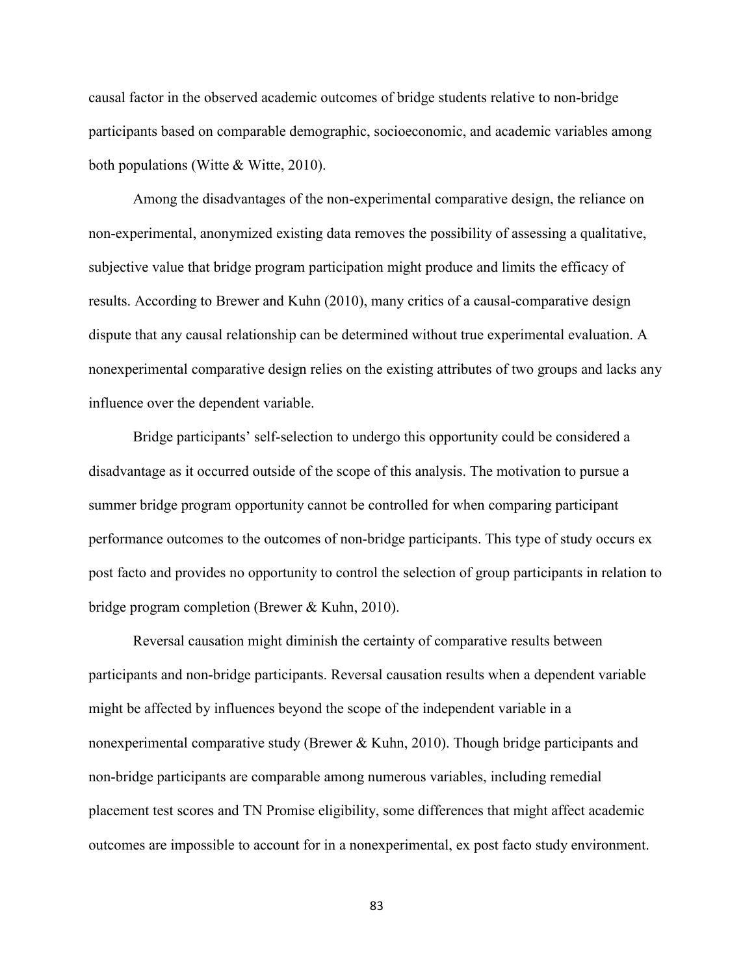causal factor in the observed academic outcomes of bridge students relative to non-bridge participants based on comparable demographic, socioeconomic, and academic variables among both populations (Witte & Witte, 2010).

Among the disadvantages of the non-experimental comparative design, the reliance on non-experimental, anonymized existing data removes the possibility of assessing a qualitative, subjective value that bridge program participation might produce and limits the efficacy of results. According to Brewer and Kuhn (2010), many critics of a causal-comparative design dispute that any causal relationship can be determined without true experimental evaluation. A nonexperimental comparative design relies on the existing attributes of two groups and lacks any influence over the dependent variable.

Bridge participants' self-selection to undergo this opportunity could be considered a disadvantage as it occurred outside of the scope of this analysis. The motivation to pursue a summer bridge program opportunity cannot be controlled for when comparing participant performance outcomes to the outcomes of non-bridge participants. This type of study occurs ex post facto and provides no opportunity to control the selection of group participants in relation to bridge program completion (Brewer & Kuhn, 2010).

Reversal causation might diminish the certainty of comparative results between participants and non-bridge participants. Reversal causation results when a dependent variable might be affected by influences beyond the scope of the independent variable in a nonexperimental comparative study (Brewer & Kuhn, 2010). Though bridge participants and non-bridge participants are comparable among numerous variables, including remedial placement test scores and TN Promise eligibility, some differences that might affect academic outcomes are impossible to account for in a nonexperimental, ex post facto study environment.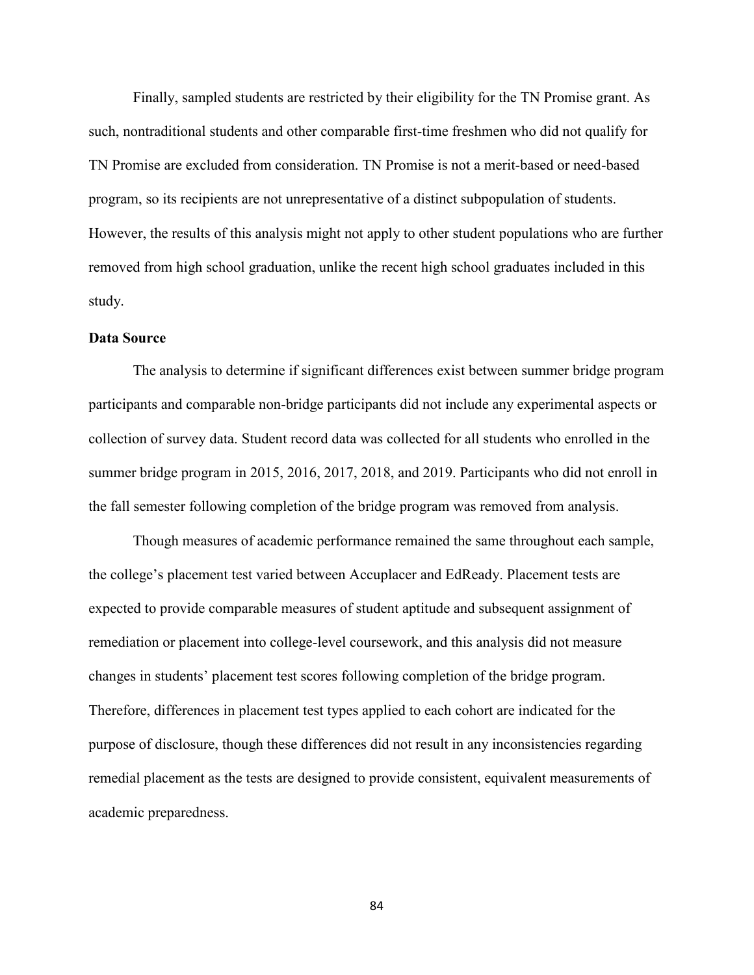Finally, sampled students are restricted by their eligibility for the TN Promise grant. As such, nontraditional students and other comparable first-time freshmen who did not qualify for TN Promise are excluded from consideration. TN Promise is not a merit-based or need-based program, so its recipients are not unrepresentative of a distinct subpopulation of students. However, the results of this analysis might not apply to other student populations who are further removed from high school graduation, unlike the recent high school graduates included in this study.

# **Data Source**

The analysis to determine if significant differences exist between summer bridge program participants and comparable non-bridge participants did not include any experimental aspects or collection of survey data. Student record data was collected for all students who enrolled in the summer bridge program in 2015, 2016, 2017, 2018, and 2019. Participants who did not enroll in the fall semester following completion of the bridge program was removed from analysis.

Though measures of academic performance remained the same throughout each sample, the college's placement test varied between Accuplacer and EdReady. Placement tests are expected to provide comparable measures of student aptitude and subsequent assignment of remediation or placement into college-level coursework, and this analysis did not measure changes in students' placement test scores following completion of the bridge program. Therefore, differences in placement test types applied to each cohort are indicated for the purpose of disclosure, though these differences did not result in any inconsistencies regarding remedial placement as the tests are designed to provide consistent, equivalent measurements of academic preparedness.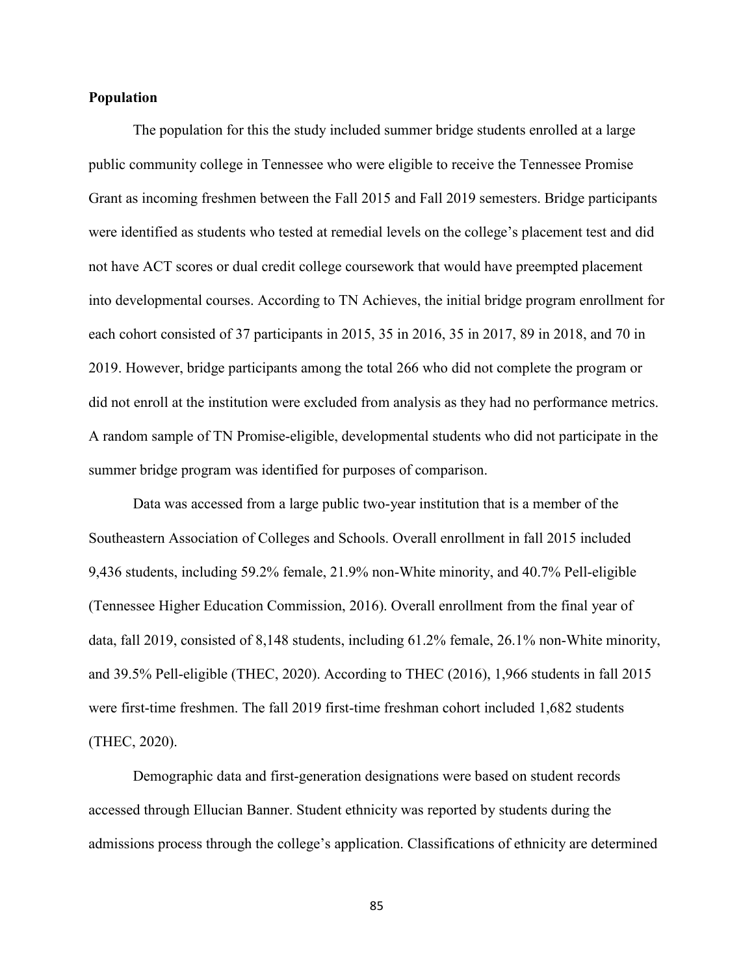### **Population**

The population for this the study included summer bridge students enrolled at a large public community college in Tennessee who were eligible to receive the Tennessee Promise Grant as incoming freshmen between the Fall 2015 and Fall 2019 semesters. Bridge participants were identified as students who tested at remedial levels on the college's placement test and did not have ACT scores or dual credit college coursework that would have preempted placement into developmental courses. According to TN Achieves, the initial bridge program enrollment for each cohort consisted of 37 participants in 2015, 35 in 2016, 35 in 2017, 89 in 2018, and 70 in 2019. However, bridge participants among the total 266 who did not complete the program or did not enroll at the institution were excluded from analysis as they had no performance metrics. A random sample of TN Promise-eligible, developmental students who did not participate in the summer bridge program was identified for purposes of comparison.

Data was accessed from a large public two-year institution that is a member of the Southeastern Association of Colleges and Schools. Overall enrollment in fall 2015 included 9,436 students, including 59.2% female, 21.9% non-White minority, and 40.7% Pell-eligible (Tennessee Higher Education Commission, 2016). Overall enrollment from the final year of data, fall 2019, consisted of 8,148 students, including 61.2% female, 26.1% non-White minority, and 39.5% Pell-eligible (THEC, 2020). According to THEC (2016), 1,966 students in fall 2015 were first-time freshmen. The fall 2019 first-time freshman cohort included 1,682 students (THEC, 2020).

Demographic data and first-generation designations were based on student records accessed through Ellucian Banner. Student ethnicity was reported by students during the admissions process through the college's application. Classifications of ethnicity are determined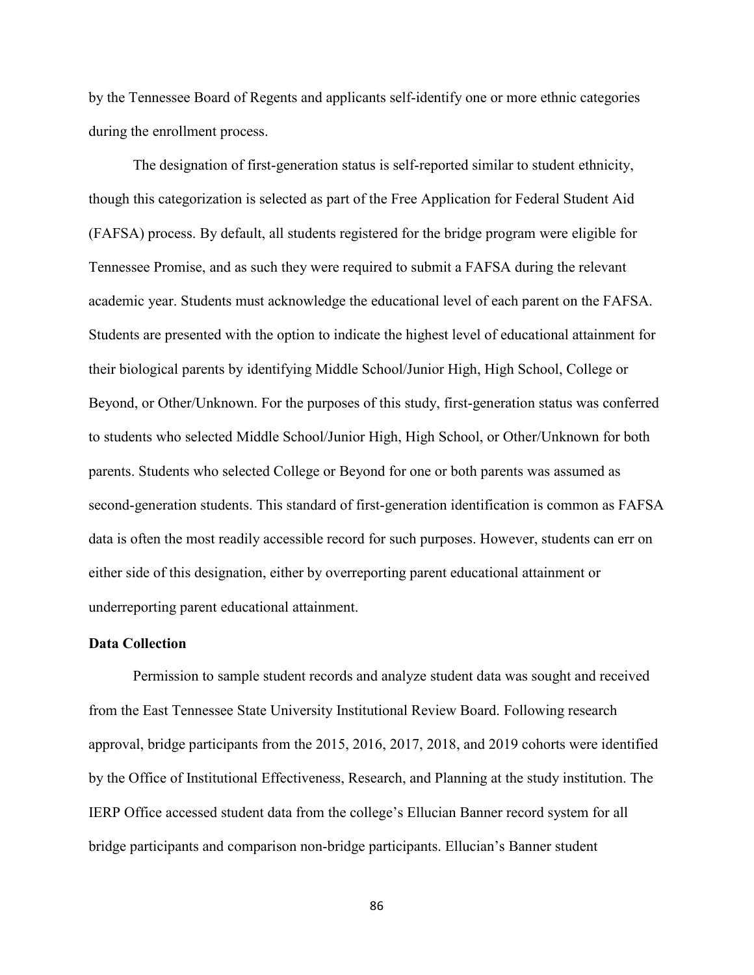by the Tennessee Board of Regents and applicants self-identify one or more ethnic categories during the enrollment process.

The designation of first-generation status is self-reported similar to student ethnicity, though this categorization is selected as part of the Free Application for Federal Student Aid (FAFSA) process. By default, all students registered for the bridge program were eligible for Tennessee Promise, and as such they were required to submit a FAFSA during the relevant academic year. Students must acknowledge the educational level of each parent on the FAFSA. Students are presented with the option to indicate the highest level of educational attainment for their biological parents by identifying Middle School/Junior High, High School, College or Beyond, or Other/Unknown. For the purposes of this study, first-generation status was conferred to students who selected Middle School/Junior High, High School, or Other/Unknown for both parents. Students who selected College or Beyond for one or both parents was assumed as second-generation students. This standard of first-generation identification is common as FAFSA data is often the most readily accessible record for such purposes. However, students can err on either side of this designation, either by overreporting parent educational attainment or underreporting parent educational attainment.

### **Data Collection**

Permission to sample student records and analyze student data was sought and received from the East Tennessee State University Institutional Review Board. Following research approval, bridge participants from the 2015, 2016, 2017, 2018, and 2019 cohorts were identified by the Office of Institutional Effectiveness, Research, and Planning at the study institution. The IERP Office accessed student data from the college's Ellucian Banner record system for all bridge participants and comparison non-bridge participants. Ellucian's Banner student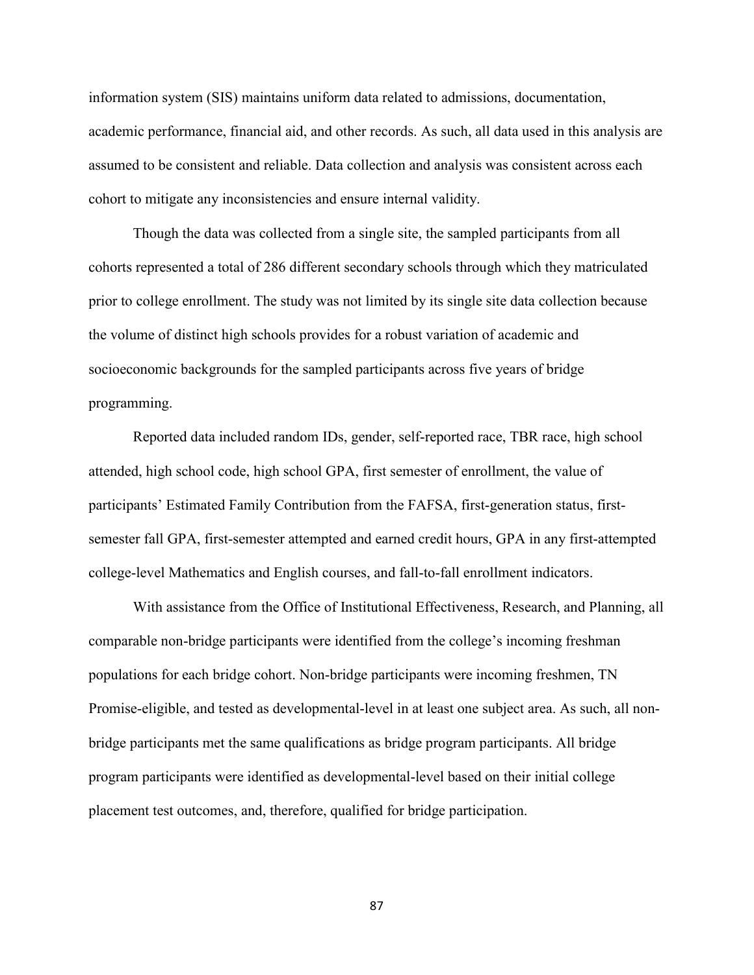information system (SIS) maintains uniform data related to admissions, documentation, academic performance, financial aid, and other records. As such, all data used in this analysis are assumed to be consistent and reliable. Data collection and analysis was consistent across each cohort to mitigate any inconsistencies and ensure internal validity.

Though the data was collected from a single site, the sampled participants from all cohorts represented a total of 286 different secondary schools through which they matriculated prior to college enrollment. The study was not limited by its single site data collection because the volume of distinct high schools provides for a robust variation of academic and socioeconomic backgrounds for the sampled participants across five years of bridge programming.

Reported data included random IDs, gender, self-reported race, TBR race, high school attended, high school code, high school GPA, first semester of enrollment, the value of participants' Estimated Family Contribution from the FAFSA, first-generation status, firstsemester fall GPA, first-semester attempted and earned credit hours, GPA in any first-attempted college-level Mathematics and English courses, and fall-to-fall enrollment indicators.

With assistance from the Office of Institutional Effectiveness, Research, and Planning, all comparable non-bridge participants were identified from the college's incoming freshman populations for each bridge cohort. Non-bridge participants were incoming freshmen, TN Promise-eligible, and tested as developmental-level in at least one subject area. As such, all nonbridge participants met the same qualifications as bridge program participants. All bridge program participants were identified as developmental-level based on their initial college placement test outcomes, and, therefore, qualified for bridge participation.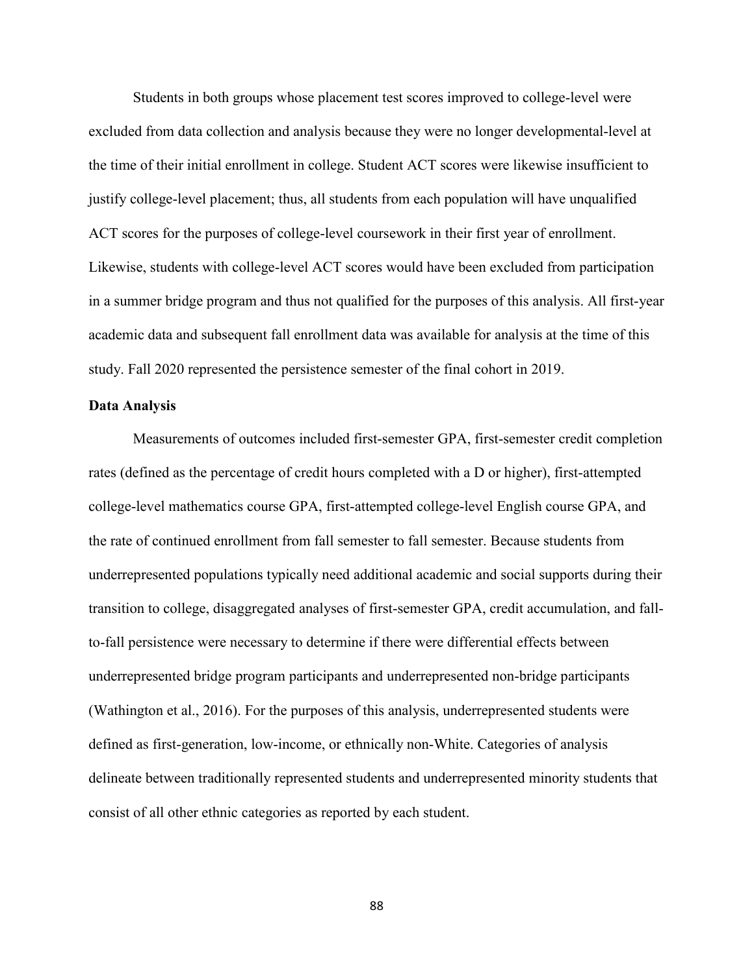Students in both groups whose placement test scores improved to college-level were excluded from data collection and analysis because they were no longer developmental-level at the time of their initial enrollment in college. Student ACT scores were likewise insufficient to justify college-level placement; thus, all students from each population will have unqualified ACT scores for the purposes of college-level coursework in their first year of enrollment. Likewise, students with college-level ACT scores would have been excluded from participation in a summer bridge program and thus not qualified for the purposes of this analysis. All first-year academic data and subsequent fall enrollment data was available for analysis at the time of this study. Fall 2020 represented the persistence semester of the final cohort in 2019.

# **Data Analysis**

Measurements of outcomes included first-semester GPA, first-semester credit completion rates (defined as the percentage of credit hours completed with a D or higher), first-attempted college-level mathematics course GPA, first-attempted college-level English course GPA, and the rate of continued enrollment from fall semester to fall semester. Because students from underrepresented populations typically need additional academic and social supports during their transition to college, disaggregated analyses of first-semester GPA, credit accumulation, and fallto-fall persistence were necessary to determine if there were differential effects between underrepresented bridge program participants and underrepresented non-bridge participants (Wathington et al., 2016). For the purposes of this analysis, underrepresented students were defined as first-generation, low-income, or ethnically non-White. Categories of analysis delineate between traditionally represented students and underrepresented minority students that consist of all other ethnic categories as reported by each student.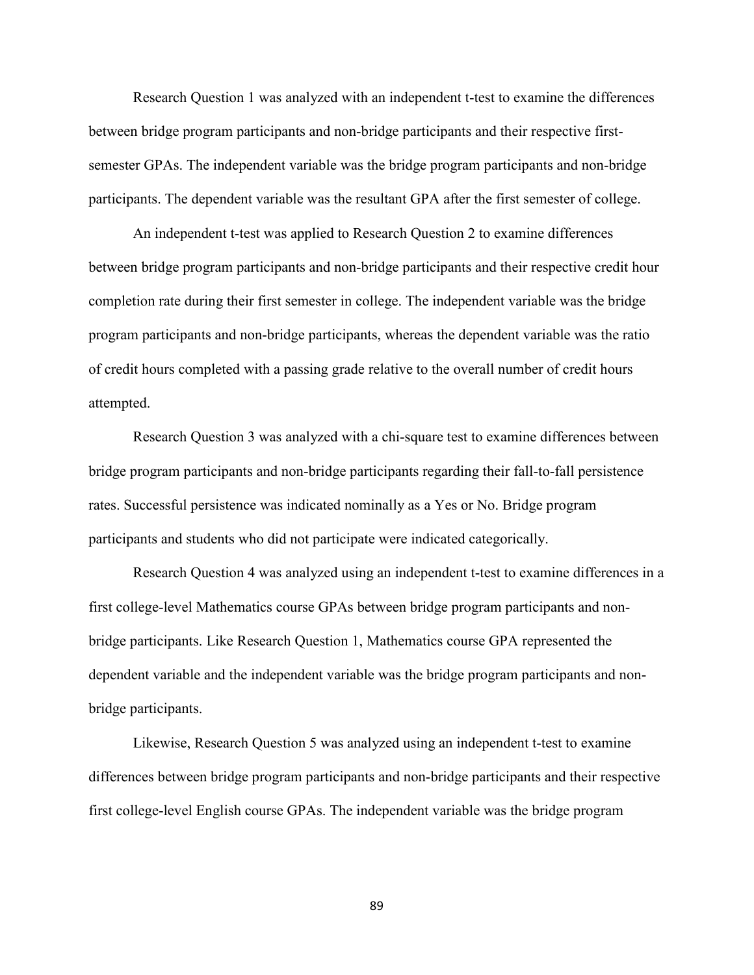Research Question 1 was analyzed with an independent t-test to examine the differences between bridge program participants and non-bridge participants and their respective firstsemester GPAs. The independent variable was the bridge program participants and non-bridge participants. The dependent variable was the resultant GPA after the first semester of college.

An independent t-test was applied to Research Question 2 to examine differences between bridge program participants and non-bridge participants and their respective credit hour completion rate during their first semester in college. The independent variable was the bridge program participants and non-bridge participants, whereas the dependent variable was the ratio of credit hours completed with a passing grade relative to the overall number of credit hours attempted.

Research Question 3 was analyzed with a chi-square test to examine differences between bridge program participants and non-bridge participants regarding their fall-to-fall persistence rates. Successful persistence was indicated nominally as a Yes or No. Bridge program participants and students who did not participate were indicated categorically.

Research Question 4 was analyzed using an independent t-test to examine differences in a first college-level Mathematics course GPAs between bridge program participants and nonbridge participants. Like Research Question 1, Mathematics course GPA represented the dependent variable and the independent variable was the bridge program participants and nonbridge participants.

Likewise, Research Question 5 was analyzed using an independent t-test to examine differences between bridge program participants and non-bridge participants and their respective first college-level English course GPAs. The independent variable was the bridge program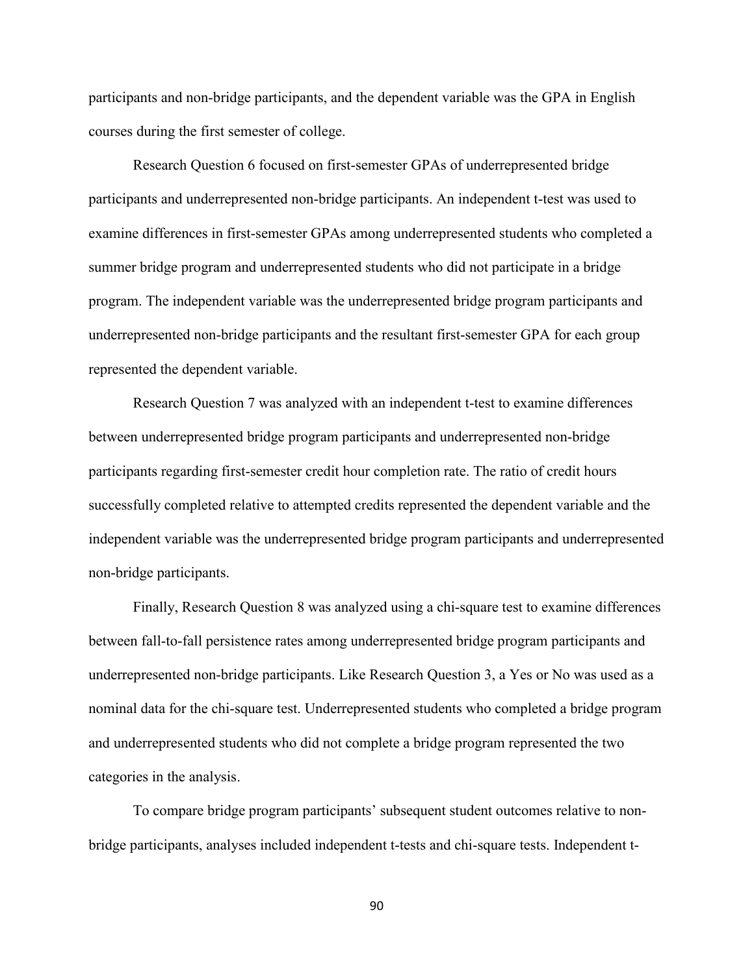participants and non-bridge participants, and the dependent variable was the GPA in English courses during the first semester of college.

Research Question 6 focused on first-semester GPAs of underrepresented bridge participants and underrepresented non-bridge participants. An independent t-test was used to examine differences in first-semester GPAs among underrepresented students who completed a summer bridge program and underrepresented students who did not participate in a bridge program. The independent variable was the underrepresented bridge program participants and underrepresented non-bridge participants and the resultant first-semester GPA for each group represented the dependent variable.

Research Question 7 was analyzed with an independent t-test to examine differences between underrepresented bridge program participants and underrepresented non-bridge participants regarding first-semester credit hour completion rate. The ratio of credit hours successfully completed relative to attempted credits represented the dependent variable and the independent variable was the underrepresented bridge program participants and underrepresented non-bridge participants.

Finally, Research Question 8 was analyzed using a chi-square test to examine differences between fall-to-fall persistence rates among underrepresented bridge program participants and underrepresented non-bridge participants. Like Research Question 3, a Yes or No was used as a nominal data for the chi-square test. Underrepresented students who completed a bridge program and underrepresented students who did not complete a bridge program represented the two categories in the analysis.

To compare bridge program participants' subsequent student outcomes relative to nonbridge participants, analyses included independent t-tests and chi-square tests. Independent t-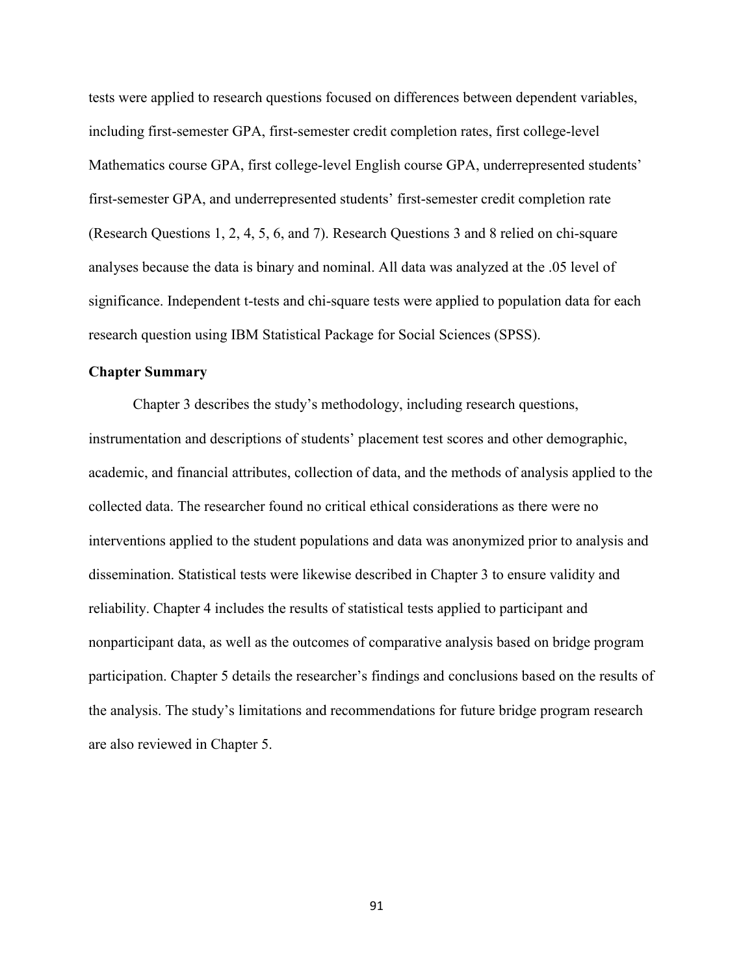tests were applied to research questions focused on differences between dependent variables, including first-semester GPA, first-semester credit completion rates, first college-level Mathematics course GPA, first college-level English course GPA, underrepresented students' first-semester GPA, and underrepresented students' first-semester credit completion rate (Research Questions 1, 2, 4, 5, 6, and 7). Research Questions 3 and 8 relied on chi-square analyses because the data is binary and nominal. All data was analyzed at the .05 level of significance. Independent t-tests and chi-square tests were applied to population data for each research question using IBM Statistical Package for Social Sciences (SPSS).

# **Chapter Summary**

Chapter 3 describes the study's methodology, including research questions, instrumentation and descriptions of students' placement test scores and other demographic, academic, and financial attributes, collection of data, and the methods of analysis applied to the collected data. The researcher found no critical ethical considerations as there were no interventions applied to the student populations and data was anonymized prior to analysis and dissemination. Statistical tests were likewise described in Chapter 3 to ensure validity and reliability. Chapter 4 includes the results of statistical tests applied to participant and nonparticipant data, as well as the outcomes of comparative analysis based on bridge program participation. Chapter 5 details the researcher's findings and conclusions based on the results of the analysis. The study's limitations and recommendations for future bridge program research are also reviewed in Chapter 5.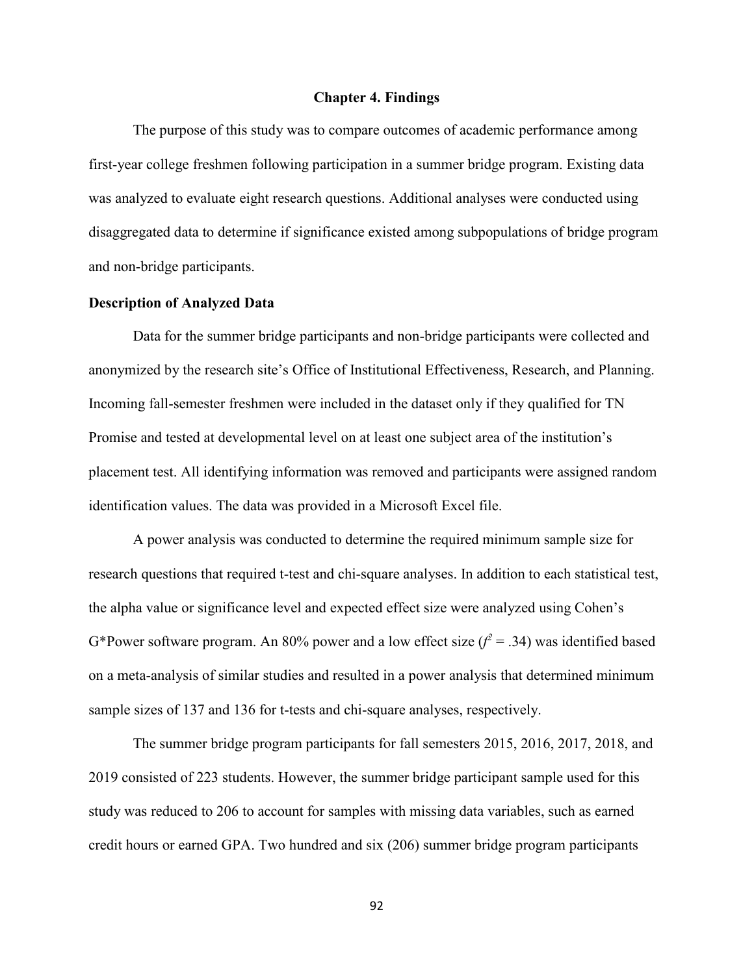### **Chapter 4. Findings**

The purpose of this study was to compare outcomes of academic performance among first-year college freshmen following participation in a summer bridge program. Existing data was analyzed to evaluate eight research questions. Additional analyses were conducted using disaggregated data to determine if significance existed among subpopulations of bridge program and non-bridge participants.

### **Description of Analyzed Data**

Data for the summer bridge participants and non-bridge participants were collected and anonymized by the research site's Office of Institutional Effectiveness, Research, and Planning. Incoming fall-semester freshmen were included in the dataset only if they qualified for TN Promise and tested at developmental level on at least one subject area of the institution's placement test. All identifying information was removed and participants were assigned random identification values. The data was provided in a Microsoft Excel file.

A power analysis was conducted to determine the required minimum sample size for research questions that required t-test and chi-square analyses. In addition to each statistical test, the alpha value or significance level and expected effect size were analyzed using Cohen's G\*Power software program. An 80% power and a low effect size  $(f^2 = .34)$  was identified based on a meta-analysis of similar studies and resulted in a power analysis that determined minimum sample sizes of 137 and 136 for t-tests and chi-square analyses, respectively.

The summer bridge program participants for fall semesters 2015, 2016, 2017, 2018, and 2019 consisted of 223 students. However, the summer bridge participant sample used for this study was reduced to 206 to account for samples with missing data variables, such as earned credit hours or earned GPA. Two hundred and six (206) summer bridge program participants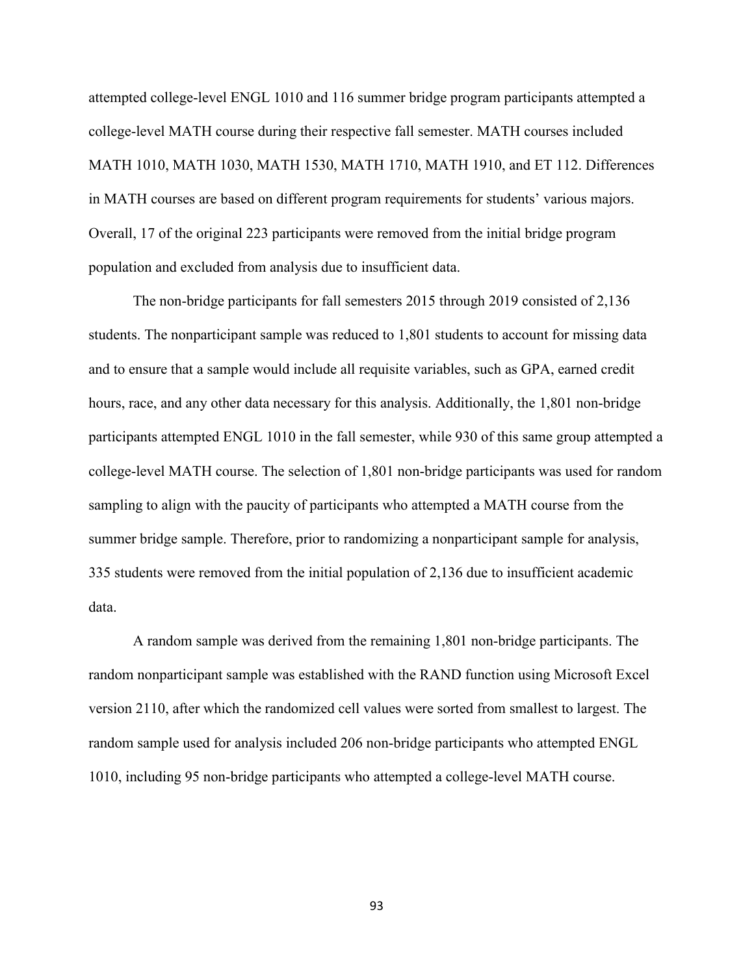attempted college-level ENGL 1010 and 116 summer bridge program participants attempted a college-level MATH course during their respective fall semester. MATH courses included MATH 1010, MATH 1030, MATH 1530, MATH 1710, MATH 1910, and ET 112. Differences in MATH courses are based on different program requirements for students' various majors. Overall, 17 of the original 223 participants were removed from the initial bridge program population and excluded from analysis due to insufficient data.

The non-bridge participants for fall semesters 2015 through 2019 consisted of 2,136 students. The nonparticipant sample was reduced to 1,801 students to account for missing data and to ensure that a sample would include all requisite variables, such as GPA, earned credit hours, race, and any other data necessary for this analysis. Additionally, the 1,801 non-bridge participants attempted ENGL 1010 in the fall semester, while 930 of this same group attempted a college-level MATH course. The selection of 1,801 non-bridge participants was used for random sampling to align with the paucity of participants who attempted a MATH course from the summer bridge sample. Therefore, prior to randomizing a nonparticipant sample for analysis, 335 students were removed from the initial population of 2,136 due to insufficient academic data.

A random sample was derived from the remaining 1,801 non-bridge participants. The random nonparticipant sample was established with the RAND function using Microsoft Excel version 2110, after which the randomized cell values were sorted from smallest to largest. The random sample used for analysis included 206 non-bridge participants who attempted ENGL 1010, including 95 non-bridge participants who attempted a college-level MATH course.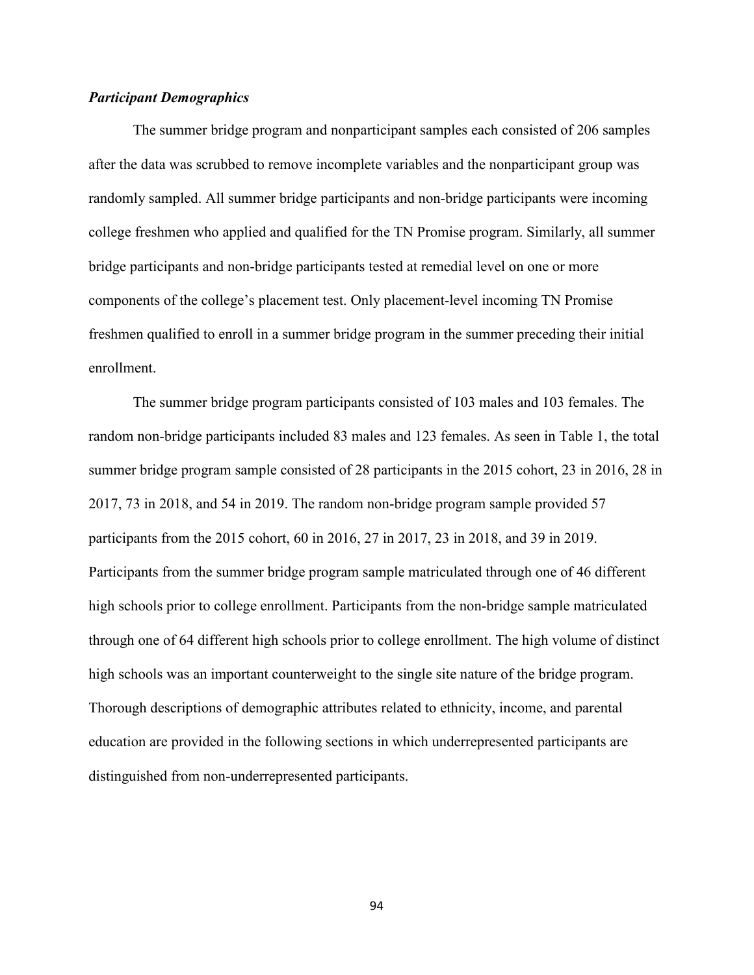# *Participant Demographics*

The summer bridge program and nonparticipant samples each consisted of 206 samples after the data was scrubbed to remove incomplete variables and the nonparticipant group was randomly sampled. All summer bridge participants and non-bridge participants were incoming college freshmen who applied and qualified for the TN Promise program. Similarly, all summer bridge participants and non-bridge participants tested at remedial level on one or more components of the college's placement test. Only placement-level incoming TN Promise freshmen qualified to enroll in a summer bridge program in the summer preceding their initial enrollment.

The summer bridge program participants consisted of 103 males and 103 females. The random non-bridge participants included 83 males and 123 females. As seen in Table 1, the total summer bridge program sample consisted of 28 participants in the 2015 cohort, 23 in 2016, 28 in 2017, 73 in 2018, and 54 in 2019. The random non-bridge program sample provided 57 participants from the 2015 cohort, 60 in 2016, 27 in 2017, 23 in 2018, and 39 in 2019. Participants from the summer bridge program sample matriculated through one of 46 different high schools prior to college enrollment. Participants from the non-bridge sample matriculated through one of 64 different high schools prior to college enrollment. The high volume of distinct high schools was an important counterweight to the single site nature of the bridge program. Thorough descriptions of demographic attributes related to ethnicity, income, and parental education are provided in the following sections in which underrepresented participants are distinguished from non-underrepresented participants.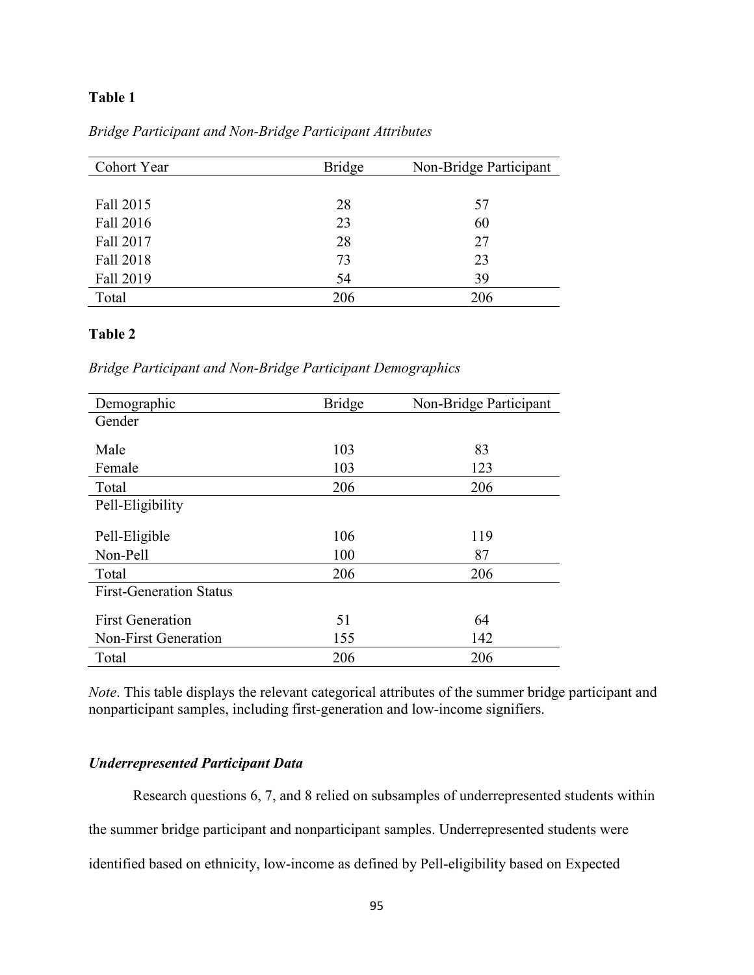# **Table 1**

*Bridge Participant and Non-Bridge Participant Attributes*

| Cohort Year | <b>Bridge</b> | Non-Bridge Participant |
|-------------|---------------|------------------------|
|             |               |                        |
| Fall 2015   | 28            | 57                     |
| Fall 2016   | 23            | 60                     |
| Fall 2017   | 28            | 27                     |
| Fall 2018   | 73            | 23                     |
| Fall 2019   | 54            | 39                     |
| Total       | 206           | 206                    |

# **Table 2**

*Bridge Participant and Non-Bridge Participant Demographics*

| Demographic                    | <b>Bridge</b> | Non-Bridge Participant |
|--------------------------------|---------------|------------------------|
| Gender                         |               |                        |
|                                |               |                        |
| Male                           | 103           | 83                     |
| Female                         | 103           | 123                    |
| Total                          | 206           | 206                    |
| Pell-Eligibility               |               |                        |
|                                |               |                        |
| Pell-Eligible                  | 106           | 119                    |
| Non-Pell                       | 100           | 87                     |
| Total                          | 206           | 206                    |
| <b>First-Generation Status</b> |               |                        |
|                                |               |                        |
| <b>First Generation</b>        | 51            | 64                     |
| Non-First Generation           | 155           | 142                    |
| Total                          | 206           | 206                    |

*Note*. This table displays the relevant categorical attributes of the summer bridge participant and nonparticipant samples, including first-generation and low-income signifiers.

# *Underrepresented Participant Data*

Research questions 6, 7, and 8 relied on subsamples of underrepresented students within the summer bridge participant and nonparticipant samples. Underrepresented students were identified based on ethnicity, low-income as defined by Pell-eligibility based on Expected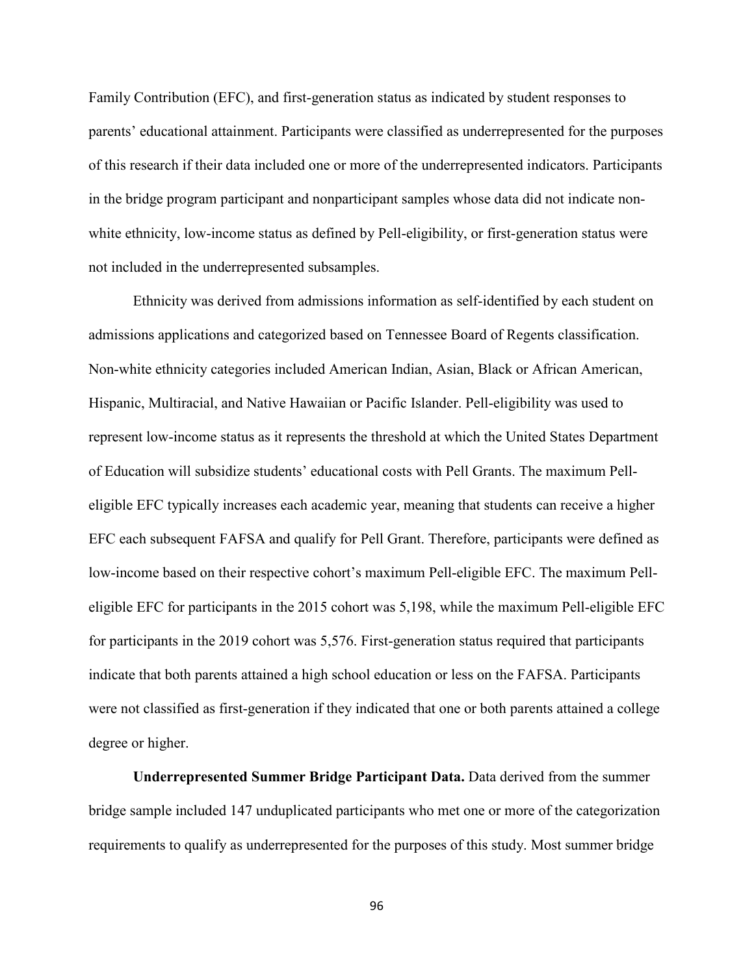Family Contribution (EFC), and first-generation status as indicated by student responses to parents' educational attainment. Participants were classified as underrepresented for the purposes of this research if their data included one or more of the underrepresented indicators. Participants in the bridge program participant and nonparticipant samples whose data did not indicate nonwhite ethnicity, low-income status as defined by Pell-eligibility, or first-generation status were not included in the underrepresented subsamples.

Ethnicity was derived from admissions information as self-identified by each student on admissions applications and categorized based on Tennessee Board of Regents classification. Non-white ethnicity categories included American Indian, Asian, Black or African American, Hispanic, Multiracial, and Native Hawaiian or Pacific Islander. Pell-eligibility was used to represent low-income status as it represents the threshold at which the United States Department of Education will subsidize students' educational costs with Pell Grants. The maximum Pelleligible EFC typically increases each academic year, meaning that students can receive a higher EFC each subsequent FAFSA and qualify for Pell Grant. Therefore, participants were defined as low-income based on their respective cohort's maximum Pell-eligible EFC. The maximum Pelleligible EFC for participants in the 2015 cohort was 5,198, while the maximum Pell-eligible EFC for participants in the 2019 cohort was 5,576. First-generation status required that participants indicate that both parents attained a high school education or less on the FAFSA. Participants were not classified as first-generation if they indicated that one or both parents attained a college degree or higher.

**Underrepresented Summer Bridge Participant Data.** Data derived from the summer bridge sample included 147 unduplicated participants who met one or more of the categorization requirements to qualify as underrepresented for the purposes of this study. Most summer bridge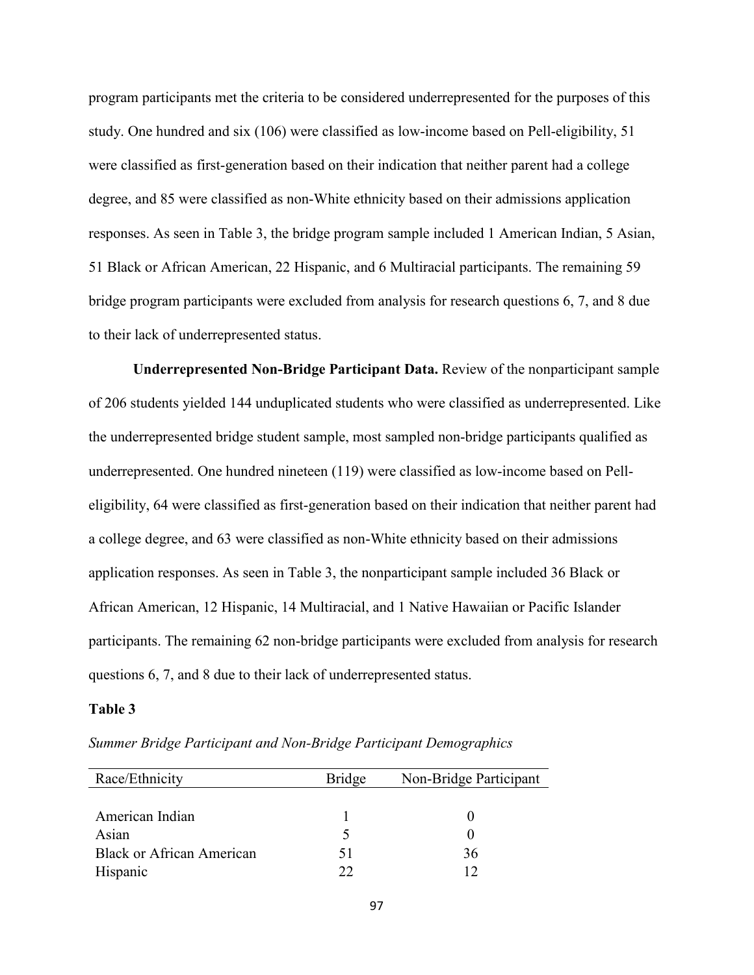program participants met the criteria to be considered underrepresented for the purposes of this study. One hundred and six (106) were classified as low-income based on Pell-eligibility, 51 were classified as first-generation based on their indication that neither parent had a college degree, and 85 were classified as non-White ethnicity based on their admissions application responses. As seen in Table 3, the bridge program sample included 1 American Indian, 5 Asian, 51 Black or African American, 22 Hispanic, and 6 Multiracial participants. The remaining 59 bridge program participants were excluded from analysis for research questions 6, 7, and 8 due to their lack of underrepresented status.

**Underrepresented Non-Bridge Participant Data.** Review of the nonparticipant sample of 206 students yielded 144 unduplicated students who were classified as underrepresented. Like the underrepresented bridge student sample, most sampled non-bridge participants qualified as underrepresented. One hundred nineteen (119) were classified as low-income based on Pelleligibility, 64 were classified as first-generation based on their indication that neither parent had a college degree, and 63 were classified as non-White ethnicity based on their admissions application responses. As seen in Table 3, the nonparticipant sample included 36 Black or African American, 12 Hispanic, 14 Multiracial, and 1 Native Hawaiian or Pacific Islander participants. The remaining 62 non-bridge participants were excluded from analysis for research questions 6, 7, and 8 due to their lack of underrepresented status.

#### **Table 3**

| Race/Ethnicity            | <b>Bridge</b> | Non-Bridge Participant |  |
|---------------------------|---------------|------------------------|--|
|                           |               |                        |  |
| American Indian           |               |                        |  |
| Asian                     |               |                        |  |
| Black or African American | 51            | 36                     |  |
| Hispanic                  | つつ            |                        |  |

*Summer Bridge Participant and Non-Bridge Participant Demographics*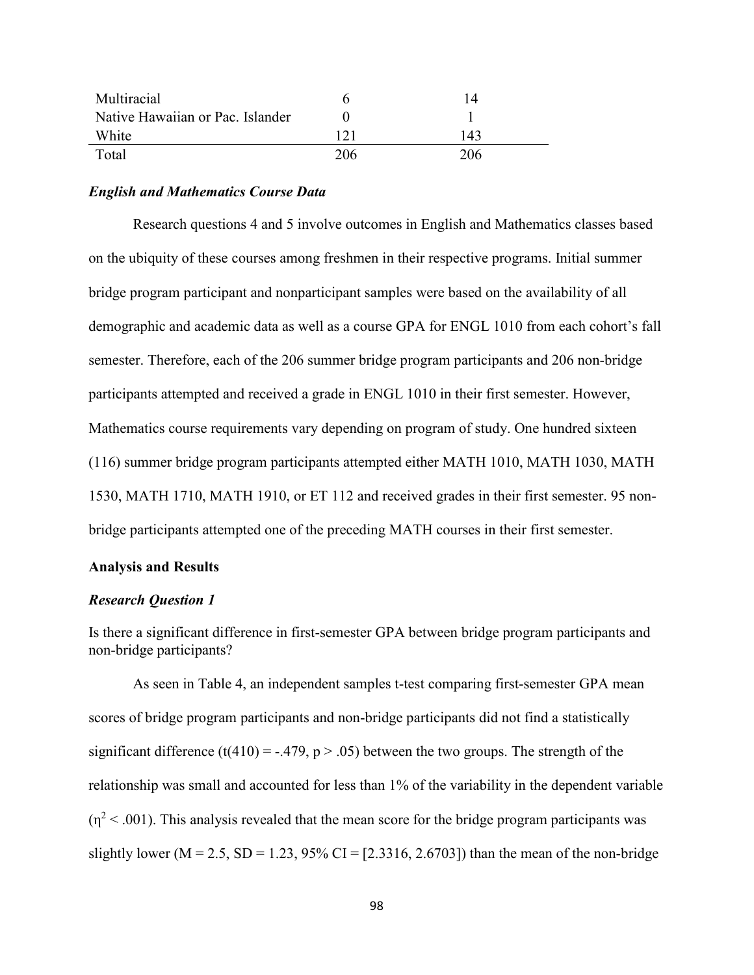| Multiracial                      |     | 14  |
|----------------------------------|-----|-----|
| Native Hawaiian or Pac. Islander |     |     |
| White                            | 171 | 143 |
| Total                            | 206 | 206 |

### *English and Mathematics Course Data*

Research questions 4 and 5 involve outcomes in English and Mathematics classes based on the ubiquity of these courses among freshmen in their respective programs. Initial summer bridge program participant and nonparticipant samples were based on the availability of all demographic and academic data as well as a course GPA for ENGL 1010 from each cohort's fall semester. Therefore, each of the 206 summer bridge program participants and 206 non-bridge participants attempted and received a grade in ENGL 1010 in their first semester. However, Mathematics course requirements vary depending on program of study. One hundred sixteen (116) summer bridge program participants attempted either MATH 1010, MATH 1030, MATH 1530, MATH 1710, MATH 1910, or ET 112 and received grades in their first semester. 95 nonbridge participants attempted one of the preceding MATH courses in their first semester.

### **Analysis and Results**

#### *Research Question 1*

Is there a significant difference in first-semester GPA between bridge program participants and non-bridge participants?

As seen in Table 4, an independent samples t-test comparing first-semester GPA mean scores of bridge program participants and non-bridge participants did not find a statistically significant difference (t(410) = -.479,  $p > .05$ ) between the two groups. The strength of the relationship was small and accounted for less than 1% of the variability in the dependent variable  $(n^2 < .001)$ . This analysis revealed that the mean score for the bridge program participants was slightly lower ( $M = 2.5$ ,  $SD = 1.23$ ,  $95\%$  CI = [2.3316, 2.6703]) than the mean of the non-bridge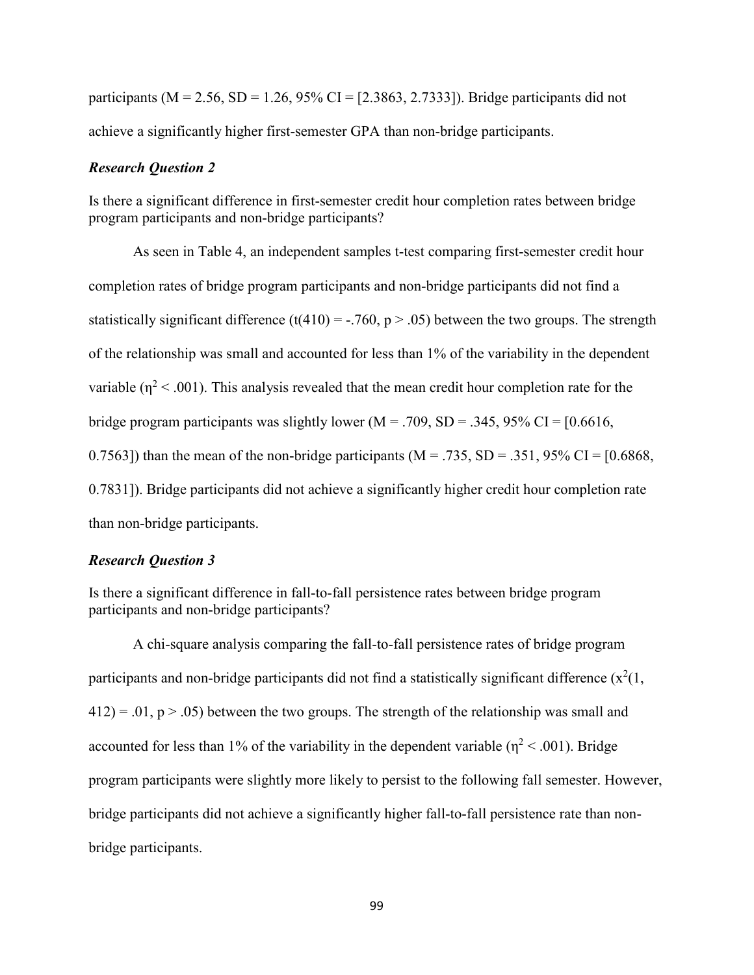participants ( $M = 2.56$ ,  $SD = 1.26$ ,  $95\%$  CI = [2.3863, 2.7333]). Bridge participants did not achieve a significantly higher first-semester GPA than non-bridge participants.

## *Research Question 2*

Is there a significant difference in first-semester credit hour completion rates between bridge program participants and non-bridge participants?

As seen in Table 4, an independent samples t-test comparing first-semester credit hour completion rates of bridge program participants and non-bridge participants did not find a statistically significant difference (t(410) = -.760, p > .05) between the two groups. The strength of the relationship was small and accounted for less than 1% of the variability in the dependent variable ( $\eta^2$  < .001). This analysis revealed that the mean credit hour completion rate for the bridge program participants was slightly lower ( $M = .709$ ,  $SD = .345$ ,  $95\%$  CI = [0.6616, 0.7563]) than the mean of the non-bridge participants ( $M = .735$ ,  $SD = .351$ ,  $95\%$  CI = [0.6868, 0.7831]). Bridge participants did not achieve a significantly higher credit hour completion rate than non-bridge participants.

### *Research Question 3*

Is there a significant difference in fall-to-fall persistence rates between bridge program participants and non-bridge participants?

A chi-square analysis comparing the fall-to-fall persistence rates of bridge program participants and non-bridge participants did not find a statistically significant difference  $(x^2(1,$  $412$ ) = .01, p > .05) between the two groups. The strength of the relationship was small and accounted for less than 1% of the variability in the dependent variable ( $\eta^2$  < .001). Bridge program participants were slightly more likely to persist to the following fall semester. However, bridge participants did not achieve a significantly higher fall-to-fall persistence rate than nonbridge participants.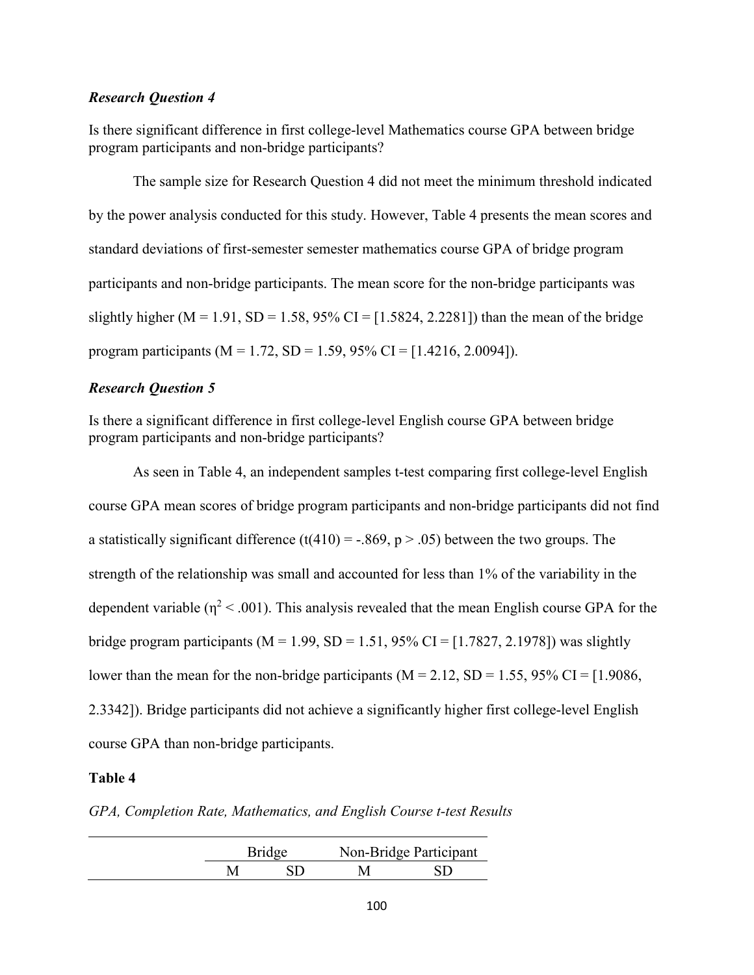# *Research Question 4*

Is there significant difference in first college-level Mathematics course GPA between bridge program participants and non-bridge participants?

The sample size for Research Question 4 did not meet the minimum threshold indicated by the power analysis conducted for this study. However, Table 4 presents the mean scores and standard deviations of first-semester semester mathematics course GPA of bridge program participants and non-bridge participants. The mean score for the non-bridge participants was slightly higher (M = 1.91, SD = 1.58, 95% CI = [1.5824, 2.2281]) than the mean of the bridge program participants ( $M = 1.72$ , SD = 1.59, 95% CI = [1.4216, 2.0094]).

# *Research Question 5*

Is there a significant difference in first college-level English course GPA between bridge program participants and non-bridge participants?

As seen in Table 4, an independent samples t-test comparing first college-level English course GPA mean scores of bridge program participants and non-bridge participants did not find a statistically significant difference (t(410) = -.869, p > .05) between the two groups. The strength of the relationship was small and accounted for less than 1% of the variability in the dependent variable ( $n^2$  < .001). This analysis revealed that the mean English course GPA for the bridge program participants ( $M = 1.99$ ,  $SD = 1.51$ ,  $95\%$  CI = [1.7827, 2.1978]) was slightly lower than the mean for the non-bridge participants ( $M = 2.12$ , SD = 1.55, 95% CI = [1.9086, 2.3342]). Bridge participants did not achieve a significantly higher first college-level English course GPA than non-bridge participants.

# **Table 4**

*GPA, Completion Rate, Mathematics, and English Course t-test Results*

| <b>Bridge</b> |  | Non-Bridge Participant |  |
|---------------|--|------------------------|--|
|               |  |                        |  |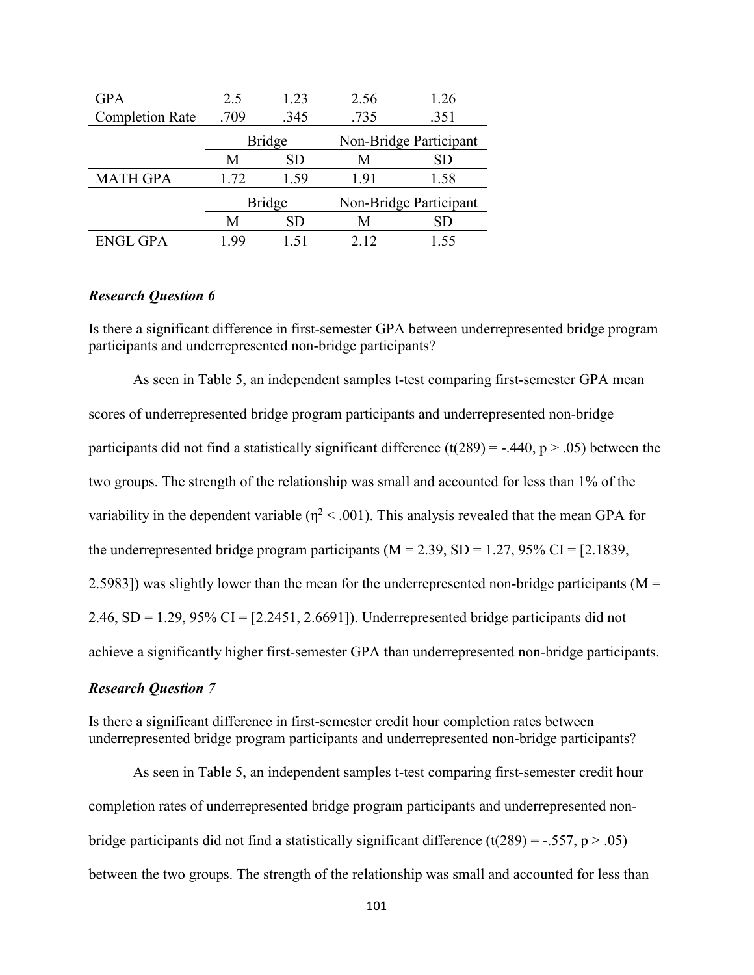| <b>GPA</b>             | 2.5           | 1.23          | 2.56 | 1.26                   |
|------------------------|---------------|---------------|------|------------------------|
| <b>Completion Rate</b> | .709          | .345          | .735 | .351                   |
|                        |               | <b>Bridge</b> |      | Non-Bridge Participant |
|                        | М             | SD            | M    | SD                     |
| <b>MATH GPA</b>        | 1.72          | 1.59          | 1.91 | 1.58                   |
|                        | <b>Bridge</b> |               |      | Non-Bridge Participant |
|                        | M             | SD            | М    | SD                     |
| <b>ENGL GPA</b>        | 99            |               | 212  | 1.55                   |

# *Research Question 6*

Is there a significant difference in first-semester GPA between underrepresented bridge program participants and underrepresented non-bridge participants?

As seen in Table 5, an independent samples t-test comparing first-semester GPA mean scores of underrepresented bridge program participants and underrepresented non-bridge participants did not find a statistically significant difference (t(289) = -.440, p > .05) between the two groups. The strength of the relationship was small and accounted for less than 1% of the variability in the dependent variable ( $\eta^2$  < .001). This analysis revealed that the mean GPA for the underrepresented bridge program participants ( $M = 2.39$ ,  $SD = 1.27$ ,  $95\%$  CI = [2.1839, 2.5983]) was slightly lower than the mean for the underrepresented non-bridge participants ( $M =$  $2.46$ , SD = 1.29, 95% CI =  $[2.2451, 2.6691]$ . Underrepresented bridge participants did not achieve a significantly higher first-semester GPA than underrepresented non-bridge participants.

### *Research Question 7*

Is there a significant difference in first-semester credit hour completion rates between underrepresented bridge program participants and underrepresented non-bridge participants?

As seen in Table 5, an independent samples t-test comparing first-semester credit hour completion rates of underrepresented bridge program participants and underrepresented nonbridge participants did not find a statistically significant difference (t(289) = -.557, p > .05) between the two groups. The strength of the relationship was small and accounted for less than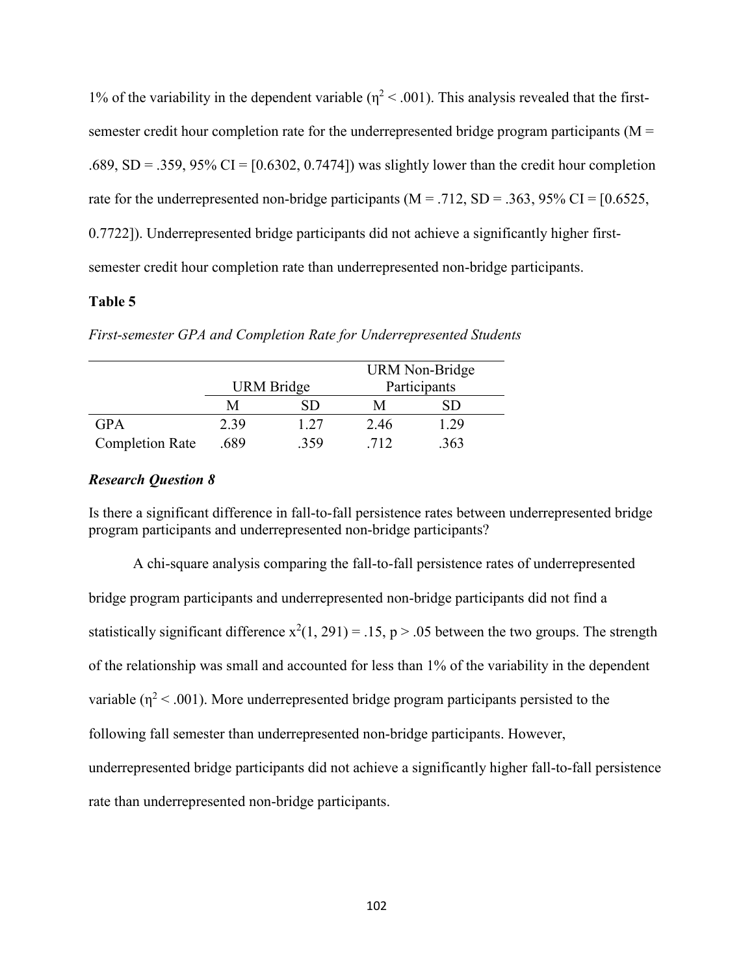1% of the variability in the dependent variable ( $\eta^2$  < .001). This analysis revealed that the firstsemester credit hour completion rate for the underrepresented bridge program participants ( $M =$ .689, SD = .359, 95% CI =  $[0.6302, 0.7474]$  was slightly lower than the credit hour completion rate for the underrepresented non-bridge participants ( $M = .712$ ,  $SD = .363$ ,  $95\%$  CI = [0.6525, 0.7722]). Underrepresented bridge participants did not achieve a significantly higher firstsemester credit hour completion rate than underrepresented non-bridge participants.

# **Table 5**

|                        |      |                   |      | URM Non-Bridge |
|------------------------|------|-------------------|------|----------------|
|                        |      | <b>URM</b> Bridge |      | Participants   |
|                        | M    | SD                | М    |                |
| <b>GPA</b>             | 2.39 | 1.27              | 2.46 | 1.29           |
| <b>Completion Rate</b> | .689 | .359              | 712  | .363           |

*First-semester GPA and Completion Rate for Underrepresented Students*

### *Research Question 8*

Is there a significant difference in fall-to-fall persistence rates between underrepresented bridge program participants and underrepresented non-bridge participants?

A chi-square analysis comparing the fall-to-fall persistence rates of underrepresented bridge program participants and underrepresented non-bridge participants did not find a statistically significant difference  $x^2(1, 291) = .15$ ,  $p > .05$  between the two groups. The strength of the relationship was small and accounted for less than 1% of the variability in the dependent variable ( $\eta^2$  < .001). More underrepresented bridge program participants persisted to the following fall semester than underrepresented non-bridge participants. However, underrepresented bridge participants did not achieve a significantly higher fall-to-fall persistence rate than underrepresented non-bridge participants.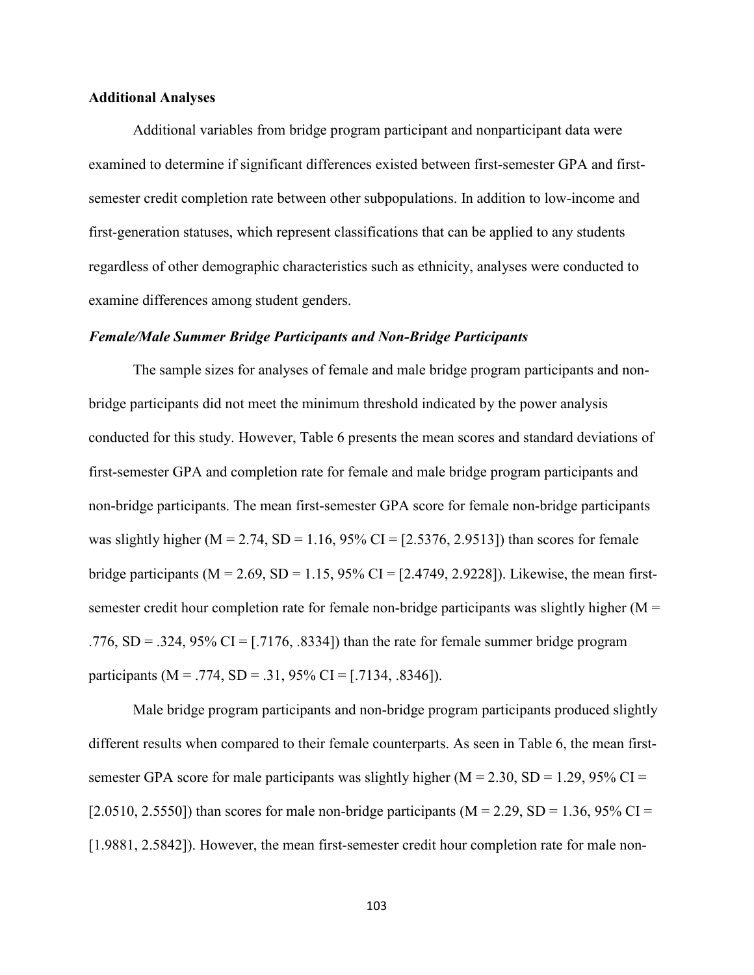# **Additional Analyses**

Additional variables from bridge program participant and nonparticipant data were examined to determine if significant differences existed between first-semester GPA and firstsemester credit completion rate between other subpopulations. In addition to low-income and first-generation statuses, which represent classifications that can be applied to any students regardless of other demographic characteristics such as ethnicity, analyses were conducted to examine differences among student genders.

#### *Female/Male Summer Bridge Participants and Non-Bridge Participants*

The sample sizes for analyses of female and male bridge program participants and nonbridge participants did not meet the minimum threshold indicated by the power analysis conducted for this study. However, Table 6 presents the mean scores and standard deviations of first-semester GPA and completion rate for female and male bridge program participants and non-bridge participants. The mean first-semester GPA score for female non-bridge participants was slightly higher ( $M = 2.74$ ,  $SD = 1.16$ ,  $95\%$  CI = [2.5376, 2.9513]) than scores for female bridge participants ( $M = 2.69$ ,  $SD = 1.15$ ,  $95\%$  CI = [2.4749, 2.9228]). Likewise, the mean firstsemester credit hour completion rate for female non-bridge participants was slightly higher  $(M =$ .776,  $SD = 0.324$ ,  $95\%$  CI = [.7176, .8334]) than the rate for female summer bridge program participants (M = .774, SD = .31, 95% CI = [.7134, .8346]).

Male bridge program participants and non-bridge program participants produced slightly different results when compared to their female counterparts. As seen in Table 6, the mean firstsemester GPA score for male participants was slightly higher ( $M = 2.30$ ,  $SD = 1.29$ ,  $95\%$  CI = [2.0510, 2.5550]) than scores for male non-bridge participants ( $M = 2.29$ , SD = 1.36, 95% CI = [1.9881, 2.5842]). However, the mean first-semester credit hour completion rate for male non-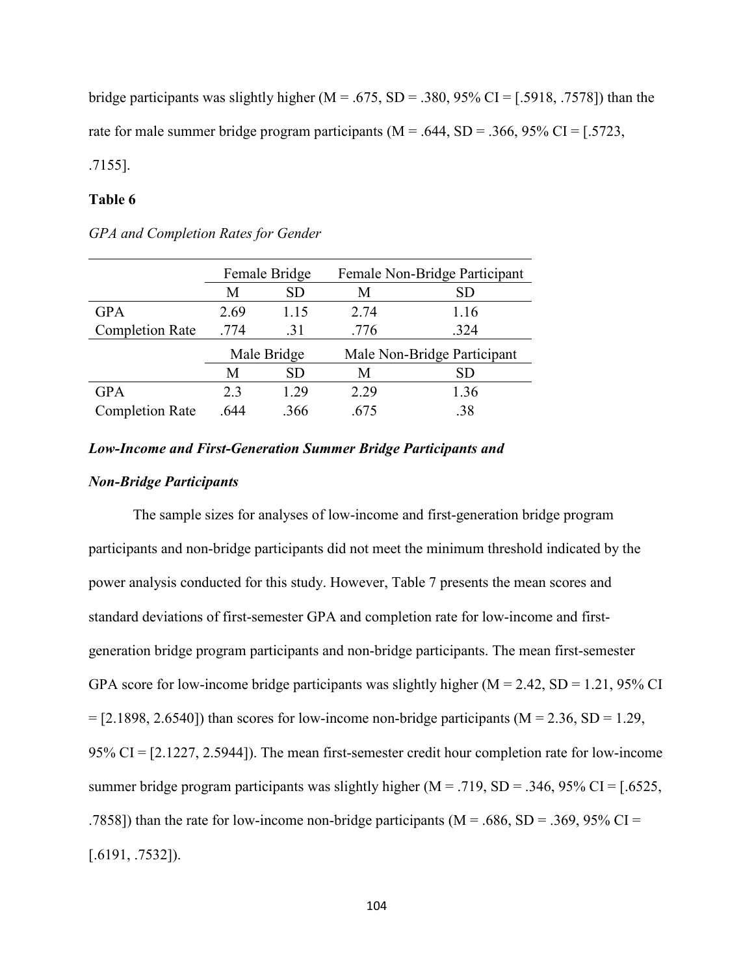bridge participants was slightly higher ( $M = .675$ ,  $SD = .380$ ,  $95\%$  CI = [.5918, .7578]) than the rate for male summer bridge program participants ( $M = .644$ ,  $SD = .366$ ,  $95\%$  CI = [.5723, .7155].

# **Table 6**

|                        | Female Bridge |           | Female Non-Bridge Participant |                             |
|------------------------|---------------|-----------|-------------------------------|-----------------------------|
|                        | M             | <b>SD</b> | M                             | SD                          |
| <b>GPA</b>             | 2.69          | 1.15      | 2.74                          | 1.16                        |
| <b>Completion Rate</b> | .774          | .31       | .776                          | .324                        |
|                        | Male Bridge   |           |                               | Male Non-Bridge Participant |
|                        | М             | <b>SD</b> | M                             | SD                          |
| <b>GPA</b>             | 2.3           | 1.29      | 2.29                          | 1.36                        |
| <b>Completion Rate</b> | .644          | .366      | .675                          | .38                         |

*GPA and Completion Rates for Gender*

#### *Low-Income and First-Generation Summer Bridge Participants and*

# *Non-Bridge Participants*

The sample sizes for analyses of low-income and first-generation bridge program participants and non-bridge participants did not meet the minimum threshold indicated by the power analysis conducted for this study. However, Table 7 presents the mean scores and standard deviations of first-semester GPA and completion rate for low-income and firstgeneration bridge program participants and non-bridge participants. The mean first-semester GPA score for low-income bridge participants was slightly higher ( $M = 2.42$ ,  $SD = 1.21$ , 95% CI  $=[2.1898, 2.6540]$ ) than scores for low-income non-bridge participants (M = 2.36, SD = 1.29, 95% CI = [2.1227, 2.5944]). The mean first-semester credit hour completion rate for low-income summer bridge program participants was slightly higher  $(M = .719, SD = .346, 95\% \text{ CI} = [.6525,$ .7858]) than the rate for low-income non-bridge participants ( $M = .686$ ,  $SD = .369$ ,  $95\%$  CI = [.6191, .7532]).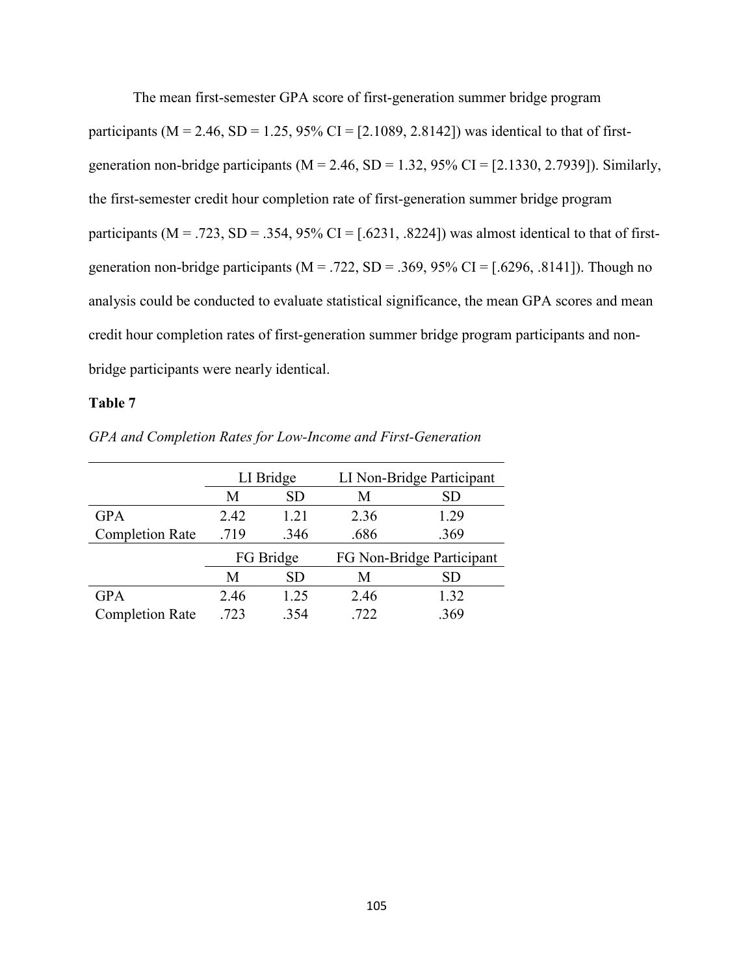The mean first-semester GPA score of first-generation summer bridge program participants ( $M = 2.46$ ,  $SD = 1.25$ ,  $95\%$  CI = [2.1089, 2.8142]) was identical to that of firstgeneration non-bridge participants ( $M = 2.46$ ,  $SD = 1.32$ ,  $95\%$  CI = [2.1330, 2.7939]). Similarly, the first-semester credit hour completion rate of first-generation summer bridge program participants ( $M = .723$ ,  $SD = .354$ ,  $95\%$  CI = [.6231, .8224]) was almost identical to that of firstgeneration non-bridge participants ( $M = .722$ ,  $SD = .369$ ,  $95\%$  CI = [.6296, .8141]). Though no analysis could be conducted to evaluate statistical significance, the mean GPA scores and mean credit hour completion rates of first-generation summer bridge program participants and nonbridge participants were nearly identical.

# **Table 7**

|                        | LI Bridge |           | LI Non-Bridge Participant |      |
|------------------------|-----------|-----------|---------------------------|------|
|                        | М         | SD        | M                         | SD   |
| <b>GPA</b>             | 2.42      | 1.21      | 2.36                      | 1.29 |
| <b>Completion Rate</b> | .719      | .346      | .686                      | .369 |
|                        | FG Bridge |           | FG Non-Bridge Participant |      |
|                        | М         | <b>SD</b> | M                         | SD   |
| <b>GPA</b>             | 2.46      | 1.25      | 2.46                      | 1.32 |
| <b>Completion Rate</b> | .723      | .354      | .722                      | .369 |

*GPA and Completion Rates for Low-Income and First-Generation*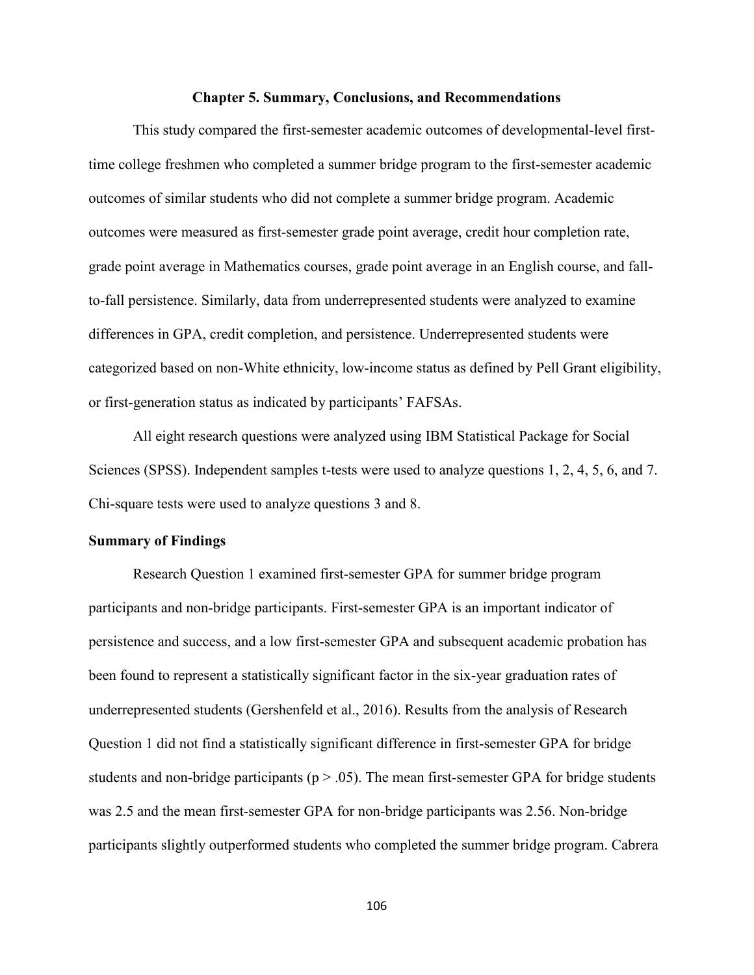#### **Chapter 5. Summary, Conclusions, and Recommendations**

This study compared the first-semester academic outcomes of developmental-level firsttime college freshmen who completed a summer bridge program to the first-semester academic outcomes of similar students who did not complete a summer bridge program. Academic outcomes were measured as first-semester grade point average, credit hour completion rate, grade point average in Mathematics courses, grade point average in an English course, and fallto-fall persistence. Similarly, data from underrepresented students were analyzed to examine differences in GPA, credit completion, and persistence. Underrepresented students were categorized based on non-White ethnicity, low-income status as defined by Pell Grant eligibility, or first-generation status as indicated by participants' FAFSAs.

All eight research questions were analyzed using IBM Statistical Package for Social Sciences (SPSS). Independent samples t-tests were used to analyze questions 1, 2, 4, 5, 6, and 7. Chi-square tests were used to analyze questions 3 and 8.

# **Summary of Findings**

Research Question 1 examined first-semester GPA for summer bridge program participants and non-bridge participants. First-semester GPA is an important indicator of persistence and success, and a low first-semester GPA and subsequent academic probation has been found to represent a statistically significant factor in the six-year graduation rates of underrepresented students (Gershenfeld et al., 2016). Results from the analysis of Research Question 1 did not find a statistically significant difference in first-semester GPA for bridge students and non-bridge participants ( $p > .05$ ). The mean first-semester GPA for bridge students was 2.5 and the mean first-semester GPA for non-bridge participants was 2.56. Non-bridge participants slightly outperformed students who completed the summer bridge program. Cabrera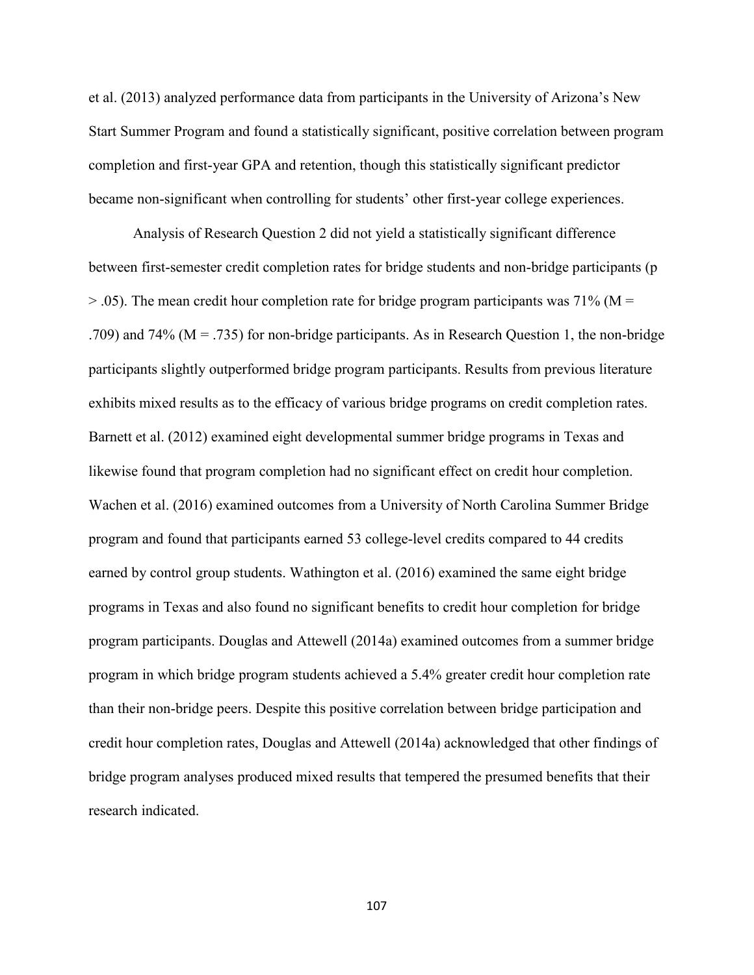et al. (2013) analyzed performance data from participants in the University of Arizona's New Start Summer Program and found a statistically significant, positive correlation between program completion and first-year GPA and retention, though this statistically significant predictor became non-significant when controlling for students' other first-year college experiences.

Analysis of Research Question 2 did not yield a statistically significant difference between first-semester credit completion rates for bridge students and non-bridge participants (p  $>$  0.05). The mean credit hour completion rate for bridge program participants was 71% (M = .709) and 74% ( $M = .735$ ) for non-bridge participants. As in Research Question 1, the non-bridge participants slightly outperformed bridge program participants. Results from previous literature exhibits mixed results as to the efficacy of various bridge programs on credit completion rates. Barnett et al. (2012) examined eight developmental summer bridge programs in Texas and likewise found that program completion had no significant effect on credit hour completion. Wachen et al. (2016) examined outcomes from a University of North Carolina Summer Bridge program and found that participants earned 53 college-level credits compared to 44 credits earned by control group students. Wathington et al. (2016) examined the same eight bridge programs in Texas and also found no significant benefits to credit hour completion for bridge program participants. Douglas and Attewell (2014a) examined outcomes from a summer bridge program in which bridge program students achieved a 5.4% greater credit hour completion rate than their non-bridge peers. Despite this positive correlation between bridge participation and credit hour completion rates, Douglas and Attewell (2014a) acknowledged that other findings of bridge program analyses produced mixed results that tempered the presumed benefits that their research indicated.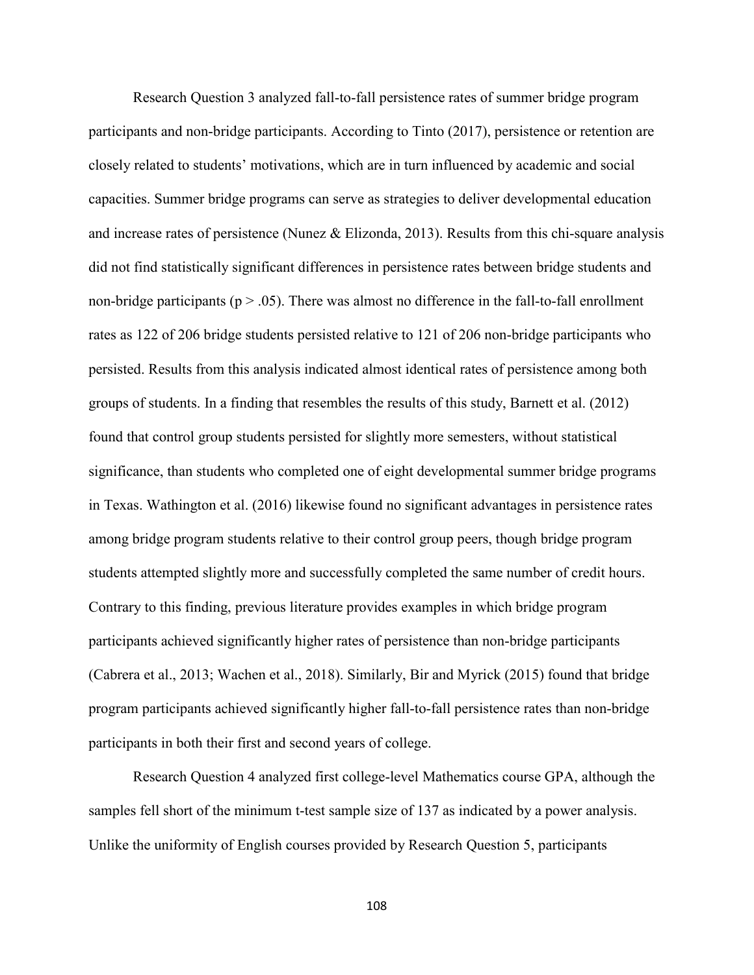Research Question 3 analyzed fall-to-fall persistence rates of summer bridge program participants and non-bridge participants. According to Tinto (2017), persistence or retention are closely related to students' motivations, which are in turn influenced by academic and social capacities. Summer bridge programs can serve as strategies to deliver developmental education and increase rates of persistence (Nunez & Elizonda, 2013). Results from this chi-square analysis did not find statistically significant differences in persistence rates between bridge students and non-bridge participants ( $p > .05$ ). There was almost no difference in the fall-to-fall enrollment rates as 122 of 206 bridge students persisted relative to 121 of 206 non-bridge participants who persisted. Results from this analysis indicated almost identical rates of persistence among both groups of students. In a finding that resembles the results of this study, Barnett et al. (2012) found that control group students persisted for slightly more semesters, without statistical significance, than students who completed one of eight developmental summer bridge programs in Texas. Wathington et al. (2016) likewise found no significant advantages in persistence rates among bridge program students relative to their control group peers, though bridge program students attempted slightly more and successfully completed the same number of credit hours. Contrary to this finding, previous literature provides examples in which bridge program participants achieved significantly higher rates of persistence than non-bridge participants (Cabrera et al., 2013; Wachen et al., 2018). Similarly, Bir and Myrick (2015) found that bridge program participants achieved significantly higher fall-to-fall persistence rates than non-bridge participants in both their first and second years of college.

Research Question 4 analyzed first college-level Mathematics course GPA, although the samples fell short of the minimum t-test sample size of 137 as indicated by a power analysis. Unlike the uniformity of English courses provided by Research Question 5, participants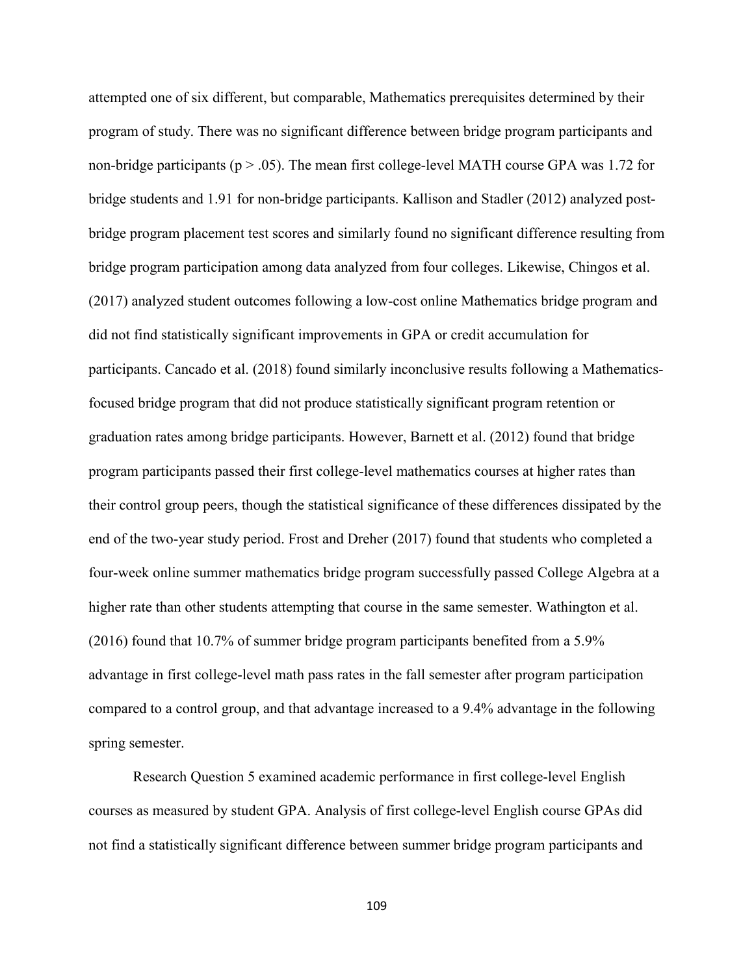attempted one of six different, but comparable, Mathematics prerequisites determined by their program of study. There was no significant difference between bridge program participants and non-bridge participants ( $p > .05$ ). The mean first college-level MATH course GPA was 1.72 for bridge students and 1.91 for non-bridge participants. Kallison and Stadler (2012) analyzed postbridge program placement test scores and similarly found no significant difference resulting from bridge program participation among data analyzed from four colleges. Likewise, Chingos et al. (2017) analyzed student outcomes following a low-cost online Mathematics bridge program and did not find statistically significant improvements in GPA or credit accumulation for participants. Cancado et al. (2018) found similarly inconclusive results following a Mathematicsfocused bridge program that did not produce statistically significant program retention or graduation rates among bridge participants. However, Barnett et al. (2012) found that bridge program participants passed their first college-level mathematics courses at higher rates than their control group peers, though the statistical significance of these differences dissipated by the end of the two-year study period. Frost and Dreher (2017) found that students who completed a four-week online summer mathematics bridge program successfully passed College Algebra at a higher rate than other students attempting that course in the same semester. Wathington et al. (2016) found that 10.7% of summer bridge program participants benefited from a 5.9% advantage in first college-level math pass rates in the fall semester after program participation compared to a control group, and that advantage increased to a 9.4% advantage in the following spring semester.

Research Question 5 examined academic performance in first college-level English courses as measured by student GPA. Analysis of first college-level English course GPAs did not find a statistically significant difference between summer bridge program participants and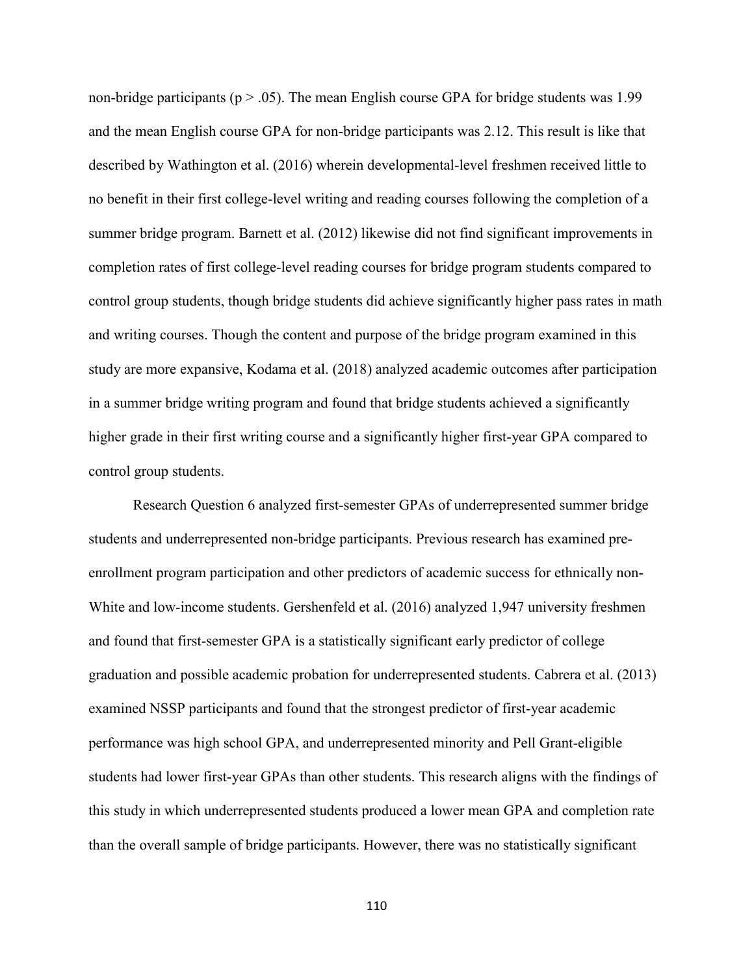non-bridge participants ( $p > .05$ ). The mean English course GPA for bridge students was 1.99 and the mean English course GPA for non-bridge participants was 2.12. This result is like that described by Wathington et al. (2016) wherein developmental-level freshmen received little to no benefit in their first college-level writing and reading courses following the completion of a summer bridge program. Barnett et al. (2012) likewise did not find significant improvements in completion rates of first college-level reading courses for bridge program students compared to control group students, though bridge students did achieve significantly higher pass rates in math and writing courses. Though the content and purpose of the bridge program examined in this study are more expansive, Kodama et al. (2018) analyzed academic outcomes after participation in a summer bridge writing program and found that bridge students achieved a significantly higher grade in their first writing course and a significantly higher first-year GPA compared to control group students.

Research Question 6 analyzed first-semester GPAs of underrepresented summer bridge students and underrepresented non-bridge participants. Previous research has examined preenrollment program participation and other predictors of academic success for ethnically non-White and low-income students. Gershenfeld et al. (2016) analyzed 1,947 university freshmen and found that first-semester GPA is a statistically significant early predictor of college graduation and possible academic probation for underrepresented students. Cabrera et al. (2013) examined NSSP participants and found that the strongest predictor of first-year academic performance was high school GPA, and underrepresented minority and Pell Grant-eligible students had lower first-year GPAs than other students. This research aligns with the findings of this study in which underrepresented students produced a lower mean GPA and completion rate than the overall sample of bridge participants. However, there was no statistically significant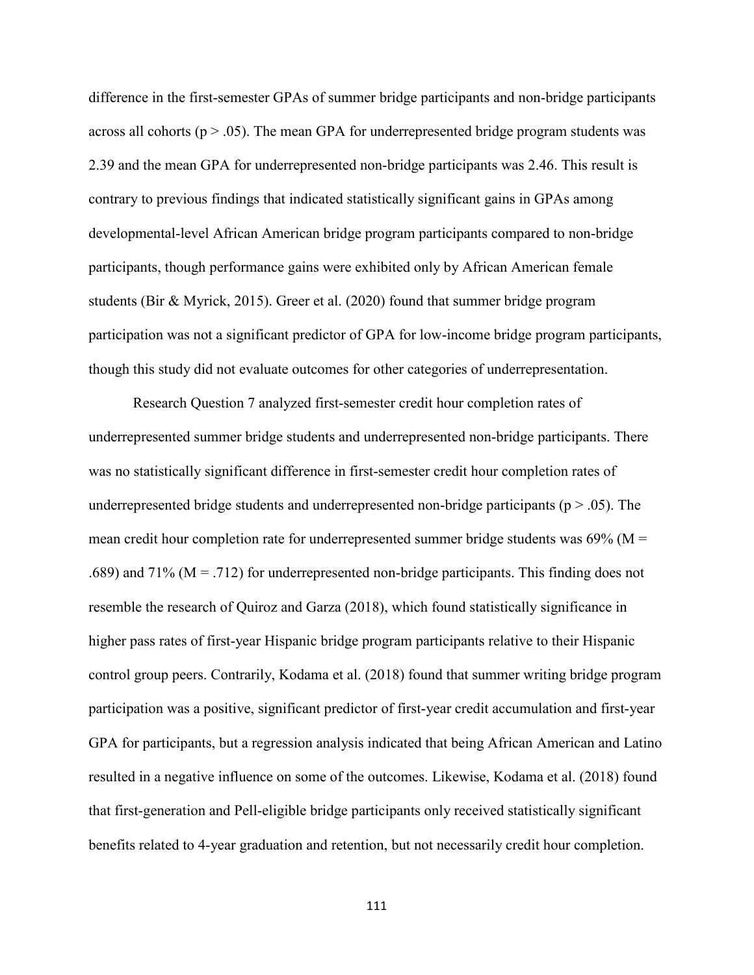difference in the first-semester GPAs of summer bridge participants and non-bridge participants across all cohorts ( $p > .05$ ). The mean GPA for underrepresented bridge program students was 2.39 and the mean GPA for underrepresented non-bridge participants was 2.46. This result is contrary to previous findings that indicated statistically significant gains in GPAs among developmental-level African American bridge program participants compared to non-bridge participants, though performance gains were exhibited only by African American female students (Bir & Myrick, 2015). Greer et al. (2020) found that summer bridge program participation was not a significant predictor of GPA for low-income bridge program participants, though this study did not evaluate outcomes for other categories of underrepresentation.

Research Question 7 analyzed first-semester credit hour completion rates of underrepresented summer bridge students and underrepresented non-bridge participants. There was no statistically significant difference in first-semester credit hour completion rates of underrepresented bridge students and underrepresented non-bridge participants ( $p > .05$ ). The mean credit hour completion rate for underrepresented summer bridge students was  $69\%$  (M = .689) and 71% ( $M = .712$ ) for underrepresented non-bridge participants. This finding does not resemble the research of Quiroz and Garza (2018), which found statistically significance in higher pass rates of first-year Hispanic bridge program participants relative to their Hispanic control group peers. Contrarily, Kodama et al. (2018) found that summer writing bridge program participation was a positive, significant predictor of first-year credit accumulation and first-year GPA for participants, but a regression analysis indicated that being African American and Latino resulted in a negative influence on some of the outcomes. Likewise, Kodama et al. (2018) found that first-generation and Pell-eligible bridge participants only received statistically significant benefits related to 4-year graduation and retention, but not necessarily credit hour completion.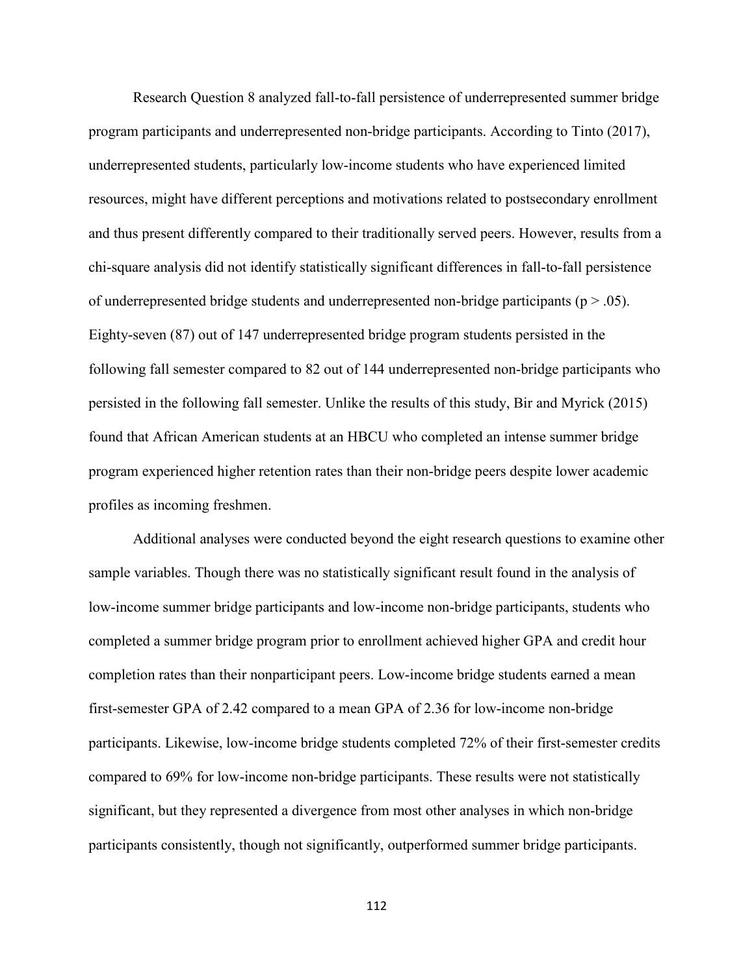Research Question 8 analyzed fall-to-fall persistence of underrepresented summer bridge program participants and underrepresented non-bridge participants. According to Tinto (2017), underrepresented students, particularly low-income students who have experienced limited resources, might have different perceptions and motivations related to postsecondary enrollment and thus present differently compared to their traditionally served peers. However, results from a chi-square analysis did not identify statistically significant differences in fall-to-fall persistence of underrepresented bridge students and underrepresented non-bridge participants ( $p > .05$ ). Eighty-seven (87) out of 147 underrepresented bridge program students persisted in the following fall semester compared to 82 out of 144 underrepresented non-bridge participants who persisted in the following fall semester. Unlike the results of this study, Bir and Myrick (2015) found that African American students at an HBCU who completed an intense summer bridge program experienced higher retention rates than their non-bridge peers despite lower academic profiles as incoming freshmen.

Additional analyses were conducted beyond the eight research questions to examine other sample variables. Though there was no statistically significant result found in the analysis of low-income summer bridge participants and low-income non-bridge participants, students who completed a summer bridge program prior to enrollment achieved higher GPA and credit hour completion rates than their nonparticipant peers. Low-income bridge students earned a mean first-semester GPA of 2.42 compared to a mean GPA of 2.36 for low-income non-bridge participants. Likewise, low-income bridge students completed 72% of their first-semester credits compared to 69% for low-income non-bridge participants. These results were not statistically significant, but they represented a divergence from most other analyses in which non-bridge participants consistently, though not significantly, outperformed summer bridge participants.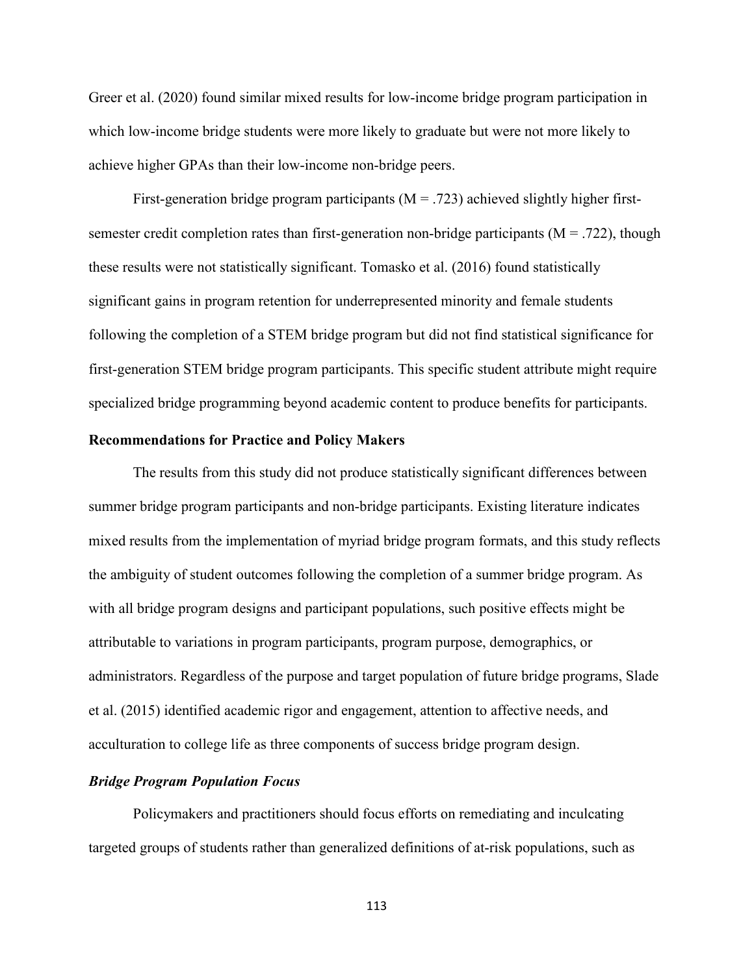Greer et al. (2020) found similar mixed results for low-income bridge program participation in which low-income bridge students were more likely to graduate but were not more likely to achieve higher GPAs than their low-income non-bridge peers.

First-generation bridge program participants  $(M = .723)$  achieved slightly higher firstsemester credit completion rates than first-generation non-bridge participants ( $M = .722$ ), though these results were not statistically significant. Tomasko et al. (2016) found statistically significant gains in program retention for underrepresented minority and female students following the completion of a STEM bridge program but did not find statistical significance for first-generation STEM bridge program participants. This specific student attribute might require specialized bridge programming beyond academic content to produce benefits for participants.

# **Recommendations for Practice and Policy Makers**

The results from this study did not produce statistically significant differences between summer bridge program participants and non-bridge participants. Existing literature indicates mixed results from the implementation of myriad bridge program formats, and this study reflects the ambiguity of student outcomes following the completion of a summer bridge program. As with all bridge program designs and participant populations, such positive effects might be attributable to variations in program participants, program purpose, demographics, or administrators. Regardless of the purpose and target population of future bridge programs, Slade et al. (2015) identified academic rigor and engagement, attention to affective needs, and acculturation to college life as three components of success bridge program design.

#### *Bridge Program Population Focus*

Policymakers and practitioners should focus efforts on remediating and inculcating targeted groups of students rather than generalized definitions of at-risk populations, such as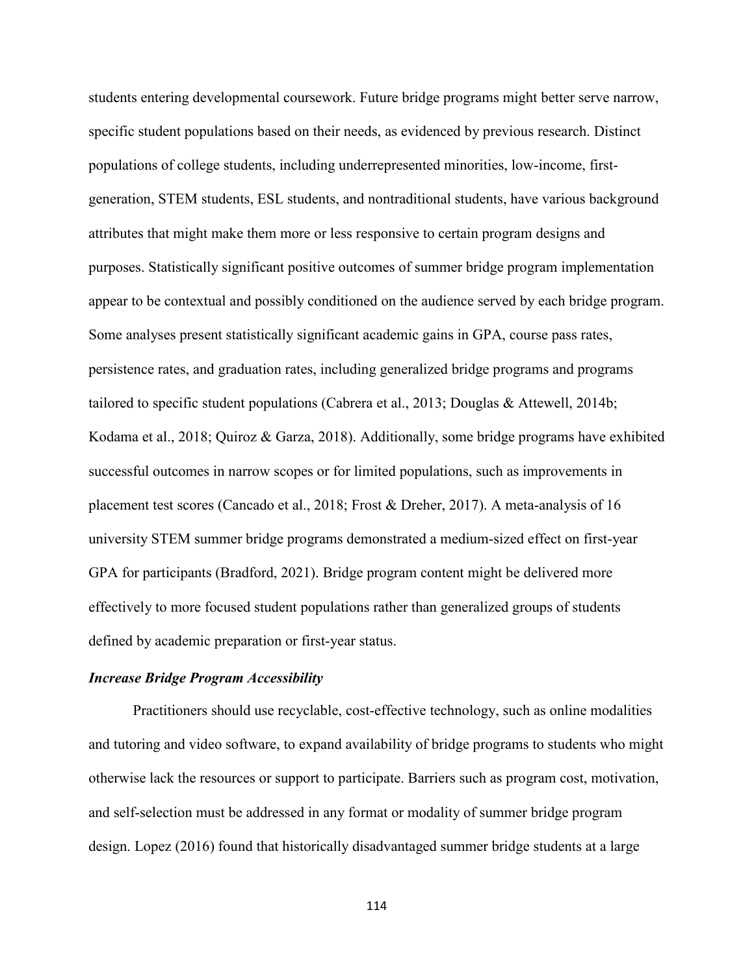students entering developmental coursework. Future bridge programs might better serve narrow, specific student populations based on their needs, as evidenced by previous research. Distinct populations of college students, including underrepresented minorities, low-income, firstgeneration, STEM students, ESL students, and nontraditional students, have various background attributes that might make them more or less responsive to certain program designs and purposes. Statistically significant positive outcomes of summer bridge program implementation appear to be contextual and possibly conditioned on the audience served by each bridge program. Some analyses present statistically significant academic gains in GPA, course pass rates, persistence rates, and graduation rates, including generalized bridge programs and programs tailored to specific student populations (Cabrera et al., 2013; Douglas & Attewell, 2014b; Kodama et al., 2018; Quiroz & Garza, 2018). Additionally, some bridge programs have exhibited successful outcomes in narrow scopes or for limited populations, such as improvements in placement test scores (Cancado et al., 2018; Frost & Dreher, 2017). A meta-analysis of 16 university STEM summer bridge programs demonstrated a medium-sized effect on first-year GPA for participants (Bradford, 2021). Bridge program content might be delivered more effectively to more focused student populations rather than generalized groups of students defined by academic preparation or first-year status.

### *Increase Bridge Program Accessibility*

Practitioners should use recyclable, cost-effective technology, such as online modalities and tutoring and video software, to expand availability of bridge programs to students who might otherwise lack the resources or support to participate. Barriers such as program cost, motivation, and self-selection must be addressed in any format or modality of summer bridge program design. Lopez (2016) found that historically disadvantaged summer bridge students at a large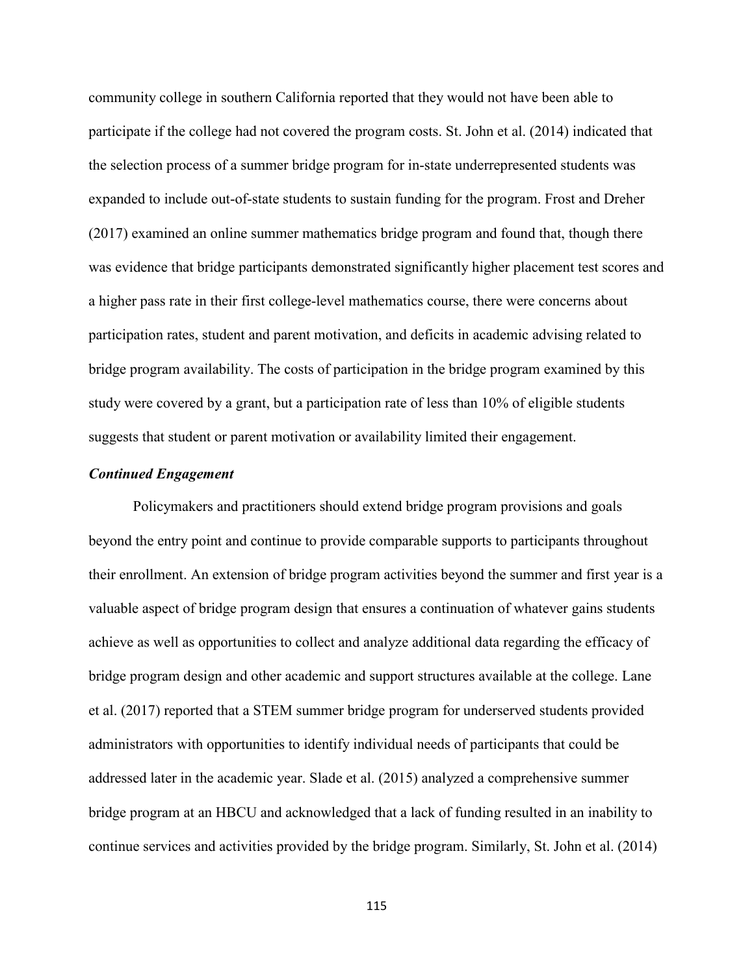community college in southern California reported that they would not have been able to participate if the college had not covered the program costs. St. John et al. (2014) indicated that the selection process of a summer bridge program for in-state underrepresented students was expanded to include out-of-state students to sustain funding for the program. Frost and Dreher (2017) examined an online summer mathematics bridge program and found that, though there was evidence that bridge participants demonstrated significantly higher placement test scores and a higher pass rate in their first college-level mathematics course, there were concerns about participation rates, student and parent motivation, and deficits in academic advising related to bridge program availability. The costs of participation in the bridge program examined by this study were covered by a grant, but a participation rate of less than 10% of eligible students suggests that student or parent motivation or availability limited their engagement.

## *Continued Engagement*

Policymakers and practitioners should extend bridge program provisions and goals beyond the entry point and continue to provide comparable supports to participants throughout their enrollment. An extension of bridge program activities beyond the summer and first year is a valuable aspect of bridge program design that ensures a continuation of whatever gains students achieve as well as opportunities to collect and analyze additional data regarding the efficacy of bridge program design and other academic and support structures available at the college. Lane et al. (2017) reported that a STEM summer bridge program for underserved students provided administrators with opportunities to identify individual needs of participants that could be addressed later in the academic year. Slade et al. (2015) analyzed a comprehensive summer bridge program at an HBCU and acknowledged that a lack of funding resulted in an inability to continue services and activities provided by the bridge program. Similarly, St. John et al. (2014)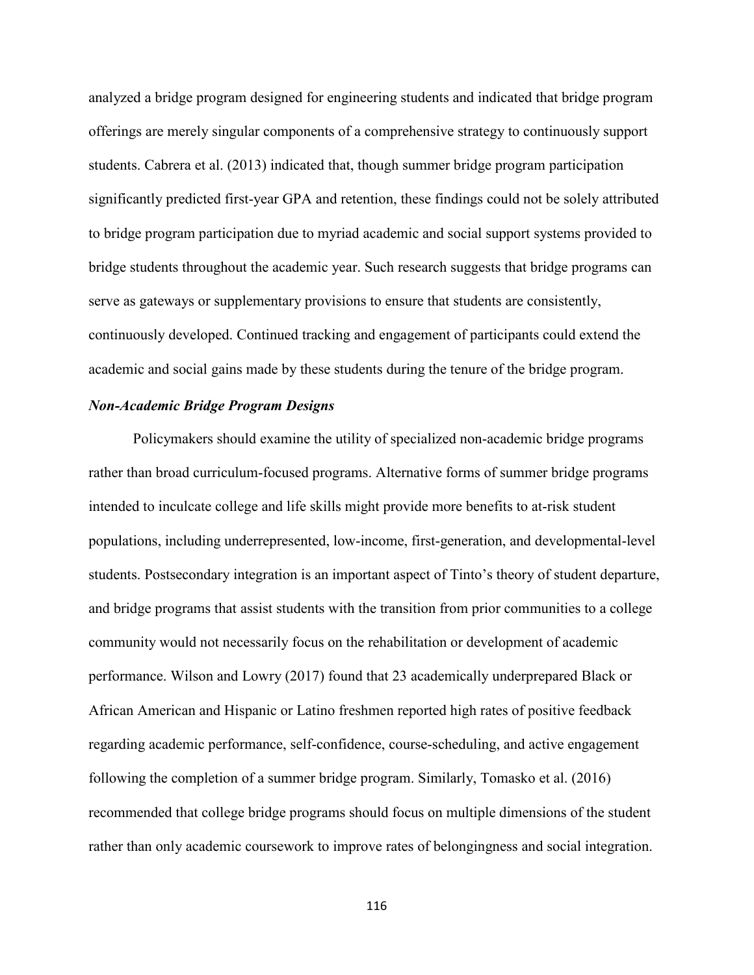analyzed a bridge program designed for engineering students and indicated that bridge program offerings are merely singular components of a comprehensive strategy to continuously support students. Cabrera et al. (2013) indicated that, though summer bridge program participation significantly predicted first-year GPA and retention, these findings could not be solely attributed to bridge program participation due to myriad academic and social support systems provided to bridge students throughout the academic year. Such research suggests that bridge programs can serve as gateways or supplementary provisions to ensure that students are consistently, continuously developed. Continued tracking and engagement of participants could extend the academic and social gains made by these students during the tenure of the bridge program.

# *Non-Academic Bridge Program Designs*

Policymakers should examine the utility of specialized non-academic bridge programs rather than broad curriculum-focused programs. Alternative forms of summer bridge programs intended to inculcate college and life skills might provide more benefits to at-risk student populations, including underrepresented, low-income, first-generation, and developmental-level students. Postsecondary integration is an important aspect of Tinto's theory of student departure, and bridge programs that assist students with the transition from prior communities to a college community would not necessarily focus on the rehabilitation or development of academic performance. Wilson and Lowry (2017) found that 23 academically underprepared Black or African American and Hispanic or Latino freshmen reported high rates of positive feedback regarding academic performance, self-confidence, course-scheduling, and active engagement following the completion of a summer bridge program. Similarly, Tomasko et al. (2016) recommended that college bridge programs should focus on multiple dimensions of the student rather than only academic coursework to improve rates of belongingness and social integration.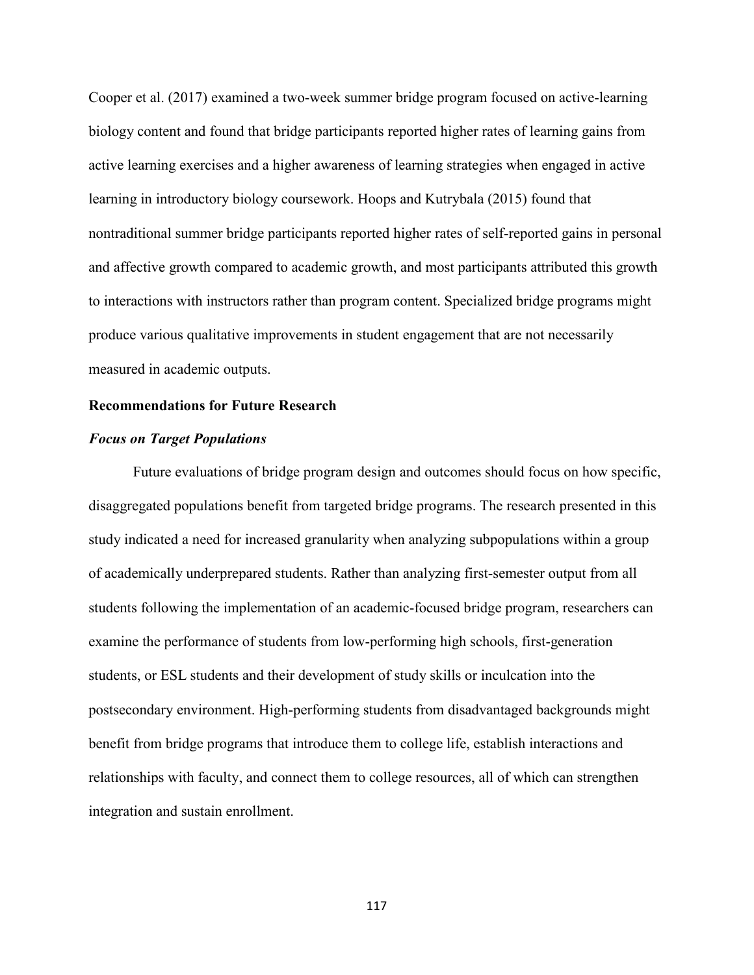Cooper et al. (2017) examined a two-week summer bridge program focused on active-learning biology content and found that bridge participants reported higher rates of learning gains from active learning exercises and a higher awareness of learning strategies when engaged in active learning in introductory biology coursework. Hoops and Kutrybala (2015) found that nontraditional summer bridge participants reported higher rates of self-reported gains in personal and affective growth compared to academic growth, and most participants attributed this growth to interactions with instructors rather than program content. Specialized bridge programs might produce various qualitative improvements in student engagement that are not necessarily measured in academic outputs.

## **Recommendations for Future Research**

#### *Focus on Target Populations*

Future evaluations of bridge program design and outcomes should focus on how specific, disaggregated populations benefit from targeted bridge programs. The research presented in this study indicated a need for increased granularity when analyzing subpopulations within a group of academically underprepared students. Rather than analyzing first-semester output from all students following the implementation of an academic-focused bridge program, researchers can examine the performance of students from low-performing high schools, first-generation students, or ESL students and their development of study skills or inculcation into the postsecondary environment. High-performing students from disadvantaged backgrounds might benefit from bridge programs that introduce them to college life, establish interactions and relationships with faculty, and connect them to college resources, all of which can strengthen integration and sustain enrollment.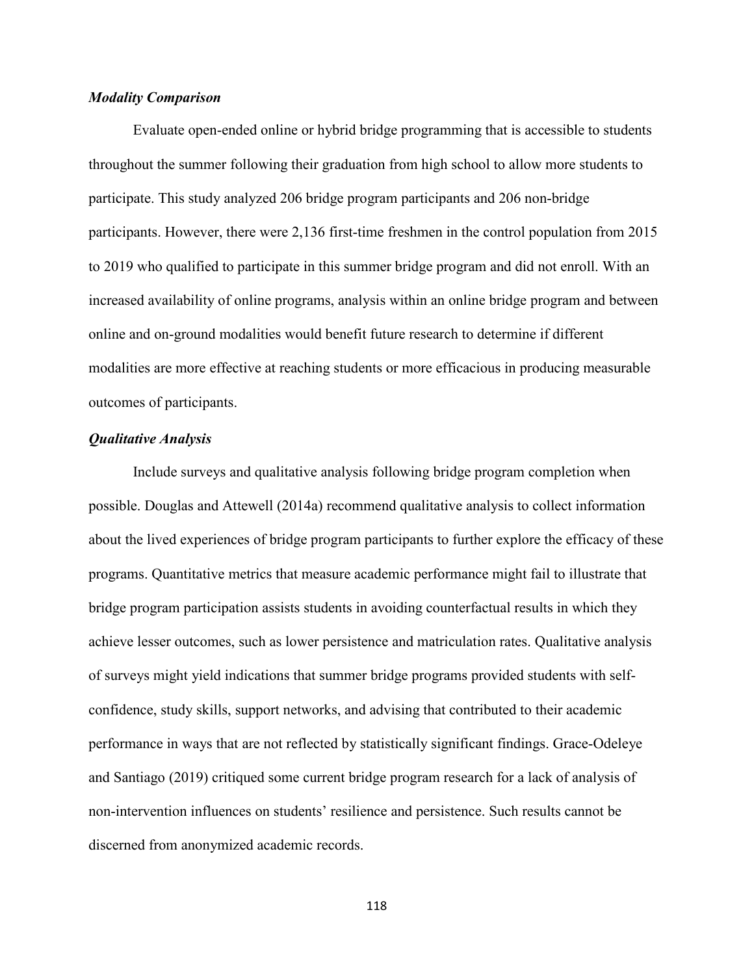## *Modality Comparison*

Evaluate open-ended online or hybrid bridge programming that is accessible to students throughout the summer following their graduation from high school to allow more students to participate. This study analyzed 206 bridge program participants and 206 non-bridge participants. However, there were 2,136 first-time freshmen in the control population from 2015 to 2019 who qualified to participate in this summer bridge program and did not enroll. With an increased availability of online programs, analysis within an online bridge program and between online and on-ground modalities would benefit future research to determine if different modalities are more effective at reaching students or more efficacious in producing measurable outcomes of participants.

#### *Qualitative Analysis*

Include surveys and qualitative analysis following bridge program completion when possible. Douglas and Attewell (2014a) recommend qualitative analysis to collect information about the lived experiences of bridge program participants to further explore the efficacy of these programs. Quantitative metrics that measure academic performance might fail to illustrate that bridge program participation assists students in avoiding counterfactual results in which they achieve lesser outcomes, such as lower persistence and matriculation rates. Qualitative analysis of surveys might yield indications that summer bridge programs provided students with selfconfidence, study skills, support networks, and advising that contributed to their academic performance in ways that are not reflected by statistically significant findings. Grace-Odeleye and Santiago (2019) critiqued some current bridge program research for a lack of analysis of non-intervention influences on students' resilience and persistence. Such results cannot be discerned from anonymized academic records.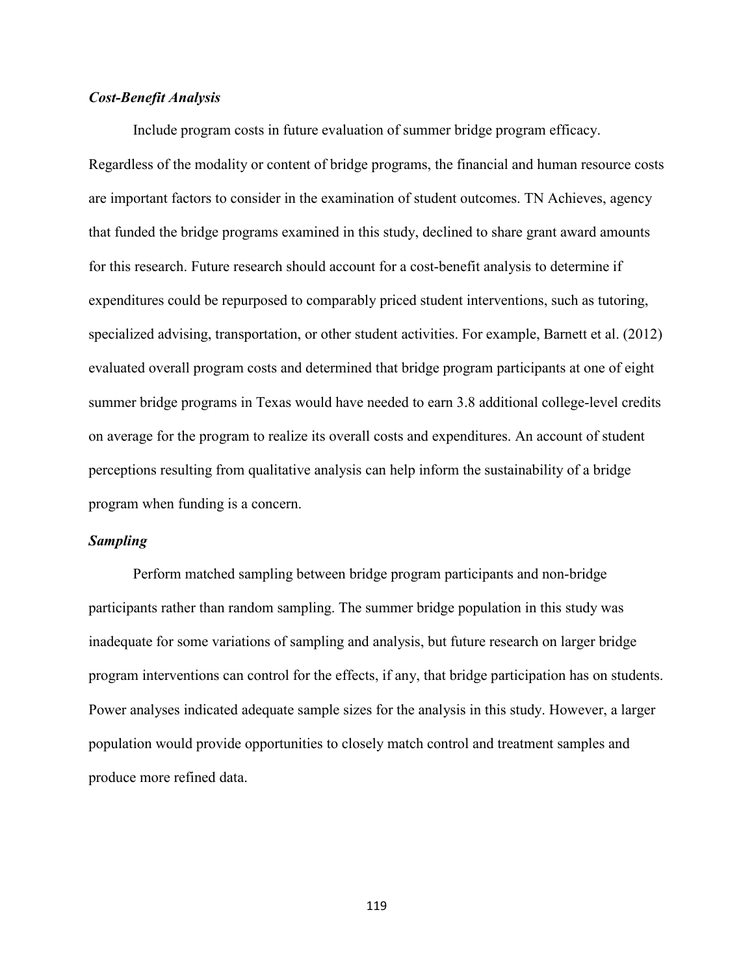## *Cost-Benefit Analysis*

Include program costs in future evaluation of summer bridge program efficacy. Regardless of the modality or content of bridge programs, the financial and human resource costs are important factors to consider in the examination of student outcomes. TN Achieves, agency that funded the bridge programs examined in this study, declined to share grant award amounts for this research. Future research should account for a cost-benefit analysis to determine if expenditures could be repurposed to comparably priced student interventions, such as tutoring, specialized advising, transportation, or other student activities. For example, Barnett et al. (2012) evaluated overall program costs and determined that bridge program participants at one of eight summer bridge programs in Texas would have needed to earn 3.8 additional college-level credits on average for the program to realize its overall costs and expenditures. An account of student perceptions resulting from qualitative analysis can help inform the sustainability of a bridge program when funding is a concern.

### *Sampling*

Perform matched sampling between bridge program participants and non-bridge participants rather than random sampling. The summer bridge population in this study was inadequate for some variations of sampling and analysis, but future research on larger bridge program interventions can control for the effects, if any, that bridge participation has on students. Power analyses indicated adequate sample sizes for the analysis in this study. However, a larger population would provide opportunities to closely match control and treatment samples and produce more refined data.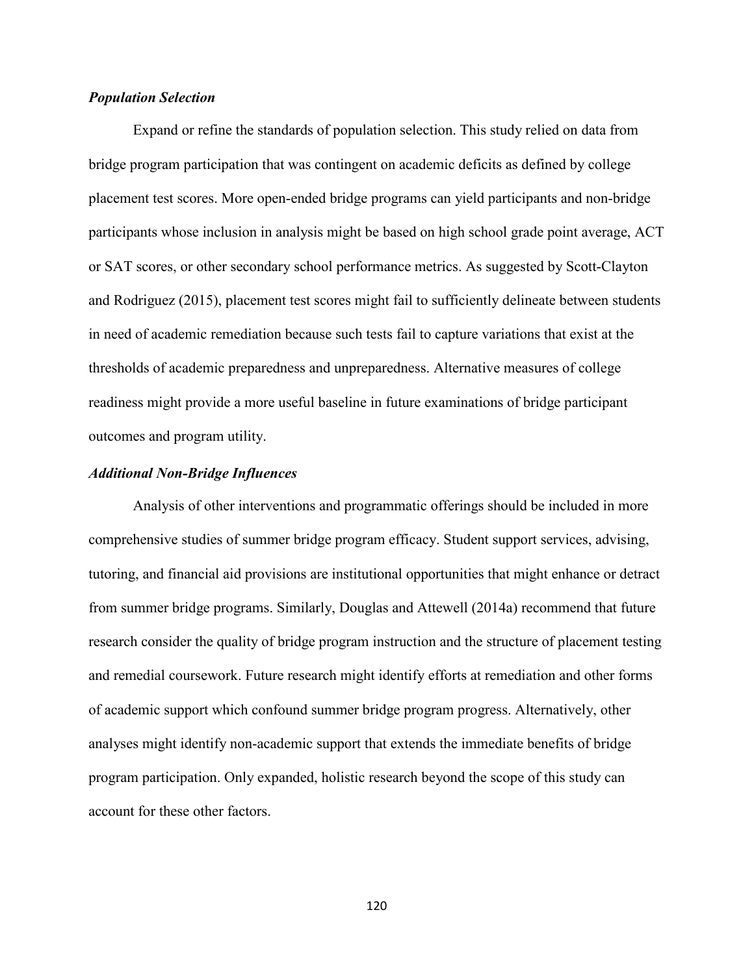## *Population Selection*

Expand or refine the standards of population selection. This study relied on data from bridge program participation that was contingent on academic deficits as defined by college placement test scores. More open-ended bridge programs can yield participants and non-bridge participants whose inclusion in analysis might be based on high school grade point average, ACT or SAT scores, or other secondary school performance metrics. As suggested by Scott-Clayton and Rodriguez (2015), placement test scores might fail to sufficiently delineate between students in need of academic remediation because such tests fail to capture variations that exist at the thresholds of academic preparedness and unpreparedness. Alternative measures of college readiness might provide a more useful baseline in future examinations of bridge participant outcomes and program utility.

### *Additional Non-Bridge Influences*

Analysis of other interventions and programmatic offerings should be included in more comprehensive studies of summer bridge program efficacy. Student support services, advising, tutoring, and financial aid provisions are institutional opportunities that might enhance or detract from summer bridge programs. Similarly, Douglas and Attewell (2014a) recommend that future research consider the quality of bridge program instruction and the structure of placement testing and remedial coursework. Future research might identify efforts at remediation and other forms of academic support which confound summer bridge program progress. Alternatively, other analyses might identify non-academic support that extends the immediate benefits of bridge program participation. Only expanded, holistic research beyond the scope of this study can account for these other factors.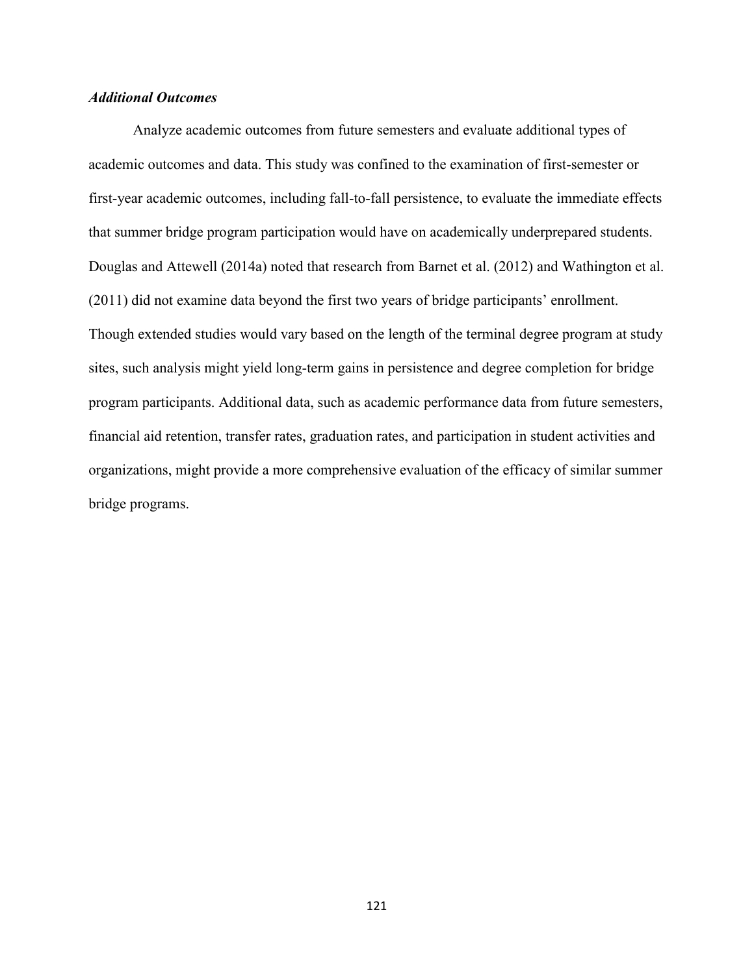## *Additional Outcomes*

Analyze academic outcomes from future semesters and evaluate additional types of academic outcomes and data. This study was confined to the examination of first-semester or first-year academic outcomes, including fall-to-fall persistence, to evaluate the immediate effects that summer bridge program participation would have on academically underprepared students. Douglas and Attewell (2014a) noted that research from Barnet et al. (2012) and Wathington et al. (2011) did not examine data beyond the first two years of bridge participants' enrollment. Though extended studies would vary based on the length of the terminal degree program at study sites, such analysis might yield long-term gains in persistence and degree completion for bridge program participants. Additional data, such as academic performance data from future semesters, financial aid retention, transfer rates, graduation rates, and participation in student activities and organizations, might provide a more comprehensive evaluation of the efficacy of similar summer bridge programs.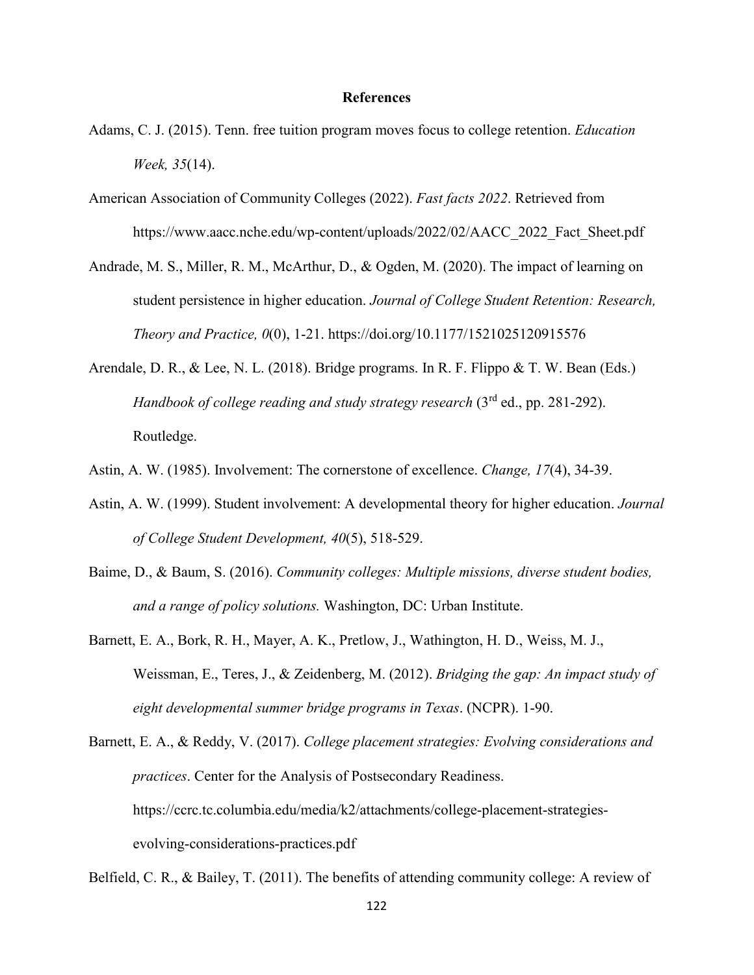#### **References**

- Adams, C. J. (2015). Tenn. free tuition program moves focus to college retention. *Education Week, 35*(14).
- American Association of Community Colleges (2022). *Fast facts 2022*. Retrieved from https://www.aacc.nche.edu/wp-content/uploads/2022/02/AACC\_2022\_Fact\_Sheet.pdf
- Andrade, M. S., Miller, R. M., McArthur, D., & Ogden, M. (2020). The impact of learning on student persistence in higher education. *Journal of College Student Retention: Research, Theory and Practice, 0*(0), 1-21. https://doi.org/10.1177/1521025120915576
- Arendale, D. R., & Lee, N. L. (2018). Bridge programs. In R. F. Flippo & T. W. Bean (Eds.) *Handbook of college reading and study strategy research* (3rd ed., pp. 281-292). Routledge.
- Astin, A. W. (1985). Involvement: The cornerstone of excellence. *Change, 17*(4), 34-39.
- Astin, A. W. (1999). Student involvement: A developmental theory for higher education. *Journal of College Student Development, 40*(5), 518-529.
- Baime, D., & Baum, S. (2016). *Community colleges: Multiple missions, diverse student bodies, and a range of policy solutions.* Washington, DC: Urban Institute.
- Barnett, E. A., Bork, R. H., Mayer, A. K., Pretlow, J., Wathington, H. D., Weiss, M. J., Weissman, E., Teres, J., & Zeidenberg, M. (2012). *Bridging the gap: An impact study of eight developmental summer bridge programs in Texas*. (NCPR). 1-90.
- Barnett, E. A., & Reddy, V. (2017). *College placement strategies: Evolving considerations and practices*. Center for the Analysis of Postsecondary Readiness. https://ccrc.tc.columbia.edu/media/k2/attachments/college-placement-strategiesevolving-considerations-practices.pdf

Belfield, C. R., & Bailey, T. (2011). The benefits of attending community college: A review of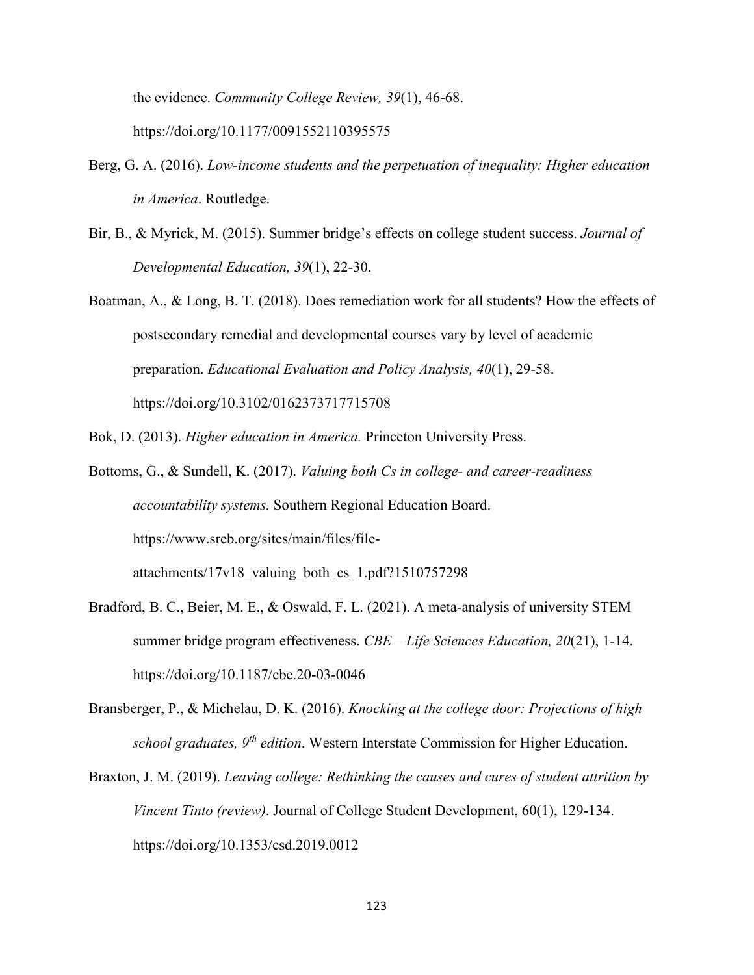the evidence. *Community College Review, 39*(1), 46-68. https://doi.org/10.1177/0091552110395575

- Berg, G. A. (2016). *Low-income students and the perpetuation of inequality: Higher education in America*. Routledge.
- Bir, B., & Myrick, M. (2015). Summer bridge's effects on college student success. *Journal of Developmental Education, 39*(1), 22-30.
- Boatman, A., & Long, B. T. (2018). Does remediation work for all students? How the effects of postsecondary remedial and developmental courses vary by level of academic preparation. *Educational Evaluation and Policy Analysis, 40*(1), 29-58. https://doi.org/10.3102/0162373717715708
- Bok, D. (2013). *Higher education in America.* Princeton University Press.
- Bottoms, G., & Sundell, K. (2017). *Valuing both Cs in college- and career-readiness accountability systems.* Southern Regional Education Board. https://www.sreb.org/sites/main/files/file-

attachments/17v18 valuing both cs 1.pdf?1510757298

- Bradford, B. C., Beier, M. E., & Oswald, F. L. (2021). A meta-analysis of university STEM summer bridge program effectiveness. *CBE – Life Sciences Education, 20*(21), 1-14. https://doi.org/10.1187/cbe.20-03-0046
- Bransberger, P., & Michelau, D. K. (2016). *Knocking at the college door: Projections of high school graduates, 9th edition*. Western Interstate Commission for Higher Education.
- Braxton, J. M. (2019). *Leaving college: Rethinking the causes and cures of student attrition by Vincent Tinto (review)*. Journal of College Student Development, 60(1), 129-134. https://doi.org/10.1353/csd.2019.0012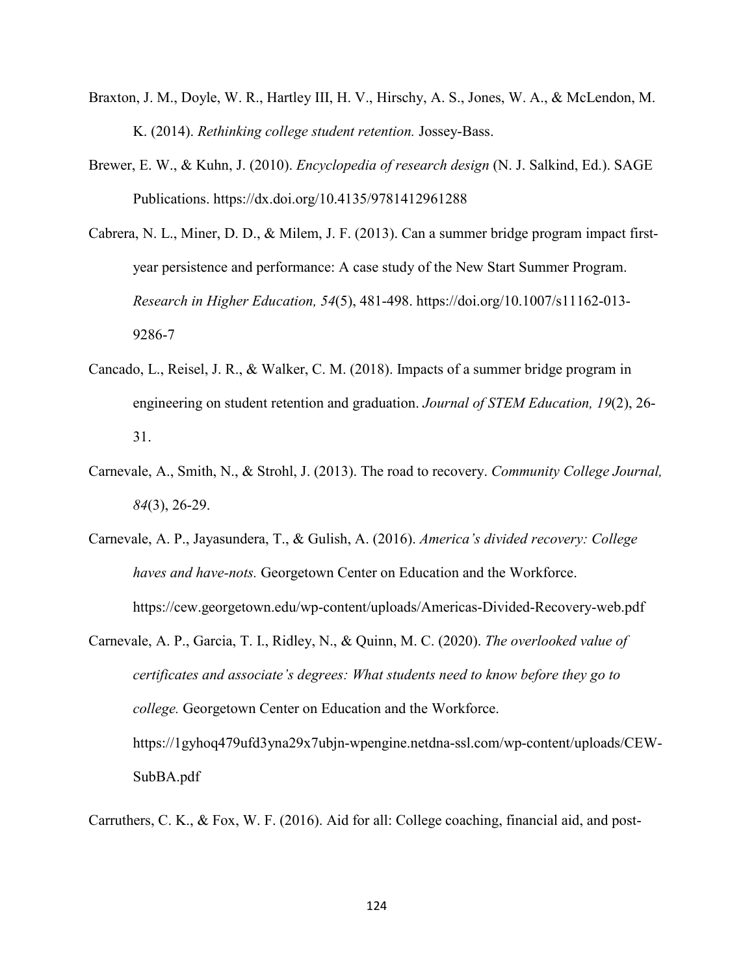- Braxton, J. M., Doyle, W. R., Hartley III, H. V., Hirschy, A. S., Jones, W. A., & McLendon, M. K. (2014). *Rethinking college student retention.* Jossey-Bass.
- Brewer, E. W., & Kuhn, J. (2010). *Encyclopedia of research design* (N. J. Salkind, Ed.). SAGE Publications. https://dx.doi.org/10.4135/9781412961288
- Cabrera, N. L., Miner, D. D., & Milem, J. F. (2013). Can a summer bridge program impact firstyear persistence and performance: A case study of the New Start Summer Program. *Research in Higher Education, 54*(5), 481-498. https://doi.org/10.1007/s11162-013- 9286-7
- Cancado, L., Reisel, J. R., & Walker, C. M. (2018). Impacts of a summer bridge program in engineering on student retention and graduation. *Journal of STEM Education, 19*(2), 26- 31.
- Carnevale, A., Smith, N., & Strohl, J. (2013). The road to recovery. *Community College Journal, 84*(3), 26-29.
- Carnevale, A. P., Jayasundera, T., & Gulish, A. (2016). *America's divided recovery: College haves and have-nots.* Georgetown Center on Education and the Workforce. https://cew.georgetown.edu/wp-content/uploads/Americas-Divided-Recovery-web.pdf
- Carnevale, A. P., Garcia, T. I., Ridley, N., & Quinn, M. C. (2020). *The overlooked value of certificates and associate's degrees: What students need to know before they go to college.* Georgetown Center on Education and the Workforce. https://1gyhoq479ufd3yna29x7ubjn-wpengine.netdna-ssl.com/wp-content/uploads/CEW-SubBA.pdf

Carruthers, C. K., & Fox, W. F. (2016). Aid for all: College coaching, financial aid, and post-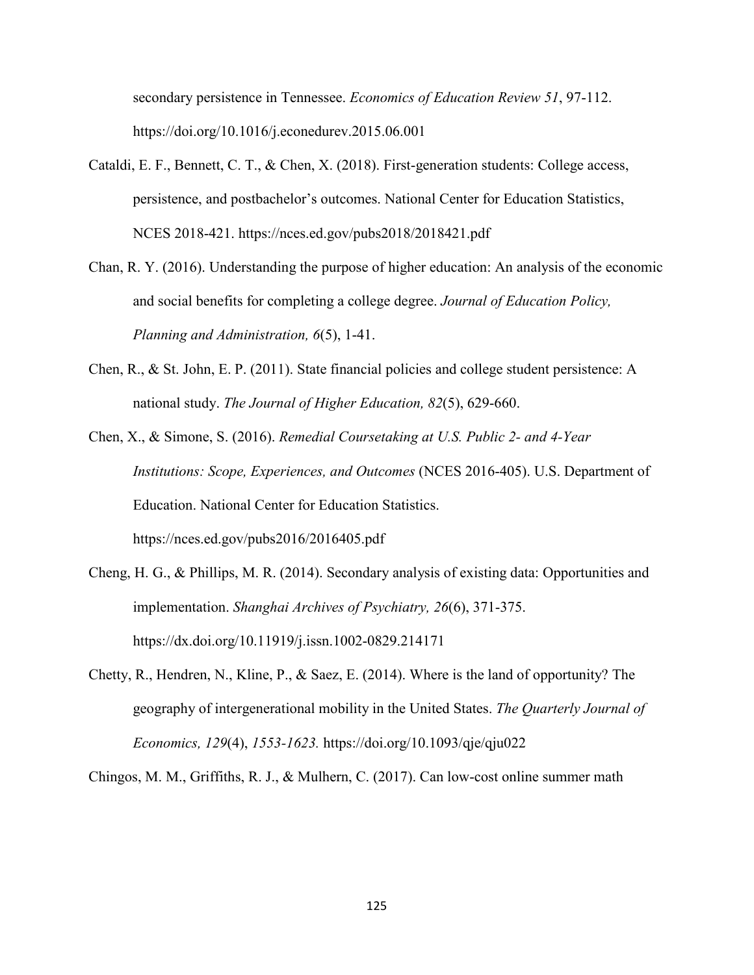secondary persistence in Tennessee. *Economics of Education Review 51*, 97-112. https://doi.org/10.1016/j.econedurev.2015.06.001

- Cataldi, E. F., Bennett, C. T., & Chen, X. (2018). First-generation students: College access, persistence, and postbachelor's outcomes. National Center for Education Statistics, NCES 2018-421. https://nces.ed.gov/pubs2018/2018421.pdf
- Chan, R. Y. (2016). Understanding the purpose of higher education: An analysis of the economic and social benefits for completing a college degree. *Journal of Education Policy, Planning and Administration, 6*(5), 1-41.
- Chen, R., & St. John, E. P. (2011). State financial policies and college student persistence: A national study. *The Journal of Higher Education, 82*(5), 629-660.
- Chen, X., & Simone, S. (2016). *Remedial Coursetaking at U.S. Public 2- and 4-Year Institutions: Scope, Experiences, and Outcomes* (NCES 2016-405). U.S. Department of Education. National Center for Education Statistics. https://nces.ed.gov/pubs2016/2016405.pdf
- Cheng, H. G., & Phillips, M. R. (2014). Secondary analysis of existing data: Opportunities and implementation. *Shanghai Archives of Psychiatry, 26*(6), 371-375. https://dx.doi.org/10.11919/j.issn.1002-0829.214171
- Chetty, R., Hendren, N., Kline, P., & Saez, E. (2014). Where is the land of opportunity? The geography of intergenerational mobility in the United States. *The Quarterly Journal of Economics, 129*(4), *1553-1623.* https://doi.org/10.1093/qje/qju022

Chingos, M. M., Griffiths, R. J., & Mulhern, C. (2017). Can low-cost online summer math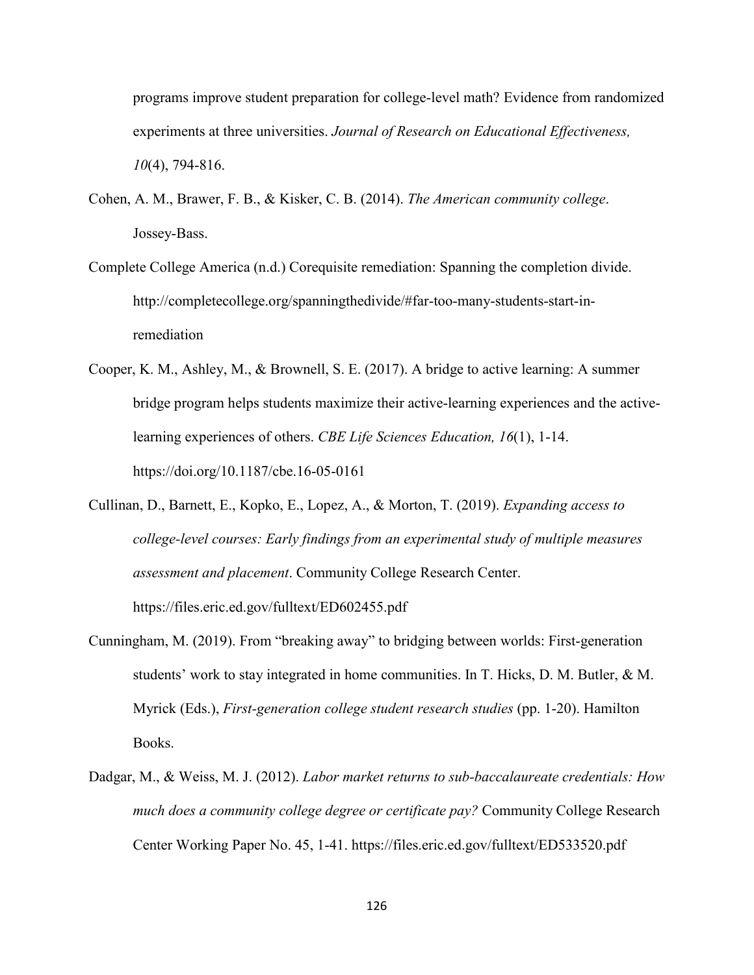programs improve student preparation for college-level math? Evidence from randomized experiments at three universities. *Journal of Research on Educational Effectiveness, 10*(4), 794-816.

- Cohen, A. M., Brawer, F. B., & Kisker, C. B. (2014). *The American community college*. Jossey-Bass.
- Complete College America (n.d.) Corequisite remediation: Spanning the completion divide. http://completecollege.org/spanningthedivide/#far-too-many-students-start-inremediation
- Cooper, K. M., Ashley, M., & Brownell, S. E. (2017). A bridge to active learning: A summer bridge program helps students maximize their active-learning experiences and the activelearning experiences of others. *CBE Life Sciences Education, 16*(1), 1-14. https://doi.org/10.1187/cbe.16-05-0161
- Cullinan, D., Barnett, E., Kopko, E., Lopez, A., & Morton, T. (2019). *Expanding access to college-level courses: Early findings from an experimental study of multiple measures assessment and placement*. Community College Research Center. https://files.eric.ed.gov/fulltext/ED602455.pdf
- Cunningham, M. (2019). From "breaking away" to bridging between worlds: First-generation students' work to stay integrated in home communities. In T. Hicks, D. M. Butler, & M. Myrick (Eds.), *First-generation college student research studies* (pp. 1-20). Hamilton Books.
- Dadgar, M., & Weiss, M. J. (2012). *Labor market returns to sub-baccalaureate credentials: How much does a community college degree or certificate pay?* Community College Research Center Working Paper No. 45, 1-41. https://files.eric.ed.gov/fulltext/ED533520.pdf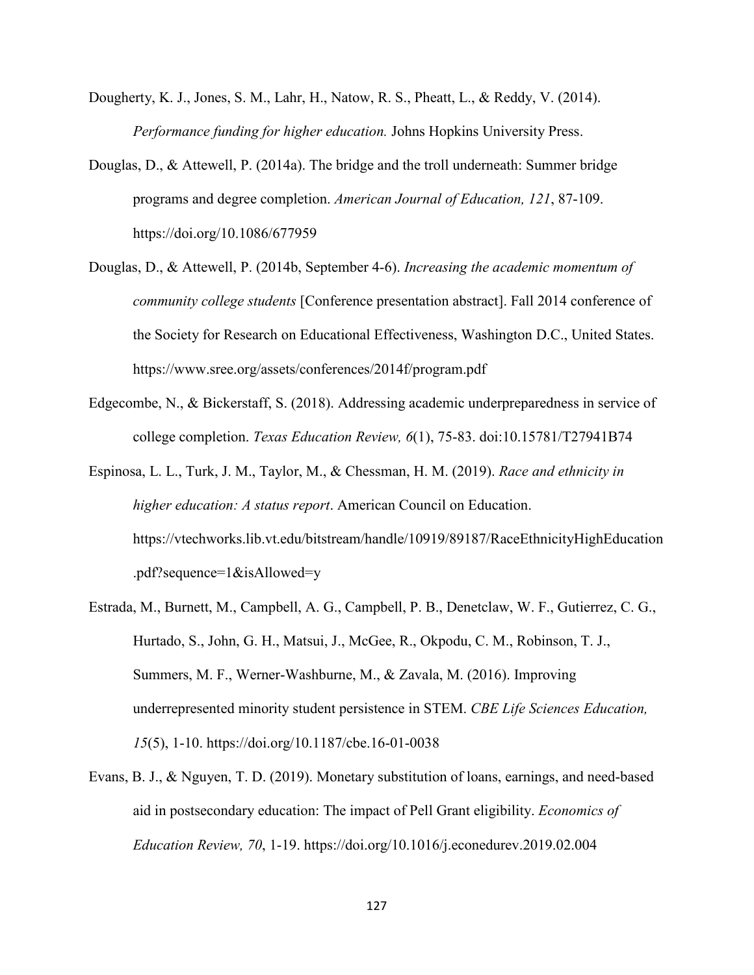- Dougherty, K. J., Jones, S. M., Lahr, H., Natow, R. S., Pheatt, L., & Reddy, V. (2014). *Performance funding for higher education.* Johns Hopkins University Press.
- Douglas, D., & Attewell, P. (2014a). The bridge and the troll underneath: Summer bridge programs and degree completion. *American Journal of Education, 121*, 87-109. https://doi.org/10.1086/677959
- Douglas, D., & Attewell, P. (2014b, September 4-6). *Increasing the academic momentum of community college students* [Conference presentation abstract]. Fall 2014 conference of the Society for Research on Educational Effectiveness, Washington D.C., United States. https://www.sree.org/assets/conferences/2014f/program.pdf
- Edgecombe, N., & Bickerstaff, S. (2018). Addressing academic underpreparedness in service of college completion. *Texas Education Review, 6*(1), 75-83. doi:10.15781/T27941B74
- Espinosa, L. L., Turk, J. M., Taylor, M., & Chessman, H. M. (2019). *Race and ethnicity in higher education: A status report*. American Council on Education. https://vtechworks.lib.vt.edu/bitstream/handle/10919/89187/RaceEthnicityHighEducation .pdf?sequence=1&isAllowed=y
- Estrada, M., Burnett, M., Campbell, A. G., Campbell, P. B., Denetclaw, W. F., Gutierrez, C. G., Hurtado, S., John, G. H., Matsui, J., McGee, R., Okpodu, C. M., Robinson, T. J., Summers, M. F., Werner-Washburne, M., & Zavala, M. (2016). Improving underrepresented minority student persistence in STEM. *CBE Life Sciences Education, 15*(5), 1-10. https://doi.org/10.1187/cbe.16-01-0038
- Evans, B. J., & Nguyen, T. D. (2019). Monetary substitution of loans, earnings, and need-based aid in postsecondary education: The impact of Pell Grant eligibility. *Economics of Education Review, 70*, 1-19. https://doi.org/10.1016/j.econedurev.2019.02.004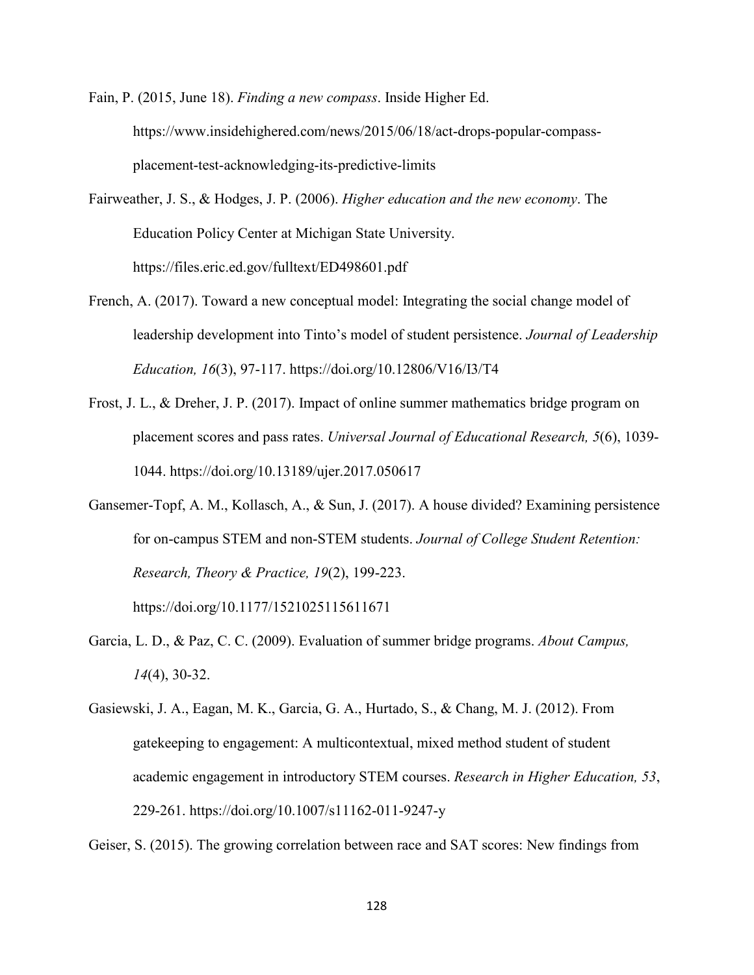Fain, P. (2015, June 18). *Finding a new compass*. Inside Higher Ed. https://www.insidehighered.com/news/2015/06/18/act-drops-popular-compassplacement-test-acknowledging-its-predictive-limits

- Fairweather, J. S., & Hodges, J. P. (2006). *Higher education and the new economy*. The Education Policy Center at Michigan State University. https://files.eric.ed.gov/fulltext/ED498601.pdf
- French, A. (2017). Toward a new conceptual model: Integrating the social change model of leadership development into Tinto's model of student persistence. *Journal of Leadership Education, 16*(3), 97-117. https://doi.org/10.12806/V16/I3/T4
- Frost, J. L., & Dreher, J. P. (2017). Impact of online summer mathematics bridge program on placement scores and pass rates. *Universal Journal of Educational Research, 5*(6), 1039- 1044. https://doi.org/10.13189/ujer.2017.050617
- Gansemer-Topf, A. M., Kollasch, A., & Sun, J. (2017). A house divided? Examining persistence for on-campus STEM and non-STEM students. *Journal of College Student Retention: Research, Theory & Practice, 19*(2), 199-223.

https://doi.org/10.1177/1521025115611671

- Garcia, L. D., & Paz, C. C. (2009). Evaluation of summer bridge programs. *About Campus, 14*(4), 30-32.
- Gasiewski, J. A., Eagan, M. K., Garcia, G. A., Hurtado, S., & Chang, M. J. (2012). From gatekeeping to engagement: A multicontextual, mixed method student of student academic engagement in introductory STEM courses. *Research in Higher Education, 53*, 229-261. https://doi.org/10.1007/s11162-011-9247-y

Geiser, S. (2015). The growing correlation between race and SAT scores: New findings from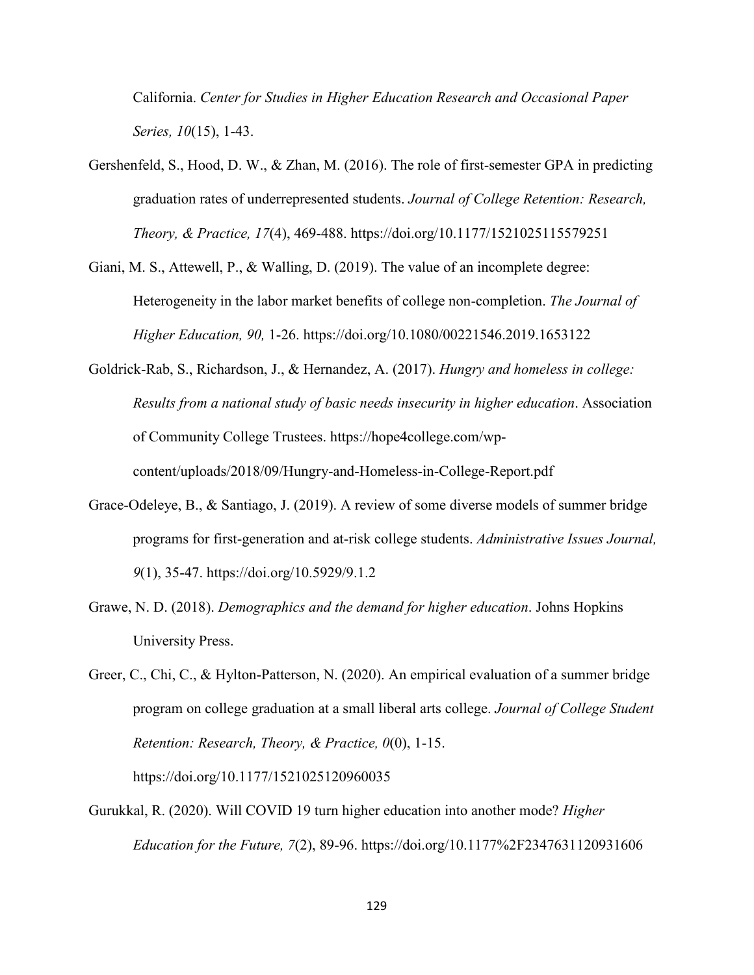California. *Center for Studies in Higher Education Research and Occasional Paper Series, 10*(15), 1-43.

- Gershenfeld, S., Hood, D. W., & Zhan, M. (2016). The role of first-semester GPA in predicting graduation rates of underrepresented students. *Journal of College Retention: Research, Theory, & Practice, 17*(4), 469-488. https://doi.org/10.1177/1521025115579251
- Giani, M. S., Attewell, P., & Walling, D. (2019). The value of an incomplete degree: Heterogeneity in the labor market benefits of college non-completion. *The Journal of Higher Education, 90,* 1-26. https://doi.org/10.1080/00221546.2019.1653122
- Goldrick-Rab, S., Richardson, J., & Hernandez, A. (2017). *Hungry and homeless in college: Results from a national study of basic needs insecurity in higher education*. Association of Community College Trustees. https://hope4college.com/wpcontent/uploads/2018/09/Hungry-and-Homeless-in-College-Report.pdf
- Grace-Odeleye, B., & Santiago, J. (2019). A review of some diverse models of summer bridge programs for first-generation and at-risk college students. *Administrative Issues Journal, 9*(1), 35-47. https://doi.org/10.5929/9.1.2
- Grawe, N. D. (2018). *Demographics and the demand for higher education*. Johns Hopkins University Press.
- Greer, C., Chi, C., & Hylton-Patterson, N. (2020). An empirical evaluation of a summer bridge program on college graduation at a small liberal arts college. *Journal of College Student Retention: Research, Theory, & Practice, 0*(0), 1-15.

https://doi.org/10.1177/1521025120960035

Gurukkal, R. (2020). Will COVID 19 turn higher education into another mode? *Higher Education for the Future, 7*(2), 89-96. https://doi.org/10.1177%2F2347631120931606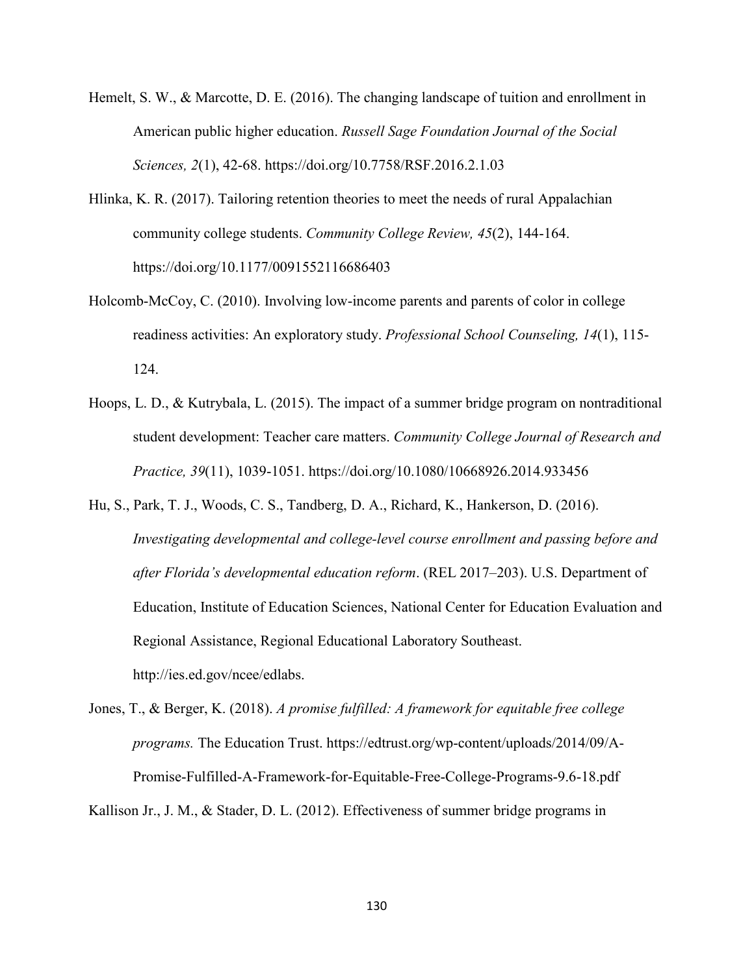- Hemelt, S. W., & Marcotte, D. E. (2016). The changing landscape of tuition and enrollment in American public higher education. *Russell Sage Foundation Journal of the Social Sciences, 2*(1), 42-68. https://doi.org/10.7758/RSF.2016.2.1.03
- Hlinka, K. R. (2017). Tailoring retention theories to meet the needs of rural Appalachian community college students. *Community College Review, 45*(2), 144-164. https://doi.org/10.1177/0091552116686403
- Holcomb-McCoy, C. (2010). Involving low-income parents and parents of color in college readiness activities: An exploratory study. *Professional School Counseling, 14*(1), 115- 124.
- Hoops, L. D., & Kutrybala, L. (2015). The impact of a summer bridge program on nontraditional student development: Teacher care matters. *Community College Journal of Research and Practice, 39*(11), 1039-1051. https://doi.org/10.1080/10668926.2014.933456
- Hu, S., Park, T. J., Woods, C. S., Tandberg, D. A., Richard, K., Hankerson, D. (2016). *Investigating developmental and college-level course enrollment and passing before and after Florida's developmental education reform*. (REL 2017–203). U.S. Department of Education, Institute of Education Sciences, National Center for Education Evaluation and Regional Assistance, Regional Educational Laboratory Southeast. http://ies.ed.gov/ncee/edlabs.
- Jones, T., & Berger, K. (2018). *A promise fulfilled: A framework for equitable free college programs.* The Education Trust. https://edtrust.org/wp-content/uploads/2014/09/A-Promise-Fulfilled-A-Framework-for-Equitable-Free-College-Programs-9.6-18.pdf

Kallison Jr., J. M., & Stader, D. L. (2012). Effectiveness of summer bridge programs in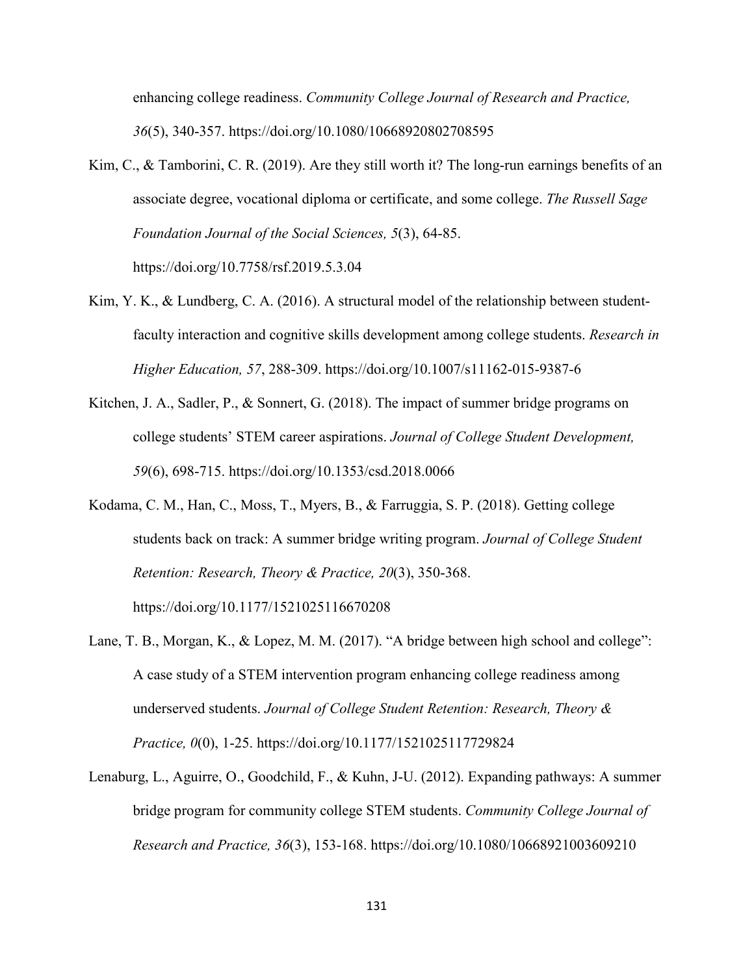enhancing college readiness. *Community College Journal of Research and Practice, 36*(5), 340-357. https://doi.org/10.1080/10668920802708595

Kim, C., & Tamborini, C. R. (2019). Are they still worth it? The long-run earnings benefits of an associate degree, vocational diploma or certificate, and some college. *The Russell Sage Foundation Journal of the Social Sciences, 5*(3), 64-85.

https://doi.org/10.7758/rsf.2019.5.3.04

- Kim, Y. K., & Lundberg, C. A. (2016). A structural model of the relationship between studentfaculty interaction and cognitive skills development among college students. *Research in Higher Education, 57*, 288-309. https://doi.org/10.1007/s11162-015-9387-6
- Kitchen, J. A., Sadler, P., & Sonnert, G. (2018). The impact of summer bridge programs on college students' STEM career aspirations. *Journal of College Student Development, 59*(6), 698-715. https://doi.org/10.1353/csd.2018.0066
- Kodama, C. M., Han, C., Moss, T., Myers, B., & Farruggia, S. P. (2018). Getting college students back on track: A summer bridge writing program. *Journal of College Student Retention: Research, Theory & Practice, 20*(3), 350-368.

https://doi.org/10.1177/1521025116670208

- Lane, T. B., Morgan, K., & Lopez, M. M. (2017). "A bridge between high school and college": A case study of a STEM intervention program enhancing college readiness among underserved students. *Journal of College Student Retention: Research, Theory & Practice, 0*(0), 1-25. https://doi.org/10.1177/1521025117729824
- Lenaburg, L., Aguirre, O., Goodchild, F., & Kuhn, J-U. (2012). Expanding pathways: A summer bridge program for community college STEM students. *Community College Journal of Research and Practice, 36*(3), 153-168. https://doi.org/10.1080/10668921003609210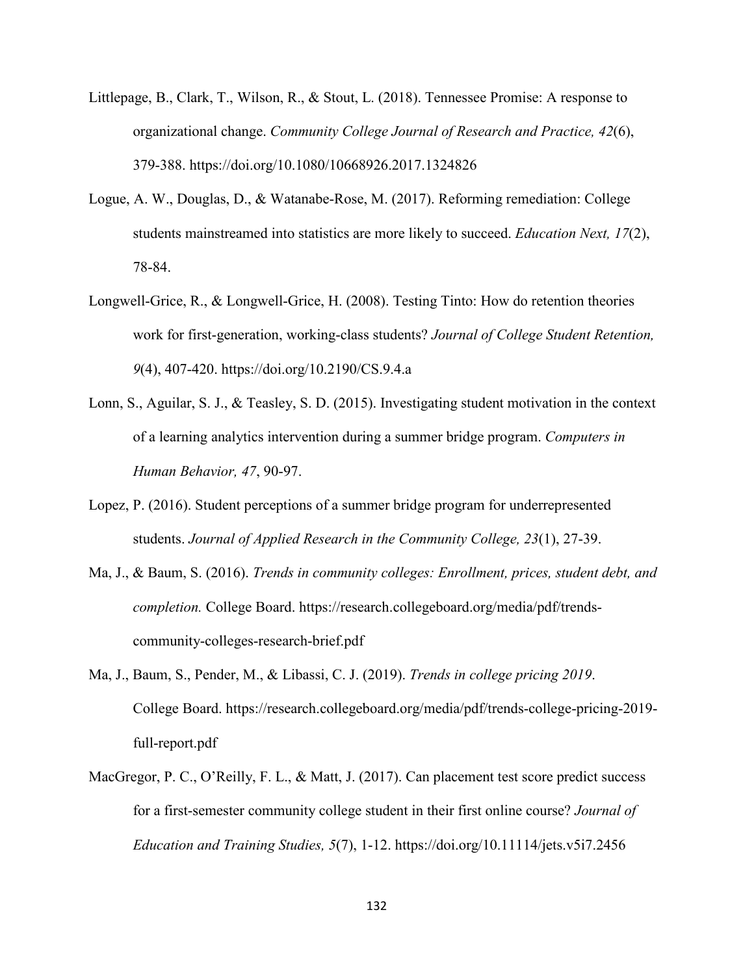- Littlepage, B., Clark, T., Wilson, R., & Stout, L. (2018). Tennessee Promise: A response to organizational change. *Community College Journal of Research and Practice, 42*(6), 379-388. https://doi.org/10.1080/10668926.2017.1324826
- Logue, A. W., Douglas, D., & Watanabe-Rose, M. (2017). Reforming remediation: College students mainstreamed into statistics are more likely to succeed. *Education Next, 17*(2), 78-84.
- Longwell-Grice, R., & Longwell-Grice, H. (2008). Testing Tinto: How do retention theories work for first-generation, working-class students? *Journal of College Student Retention, 9*(4), 407-420. https://doi.org/10.2190/CS.9.4.a
- Lonn, S., Aguilar, S. J., & Teasley, S. D. (2015). Investigating student motivation in the context of a learning analytics intervention during a summer bridge program. *Computers in Human Behavior, 47*, 90-97.
- Lopez, P. (2016). Student perceptions of a summer bridge program for underrepresented students. *Journal of Applied Research in the Community College, 23*(1), 27-39.
- Ma, J., & Baum, S. (2016). *Trends in community colleges: Enrollment, prices, student debt, and completion.* College Board. https://research.collegeboard.org/media/pdf/trendscommunity-colleges-research-brief.pdf
- Ma, J., Baum, S., Pender, M., & Libassi, C. J. (2019). *Trends in college pricing 2019*. College Board. https://research.collegeboard.org/media/pdf/trends-college-pricing-2019 full-report.pdf
- MacGregor, P. C., O'Reilly, F. L., & Matt, J. (2017). Can placement test score predict success for a first-semester community college student in their first online course? *Journal of Education and Training Studies, 5*(7), 1-12. https://doi.org/10.11114/jets.v5i7.2456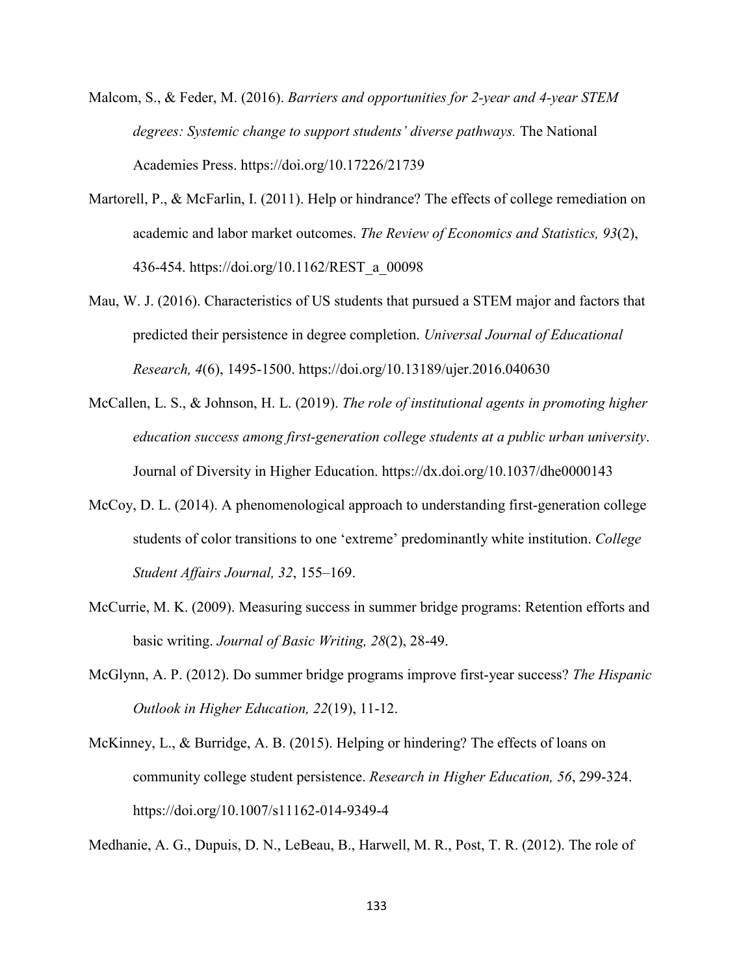- Malcom, S., & Feder, M. (2016). *Barriers and opportunities for 2-year and 4-year STEM degrees: Systemic change to support students' diverse pathways.* The National Academies Press. https://doi.org/10.17226/21739
- Martorell, P., & McFarlin, I. (2011). Help or hindrance? The effects of college remediation on academic and labor market outcomes. *The Review of Economics and Statistics, 93*(2), 436-454. https://doi.org/10.1162/REST\_a\_00098
- Mau, W. J. (2016). Characteristics of US students that pursued a STEM major and factors that predicted their persistence in degree completion. *Universal Journal of Educational Research, 4*(6), 1495-1500. https://doi.org/10.13189/ujer.2016.040630
- McCallen, L. S., & Johnson, H. L. (2019). *The role of institutional agents in promoting higher education success among first-generation college students at a public urban university*. Journal of Diversity in Higher Education. https://dx.doi.org/10.1037/dhe0000143
- McCoy, D. L. (2014). A phenomenological approach to understanding first-generation college students of color transitions to one 'extreme' predominantly white institution. *College Student Affairs Journal, 32*, 155–169.
- McCurrie, M. K. (2009). Measuring success in summer bridge programs: Retention efforts and basic writing. *Journal of Basic Writing, 28*(2), 28-49.
- McGlynn, A. P. (2012). Do summer bridge programs improve first-year success? *The Hispanic Outlook in Higher Education, 22*(19), 11-12.
- McKinney, L., & Burridge, A. B. (2015). Helping or hindering? The effects of loans on community college student persistence. *Research in Higher Education, 56*, 299-324. https://doi.org/10.1007/s11162-014-9349-4

Medhanie, A. G., Dupuis, D. N., LeBeau, B., Harwell, M. R., Post, T. R. (2012). The role of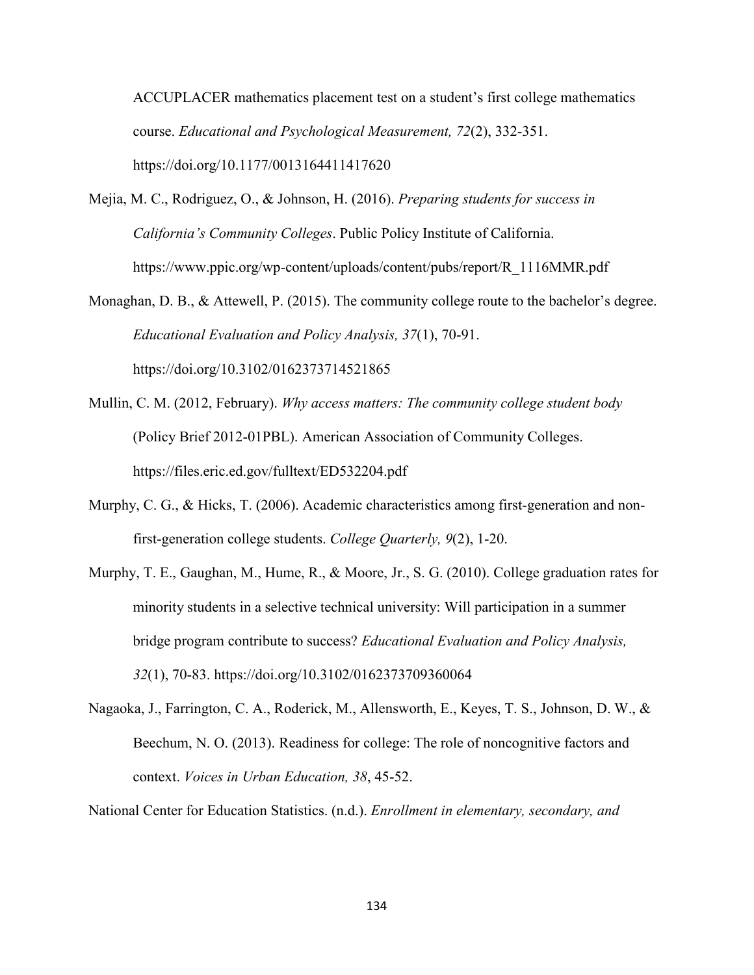ACCUPLACER mathematics placement test on a student's first college mathematics course. *Educational and Psychological Measurement, 72*(2), 332-351. https://doi.org/10.1177/0013164411417620

Mejia, M. C., Rodriguez, O., & Johnson, H. (2016). *Preparing students for success in California's Community Colleges*. Public Policy Institute of California. https://www.ppic.org/wp-content/uploads/content/pubs/report/R\_1116MMR.pdf

Monaghan, D. B., & Attewell, P. (2015). The community college route to the bachelor's degree. *Educational Evaluation and Policy Analysis, 37*(1), 70-91. https://doi.org/10.3102/0162373714521865

Mullin, C. M. (2012, February). *Why access matters: The community college student body* (Policy Brief 2012-01PBL). American Association of Community Colleges. https://files.eric.ed.gov/fulltext/ED532204.pdf

- Murphy, C. G., & Hicks, T. (2006). Academic characteristics among first-generation and nonfirst-generation college students. *College Quarterly, 9*(2), 1-20.
- Murphy, T. E., Gaughan, M., Hume, R., & Moore, Jr., S. G. (2010). College graduation rates for minority students in a selective technical university: Will participation in a summer bridge program contribute to success? *Educational Evaluation and Policy Analysis, 32*(1), 70-83. https://doi.org/10.3102/0162373709360064
- Nagaoka, J., Farrington, C. A., Roderick, M., Allensworth, E., Keyes, T. S., Johnson, D. W., & Beechum, N. O. (2013). Readiness for college: The role of noncognitive factors and context. *Voices in Urban Education, 38*, 45-52.

National Center for Education Statistics. (n.d.). *Enrollment in elementary, secondary, and*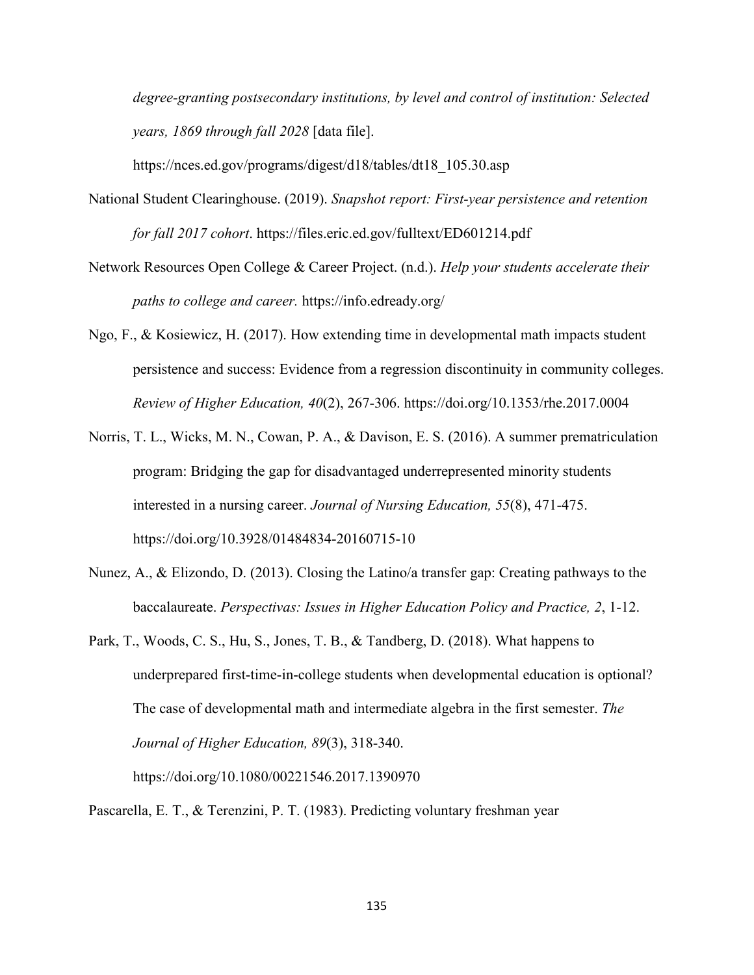*degree-granting postsecondary institutions, by level and control of institution: Selected years, 1869 through fall 2028* [data file].

https://nces.ed.gov/programs/digest/d18/tables/dt18\_105.30.asp

- National Student Clearinghouse. (2019). *Snapshot report: First-year persistence and retention for fall 2017 cohort*. https://files.eric.ed.gov/fulltext/ED601214.pdf
- Network Resources Open College & Career Project. (n.d.). *Help your students accelerate their paths to college and career.* https://info.edready.org/
- Ngo, F., & Kosiewicz, H. (2017). How extending time in developmental math impacts student persistence and success: Evidence from a regression discontinuity in community colleges. *Review of Higher Education, 40*(2), 267-306. https://doi.org/10.1353/rhe.2017.0004
- Norris, T. L., Wicks, M. N., Cowan, P. A., & Davison, E. S. (2016). A summer prematriculation program: Bridging the gap for disadvantaged underrepresented minority students interested in a nursing career. *Journal of Nursing Education, 55*(8), 471-475. https://doi.org/10.3928/01484834-20160715-10
- Nunez, A., & Elizondo, D. (2013). Closing the Latino/a transfer gap: Creating pathways to the baccalaureate. *Perspectivas: Issues in Higher Education Policy and Practice, 2*, 1-12.
- Park, T., Woods, C. S., Hu, S., Jones, T. B., & Tandberg, D. (2018). What happens to underprepared first-time-in-college students when developmental education is optional? The case of developmental math and intermediate algebra in the first semester. *The Journal of Higher Education, 89*(3), 318-340.

https://doi.org/10.1080/00221546.2017.1390970

Pascarella, E. T., & Terenzini, P. T. (1983). Predicting voluntary freshman year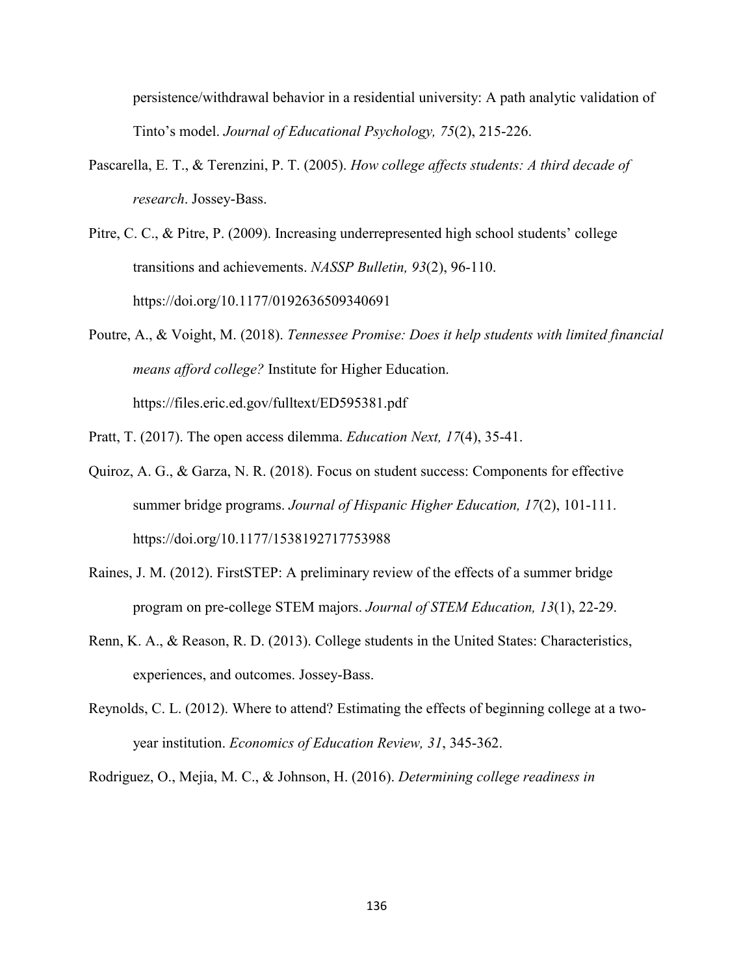persistence/withdrawal behavior in a residential university: A path analytic validation of Tinto's model. *Journal of Educational Psychology, 75*(2), 215-226.

- Pascarella, E. T., & Terenzini, P. T. (2005). *How college affects students: A third decade of research*. Jossey-Bass.
- Pitre, C. C., & Pitre, P. (2009). Increasing underrepresented high school students' college transitions and achievements. *NASSP Bulletin, 93*(2), 96-110. https://doi.org/10.1177/0192636509340691
- Poutre, A., & Voight, M. (2018). *Tennessee Promise: Does it help students with limited financial means afford college?* Institute for Higher Education. https://files.eric.ed.gov/fulltext/ED595381.pdf
- Pratt, T. (2017). The open access dilemma. *Education Next, 17*(4), 35-41.
- Quiroz, A. G., & Garza, N. R. (2018). Focus on student success: Components for effective summer bridge programs. *Journal of Hispanic Higher Education, 17*(2), 101-111. https://doi.org/10.1177/1538192717753988
- Raines, J. M. (2012). FirstSTEP: A preliminary review of the effects of a summer bridge program on pre-college STEM majors. *Journal of STEM Education, 13*(1), 22-29.
- Renn, K. A., & Reason, R. D. (2013). College students in the United States: Characteristics, experiences, and outcomes. Jossey-Bass.
- Reynolds, C. L. (2012). Where to attend? Estimating the effects of beginning college at a twoyear institution. *Economics of Education Review, 31*, 345-362.

Rodriguez, O., Mejia, M. C., & Johnson, H. (2016). *Determining college readiness in*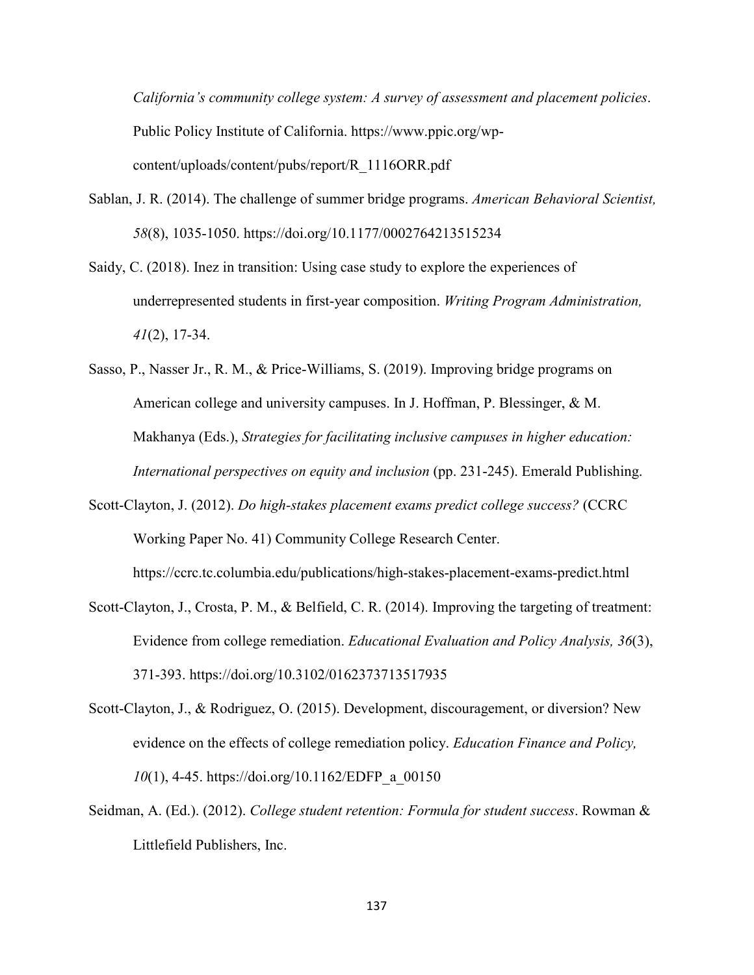*California's community college system: A survey of assessment and placement policies*. Public Policy Institute of California. https://www.ppic.org/wpcontent/uploads/content/pubs/report/R\_1116ORR.pdf

- Sablan, J. R. (2014). The challenge of summer bridge programs. *American Behavioral Scientist, 58*(8), 1035-1050. https://doi.org/10.1177/0002764213515234
- Saidy, C. (2018). Inez in transition: Using case study to explore the experiences of underrepresented students in first-year composition. *Writing Program Administration, 41*(2), 17-34.
- Sasso, P., Nasser Jr., R. M., & Price-Williams, S. (2019). Improving bridge programs on American college and university campuses. In J. Hoffman, P. Blessinger, & M. Makhanya (Eds.), *Strategies for facilitating inclusive campuses in higher education: International perspectives on equity and inclusion* (pp. 231-245). Emerald Publishing.
- Scott-Clayton, J. (2012). *Do high-stakes placement exams predict college success?* (CCRC Working Paper No. 41) Community College Research Center.

https://ccrc.tc.columbia.edu/publications/high-stakes-placement-exams-predict.html

- Scott-Clayton, J., Crosta, P. M., & Belfield, C. R. (2014). Improving the targeting of treatment: Evidence from college remediation. *Educational Evaluation and Policy Analysis, 36*(3), 371-393. https://doi.org/10.3102/0162373713517935
- Scott-Clayton, J., & Rodriguez, O. (2015). Development, discouragement, or diversion? New evidence on the effects of college remediation policy. *Education Finance and Policy, 10*(1), 4-45. https://doi.org/10.1162/EDFP\_a\_00150
- Seidman, A. (Ed.). (2012). *College student retention: Formula for student success*. Rowman & Littlefield Publishers, Inc.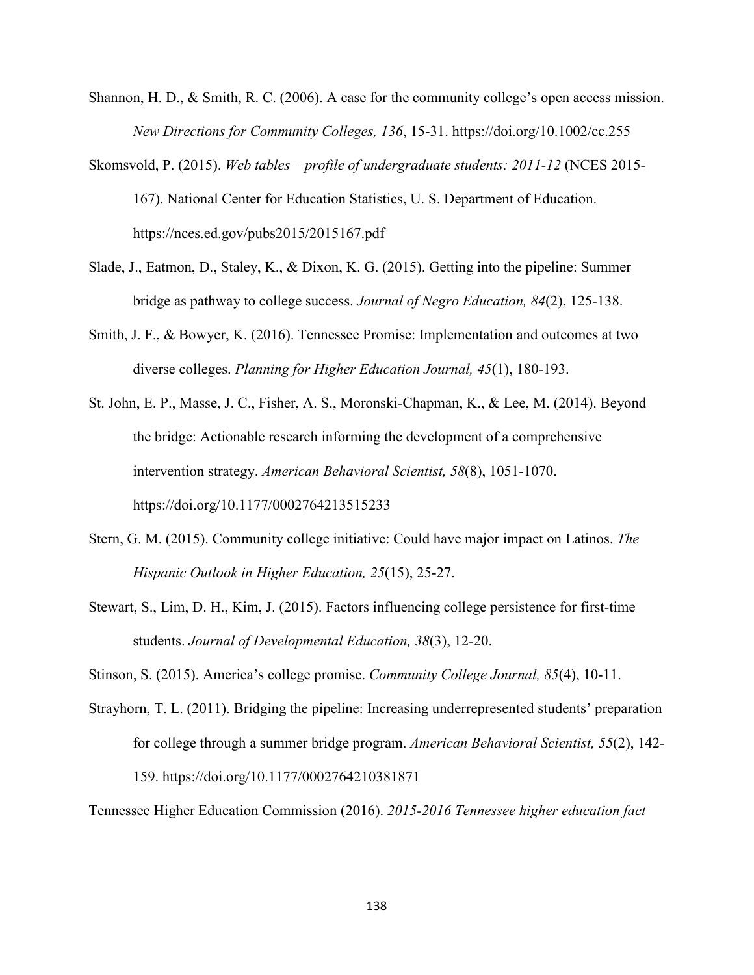- Shannon, H. D., & Smith, R. C. (2006). A case for the community college's open access mission. *New Directions for Community Colleges, 136*, 15-31. https://doi.org/10.1002/cc.255
- Skomsvold, P. (2015). *Web tables – profile of undergraduate students: 2011-12* (NCES 2015- 167). National Center for Education Statistics, U. S. Department of Education. https://nces.ed.gov/pubs2015/2015167.pdf
- Slade, J., Eatmon, D., Staley, K., & Dixon, K. G. (2015). Getting into the pipeline: Summer bridge as pathway to college success. *Journal of Negro Education, 84*(2), 125-138.
- Smith, J. F., & Bowyer, K. (2016). Tennessee Promise: Implementation and outcomes at two diverse colleges. *Planning for Higher Education Journal, 45*(1), 180-193.
- St. John, E. P., Masse, J. C., Fisher, A. S., Moronski-Chapman, K., & Lee, M. (2014). Beyond the bridge: Actionable research informing the development of a comprehensive intervention strategy. *American Behavioral Scientist, 58*(8), 1051-1070. https://doi.org/10.1177/0002764213515233
- Stern, G. M. (2015). Community college initiative: Could have major impact on Latinos. *The Hispanic Outlook in Higher Education, 25*(15), 25-27.
- Stewart, S., Lim, D. H., Kim, J. (2015). Factors influencing college persistence for first-time students. *Journal of Developmental Education, 38*(3), 12-20.
- Stinson, S. (2015). America's college promise. *Community College Journal, 85*(4), 10-11.
- Strayhorn, T. L. (2011). Bridging the pipeline: Increasing underrepresented students' preparation for college through a summer bridge program. *American Behavioral Scientist, 55*(2), 142- 159. https://doi.org/10.1177/0002764210381871

Tennessee Higher Education Commission (2016). *2015-2016 Tennessee higher education fact*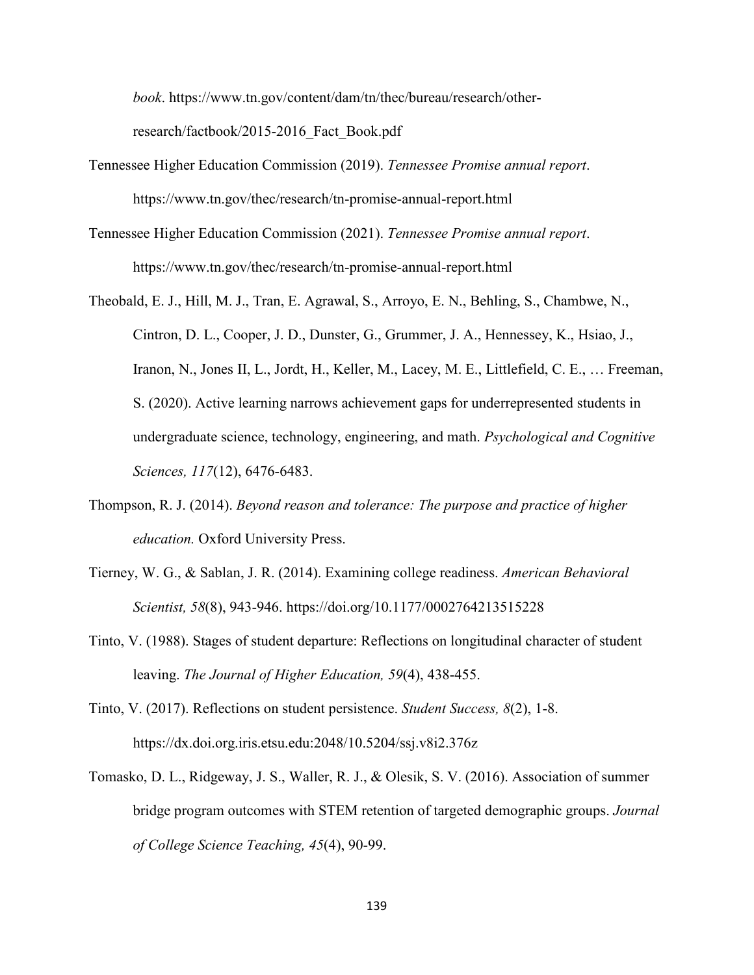*book*. https://www.tn.gov/content/dam/tn/thec/bureau/research/otherresearch/factbook/2015-2016\_Fact\_Book.pdf

- Tennessee Higher Education Commission (2019). *Tennessee Promise annual report*. https://www.tn.gov/thec/research/tn-promise-annual-report.html
- Tennessee Higher Education Commission (2021). *Tennessee Promise annual report*. https://www.tn.gov/thec/research/tn-promise-annual-report.html
- Theobald, E. J., Hill, M. J., Tran, E. Agrawal, S., Arroyo, E. N., Behling, S., Chambwe, N., Cintron, D. L., Cooper, J. D., Dunster, G., Grummer, J. A., Hennessey, K., Hsiao, J., Iranon, N., Jones II, L., Jordt, H., Keller, M., Lacey, M. E., Littlefield, C. E., … Freeman, S. (2020). Active learning narrows achievement gaps for underrepresented students in undergraduate science, technology, engineering, and math. *Psychological and Cognitive Sciences, 117*(12), 6476-6483.
- Thompson, R. J. (2014). *Beyond reason and tolerance: The purpose and practice of higher education.* Oxford University Press.
- Tierney, W. G., & Sablan, J. R. (2014). Examining college readiness. *American Behavioral Scientist, 58*(8), 943-946. https://doi.org/10.1177/0002764213515228
- Tinto, V. (1988). Stages of student departure: Reflections on longitudinal character of student leaving. *The Journal of Higher Education, 59*(4), 438-455.
- Tinto, V. (2017). Reflections on student persistence. *Student Success, 8*(2), 1-8. https://dx.doi.org.iris.etsu.edu:2048/10.5204/ssj.v8i2.376z
- Tomasko, D. L., Ridgeway, J. S., Waller, R. J., & Olesik, S. V. (2016). Association of summer bridge program outcomes with STEM retention of targeted demographic groups. *Journal of College Science Teaching, 45*(4), 90-99.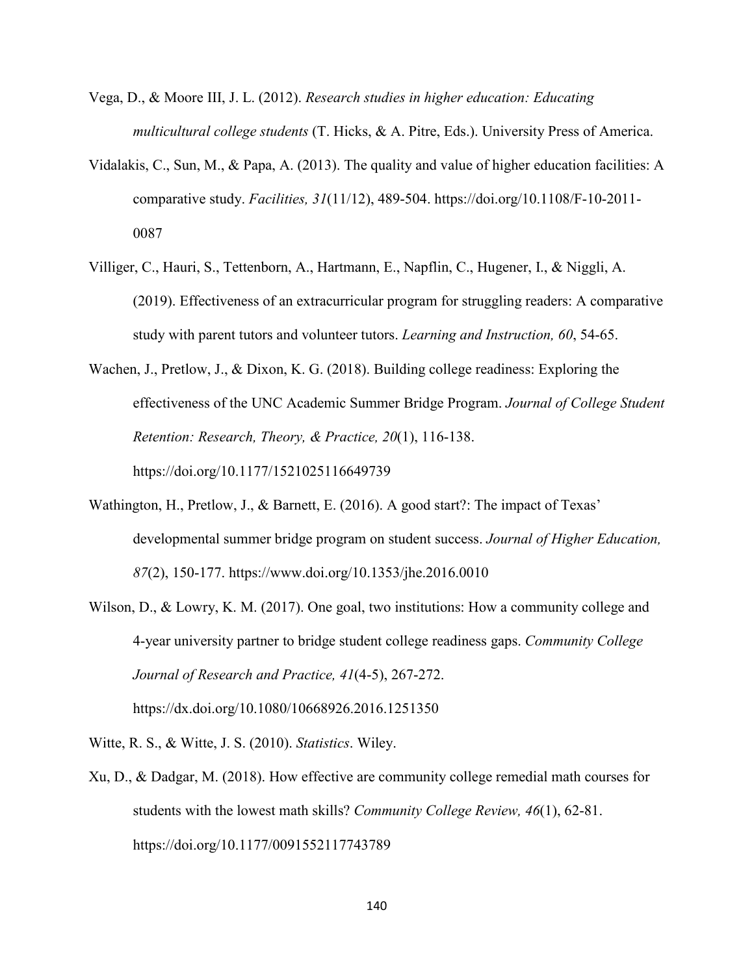- Vega, D., & Moore III, J. L. (2012). *Research studies in higher education: Educating multicultural college students* (T. Hicks, & A. Pitre, Eds.). University Press of America.
- Vidalakis, C., Sun, M., & Papa, A. (2013). The quality and value of higher education facilities: A comparative study. *Facilities, 31*(11/12), 489-504. https://doi.org/10.1108/F-10-2011- 0087
- Villiger, C., Hauri, S., Tettenborn, A., Hartmann, E., Napflin, C., Hugener, I., & Niggli, A. (2019). Effectiveness of an extracurricular program for struggling readers: A comparative study with parent tutors and volunteer tutors. *Learning and Instruction, 60*, 54-65.
- Wachen, J., Pretlow, J., & Dixon, K. G. (2018). Building college readiness: Exploring the effectiveness of the UNC Academic Summer Bridge Program. *Journal of College Student Retention: Research, Theory, & Practice, 20*(1), 116-138. https://doi.org/10.1177/1521025116649739
- Wathington, H., Pretlow, J., & Barnett, E. (2016). A good start?: The impact of Texas' developmental summer bridge program on student success. *Journal of Higher Education, 87*(2), 150-177. https://www.doi.org/10.1353/jhe.2016.0010
- Wilson, D., & Lowry, K. M. (2017). One goal, two institutions: How a community college and 4-year university partner to bridge student college readiness gaps. *Community College Journal of Research and Practice, 41*(4-5), 267-272. https://dx.doi.org/10.1080/10668926.2016.1251350

Witte, R. S., & Witte, J. S. (2010). *Statistics*. Wiley.

Xu, D., & Dadgar, M. (2018). How effective are community college remedial math courses for students with the lowest math skills? *Community College Review, 46*(1), 62-81. https://doi.org/10.1177/0091552117743789